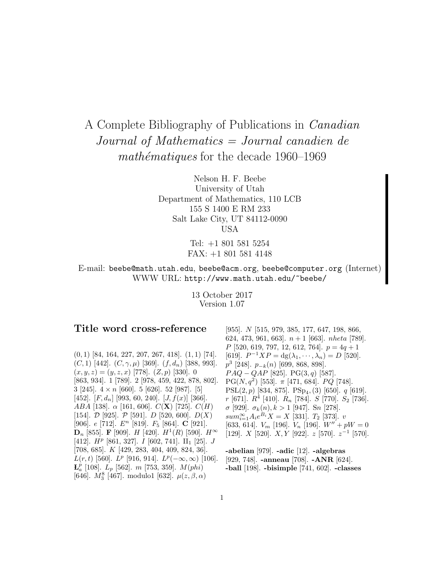# A Complete Bibliography of Publications in Canadian Journal of Mathematics = Journal canadien de mathématiques for the decade  $1960-1969$

Nelson H. F. Beebe University of Utah Department of Mathematics, 110 LCB 155 S 1400 E RM 233 Salt Lake City, UT 84112-0090 USA

> Tel: +1 801 581 5254 FAX: +1 801 581 4148

E-mail: beebe@math.utah.edu, beebe@acm.org, beebe@computer.org (Internet) WWW URL: http://www.math.utah.edu/~beebe/

> 13 October 2017 Version 1.07

# **Title word cross-reference**

 $(0, 1)$  [84, 164, 227, 207, 267, 418].  $(1, 1)$  [74].  $(C, 1)$  [442].  $(C, \gamma, \mu)$  [369].  $(f, d_n)$  [388, 993].  $(x, y, z)=(y, z, x)$  [778].  $(Z, p)$  [330]. 0 [863, 934]. 1 [789]. 2 [978, 459, 422, 878, 802]. 3 [245].  $4 \times n$  [660]. 5 [626]. 52 [987]. [5] [452].  $[F, d_n]$  [993, 60, 240].  $[J, f(x)]$  [366]. ABA [138]. α [161, 606]. C(**X**) [725]. C(H) [154].  $D$  [925].  $P$  [591].  $D$  [520, 600].  $D(X)$ [906]. e [712]. E<sup>n</sup> [819]. F<sup>5</sup> [864]. **C** [921]. **D**<sub>n</sub> [855]. **F** [909]. *H* [420]. *H*<sup>1</sup>(*R*) [590]. *H*<sup>∞</sup> [412].  $H^p$  [861, 327]. I [602, 741]. II<sub>1</sub> [25]. J [708, 685]. K [429, 283, 404, 409, 824, 36].  $L(r, t)$  [560].  $L^p$  [916, 914].  $L^p(-\infty, \infty)$  [106].  ${\bf L}^p_a$  [108].  $L_p$  [562]. m [753, 359].  $M(phi)$ [646].  $M_3^8$  [467]. modulo1 [632].  $\mu(z, \beta, \alpha)$ 

[955]. N [515, 979, 385, 177, 647, 198, 866, 624, 473, 961, 663.  $n+1$  [663]. nheta [789].  $P$  [520, 619, 797, 12, 612, 764].  $p = 4q + 1$ [619].  $P^{-1}XP = dg(\lambda_1,\dots,\lambda_n) = D$  [520].  $p^3$  [248].  $p_{-k}(n)$  [699, 868, 898].  $PAQ - QAP$  [825]. PG(3, q) [587]. PG( $N, q^2$ ) [553].  $\pi$  [471, 684]. PQ [748]. PSL $(2, p)$  [834, 875]. PSp<sub>4</sub>, (3) [650]. *q* [619]. r [671].  $R^4$  [410].  $R_n$  [784]. S [770]. S<sub>2</sub> [736]. σ [929].  $\sigma_k(n), k > 1$  [947]. Sn [278].  $sum_{i=1}^{\infty} A_i e^{B_i} X = X$  [331].  $T_2$  [373].  $v$ [633, 614].  $V_m$  [196].  $V_n$  [196].  $W'' + pW = 0$ [129].  $X$  [520].  $X, Y$  [922].  $z$  [570].  $z^{-1}$  [570].

**-abelian** [979]. **-adic** [12]. **-algebras** [929, 748]. **-anneau** [708]. **-ANR** [624]. **-ball** [198]. **-bisimple** [741, 602]. **-classes**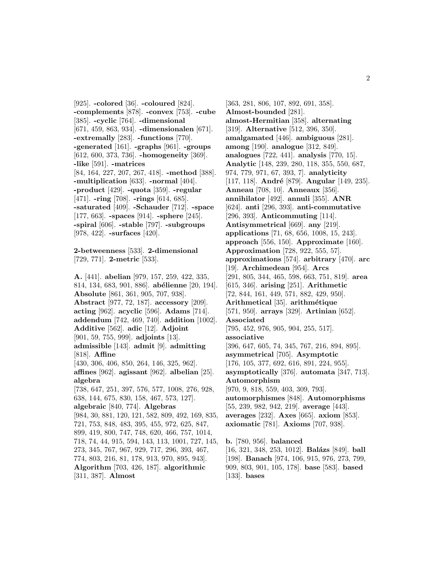[925]. **-colored** [36]. **-coloured** [824]. **-complements** [878]. **-convex** [753]. **-cube** [385]. **-cyclic** [764]. **-dimensional** [671, 459, 863, 934]. **-dimensionalen** [671]. **-extremally** [283]. **-functions** [770]. **-generated** [161]. **-graphs** [961]. **-groups** [612, 600, 373, 736]. **-homogeneity** [369]. **-like** [591]. **-matrices** [84, 164, 227, 207, 267, 418]. **-method** [388]. **-multiplication** [633]. **-normal** [404]. **-product** [429]. **-quota** [359]. **-regular** [471]. **-ring** [708]. **-rings** [614, 685]. **-saturated** [409]. **-Schauder** [712]. **-space** [177, 663]. **-spaces** [914]. **-sphere** [245]. **-spiral** [606]. **-stable** [797]. **-subgroups** [978, 422]. **-surfaces** [420].

**2-betweenness** [533]. **2-dimensional** [729, 771]. **2-metric** [533].

**A.** [441]. **abelian** [979, 157, 259, 422, 335, 814, 134, 683, 901, 886]. **ab´elienne** [20, 194]. **Absolute** [861, 361, 905, 707, 938]. **Abstract** [977, 72, 187]. **accessory** [209]. **acting** [962]. **acyclic** [596]. **Adams** [714]. **addendum** [742, 469, 740]. **addition** [1002]. **Additive** [562]. **adic** [12]. **Adjoint** [901, 59, 755, 999]. **adjoints** [13]. **admissible** [143]. **admit** [9]. **admitting** [818]. **Affine** [430, 306, 406, 850, 264, 146, 325, 962]. **affines** [962]. **agissant** [962]. **albelian** [25]. **algebra** [738, 647, 251, 397, 576, 577, 1008, 276, 928, 638, 144, 675, 830, 158, 467, 573, 127]. **algebraic** [840, 774]. **Algebras** [984, 30, 881, 120, 121, 582, 809, 492, 169, 835, 721, 753, 848, 483, 395, 455, 972, 625, 847, 899, 419, 800, 747, 748, 620, 466, 757, 1014, 718, 74, 44, 915, 594, 143, 113, 1001, 727, 145, 273, 345, 767, 967, 929, 717, 296, 393, 467, 774, 803, 216, 81, 178, 913, 970, 895, 943]. **Algorithm** [703, 426, 187]. **algorithmic** [311, 387]. **Almost**

[363, 281, 806, 107, 892, 691, 358]. **Almost-bounded** [281]. **almost-Hermitian** [358]. **alternating** [319]. **Alternative** [512, 396, 350]. **amalgamated** [446]. **ambiguous** [281]. **among** [190]. **analogue** [312, 849]. **analogues** [722, 441]. **analysis** [770, 15]. **Analytic** [148, 239, 280, 118, 355, 550, 687, 974, 779, 971, 67, 393, 7]. **analyticity** [117, 118]. **André** [879]. **Angular** [149, 235]. **Anneau** [708, 10]. **Anneaux** [356]. **annihilator** [492]. **annuli** [355]. **ANR** [624]. **anti** [296, 393]. **anti-commutative** [296, 393]. **Anticommuting** [114]. **Antisymmetrical** [669]. **any** [219]. **applications** [71, 68, 656, 1008, 15, 243]. **approach** [556, 150]. **Approximate** [160]. **Approximation** [728, 922, 555, 57]. **approximations** [574]. **arbitrary** [470]. **arc** [19]. **Archimedean** [954]. **Arcs** [291, 805, 344, 465, 598, 663, 751, 819]. **area** [615, 346]. **arising** [251]. **Arithmetic** [72, 844, 161, 449, 571, 882, 429, 950]. **Arithmetical** [35]. **arithm´etique** [571, 950]. **arrays** [329]. **Artinian** [652]. **Associated** [795, 452, 976, 905, 904, 255, 517]. **associative** [396, 647, 605, 74, 345, 767, 216, 894, 895]. **asymmetrical** [705]. **Asymptotic** [176, 105, 377, 692, 616, 891, 224, 955]. **asymptotically** [376]. **automata** [347, 713]. **Automorphism** [970, 9, 818, 559, 403, 309, 793]. **automorphismes** [848]. **Automorphisms** [55, 239, 982, 942, 219]. **average** [443]. **averages** [232]. **Axes** [665]. **axiom** [853]. **axiomatic** [781]. **Axioms** [707, 938].

**b.** [780, 956]. **balanced** [16, 321, 348, 253, 1012]. **Bal´azs** [849]. **ball** [198]. **Banach** [974, 106, 915, 976, 273, 799, 909, 803, 901, 105, 178]. **base** [583]. **based** [133]. **bases**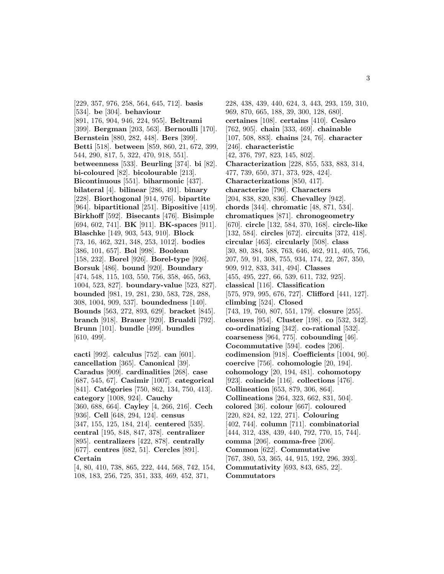[229, 357, 976, 258, 564, 645, 712]. **basis** [534]. **be** [304]. **behaviour** [891, 176, 904, 946, 224, 955]. **Beltrami** [399]. **Bergman** [203, 563]. **Bernoulli** [170]. **Bernstein** [880, 282, 448]. **Bers** [399]. **Betti** [518]. **between** [859, 860, 21, 672, 399, 544, 290, 817, 5, 322, 470, 918, 551]. **betweenness** [533]. **Beurling** [374]. **bi** [82]. **bi-coloured** [82]. **bicolourable** [213]. **Bicontinuous** [551]. **biharmonic** [437]. **bilateral** [4]. **bilinear** [286, 491]. **binary** [228]. **Biorthogonal** [914, 976]. **bipartite** [964]. **bipartitional** [251]. **Bipositive** [419]. **Birkhoff** [592]. **Bisecants** [476]. **Bisimple** [694, 602, 741]. **BK** [911]. **BK-spaces** [911]. **Blaschke** [149, 903, 543, 910]. **Block** [73, 16, 462, 321, 348, 253, 1012]. **bodies** [386, 101, 657]. **Bol** [998]. **Boolean** [158, 232]. **Borel** [926]. **Borel-type** [926]. **Borsuk** [486]. **bound** [920]. **Boundary** [474, 548, 115, 103, 550, 756, 358, 465, 563, 1004, 523, 827]. **boundary-value** [523, 827]. **bounded** [981, 19, 281, 230, 583, 728, 288, 308, 1004, 909, 537]. **boundedness** [140]. **Bounds** [563, 272, 893, 629]. **bracket** [845]. **branch** [918]. **Brauer** [920]. **Brualdi** [792]. **Brunn** [101]. **bundle** [499]. **bundles** [610, 499].

**cacti** [992]. **calculus** [752]. **can** [601]. **cancellation** [365]. **Canonical** [39]. **Caradus** [909]. **cardinalities** [268]. **case** [687, 545, 67]. **Casimir** [1007]. **categorical** [841]. **Catégories** [750, 862, 134, 750, 413]. **category** [1008, 924]. **Cauchy** [360, 688, 664]. **Cayley** [4, 266, 216]. **Cech** [936]. **Cell** [648, 294, 124]. **census** [347, 155, 125, 184, 214]. **centered** [535]. **central** [195, 848, 847, 378]. **centralizer** [895]. **centralizers** [422, 878]. **centrally** [677]. **centres** [682, 51]. **Cercles** [891]. **Certain**

[4, 80, 410, 738, 865, 222, 444, 568, 742, 154, 108, 183, 256, 725, 351, 333, 469, 452, 371,

228, 438, 439, 440, 624, 3, 443, 293, 159, 310, 969, 870, 665, 188, 39, 300, 128, 680]. **certaines** [108]. **certains** [410]. **Ces`aro** [762, 905]. **chain** [333, 469]. **chainable** [107, 508, 883]. **chains** [24, 76]. **character** [246]. **characteristic** [42, 376, 797, 823, 145, 802]. **Characterization** [228, 855, 533, 883, 314, 477, 739, 650, 371, 373, 928, 424]. **Characterizations** [850, 417]. **characterize** [790]. **Characters** [204, 838, 820, 836]. **Chevalley** [942]. **chords** [344]. **chromatic** [48, 871, 534]. **chromatiques** [871]. **chronogeometry** [670]. **circle** [132, 584, 370, 168]. **circle-like** [132, 584]. **circles** [672]. **circuits** [372, 418]. **circular** [463]. **circularly** [508]. **class** [30, 80, 384, 588, 763, 646, 462, 911, 405, 756, 207, 59, 91, 308, 755, 934, 174, 22, 267, 350, 909, 912, 833, 341, 494]. **Classes** [455, 495, 227, 66, 539, 611, 732, 925]. **classical** [116]. **Classification** [575, 979, 995, 676, 727]. **Clifford** [441, 127]. **climbing** [524]. **Closed** [743, 19, 760, 807, 551, 179]. **closure** [255]. **closures** [954]. **Cluster** [198]. **co** [532, 342]. **co-ordinatizing** [342]. **co-rational** [532]. **coarseness** [964, 775]. **cobounding** [46]. **Cocommutative** [594]. **codes** [206]. **codimension** [918]. **Coefficients** [1004, 90]. **coercive** [756]. **cohomologie** [20, 194]. **cohomology** [20, 194, 481]. **cohomotopy** [923]. **coincide** [116]. **collections** [476]. **Collineation** [653, 879, 306, 864]. **Collineations** [264, 323, 662, 831, 504]. **colored** [36]. **colour** [667]. **coloured** [220, 824, 82, 122, 271]. **Colouring** [402, 744]. **column** [711]. **combinatorial** [444, 312, 438, 439, 440, 792, 770, 15, 744]. **comma** [206]. **comma-free** [206]. **Common** [622]. **Commutative** [767, 380, 53, 365, 44, 915, 192, 296, 393]. **Commutativity** [693, 843, 685, 22]. **Commutators**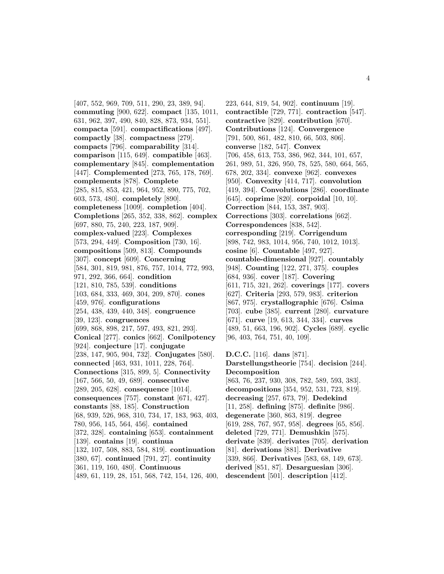[407, 552, 969, 709, 511, 290, 23, 389, 94]. **commuting** [900, 622]. **compact** [135, 1011, 631, 962, 397, 490, 840, 828, 873, 934, 551]. **compacta** [591]. **compactifications** [497]. **compactly** [38]. **compactness** [279]. **compacts** [796]. **comparability** [314]. **comparison** [115, 649]. **compatible** [463]. **complementary** [845]. **complementation** [447]. **Complemented** [273, 765, 178, 769]. **complements** [878]. **Complete** [285, 815, 853, 421, 964, 952, 890, 775, 702, 603, 573, 480]. **completely** [890]. **completeness** [1009]. **completion** [404]. **Completions** [265, 352, 338, 862]. **complex** [697, 880, 75, 240, 223, 187, 909]. **complex-valued** [223]. **Complexes** [573, 294, 449]. **Composition** [730, 16]. **compositions** [509, 813]. **Compounds** [307]. **concept** [609]. **Concerning** [584, 301, 819, 981, 876, 757, 1014, 772, 993, 971, 292, 366, 664]. **condition** [121, 810, 785, 539]. **conditions** [103, 684, 333, 469, 304, 209, 870]. **cones** [459, 976]. **configurations** [254, 438, 439, 440, 348]. **congruence** [39, 123]. **congruences** [699, 868, 898, 217, 597, 493, 821, 293]. **Conical** [277]. **conics** [662]. **Conilpotency** [924]. **conjecture** [17]. **conjugate** [238, 147, 905, 904, 732]. **Conjugates** [580]. **connected** [463, 931, 1011, 228, 764]. **Connections** [315, 899, 5]. **Connectivity** [167, 566, 50, 49, 689]. **consecutive** [289, 205, 628]. **consequence** [1014]. **consequences** [757]. **constant** [671, 427]. **constants** [88, 185]. **Construction** [68, 939, 526, 968, 310, 734, 17, 183, 963, 403, 780, 956, 145, 564, 456]. **contained** [372, 328]. **containing** [653]. **containment** [139]. **contains** [19]. **continua** [132, 107, 508, 883, 584, 819]. **continuation** [380, 67]. **continued** [791, 27]. **continuity** [361, 119, 160, 480]. **Continuous** [489, 61, 119, 28, 151, 568, 742, 154, 126, 400,

223, 644, 819, 54, 902]. **continuum** [19]. **contractible** [729, 771]. **contraction** [547]. **contractive** [829]. **contribution** [670]. **Contributions** [124]. **Convergence** [791, 500, 861, 482, 810, 66, 503, 806]. **converse** [182, 547]. **Convex** [706, 458, 613, 753, 386, 962, 344, 101, 657, 261, 989, 51, 326, 950, 78, 525, 580, 664, 565, 678, 202, 334]. **convexe** [962]. **convexes** [950]. **Convexity** [414, 717]. **convolution** [419, 394]. **Convolutions** [286]. **coordinate** [645]. **coprime** [820]. **corpoidal** [10, 10]. **Correction** [844, 153, 387, 903]. **Corrections** [303]. **correlations** [662]. **Correspondences** [838, 542]. **corresponding** [219]. **Corrigendum** [898, 742, 983, 1014, 956, 740, 1012, 1013]. **cosine** [6]. **Countable** [497, 927]. **countable-dimensional** [927]. **countably** [948]. **Counting** [122, 271, 375]. **couples** [684, 936]. **cover** [187]. **Covering** [611, 715, 321, 262]. **coverings** [177]. **covers** [627]. **Criteria** [293, 579, 983]. **criterion** [867, 975]. **crystallographic** [676]. **Csima** [703]. **cube** [385]. **current** [280]. **curvature** [671]. **curve** [19, 613, 344, 334]. **curves** [489, 51, 663, 196, 902]. **Cycles** [689]. **cyclic** [96, 403, 764, 751, 40, 109]. **D.C.C.** [116]. **dans** [871]. **Darstellungstheorie** [754]. **decision** [244].

**Decomposition** [863, 76, 237, 930, 308, 782, 589, 593, 383]. **decompositions** [354, 952, 531, 723, 819]. **decreasing** [257, 673, 79]. **Dedekind** [11, 258]. **defining** [875]. **definite** [986]. **degenerate** [360, 863, 819]. **degree** [619, 288, 767, 957, 958]. **degrees** [65, 856]. **deleted** [729, 771]. **Demushkin** [575]. **derivate** [839]. **derivates** [705]. **derivation** [81]. **derivations** [881]. **Derivative** [339, 866]. **Derivatives** [583, 68, 149, 673]. **derived** [851, 87]. **Desarguesian** [306]. **descendent** [501]. **description** [412].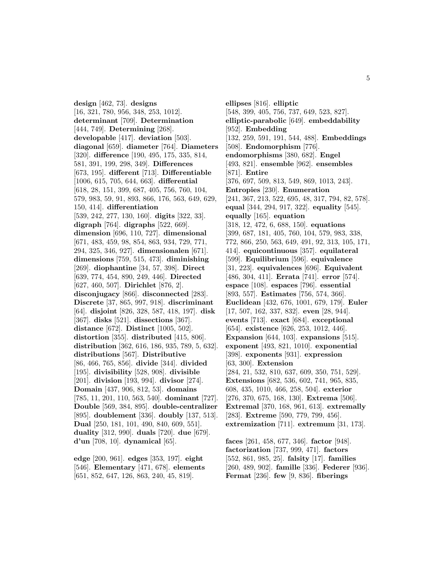**design** [462, 73]. **designs** [16, 321, 780, 956, 348, 253, 1012]. **determinant** [709]. **Determination** [444, 749]. **Determining** [268]. **developable** [417]. **deviation** [503]. **diagonal** [659]. **diameter** [764]. **Diameters** [320]. **difference** [190, 495, 175, 335, 814, 581, 391, 199, 298, 349]. **Differences** [673, 195]. **different** [713]. **Differentiable** [1006, 615, 705, 644, 663]. **differential** [618, 28, 151, 399, 687, 405, 756, 760, 104, 579, 983, 59, 91, 893, 866, 176, 563, 649, 629, 150, 414]. **differentiation** [539, 242, 277, 130, 160]. **digits** [322, 33]. **digraph** [764]. **digraphs** [522, 669]. **dimension** [696, 110, 727]. **dimensional** [671, 483, 459, 98, 854, 863, 934, 729, 771, 294, 325, 346, 927]. **dimensionalen** [671]. **dimensions** [759, 515, 473]. **diminishing** [269]. **diophantine** [34, 57, 398]. **Direct** [639, 774, 454, 890, 249, 446]. **Directed** [627, 460, 507]. **Dirichlet** [876, 2]. **disconjugacy** [866]. **disconnected** [283]. **Discrete** [37, 865, 997, 918]. **discriminant** [64]. **disjoint** [826, 328, 587, 418, 197]. **disk** [367]. **disks** [521]. **dissections** [367]. **distance** [672]. **Distinct** [1005, 502]. **distortion** [355]. **distributed** [415, 806]. **distribution** [362, 616, 186, 935, 789, 5, 632]. **distributions** [567]. **Distributive** [86, 466, 765, 856]. **divide** [344]. **divided** [195]. **divisibility** [528, 908]. **divisible** [201]. **division** [193, 994]. **divisor** [274]. **Domain** [437, 906, 812, 53]. **domains** [785, 11, 201, 110, 563, 540]. **dominant** [727]. **Double** [569, 384, 895]. **double-centralizer** [895]. **doublement** [336]. **doubly** [137, 513]. **Dual** [250, 181, 101, 490, 840, 609, 551]. **duality** [312, 990]. **duals** [720]. **due** [679]. **d'un** [708, 10]. **dynamical** [65].

**edge** [200, 961]. **edges** [353, 197]. **eight** [546]. **Elementary** [471, 678]. **elements** [651, 852, 647, 126, 863, 240, 45, 819].

**ellipses** [816]. **elliptic** [548, 399, 405, 756, 737, 649, 523, 827]. **elliptic-parabolic** [649]. **embeddability** [952]. **Embedding** [132, 259, 591, 191, 544, 488]. **Embeddings** [508]. **Endomorphism** [776]. **endomorphisms** [380, 682]. **Engel** [493, 821]. **ensemble** [962]. **ensembles** [871]. **Entire** [376, 697, 509, 813, 549, 869, 1013, 243]. **Entropies** [230]. **Enumeration** [241, 367, 213, 522, 695, 48, 317, 794, 82, 578]. **equal** [344, 294, 917, 322]. **equality** [545]. **equally** [165]. **equation** [318, 12, 472, 6, 688, 150]. **equations** [399, 687, 181, 405, 760, 104, 579, 983, 338, 772, 866, 250, 563, 649, 491, 92, 313, 105, 171, 414]. **equicontinuous** [357]. **equilateral** [599]. **Equilibrium** [596]. **equivalence** [31, 223]. **equivalences** [696]. **Equivalent** [486, 304, 411]. **Errata** [741]. **error** [574]. **espace** [108]. **espaces** [796]. **essential** [893, 557]. **Estimates** [756, 574, 366]. **Euclidean** [432, 676, 1001, 679, 179]. **Euler** [17, 507, 162, 337, 832]. **even** [28, 944]. **events** [713]. **exact** [684]. **exceptional** [654]. **existence** [626, 253, 1012, 446]. **Expansion** [644, 103]. **expansions** [515]. **exponent** [493, 821, 1010]. **exponential** [398]. **exponents** [931]. **expression** [63, 300]. **Extension** [284, 21, 532, 810, 637, 609, 350, 751, 529]. **Extensions** [682, 536, 602, 741, 965, 835, 608, 435, 1010, 466, 258, 504]. **exterior** [276, 370, 675, 168, 130]. **Extrema** [506]. **Extremal** [370, 168, 961, 613]. **extremally** [283]. **Extreme** [590, 779, 799, 456]. **extremization** [711]. **extremum** [31, 173].

**faces** [261, 458, 677, 346]. **factor** [948]. **factorization** [737, 999, 471]. **factors** [552, 861, 985, 25]. **falsity** [17]. **families** [260, 489, 902]. **famille** [336]. **Federer** [936]. **Fermat** [236]. **few** [9, 836]. **fiberings**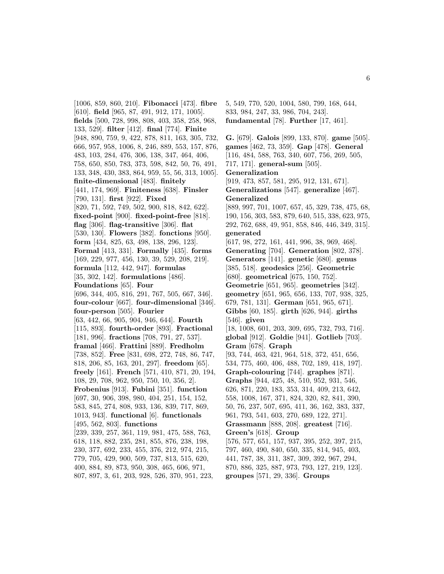[1006, 859, 860, 210]. **Fibonacci** [473]. **fibre** [610]. **field** [965, 87, 491, 912, 171, 1005]. **fields** [500, 728, 998, 808, 403, 358, 258, 968, 133, 529]. **filter** [412]. **final** [774]. **Finite** [948, 890, 759, 9, 422, 878, 811, 163, 305, 732, 666, 957, 958, 1006, 8, 246, 889, 553, 157, 876, 483, 103, 284, 476, 306, 138, 347, 464, 406, 758, 650, 850, 783, 373, 598, 842, 50, 76, 491, 133, 348, 430, 383, 864, 959, 55, 56, 313, 1005]. **finite-dimensional** [483]. **finitely** [441, 174, 969]. **Finiteness** [638]. **Finsler** [790, 131]. **first** [922]. **Fixed** [820, 71, 592, 749, 502, 900, 818, 842, 622]. **fixed-point** [900]. **fixed-point-free** [818]. **flag** [306]. **flag-transitive** [306]. **flat** [530, 130]. **Flowers** [382]. **fonctions** [950]. **form** [434, 825, 63, 498, 138, 296, 123]. **Formal** [413, 331]. **Formally** [435]. **forms** [169, 229, 977, 456, 130, 39, 529, 208, 219]. **formula** [112, 442, 947]. **formulas** [35, 302, 142]. **formulations** [486]. **Foundations** [65]. **Four** [696, 344, 405, 816, 291, 767, 505, 667, 346]. **four-colour** [667]. **four-dimensional** [346]. **four-person** [505]. **Fourier** [63, 442, 66, 905, 904, 946, 644]. **Fourth** [115, 893]. **fourth-order** [893]. **Fractional** [181, 996]. **fractions** [708, 791, 27, 537]. **framal** [466]. **Frattini** [889]. **Fredholm** [738, 852]. **Free** [831, 698, 272, 748, 86, 747, 818, 206, 85, 163, 201, 297]. **freedom** [65]. **freely** [161]. **French** [571, 410, 871, 20, 194, 108, 29, 708, 962, 950, 750, 10, 356, 2]. **Frobenius** [913]. **Fubini** [351]. **function** [697, 30, 906, 398, 980, 404, 251, 154, 152, 583, 845, 274, 808, 933, 136, 839, 717, 869, 1013, 943]. **functional** [6]. **functionals** [495, 562, 803]. **functions** [239, 339, 257, 361, 119, 981, 475, 588, 763, 618, 118, 882, 235, 281, 855, 876, 238, 198, 230, 377, 692, 233, 455, 376, 212, 974, 215, 779, 705, 429, 900, 509, 737, 813, 515, 620, 400, 884, 89, 873, 950, 308, 465, 606, 971, 807, 897, 3, 61, 203, 928, 526, 370, 951, 223,

5, 549, 770, 520, 1004, 580, 799, 168, 644, 833, 984, 247, 33, 986, 704, 243]. **fundamental** [78]. **Further** [17, 461].

**G.** [679]. **Galois** [899, 133, 870]. **game** [505]. **games** [462, 73, 359]. **Gap** [478]. **General** [116, 484, 588, 763, 340, 607, 756, 269, 505, 717, 171]. **general-sum** [505]. **Generalization** [919, 473, 857, 581, 295, 912, 131, 671]. **Generalizations** [547]. **generalize** [467]. **Generalized** [889, 997, 701, 1007, 657, 45, 329, 738, 475, 68, 190, 156, 303, 583, 879, 640, 515, 338, 623, 975, 292, 762, 688, 49, 951, 858, 846, 446, 349, 315]. **generated** [617, 98, 272, 161, 441, 996, 38, 969, 468]. **Generating** [704]. **Generation** [802, 378]. **Generators** [141]. **genetic** [680]. **genus** [385, 518]. **geodesics** [256]. **Geometric** [680]. **geometrical** [675, 150, 752]. **Geometrie** [651, 965]. **geometries** [342]. **geometry** [651, 965, 656, 133, 707, 938, 325, 679, 781, 131]. **German** [651, 965, 671]. **Gibbs** [60, 185]. **girth** [626, 944]. **girths** [546]. **given** [18, 1008, 601, 203, 309, 695, 732, 793, 716]. **global** [912]. **Goldie** [941]. **Gotlieb** [703]. **Gram** [678]. **Graph** [93, 744, 463, 421, 964, 518, 372, 451, 656, 534, 775, 460, 406, 488, 702, 189, 418, 197]. **Graph-colouring** [744]. **graphes** [871]. **Graphs** [944, 425, 48, 510, 952, 931, 546, 626, 871, 220, 183, 353, 314, 409, 213, 642, 558, 1008, 167, 371, 824, 320, 82, 841, 390, 50, 76, 237, 507, 695, 411, 36, 162, 383, 337, 961, 793, 541, 603, 270, 689, 122, 271]. **Grassmann** [888, 208]. **greatest** [716]. **Green's** [618]. **Group** [576, 577, 651, 157, 937, 395, 252, 397, 215, 797, 460, 490, 840, 650, 335, 814, 945, 403, 441, 787, 38, 311, 387, 309, 392, 967, 294, 870, 886, 325, 887, 973, 793, 127, 219, 123]. **groupes** [571, 29, 336]. **Groups**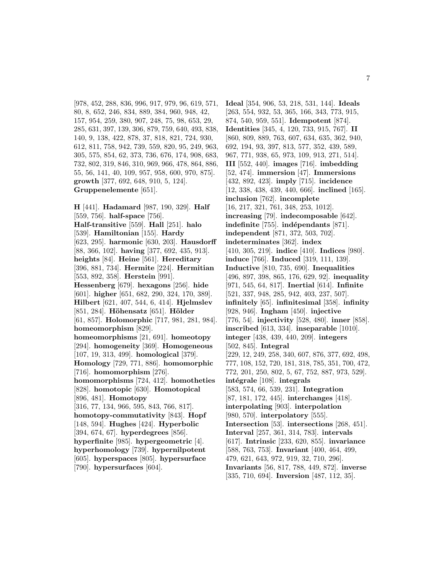[978, 452, 288, 836, 996, 917, 979, 96, 619, 571, 80, 8, 652, 246, 834, 889, 384, 960, 948, 42, 157, 954, 259, 380, 907, 248, 75, 98, 653, 29, 285, 631, 397, 139, 306, 879, 759, 640, 493, 838, 140, 9, 138, 422, 878, 37, 818, 821, 724, 930, 612, 811, 758, 942, 739, 559, 820, 95, 249, 963, 305, 575, 854, 62, 373, 736, 676, 174, 908, 683, 732, 802, 319, 846, 310, 969, 966, 478, 864, 886, 55, 56, 141, 40, 109, 957, 958, 600, 970, 875]. **growth** [377, 692, 648, 910, 5, 124]. **Gruppenelemente** [651].

**H** [441]. **Hadamard** [987, 190, 329]. **Half** [559, 756]. **half-space** [756]. **Half-transitive** [559]. **Hall** [251]. **halo** [539]. **Hamiltonian** [155]. **Hardy** [623, 295]. **harmonic** [630, 203]. **Hausdorff** [88, 366, 102]. **having** [377, 692, 435, 913]. **heights** [84]. **Heine** [561]. **Hereditary** [396, 881, 734]. **Hermite** [224]. **Hermitian** [553, 892, 358]. **Herstein** [991]. **Hessenberg** [679]. **hexagons** [256]. **hide** [601]. **higher** [651, 682, 290, 324, 170, 389]. **Hilbert** [621, 407, 544, 6, 414]. **Hjelmslev** [851, 284]. **H¨ohensatz** [651]. **H¨older** [61, 857]. **Holomorphic** [717, 981, 281, 984]. **homeomorphism** [829]. **homeomorphisms** [21, 691]. **homeotopy** [294]. **homogeneity** [369]. **Homogeneous** [107, 19, 313, 499]. **homological** [379]. **Homology** [729, 771, 886]. **homomorphic** [716]. **homomorphism** [276]. **homomorphisms** [724, 412]. **homotheties** [828]. **homotopic** [630]. **Homotopical** [896, 481]. **Homotopy** [316, 77, 134, 966, 595, 843, 766, 817]. **homotopy-commutativity** [843]. **Hopf** [148, 594]. **Hughes** [424]. **Hyperbolic** [394, 674, 67]. **hyperdegrees** [856]. **hyperfinite** [985]. **hypergeometric** [4]. **hyperhomology** [739]. **hypernilpotent** [605]. **hyperspaces** [805]. **hypersurface** [790]. **hypersurfaces** [604].

**Ideal** [354, 906, 53, 218, 531, 144]. **Ideals** [263, 554, 932, 53, 365, 166, 343, 773, 915, 874, 540, 959, 551]. **Idempotent** [874]. **Identities** [345, 4, 120, 733, 915, 767]. **II** [860, 809, 889, 763, 607, 634, 635, 362, 940, 692, 194, 93, 397, 813, 577, 352, 439, 589, 967, 771, 938, 65, 973, 109, 913, 271, 514]. **III** [552, 440]. **images** [716]. **imbedding** [52, 474]. **immersion** [47]. **Immersions** [432, 892, 423]. **imply** [715]. **incidence** [12, 338, 438, 439, 440, 666]. **inclined** [165]. **inclusion** [762]. **incomplete** [16, 217, 321, 761, 348, 253, 1012]. **increasing** [79]. **indecomposable** [642]. **indefinite** [755]. **indépendants** [871]. **independent** [871, 372, 503, 702]. **indeterminates** [362]. **index** [410, 305, 219]. **indice** [410]. **Indices** [980]. **induce** [766]. **Induced** [319, 111, 139]. **Inductive** [810, 735, 690]. **Inequalities** [496, 897, 398, 865, 176, 629, 92]. **inequality** [971, 545, 64, 817]. **Inertial** [614]. **Infinite** [521, 337, 948, 285, 942, 403, 237, 507]. **infinitely** [65]. **infinitesimal** [358]. **infinity** [928, 946]. **Ingham** [450]. **injective** [776, 54]. **injectivity** [528, 480]. **inner** [858]. **inscribed** [613, 334]. **inseparable** [1010]. **integer** [438, 439, 440, 209]. **integers** [502, 845]. **Integral** [229, 12, 249, 258, 340, 607, 876, 377, 692, 498, 777, 108, 152, 720, 181, 318, 785, 351, 700, 472, 772, 201, 250, 802, 5, 67, 752, 887, 973, 529]. **intégrale** [108]. **integrals** [583, 574, 66, 539, 231]. **Integration** [87, 181, 172, 445]. **interchanges** [418]. **interpolating** [903]. **interpolation** [980, 570]. **interpolatory** [555]. **Intersection** [53]. **intersections** [268, 451]. **Interval** [257, 361, 314, 783]. **intervals** [617]. **Intrinsic** [233, 620, 855]. **invariance** [588, 763, 753]. **Invariant** [400, 464, 499, 479, 621, 643, 972, 919, 32, 710, 296]. **Invariants** [56, 817, 788, 449, 872]. **inverse** [335, 710, 694]. **Inversion** [487, 112, 35].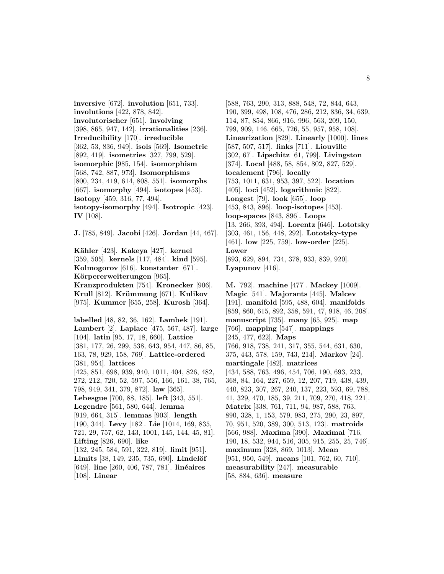**inversive** [672]. **involution** [651, 733]. **involutions** [422, 878, 842]. **involutorischer** [651]. **involving** [398, 865, 947, 142]. **irrationalities** [236]. **Irreducibility** [170]. **irreducible** [362, 53, 836, 949]. **isols** [569]. **Isometric** [892, 419]. **isometries** [327, 799, 529]. **isomorphic** [985, 154]. **isomorphism** [568, 742, 887, 973]. **Isomorphisms** [800, 234, 419, 614, 808, 551]. **isomorphs** [667]. **isomorphy** [494]. **isotopes** [453]. **Isotopy** [459, 316, 77, 494]. **isotopy-isomorphy** [494]. **Isotropic** [423]. **IV** [108].

**J.** [785, 849]. **Jacobi** [426]. **Jordan** [44, 467].

**K¨ahler** [423]. **Kakeya** [427]. **kernel** [359, 505]. **kernels** [117, 484]. **kind** [595]. **Kolmogorov** [616]. **konstanter** [671]. Körpererweiterungen [965]. **Kranzprodukten** [754]. **Kronecker** [906]. **Krull** [812]. **Kr¨ummung** [671]. **Kulikov** [975]. **Kummer** [655, 258]. **Kurosh** [364].

**labelled** [48, 82, 36, 162]. **Lambek** [191]. **Lambert** [2]. **Laplace** [475, 567, 487]. **large** [104]. **latin** [95, 17, 18, 660]. **Lattice** [381, 177, 26, 299, 538, 643, 954, 447, 86, 85, 163, 78, 929, 158, 769]. **Lattice-ordered** [381, 954]. **lattices** [425, 851, 698, 939, 940, 1011, 404, 826, 482, 272, 212, 720, 52, 597, 556, 166, 161, 38, 765, 798, 949, 341, 379, 872]. **law** [365]. **Lebesgue** [700, 88, 185]. **left** [343, 551]. **Legendre** [561, 580, 644]. **lemma** [919, 664, 315]. **lemmas** [903]. **length** [190, 344]. **Levy** [182]. **Lie** [1014, 169, 835, 721, 29, 757, 62, 143, 1001, 145, 144, 45, 81]. **Lifting** [826, 690]. **like** [132, 245, 584, 591, 322, 819]. **limit** [951]. **Limits** [38, 149, 235, 735, 690]. **Lindelöf** [649]. **line** [260, 406, 787, 781]. **linéaires** [108]. **Linear**

[588, 763, 290, 313, 888, 548, 72, 844, 643, 190, 399, 498, 108, 476, 286, 212, 836, 34, 639, 114, 87, 854, 866, 916, 996, 563, 209, 150, 799, 909, 146, 665, 726, 55, 957, 958, 108]. **Linearization** [829]. **Linearly** [1000]. **lines** [587, 507, 517]. **links** [711]. **Liouville** [302, 67]. **Lipschitz** [61, 799]. **Livingston** [374]. **Local** [488, 58, 854, 802, 827, 529]. **localement** [796]. **locally** [753, 1011, 631, 953, 397, 522]. **location** [405]. **loci** [452]. **logarithmic** [822]. **Longest** [79]. **look** [655]. **loop** [453, 843, 896]. **loop-isotopes** [453]. **loop-spaces** [843, 896]. **Loops** [13, 266, 393, 494]. **Lorentz** [646]. **Lototsky** [303, 461, 156, 448, 292]. **Lototsky-type** [461]. **low** [225, 759]. **low-order** [225]. **Lower** [893, 629, 894, 734, 378, 933, 839, 920]. **Lyapunov** [416].

**M.** [792]. **machine** [477]. **Mackey** [1009]. **Magic** [541]. **Majorants** [445]. **Malcev** [191]. **manifold** [595, 488, 604]. **manifolds** [859, 860, 615, 892, 358, 591, 47, 918, 46, 208]. **manuscript** [735]. **many** [65, 925]. **map** [766]. **mapping** [547]. **mappings** [245, 477, 622]. **Maps** [766, 918, 738, 241, 317, 355, 544, 631, 630, 375, 443, 578, 159, 743, 214]. **Markov** [24]. **martingale** [482]. **matrices** [434, 588, 763, 496, 454, 706, 190, 693, 233, 368, 84, 164, 227, 659, 12, 207, 719, 438, 439, 440, 823, 307, 267, 240, 137, 223, 593, 69, 788, 41, 329, 470, 185, 39, 211, 709, 270, 418, 221]. **Matrix** [338, 761, 711, 94, 987, 588, 763, 890, 328, 1, 153, 579, 983, 275, 290, 23, 897, 70, 951, 520, 389, 300, 513, 123]. **matroids** [566, 988]. **Maxima** [390]. **Maximal** [716, 190, 18, 532, 944, 516, 305, 915, 255, 25, 746]. **maximum** [328, 869, 1013]. **Mean** [951, 950, 549]. **means** [101, 762, 60, 710]. **measurability** [247]. **measurable** [58, 884, 636]. **measure**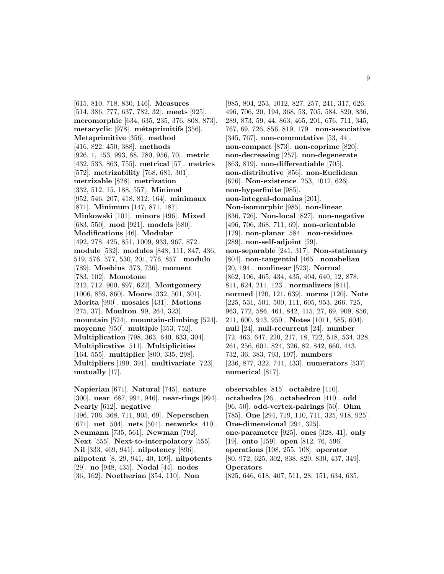[615, 810, 718, 830, 146]. **Measures** [514, 386, 777, 637, 782, 32]. **meets** [925]. **meromorphic** [634, 635, 235, 376, 808, 873]. **metacyclic** [978]. **m´etaprimitifs** [356]. **Metaprimitive** [356]. **method** [416, 822, 450, 388]. **methods** [926, 1, 153, 993, 88, 780, 956, 70]. **metric** [432, 533, 863, 755]. **metrical** [57]. **metrics** [572]. **metrizability** [768, 681, 301]. **metrizable** [828]. **metrization** [332, 512, 15, 188, 557]. **Minimal** [952, 546, 207, 418, 812, 164]. **minimaux** [871]. **Minimum** [147, 871, 187]. **Minkowski** [101]. **minors** [496]. **Mixed** [683, 550]. **mod** [921]. **models** [680]. **Modifications** [46]. **Modular** [492, 278, 425, 851, 1009, 933, 967, 872]. **module** [532]. **modules** [848, 111, 847, 436, 519, 576, 577, 530, 201, 776, 857]. **modulo** [789]. **Moebius** [373, 736]. **moment** [783, 102]. **Monotone** [212, 712, 900, 897, 622]. **Montgomery** [1006, 859, 860]. **Moore** [332, 501, 301]. **Morita** [990]. **mosaics** [431]. **Motions** [275, 37]. **Moulton** [99, 264, 323]. **mountain** [524]. **mountain-climbing** [524]. **moyenne** [950]. **multiple** [353, 752]. **Multiplication** [798, 363, 640, 633, 304]. **Multiplicative** [511]. **Multiplicities** [164, 555]. **multiplier** [800, 335, 298]. **Multipliers** [199, 391]. **multivariate** [723]. **mutually** [17].

**Napierian** [671]. **Natural** [745]. **nature** [300]. **near** [687, 994, 946]. **near-rings** [994]. **Nearly** [612]. **negative** [496, 706, 368, 711, 905, 69]. **Neperschen** [671]. **net** [504]. **nets** [504]. **networks** [410]. **Neumann** [735, 561]. **Newman** [792]. **Next** [555]. **Next-to-interpolatory** [555]. **Nil** [333, 469, 941]. **nilpotency** [896]. **nilpotent** [8, 29, 941, 40, 109]. **nilpotents** [29]. **no** [948, 435]. **Nodal** [44]. **nodes** [36, 162]. **Noetherian** [354, 110]. **Non**

[985, 804, 253, 1012, 827, 257, 241, 317, 626, 496, 706, 20, 194, 368, 53, 705, 584, 820, 836, 289, 873, 59, 44, 863, 465, 201, 676, 711, 345, 767, 69, 726, 856, 819, 179]. **non-associative** [345, 767]. **non-commutative** [53, 44]. **non-compact** [873]. **non-coprime** [820]. **non-decreasing** [257]. **non-degenerate** [863, 819]. **non-differentiable** [705]. **non-distributive** [856]. **non-Euclidean** [676]. **Non-existence** [253, 1012, 626]. **non-hyperfinite** [985]. **non-integral-domains** [201]. **Non-isomorphic** [985]. **non-linear** [836, 726]. **Non-local** [827]. **non-negative** [496, 706, 368, 711, 69]. **non-orientable** [179]. **non-planar** [584]. **non-residues** [289]. **non-self-adjoint** [59]. **non-separable** [241, 317]. **Non-stationary** [804]. **non-tangential** [465]. **nonabelian** [20, 194]. **nonlinear** [523]. **Normal** [862, 106, 465, 434, 435, 404, 640, 12, 878, 811, 624, 211, 123]. **normalizers** [811]. **normed** [120, 121, 639]. **norms** [120]. **Note** [225, 531, 501, 500, 111, 605, 953, 266, 725, 963, 772, 586, 461, 842, 415, 27, 69, 909, 856, 211, 600, 943, 950]. **Notes** [1011, 585, 604]. **null** [24]. **null-recurrent** [24]. **number** [72, 463, 647, 220, 217, 18, 722, 518, 534, 328, 261, 256, 601, 824, 326, 82, 842, 660, 443, 732, 36, 383, 793, 197]. **numbers** [236, 877, 322, 744, 433]. **numerators** [537]. **numerical** [817].

**observables** [815]. **octaèdre** [410]. **octahedra** [26]. **octahedron** [410]. **odd** [96, 50]. **odd-vertex-pairings** [50]. **Ohm** [785]. **One** [294, 719, 110, 711, 325, 918, 925]. **One-dimensional** [294, 325]. **one-parameter** [925]. **ones** [328, 41]. **only** [19]. **onto** [159]. **open** [812, 76, 596]. **operations** [108, 255, 108]. **operator** [80, 972, 625, 302, 838, 820, 830, 437, 349]. **Operators** [825, 646, 618, 407, 511, 28, 151, 634, 635,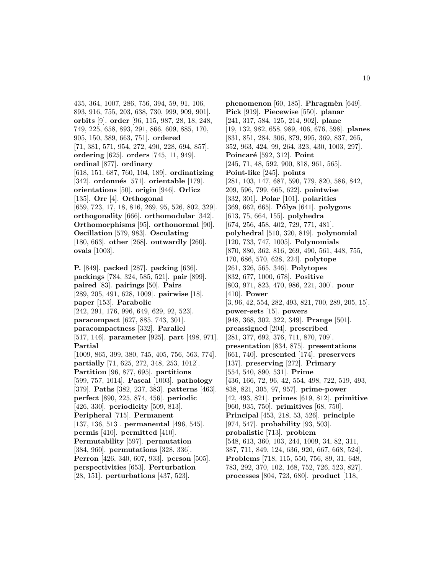435, 364, 1007, 286, 756, 394, 59, 91, 106, 893, 916, 755, 203, 638, 730, 999, 909, 901]. **orbits** [9]. **order** [96, 115, 987, 28, 18, 248, 749, 225, 658, 893, 291, 866, 609, 885, 170, 905, 150, 389, 663, 751]. **ordered** [71, 381, 571, 954, 272, 490, 228, 694, 857]. **ordering** [625]. **orders** [745, 11, 949]. **ordinal** [877]. **ordinary** [618, 151, 687, 760, 104, 189]. **ordinatizing** [342]. **ordonnés** [571]. **orientable** [179]. **orientations** [50]. **origin** [946]. **Orlicz** [135]. **Orr** [4]. **Orthogonal** [659, 723, 17, 18, 816, 269, 95, 526, 802, 329]. **orthogonality** [666]. **orthomodular** [342]. **Orthomorphisms** [95]. **orthonormal** [90]. **Oscillation** [579, 983]. **Osculating** [180, 663]. **other** [268]. **outwardly** [260]. **ovals** [1003].

**P.** [849]. **packed** [287]. **packing** [636]. **packings** [784, 324, 585, 521]. **pair** [899]. **paired** [83]. **pairings** [50]. **Pairs** [289, 205, 491, 628, 1009]. **pairwise** [18]. **paper** [153]. **Parabolic** [242, 291, 176, 996, 649, 629, 92, 523]. **paracompact** [627, 885, 743, 301]. **paracompactness** [332]. **Parallel** [517, 146]. **parameter** [925]. **part** [498, 971]. **Partial** [1009, 865, 399, 380, 745, 405, 756, 563, 774]. **partially** [71, 625, 272, 348, 253, 1012]. **Partition** [96, 877, 695]. **partitions** [599, 757, 1014]. **Pascal** [1003]. **pathology** [379]. **Paths** [382, 237, 383]. **patterns** [463]. **perfect** [890, 225, 874, 456]. **periodic** [426, 330]. **periodicity** [509, 813]. **Peripheral** [715]. **Permanent** [137, 136, 513]. **permanental** [496, 545]. **permis** [410]. **permitted** [410]. **Permutability** [597]. **permutation** [384, 960]. **permutations** [328, 336]. **Perron** [426, 340, 607, 933]. **person** [505]. **perspectivities** [653]. **Perturbation** [28, 151]. **perturbations** [437, 523].

**phenomenon** [60, 185]. **Phragmèn** [649]. **Pick** [919]. **Piecewise** [550]. **planar** [241, 317, 584, 125, 214, 902]. **plane** [19, 132, 982, 658, 989, 406, 676, 598]. **planes** [831, 851, 284, 306, 879, 995, 369, 837, 265, 352, 963, 424, 99, 264, 323, 430, 1003, 297]. **Poincar´e** [592, 312]. **Point** [245, 71, 48, 592, 900, 818, 961, 565]. **Point-like** [245]. **points** [281, 103, 147, 687, 590, 779, 820, 586, 842, 209, 596, 799, 665, 622]. **pointwise** [332, 301]. **Polar** [101]. **polarities** [369, 662, 665]. **P´olya** [641]. **polygons** [613, 75, 664, 155]. **polyhedra** [674, 256, 458, 402, 729, 771, 481]. **polyhedral** [510, 320, 819]. **polynomial** [120, 733, 747, 1005]. **Polynomials** [870, 880, 362, 816, 269, 490, 561, 448, 755, 170, 686, 570, 628, 224]. **polytope** [261, 326, 565, 346]. **Polytopes** [832, 677, 1000, 678]. **Positive** [803, 971, 823, 470, 986, 221, 300]. **pour** [410]. **Power** [3, 96, 42, 554, 282, 493, 821, 700, 289, 205, 15]. **power-sets** [15]. **powers** [948, 368, 302, 322, 349]. **Prange** [501]. **preassigned** [204]. **prescribed** [281, 377, 692, 376, 711, 870, 709]. **presentation** [834, 875]. **presentations** [661, 740]. **presented** [174]. **preservers** [137]. **preserving** [272]. **Primary** [554, 540, 890, 531]. **Prime** [436, 166, 72, 96, 42, 554, 498, 722, 519, 493, 838, 821, 305, 97, 957]. **prime-power** [42, 493, 821]. **primes** [619, 812]. **primitive** [960, 935, 750]. **primitives** [68, 750]. **Principal** [453, 218, 53, 526]. **principle** [974, 547]. **probability** [93, 503]. **probalistic** [713]. **problem** [548, 613, 360, 103, 244, 1009, 34, 82, 311, 387, 711, 849, 124, 636, 920, 667, 668, 524]. **Problems** [718, 115, 550, 756, 89, 31, 648, 783, 292, 370, 102, 168, 752, 726, 523, 827]. **processes** [804, 723, 680]. **product** [118,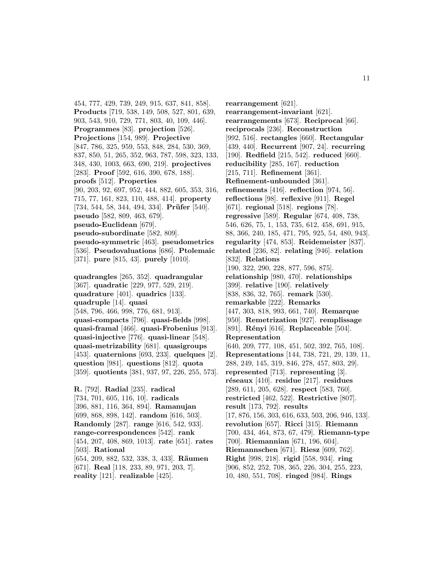454, 777, 429, 739, 249, 915, 637, 841, 858]. **Products** [719, 538, 149, 508, 527, 801, 639, 903, 543, 910, 729, 771, 803, 40, 109, 446]. **Programmes** [83]. **projection** [526]. **Projections** [154, 989]. **Projective** [847, 786, 325, 959, 553, 848, 284, 530, 369, 837, 850, 51, 265, 352, 963, 787, 598, 323, 133, 348, 430, 1003, 663, 690, 219]. **projectives** [283]. **Proof** [592, 616, 390, 678, 188]. **proofs** [512]. **Properties** [90, 203, 92, 697, 952, 444, 882, 605, 353, 316, 715, 77, 161, 823, 110, 488, 414]. **property** [734, 544, 58, 344, 494, 334]. **Prüfer** [540]. **pseudo** [582, 809, 463, 679]. **pseudo-Euclidean** [679]. **pseudo-subordinate** [582, 809]. **pseudo-symmetric** [463]. **pseudometrics** [536]. **Pseudovaluations** [686]. **Ptolemaic** [371]. **pure** [815, 43]. **purely** [1010]. **quadrangles** [265, 352]. **quadrangular** [367]. **quadratic** [229, 977, 529, 219]. **quadrature** [401]. **quadrics** [133]. **quadruple** [14]. **quasi** [548, 796, 466, 998, 776, 681, 913]. **quasi-compacts** [796]. **quasi-fields** [998]. **quasi-framal** [466]. **quasi-Frobenius** [913]. **quasi-injective** [776]. **quasi-linear** [548]. **quasi-metrizability** [681]. **quasigroups** [453]. **quaternions** [693, 233]. **quelques** [2]. **question** [981]. **questions** [812]. **quota** [359]. **quotients** [381, 937, 97, 226, 255, 573]. **R.** [792]. **Radial** [235]. **radical** [734, 701, 605, 116, 10]. **radicals**

[396, 881, 116, 364, 894]. **Ramanujan** [699, 868, 898, 142]. **random** [616, 503]. **Randomly** [287]. **range** [616, 542, 933]. **range-correspondences** [542]. **rank** [454, 207, 408, 869, 1013]. **rate** [651]. **rates** [503]. **Rational** [654, 209, 882, 532, 338, 3, 433]. **Räumen** [671]. **Real** [118, 233, 89, 971, 203, 7]. **reality** [121]. **realizable** [425].

**rearrangement** [621]. **rearrangement-invariant** [621]. **rearrangements** [673]. **Reciprocal** [66]. **reciprocals** [236]. **Reconstruction** [992, 516]. **rectangles** [660]. **Rectangular** [439, 440]. **Recurrent** [907, 24]. **recurring** [190]. **Redfield** [215, 542]. **reduced** [660]. **reducibility** [285, 167]. **reduction** [215, 711]. **Refinement** [361]. **Refinement-unbounded** [361]. **refinements** [416]. **reflection** [974, 56]. **reflections** [98]. **reflexive** [911]. **Regel** [671]. **regional** [518]. **regions** [78]. **regressive** [589]. **Regular** [674, 408, 738, 546, 626, 75, 1, 153, 735, 612, 458, 691, 915, 88, 366, 240, 185, 471, 795, 925, 54, 480, 943]. **regularity** [474, 853]. **Reidemeister** [837]. **related** [236, 82]. **relating** [946]. **relation** [832]. **Relations** [190, 322, 290, 228, 877, 596, 875]. **relationship** [980, 470]. **relationships** [399]. **relative** [190]. **relatively** [838, 836, 32, 765]. **remark** [530]. **remarkable** [222]. **Remarks** [447, 303, 818, 993, 661, 740]. **Remarque** [950]. **Remetrization** [927]. **remplissage** [891]. **R´enyi** [616]. **Replaceable** [504]. **Representation** [640, 209, 777, 108, 451, 502, 392, 765, 108]. **Representations** [144, 738, 721, 29, 139, 11, 288, 249, 145, 319, 846, 278, 457, 803, 29]. **represented** [713]. **representing** [3]. **r´eseaux** [410]. **residue** [217]. **residues** [289, 611, 205, 628]. **respect** [583, 760]. **restricted** [462, 522]. **Restrictive** [807]. **result** [173, 792]. **results** [17, 876, 156, 303, 616, 633, 503, 206, 946, 133]. **revolution** [657]. **Ricci** [315]. **Riemann** [700, 434, 464, 873, 67, 479]. **Riemann-type** [700]. **Riemannian** [671, 196, 604]. **Riemannschen** [671]. **Riesz** [609, 762]. **Right** [998, 218]. **rigid** [558, 934]. **ring** [906, 852, 252, 708, 365, 226, 304, 255, 223, 10, 480, 551, 708]. **ringed** [984]. **Rings**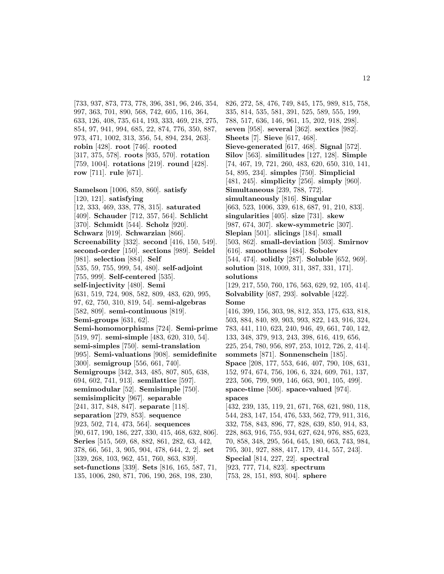[733, 937, 873, 773, 778, 396, 381, 96, 246, 354, 997, 363, 701, 890, 568, 742, 605, 116, 364, 633, 126, 408, 735, 614, 193, 333, 469, 218, 275, 854, 97, 941, 994, 685, 22, 874, 776, 350, 887, 973, 471, 1002, 313, 356, 54, 894, 234, 263]. **robin** [428]. **root** [746]. **rooted** [317, 375, 578]. **roots** [935, 570]. **rotation** [759, 1004]. **rotations** [219]. **round** [428]. **row** [711]. **rule** [671].

**Samelson** [1006, 859, 860]. **satisfy** [120, 121]. **satisfying** [12, 333, 469, 338, 778, 315]. **saturated** [409]. **Schauder** [712, 357, 564]. **Schlicht** [370]. **Schmidt** [544]. **Scholz** [920]. **Schwarz** [919]. **Schwarzian** [866]. **Screenability** [332]. **second** [416, 150, 549]. **second-order** [150]. **sections** [989]. **Seidel** [981]. **selection** [884]. **Self** [535, 59, 755, 999, 54, 480]. **self-adjoint** [755, 999]. **Self-centered** [535]. **self-injectivity** [480]. **Semi** [631, 519, 724, 908, 582, 809, 483, 620, 995, 97, 62, 750, 310, 819, 54]. **semi-algebras** [582, 809]. **semi-continuous** [819]. **Semi-groups** [631, 62]. **Semi-homomorphisms** [724]. **Semi-prime** [519, 97]. **semi-simple** [483, 620, 310, 54]. **semi-simples** [750]. **semi-translation** [995]. **Semi-valuations** [908]. **semidefinite** [300]. **semigroup** [556, 661, 740]. **Semigroups** [342, 343, 485, 807, 805, 638, 694, 602, 741, 913]. **semilattice** [597]. **semimodular** [52]. **Semisimple** [750]. **semisimplicity** [967]. **separable** [241, 317, 848, 847]. **separate** [118]. **separation** [279, 853]. **sequence** [923, 502, 714, 473, 564]. **sequences** [90, 617, 190, 186, 227, 330, 415, 468, 632, 806]. **Series** [515, 569, 68, 882, 861, 282, 63, 442, 378, 66, 561, 3, 905, 904, 478, 644, 2, 2]. **set** [339, 268, 103, 962, 451, 760, 863, 839]. **set-functions** [339]. **Sets** [816, 165, 587, 71, 135, 1006, 280, 871, 706, 190, 268, 198, 230,

826, 272, 58, 476, 749, 845, 175, 989, 815, 758, 335, 814, 535, 581, 391, 525, 589, 555, 199, 788, 517, 636, 146, 961, 15, 202, 918, 298]. **seven** [958]. **several** [362]. **sextics** [982]. **Sheets** [7]. **Sieve** [617, 468]. **Sieve-generated** [617, 468]. **Signal** [572]. **Silov** [563]. **similitudes** [127, 128]. **Simple** [74, 467, 19, 721, 260, 483, 620, 650, 310, 141, 54, 895, 234]. **simples** [750]. **Simplicial** [481, 245]. **simplicity** [256]. **simply** [960]. **Simultaneous** [239, 788, 772]. **simultaneously** [816]. **Singular** [663, 523, 1006, 339, 618, 687, 91, 210, 833]. **singularities** [405]. **size** [731]. **skew** [987, 674, 307]. **skew-symmetric** [307]. **Slepian** [501]. **slicings** [184]. **small** [503, 862]. **small-deviation** [503]. **Smirnov** [616]. **smoothness** [484]. **Sobolev** [544, 474]. **solidly** [287]. **Soluble** [652, 969]. **solution** [318, 1009, 311, 387, 331, 171]. **solutions** [129, 217, 550, 760, 176, 563, 629, 92, 105, 414]. **Solvability** [687, 293]. **solvable** [422]. **Some** [416, 399, 156, 303, 98, 812, 353, 175, 633, 818, 503, 884, 840, 89, 903, 993, 822, 143, 916, 324, 783, 441, 110, 623, 240, 946, 49, 661, 740, 142, 133, 348, 379, 913, 243, 398, 616, 419, 656, 225, 254, 780, 956, 897, 253, 1012, 726, 2, 414]. **sommets** [871]. **Sonnenschein** [185]. **Space** [208, 177, 553, 646, 407, 790, 108, 631, 152, 974, 674, 756, 106, 6, 324, 609, 761, 137, 223, 506, 799, 909, 146, 663, 901, 105, 499]. **space-time** [506]. **space-valued** [974]. **spaces** [432, 239, 135, 119, 21, 671, 768, 621, 980, 118, 544, 283, 147, 154, 476, 533, 562, 779, 911, 316, 332, 758, 843, 896, 77, 828, 639, 850, 914, 83, 228, 863, 916, 755, 934, 627, 624, 976, 885, 623, 70, 858, 348, 295, 564, 645, 180, 663, 743, 984, 795, 301, 927, 888, 417, 179, 414, 557, 243]. **Special** [814, 227, 22]. **spectral** [923, 777, 714, 823]. **spectrum** [753, 28, 151, 893, 804]. **sphere**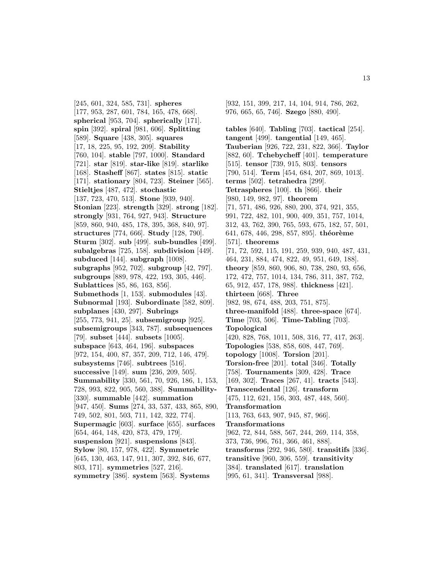[245, 601, 324, 585, 731]. **spheres** [177, 953, 287, 601, 784, 165, 478, 668]. **spherical** [953, 704]. **spherically** [171]. **spin** [392]. **spiral** [981, 606]. **Splitting** [589]. **Square** [438, 305]. **squares** [17, 18, 225, 95, 192, 209]. **Stability** [760, 104]. **stable** [797, 1000]. **Standard** [721]. **star** [819]. **star-like** [819]. **starlike** [168]. **Stasheff** [867]. **states** [815]. **static** [171]. **stationary** [804, 723]. **Steiner** [565]. **Stieltjes** [487, 472]. **stochastic** [137, 723, 470, 513]. **Stone** [939, 940]. **Stonian** [223]. **strength** [329]. **strong** [182]. **strongly** [931, 764, 927, 943]. **Structure** [859, 860, 940, 485, 178, 395, 368, 840, 97]. **structures** [774, 666]. **Study** [128, 790]. **Sturm** [302]. **sub** [499]. **sub-bundles** [499]. **subalgebras** [725, 158]. **subdivision** [449]. **subduced** [144]. **subgraph** [1008]. **subgraphs** [952, 702]. **subgroup** [42, 797]. **subgroups** [889, 978, 422, 193, 305, 446]. **Sublattices** [85, 86, 163, 856]. **Submethods** [1, 153]. **submodules** [43]. **Subnormal** [193]. **Subordinate** [582, 809]. **subplanes** [430, 297]. **Subrings** [255, 773, 941, 25]. **subsemigroup** [925]. **subsemigroups** [343, 787]. **subsequences** [79]. **subset** [444]. **subsets** [1005]. **subspace** [643, 464, 196]. **subspaces** [972, 154, 400, 87, 357, 209, 712, 146, 479]. **subsystems** [746]. **subtrees** [516]. **successive** [149]. **sum** [236, 209, 505]. **Summability** [330, 561, 70, 926, 186, 1, 153, 728, 993, 822, 905, 560, 388]. **Summability-** [330]. **summable** [442]. **summation** [947, 450]. **Sums** [274, 33, 537, 433, 865, 890, 749, 502, 801, 503, 711, 142, 322, 774]. **Supermagic** [603]. **surface** [655]. **surfaces** [654, 464, 148, 420, 873, 479, 179]. **suspension** [921]. **suspensions** [843]. **Sylow** [80, 157, 978, 422]. **Symmetric** [645, 130, 463, 147, 911, 307, 392, 846, 677, 803, 171]. **symmetries** [527, 216]. **symmetry** [386]. **system** [563]. **Systems**

976, 665, 65, 746]. **Szego** [880, 490]. **tables** [640]. **Tabling** [703]. **tactical** [254]. **tangent** [499]. **tangential** [149, 465]. **Tauberian** [926, 722, 231, 822, 366]. **Taylor** [882, 60]. **Tchebycheff** [401]. **temperature** [515]. **tensor** [739, 915, 803]. **tensors** [790, 514]. **Term** [454, 684, 207, 869, 1013]. **terms** [502]. **tetrahedra** [299]. **Tetraspheres** [100]. **th** [866]. **their** [980, 149, 982, 97]. **theorem** [71, 571, 486, 926, 880, 200, 374, 921, 355, 991, 722, 482, 101, 900, 409, 351, 757, 1014, 312, 43, 762, 390, 765, 593, 675, 182, 57, 501, 641, 678, 446, 298, 857, 895<sup>]</sup>. **théorème** [571]. **theorems** [71, 72, 592, 115, 191, 259, 939, 940, 487, 431, 464, 231, 884, 474, 822, 49, 951, 649, 188]. **theory** [859, 860, 906, 80, 738, 280, 93, 656, 172, 472, 757, 1014, 134, 786, 311, 387, 752, 65, 912, 457, 178, 988]. **thickness** [421]. **thirteen** [668]. **Three** [982, 98, 674, 488, 203, 751, 875]. **three-manifold** [488]. **three-space** [674]. **Time** [703, 506]. **Time-Tabling** [703]. **Topological** [420, 828, 768, 1011, 508, 316, 77, 417, 263]. **Topologies** [538, 858, 608, 447, 769]. **topology** [1008]. **Torsion** [201]. **Torsion-free** [201]. **total** [346]. **Totally** [758]. **Tournaments** [309, 428]. **Trace** [169, 302]. **Traces** [267, 41]. **tracts** [543]. **Transcendental** [126]. **transform** [475, 112, 621, 156, 303, 487, 448, 560]. **Transformation** [113, 763, 643, 907, 945, 87, 966]. **Transformations** [962, 72, 844, 588, 567, 244, 269, 114, 358, 373, 736, 996, 761, 366, 461, 888]. **transforms** [292, 946, 580]. **transitifs** [336]. **transitive** [960, 306, 559]. **transitivity** [384]. **translated** [617]. **translation** [995, 61, 341]. **Transversal** [988].

[932, 151, 399, 217, 14, 104, 914, 786, 262,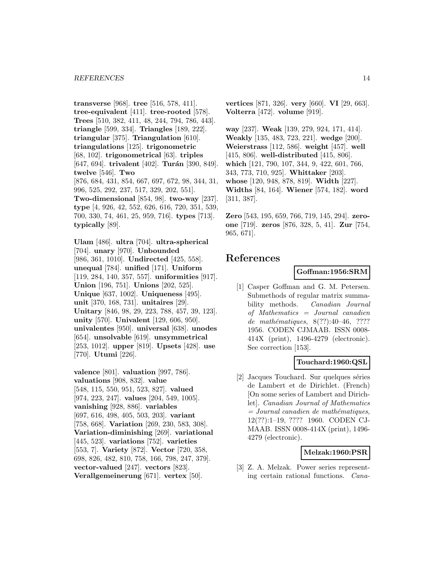**transverse** [968]. **tree** [516, 578, 411]. **tree-equivalent** [411]. **tree-rooted** [578]. **Trees** [510, 382, 411, 48, 244, 794, 786, 443]. **triangle** [599, 334]. **Triangles** [189, 222]. **triangular** [375]. **Triangulation** [610]. **triangulations** [125]. **trigonometric** [68, 102]. **trigonometrical** [63]. **triples** [647, 694]. **trivalent** [402]. **Turán** [390, 849]. **twelve** [546]. **Two** [876, 684, 431, 854, 667, 697, 672, 98, 344, 31, 996, 525, 292, 237, 517, 329, 202, 551]. **Two-dimensional** [854, 98]. **two-way** [237]. **type** [4, 926, 42, 552, 626, 616, 720, 351, 539, 700, 330, 74, 461, 25, 959, 716]. **types** [713]. **typically** [89].

**Ulam** [486]. **ultra** [704]. **ultra-spherical** [704]. **unary** [970]. **Unbounded** [986, 361, 1010]. **Undirected** [425, 558]. **unequal** [784]. **unified** [171]. **Uniform** [119, 284, 140, 357, 557]. **uniformities** [917]. **Union** [196, 751]. **Unions** [202, 525]. **Unique** [637, 1002]. **Uniqueness** [495]. **unit** [370, 168, 731]. **unitaires** [29]. **Unitary** [846, 98, 29, 223, 788, 457, 39, 123]. **unity** [570]. **Univalent** [129, 606, 950]. **univalentes** [950]. **universal** [638]. **unodes** [654]. **unsolvable** [619]. **unsymmetrical** [253, 1012]. **upper** [819]. **Upsets** [428]. **use** [770]. **Utumi** [226].

**valence** [801]. **valuation** [997, 786]. **valuations** [908, 832]. **value** [548, 115, 550, 951, 523, 827]. **valued** [974, 223, 247]. **values** [204, 549, 1005]. **vanishing** [928, 886]. **variables** [697, 616, 498, 405, 503, 203]. **variant** [758, 668]. **Variation** [269, 230, 583, 308]. **Variation-diminishing** [269]. **variational** [445, 523]. **variations** [752]. **varieties** [553, 7]. **Variety** [872]. **Vector** [720, 358, 698, 826, 482, 810, 758, 166, 798, 247, 379]. **vector-valued** [247]. **vectors** [823]. **Verallgemeinerung** [671]. **vertex** [50].

**vertices** [871, 326]. **very** [660]. **VI** [29, 663]. **Volterra** [472]. **volume** [919].

**way** [237]. **Weak** [139, 279, 924, 171, 414]. **Weakly** [135, 483, 723, 221]. **wedge** [200]. **Weierstrass** [112, 586]. **weight** [457]. **well** [415, 806]. **well-distributed** [415, 806]. **which** [121, 790, 107, 344, 9, 422, 601, 766, 343, 773, 710, 925]. **Whittaker** [203]. **whose** [120, 948, 878, 819]. **Width** [227]. **Widths** [84, 164]. **Wiener** [574, 182]. **word** [311, 387].

**Zero** [543, 195, 659, 766, 719, 145, 294]. **zeroone** [719]. **zeros** [876, 328, 5, 41]. **Zur** [754, 965, 671].

# **References**

#### **Goffman:1956:SRM**

[1] Casper Goffman and G. M. Petersen. Submethods of regular matrix summability methods. Canadian Journal of Mathematics = Journal canadien de mathématiques,  $8(??):40-46, ????$ 1956. CODEN CJMAAB. ISSN 0008- 414X (print), 1496-4279 (electronic). See correction [153].

# **Touchard:1960:QSL**

[2] Jacques Touchard. Sur quelques séries de Lambert et de Dirichlet. (French) [On some series of Lambert and Dirichlet]. Canadian Journal of Mathematics  $=$  Journal canadien de mathématiques, 12(??):1–19, ???? 1960. CODEN CJ-MAAB. ISSN 0008-414X (print), 1496- 4279 (electronic).

# **Melzak:1960:PSR**

[3] Z. A. Melzak. Power series representing certain rational functions. Cana-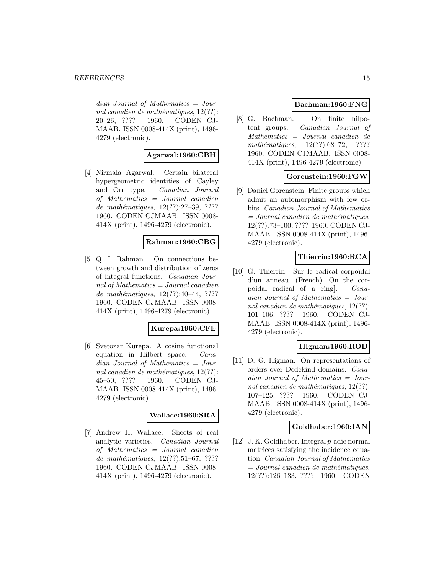$dian$  Journal of Mathematics = Journal canadien de mathématiques,  $12(??)$ : 20–26, ???? 1960. CODEN CJ-MAAB. ISSN 0008-414X (print), 1496- 4279 (electronic).

# **Agarwal:1960:CBH**

[4] Nirmala Agarwal. Certain bilateral hypergeometric identities of Cayley and Orr type. Canadian Journal of Mathematics = Journal canadien de mathématiques, 12(??):27-39, ???? 1960. CODEN CJMAAB. ISSN 0008- 414X (print), 1496-4279 (electronic).

# **Rahman:1960:CBG**

[5] Q. I. Rahman. On connections between growth and distribution of zeros of integral functions. Canadian Journal of Mathematics = Journal canadien de mathématiques,  $12(??):40-44, ????$ 1960. CODEN CJMAAB. ISSN 0008- 414X (print), 1496-4279 (electronic).

#### **Kurepa:1960:CFE**

[6] Svetozar Kurepa. A cosine functional equation in Hilbert space. Canadian Journal of Mathematics = Journal canadien de mathématiques,  $12(??)$ : 45–50, ???? 1960. CODEN CJ-MAAB. ISSN 0008-414X (print), 1496- 4279 (electronic).

#### **Wallace:1960:SRA**

[7] Andrew H. Wallace. Sheets of real analytic varieties. Canadian Journal of Mathematics = Journal canadien de mathématiques,  $12(??):51–67, ????$ 1960. CODEN CJMAAB. ISSN 0008- 414X (print), 1496-4279 (electronic).

# **Bachman:1960:FNG**

[8] G. Bachman. On finite nilpotent groups. Canadian Journal of Mathematics = Journal canadien de mathématiques,  $12(??):68-72$ , ???? 1960. CODEN CJMAAB. ISSN 0008- 414X (print), 1496-4279 (electronic).

# **Gorenstein:1960:FGW**

[9] Daniel Gorenstein. Finite groups which admit an automorphism with few orbits. Canadian Journal of Mathematics  $=$  Journal canadien de mathématiques, 12(??):73–100, ???? 1960. CODEN CJ-MAAB. ISSN 0008-414X (print), 1496- 4279 (electronic).

# **Thierrin:1960:RCA**

[10] G. Thierrin. Sur le radical corpoïdal d'un anneau. (French) [On the corpoidal radical of a ring]. Canadian Journal of Mathematics = Journal canadien de mathématiques,  $12(??)$ : 101–106, ???? 1960. CODEN CJ-MAAB. ISSN 0008-414X (print), 1496- 4279 (electronic).

# **Higman:1960:ROD**

[11] D. G. Higman. On representations of orders over Dedekind domains. Canadian Journal of Mathematics = Journal canadien de mathématiques,  $12(??)$ : 107–125, ???? 1960. CODEN CJ-MAAB. ISSN 0008-414X (print), 1496- 4279 (electronic).

# **Goldhaber:1960:IAN**

[12] J. K. Goldhaber. Integral p-adic normal matrices satisfying the incidence equation. Canadian Journal of Mathematics  $=$  Journal canadien de mathématiques, 12(??):126–133, ???? 1960. CODEN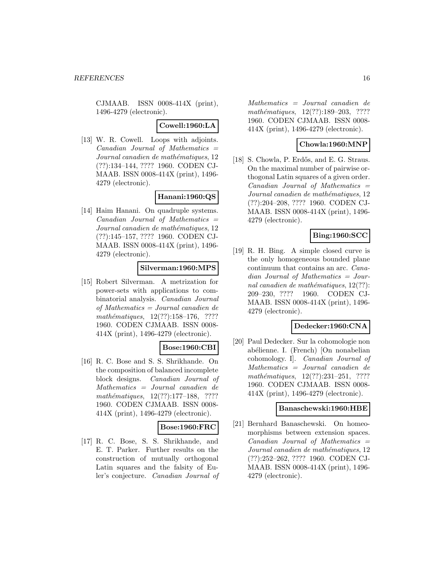CJMAAB. ISSN 0008-414X (print), 1496-4279 (electronic).

#### **Cowell:1960:LA**

[13] W. R. Cowell. Loops with adjoints.  $Canadian$  Journal of Mathematics  $=$ Journal canadien de mathématiques, 12 (??):134–144, ???? 1960. CODEN CJ-MAAB. ISSN 0008-414X (print), 1496- 4279 (electronic).

# **Hanani:1960:QS**

[14] Haim Hanani. On quadruple systems.  $Canadian$  Journal of Mathematics  $=$ Journal canadien de mathématiques, 12 (??):145–157, ???? 1960. CODEN CJ-MAAB. ISSN 0008-414X (print), 1496- 4279 (electronic).

#### **Silverman:1960:MPS**

[15] Robert Silverman. A metrization for power-sets with applications to combinatorial analysis. Canadian Journal of Mathematics = Journal canadien de mathématiques,  $12(??):158-176$ , ???? 1960. CODEN CJMAAB. ISSN 0008- 414X (print), 1496-4279 (electronic).

#### **Bose:1960:CBI**

[16] R. C. Bose and S. S. Shrikhande. On the composition of balanced incomplete block designs. Canadian Journal of Mathematics = Journal canadien de mathématiques,  $12(??):177-188$ , ???? 1960. CODEN CJMAAB. ISSN 0008- 414X (print), 1496-4279 (electronic).

# **Bose:1960:FRC**

[17] R. C. Bose, S. S. Shrikhande, and E. T. Parker. Further results on the construction of mutually orthogonal Latin squares and the falsity of Euler's conjecture. Canadian Journal of

Mathematics = Journal canadien de mathématiques, 12(??):189-203, ???? 1960. CODEN CJMAAB. ISSN 0008- 414X (print), 1496-4279 (electronic).

# **Chowla:1960:MNP**

[18] S. Chowla, P. Erdős, and E. G. Straus. On the maximal number of pairwise orthogonal Latin squares of a given order.  $Canadian$  Journal of Mathematics  $=$ Journal canadien de mathématiques, 12 (??):204–208, ???? 1960. CODEN CJ-MAAB. ISSN 0008-414X (print), 1496- 4279 (electronic).

# **Bing:1960:SCC**

[19] R. H. Bing. A simple closed curve is the only homogeneous bounded plane continuum that contains an arc. Canadian Journal of Mathematics = Journal canadien de mathématiques,  $12(??)$ : 209–230, ???? 1960. CODEN CJ-MAAB. ISSN 0008-414X (print), 1496- 4279 (electronic).

#### **Dedecker:1960:CNA**

[20] Paul Dedecker. Sur la cohomologie non abélienne. I. (French) [On nonabelian cohomology. I]. Canadian Journal of Mathematics = Journal canadien de mathématiques,  $12(??):231-251$ , ???? 1960. CODEN CJMAAB. ISSN 0008- 414X (print), 1496-4279 (electronic).

#### **Banaschewski:1960:HBE**

[21] Bernhard Banaschewski. On homeomorphisms between extension spaces.  $Canadian$  Journal of Mathematics  $=$ Journal canadien de mathématiques, 12 (??):252–262, ???? 1960. CODEN CJ-MAAB. ISSN 0008-414X (print), 1496- 4279 (electronic).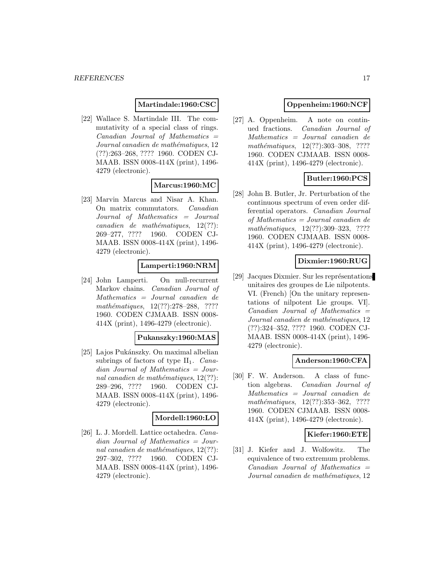#### **Martindale:1960:CSC**

[22] Wallace S. Martindale III. The commutativity of a special class of rings.  $Canadian$  Journal of Mathematics  $=$ Journal canadien de mathématiques, 12 (??):263–268, ???? 1960. CODEN CJ-MAAB. ISSN 0008-414X (print), 1496- 4279 (electronic).

# **Marcus:1960:MC**

[23] Marvin Marcus and Nisar A. Khan. On matrix commutators. Canadian Journal of Mathematics = Journal  $cana dien$  de mathématiques,  $12(??)$ : 269–277, ???? 1960. CODEN CJ-MAAB. ISSN 0008-414X (print), 1496- 4279 (electronic).

#### **Lamperti:1960:NRM**

[24] John Lamperti. On null-recurrent Markov chains. Canadian Journal of Mathematics = Journal canadien de mathématiques, 12(??):278-288, ???? 1960. CODEN CJMAAB. ISSN 0008- 414X (print), 1496-4279 (electronic).

#### **Pukanszky:1960:MAS**

[25] Lajos Pukánszky. On maximal albelian subrings of factors of type  $II_1$ . *Cana*dian Journal of Mathematics = Journal canadien de mathématiques,  $12(??)$ : 289–296, ???? 1960. CODEN CJ-MAAB. ISSN 0008-414X (print), 1496- 4279 (electronic).

#### **Mordell:1960:LO**

[26] L. J. Mordell. Lattice octahedra. Canadian Journal of Mathematics = Journal canadien de mathématiques,  $12(??)$ : 297–302, ???? 1960. CODEN CJ-MAAB. ISSN 0008-414X (print), 1496- 4279 (electronic).

### **Oppenheim:1960:NCF**

[27] A. Oppenheim. A note on continued fractions. Canadian Journal of Mathematics = Journal canadien de mathématiques, 12(??):303-308, ???? 1960. CODEN CJMAAB. ISSN 0008- 414X (print), 1496-4279 (electronic).

### **Butler:1960:PCS**

[28] John B. Butler, Jr. Perturbation of the continuous spectrum of even order differential operators. Canadian Journal of Mathematics = Journal canadien de mathématiques, 12(??):309-323, ???? 1960. CODEN CJMAAB. ISSN 0008- 414X (print), 1496-4279 (electronic).

#### **Dixmier:1960:RUG**

[29] Jacques Dixmier. Sur les représentations unitaires des groupes de Lie nilpotents. VI. (French) [On the unitary representations of nilpotent Lie groups. VI].  $Canadian$  Journal of Mathematics  $=$ Journal canadien de mathématiques, 12 (??):324–352, ???? 1960. CODEN CJ-MAAB. ISSN 0008-414X (print), 1496- 4279 (electronic).

#### **Anderson:1960:CFA**

[30] F. W. Anderson. A class of function algebras. Canadian Journal of Mathematics = Journal canadien de mathématiques, 12(??):353-362, ???? 1960. CODEN CJMAAB. ISSN 0008- 414X (print), 1496-4279 (electronic).

#### **Kiefer:1960:ETE**

[31] J. Kiefer and J. Wolfowitz. The equivalence of two extremum problems.  $Canadian$  Journal of Mathematics  $=$ Journal canadien de mathématiques, 12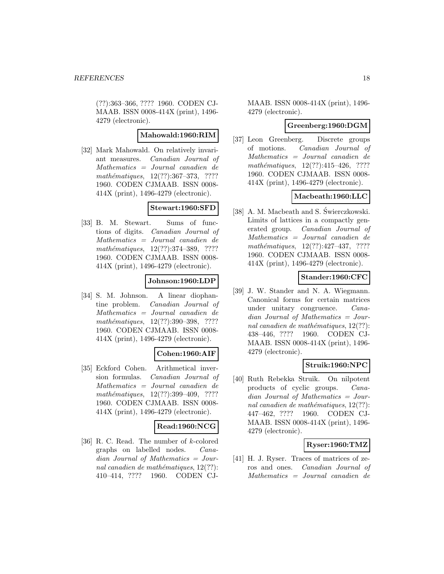(??):363–366, ???? 1960. CODEN CJ-MAAB. ISSN 0008-414X (print), 1496- 4279 (electronic).

### **Mahowald:1960:RIM**

[32] Mark Mahowald. On relatively invariant measures. Canadian Journal of Mathematics = Journal canadien de mathématiques, 12(??):367-373, ???? 1960. CODEN CJMAAB. ISSN 0008- 414X (print), 1496-4279 (electronic).

# **Stewart:1960:SFD**

[33] B. M. Stewart. Sums of functions of digits. Canadian Journal of Mathematics = Journal canadien de mathématiques,  $12(??):374-389$ , ???? 1960. CODEN CJMAAB. ISSN 0008- 414X (print), 1496-4279 (electronic).

#### **Johnson:1960:LDP**

[34] S. M. Johnson. A linear diophantine problem. Canadian Journal of Mathematics = Journal canadien de mathématiques, 12(??):390-398, ???? 1960. CODEN CJMAAB. ISSN 0008- 414X (print), 1496-4279 (electronic).

# **Cohen:1960:AIF**

[35] Eckford Cohen. Arithmetical inversion formulas. Canadian Journal of Mathematics = Journal canadien de mathématiques, 12(??):399-409, ???? 1960. CODEN CJMAAB. ISSN 0008- 414X (print), 1496-4279 (electronic).

# **Read:1960:NCG**

[36] R. C. Read. The number of k-colored graphs on labelled nodes. Canadian Journal of Mathematics = Journal canadien de mathématiques,  $12(??)$ : 410–414, ???? 1960. CODEN CJ-

MAAB. ISSN 0008-414X (print), 1496- 4279 (electronic).

#### **Greenberg:1960:DGM**

[37] Leon Greenberg. Discrete groups of motions. Canadian Journal of Mathematics = Journal canadien de mathématiques,  $12(??):415-426$ , ???? 1960. CODEN CJMAAB. ISSN 0008- 414X (print), 1496-4279 (electronic).

#### **Macbeath:1960:LLC**

[38] A. M. Macbeath and S. Świerczkowski. Limits of lattices in a compactly generated group. Canadian Journal of Mathematics = Journal canadien de mathématiques,  $12(??):427-437$ , ???? 1960. CODEN CJMAAB. ISSN 0008- 414X (print), 1496-4279 (electronic).

# **Stander:1960:CFC**

[39] J. W. Stander and N. A. Wiegmann. Canonical forms for certain matrices under unitary congruence. Canadian Journal of Mathematics = Journal canadien de mathématiques,  $12(??)$ : 438–446, ???? 1960. CODEN CJ-MAAB. ISSN 0008-414X (print), 1496- 4279 (electronic).

# **Struik:1960:NPC**

[40] Ruth Rebekka Struik. On nilpotent products of cyclic groups. Canadian Journal of Mathematics = Journal canadien de mathématiques,  $12(??)$ : 447–462, ???? 1960. CODEN CJ-MAAB. ISSN 0008-414X (print), 1496- 4279 (electronic).

#### **Ryser:1960:TMZ**

[41] H. J. Ryser. Traces of matrices of zeros and ones. Canadian Journal of Mathematics = Journal canadien de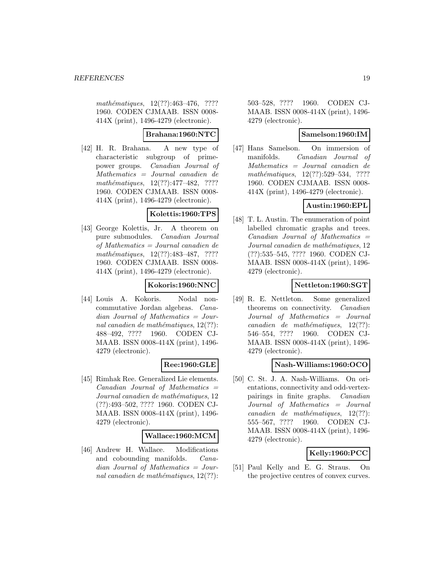mathématiques,  $12(??):463-476$ , ???? 1960. CODEN CJMAAB. ISSN 0008- 414X (print), 1496-4279 (electronic).

# **Brahana:1960:NTC**

[42] H. R. Brahana. A new type of characteristic subgroup of primepower groups. Canadian Journal of Mathematics = Journal canadien de  $mathématiques, 12(??):477-482, ????$ 1960. CODEN CJMAAB. ISSN 0008- 414X (print), 1496-4279 (electronic).

#### **Kolettis:1960:TPS**

[43] George Kolettis, Jr. A theorem on pure submodules. Canadian Journal of Mathematics = Journal canadien de mathématiques,  $12(??):483-487$ , ???? 1960. CODEN CJMAAB. ISSN 0008- 414X (print), 1496-4279 (electronic).

#### **Kokoris:1960:NNC**

[44] Louis A. Kokoris. Nodal noncommutative Jordan algebras. Canadian Journal of Mathematics = Journal canadien de mathématiques,  $12(??)$ : 488–492, ???? 1960. CODEN CJ-MAAB. ISSN 0008-414X (print), 1496- 4279 (electronic).

# **Ree:1960:GLE**

[45] Rimhak Ree. Generalized Lie elements.  $Canadian$  Journal of Mathematics  $=$ Journal canadien de mathématiques, 12 (??):493–502, ???? 1960. CODEN CJ-MAAB. ISSN 0008-414X (print), 1496- 4279 (electronic).

#### **Wallace:1960:MCM**

[46] Andrew H. Wallace. Modifications and cobounding manifolds. Canadian Journal of Mathematics = Journal canadien de mathématiques,  $12(??)$ :

503–528, ???? 1960. CODEN CJ-MAAB. ISSN 0008-414X (print), 1496- 4279 (electronic).

#### **Samelson:1960:IM**

[47] Hans Samelson. On immersion of manifolds. Canadian Journal of Mathematics = Journal canadien de  $mathématiques, 12(??):529-534, ????$ 1960. CODEN CJMAAB. ISSN 0008- 414X (print), 1496-4279 (electronic).

# **Austin:1960:EPL**

[48] T. L. Austin. The enumeration of point labelled chromatic graphs and trees.  $Canadian$  Journal of Mathematics  $=$ Journal canadien de mathématiques, 12 (??):535–545, ???? 1960. CODEN CJ-MAAB. ISSN 0008-414X (print), 1496- 4279 (electronic).

# **Nettleton:1960:SGT**

[49] R. E. Nettleton. Some generalized theorems on connectivity. Canadian Journal of Mathematics = Journal  $cana dien$  de mathématiques,  $12(??)$ : 546–554, ???? 1960. CODEN CJ-MAAB. ISSN 0008-414X (print), 1496- 4279 (electronic).

# **Nash-Williams:1960:OCO**

[50] C. St. J. A. Nash-Williams. On orientations, connectivity and odd-vertexpairings in finite graphs. Canadian Journal of Mathematics = Journal  $cana dien de mathématiques, 12(??):$ 555–567, ???? 1960. CODEN CJ-MAAB. ISSN 0008-414X (print), 1496- 4279 (electronic).

# **Kelly:1960:PCC**

[51] Paul Kelly and E. G. Straus. On the projective centres of convex curves.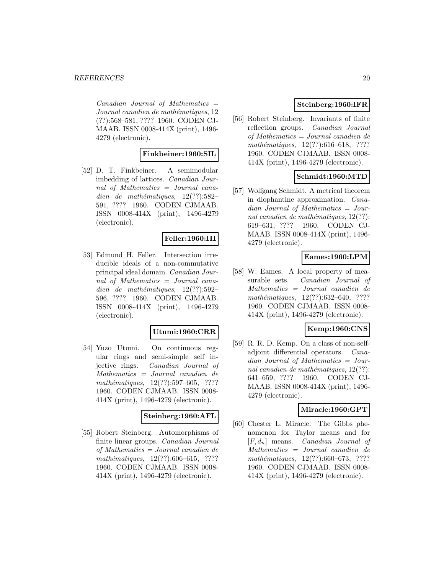$Canadian$  Journal of Mathematics  $=$ Journal canadien de mathématiques, 12 (??):568–581, ???? 1960. CODEN CJ-MAAB. ISSN 0008-414X (print), 1496- 4279 (electronic).

# **Finkbeiner:1960:SIL**

[52] D. T. Finkbeiner. A semimodular imbedding of lattices. Canadian Journal of Mathematics = Journal canadien de mathématiques,  $12(??):582-$ 591, ???? 1960. CODEN CJMAAB. ISSN 0008-414X (print), 1496-4279 (electronic).

# **Feller:1960:III**

[53] Edmund H. Feller. Intersection irreducible ideals of a non-commutative principal ideal domain. Canadian Journal of Mathematics = Journal canadien de mathématiques,  $12(??):592-$ 596, ???? 1960. CODEN CJMAAB. ISSN 0008-414X (print), 1496-4279 (electronic).

# **Utumi:1960:CRR**

[54] Yuzo Utumi. On continuous regular rings and semi-simple self injective rings. Canadian Journal of Mathematics = Journal canadien de  $mathématiques, 12(??): 597–605, ????$ 1960. CODEN CJMAAB. ISSN 0008- 414X (print), 1496-4279 (electronic).

#### **Steinberg:1960:AFL**

[55] Robert Steinberg. Automorphisms of finite linear groups. Canadian Journal of Mathematics = Journal canadien de  $mathématiques, 12(??):606–615, ????$ 1960. CODEN CJMAAB. ISSN 0008- 414X (print), 1496-4279 (electronic).

# **Steinberg:1960:IFR**

[56] Robert Steinberg. Invariants of finite reflection groups. Canadian Journal of Mathematics = Journal canadien de mathématiques,  $12(??):616-618$ , ???? 1960. CODEN CJMAAB. ISSN 0008- 414X (print), 1496-4279 (electronic).

# **Schmidt:1960:MTD**

[57] Wolfgang Schmidt. A metrical theorem in diophantine approximation. Canadian Journal of Mathematics = Journal canadien de mathématiques,  $12(??)$ : 619–631, ???? 1960. CODEN CJ-MAAB. ISSN 0008-414X (print), 1496- 4279 (electronic).

# **Eames:1960:LPM**

[58] W. Eames. A local property of measurable sets. Canadian Journal of Mathematics = Journal canadien de mathématiques, 12(??):632–640, ???? 1960. CODEN CJMAAB. ISSN 0008- 414X (print), 1496-4279 (electronic).

# **Kemp:1960:CNS**

[59] R. R. D. Kemp. On a class of non-selfadjoint differential operators. Canadian Journal of Mathematics = Journal canadien de mathématiques,  $12(??)$ : 641–659, ???? 1960. CODEN CJ-MAAB. ISSN 0008-414X (print), 1496- 4279 (electronic).

#### **Miracle:1960:GPT**

[60] Chester L. Miracle. The Gibbs phenomenon for Taylor means and for  $[F, d_n]$  means. *Canadian Journal of* Mathematics = Journal canadien de  $mathématiques, 12(??):660–673, ????$ 1960. CODEN CJMAAB. ISSN 0008- 414X (print), 1496-4279 (electronic).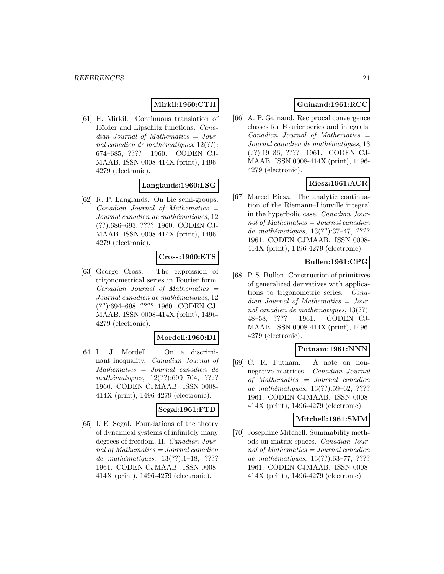# **Mirkil:1960:CTH**

[61] H. Mirkil. Continuous translation of Hölder and Lipschitz functions. *Cana*dian Journal of Mathematics = Journal canadien de mathématiques,  $12(??)$ : 674–685, ???? 1960. CODEN CJ-MAAB. ISSN 0008-414X (print), 1496- 4279 (electronic).

#### **Langlands:1960:LSG**

[62] R. P. Langlands. On Lie semi-groups.  $Canadian$  Journal of Mathematics  $=$ Journal canadien de mathématiques, 12 (??):686–693, ???? 1960. CODEN CJ-MAAB. ISSN 0008-414X (print), 1496- 4279 (electronic).

#### **Cross:1960:ETS**

[63] George Cross. The expression of trigonometrical series in Fourier form. Canadian Journal of Mathematics = Journal canadien de mathématiques, 12 (??):694–698, ???? 1960. CODEN CJ-MAAB. ISSN 0008-414X (print), 1496- 4279 (electronic).

#### **Mordell:1960:DI**

[64] L. J. Mordell. On a discriminant inequality. Canadian Journal of Mathematics = Journal canadien de mathématiques, 12(??):699-704, ???? 1960. CODEN CJMAAB. ISSN 0008- 414X (print), 1496-4279 (electronic).

#### **Segal:1961:FTD**

[65] I. E. Segal. Foundations of the theory of dynamical systems of infinitely many degrees of freedom. II. Canadian Journal of Mathematics = Journal canadien de mathématiques,  $13(??):1-18$ , ???? 1961. CODEN CJMAAB. ISSN 0008- 414X (print), 1496-4279 (electronic).

# **Guinand:1961:RCC**

[66] A. P. Guinand. Reciprocal convergence classes for Fourier series and integrals.  $Canadian$  Journal of Mathematics  $=$ Journal canadien de mathématiques, 13 (??):19–36, ???? 1961. CODEN CJ-MAAB. ISSN 0008-414X (print), 1496- 4279 (electronic).

#### **Riesz:1961:ACR**

[67] Marcel Riesz. The analytic continuation of the Riemann–Liouville integral in the hyperbolic case. Canadian Journal of Mathematics = Journal canadien de mathématiques,  $13(??):37-47, ????$ 1961. CODEN CJMAAB. ISSN 0008- 414X (print), 1496-4279 (electronic).

# **Bullen:1961:CPG**

[68] P. S. Bullen. Construction of primitives of generalized derivatives with applications to trigonometric series. Canadian Journal of Mathematics = Journal canadien de mathématiques,  $13(??)$ : 48–58, ???? 1961. CODEN CJ-MAAB. ISSN 0008-414X (print), 1496- 4279 (electronic).

#### **Putnam:1961:NNN**

[69] C. R. Putnam. A note on nonnegative matrices. Canadian Journal of Mathematics = Journal canadien de mathématiques,  $13(??):59–62, ????$ 1961. CODEN CJMAAB. ISSN 0008- 414X (print), 1496-4279 (electronic).

### **Mitchell:1961:SMM**

[70] Josephine Mitchell. Summability methods on matrix spaces. Canadian Journal of Mathematics = Journal canadien de mathématiques, 13(??):63-77, ???? 1961. CODEN CJMAAB. ISSN 0008- 414X (print), 1496-4279 (electronic).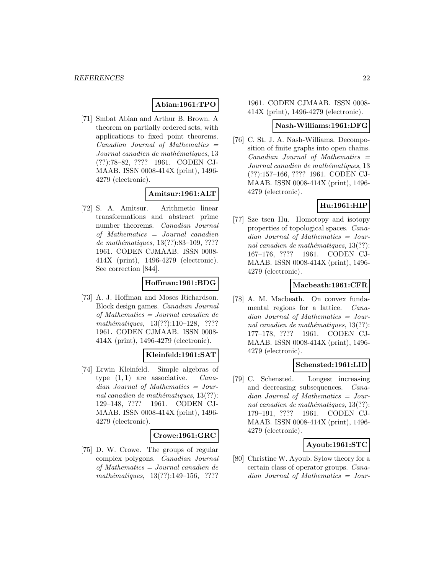# **Abian:1961:TPO**

[71] Smbat Abian and Arthur B. Brown. A theorem on partially ordered sets, with applications to fixed point theorems.  $Canadian$  Journal of Mathematics  $=$ Journal canadien de mathématiques, 13 (??):78–82, ???? 1961. CODEN CJ-MAAB. ISSN 0008-414X (print), 1496- 4279 (electronic).

# **Amitsur:1961:ALT**

[72] S. A. Amitsur. Arithmetic linear transformations and abstract prime number theorems. Canadian Journal of Mathematics = Journal canadien de mathématiques, 13(??):83-109, ???? 1961. CODEN CJMAAB. ISSN 0008- 414X (print), 1496-4279 (electronic). See correction [844].

# **Hoffman:1961:BDG**

[73] A. J. Hoffman and Moses Richardson. Block design games. Canadian Journal of Mathematics = Journal canadien de mathématiques, 13(??):110–128, ???? 1961. CODEN CJMAAB. ISSN 0008- 414X (print), 1496-4279 (electronic).

# **Kleinfeld:1961:SAT**

[74] Erwin Kleinfeld. Simple algebras of type  $(1, 1)$  are associative. *Cana*dian Journal of Mathematics = Journal canadien de mathématiques,  $13(??)$ : 129–148, ???? 1961. CODEN CJ-MAAB. ISSN 0008-414X (print), 1496- 4279 (electronic).

#### **Crowe:1961:GRC**

[75] D. W. Crowe. The groups of regular complex polygons. Canadian Journal of Mathematics = Journal canadien de mathématiques,  $13(??):149-156$ , ????

1961. CODEN CJMAAB. ISSN 0008- 414X (print), 1496-4279 (electronic).

#### **Nash-Williams:1961:DFG**

[76] C. St. J. A. Nash-Williams. Decomposition of finite graphs into open chains.  $Canadian$  Journal of Mathematics  $=$ Journal canadien de mathématiques, 13 (??):157–166, ???? 1961. CODEN CJ-MAAB. ISSN 0008-414X (print), 1496- 4279 (electronic).

# **Hu:1961:HIP**

[77] Sze tsen Hu. Homotopy and isotopy properties of topological spaces. Canadian Journal of Mathematics = Journal canadien de mathématiques,  $13(??)$ : 167–176, ???? 1961. CODEN CJ-MAAB. ISSN 0008-414X (print), 1496- 4279 (electronic).

# **Macbeath:1961:CFR**

[78] A. M. Macbeath. On convex fundamental regions for a lattice. Canadian Journal of Mathematics = Journal canadien de mathématiques,  $13(??)$ : 177–178, ???? 1961. CODEN CJ-MAAB. ISSN 0008-414X (print), 1496- 4279 (electronic).

#### **Schensted:1961:LID**

[79] C. Schensted. Longest increasing and decreasing subsequences. Canadian Journal of Mathematics = Journal canadien de mathématiques,  $13(??)$ : 179–191, ???? 1961. CODEN CJ-MAAB. ISSN 0008-414X (print), 1496- 4279 (electronic).

# **Ayoub:1961:STC**

[80] Christine W. Ayoub. Sylow theory for a certain class of operator groups. Canadian Journal of Mathematics = Jour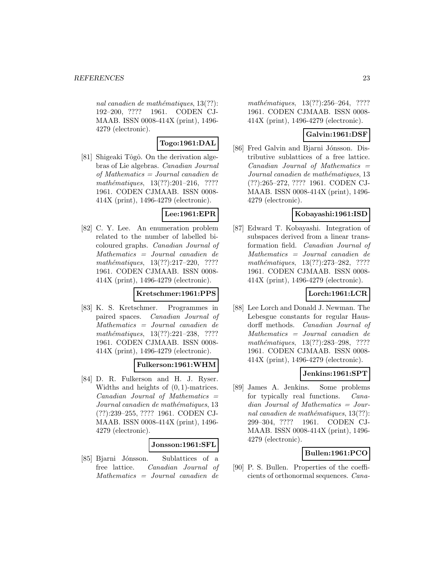nal canadien de mathématiques,  $13(??)$ : 192–200, ???? 1961. CODEN CJ-MAAB. ISSN 0008-414X (print), 1496- 4279 (electronic).

# **Togo:1961:DAL**

[81] Shigeaki Tôgô. On the derivation algebras of Lie algebras. Canadian Journal of Mathematics = Journal canadien de mathématiques, 13(??):201-216, ???? 1961. CODEN CJMAAB. ISSN 0008- 414X (print), 1496-4279 (electronic).

# **Lee:1961:EPR**

[82] C. Y. Lee. An enumeration problem related to the number of labelled bicoloured graphs. Canadian Journal of Mathematics = Journal canadien de mathématiques, 13(??):217-220, ???? 1961. CODEN CJMAAB. ISSN 0008- 414X (print), 1496-4279 (electronic).

# **Kretschmer:1961:PPS**

[83] K. S. Kretschmer. Programmes in paired spaces. Canadian Journal of Mathematics = Journal canadien de mathématiques, 13(??):221-238, ???? 1961. CODEN CJMAAB. ISSN 0008- 414X (print), 1496-4279 (electronic).

# **Fulkerson:1961:WHM**

[84] D. R. Fulkerson and H. J. Ryser. Widths and heights of  $(0, 1)$ -matrices.  $Canadian$  Journal of Mathematics  $=$ Journal canadien de mathématiques, 13 (??):239–255, ???? 1961. CODEN CJ-MAAB. ISSN 0008-414X (print), 1496- 4279 (electronic).

# **Jonsson:1961:SFL**

[85] Bjarni Jónsson. Sublattices of a free lattice. Canadian Journal of Mathematics = Journal canadien de

mathématiques, 13(??):256–264, ???? 1961. CODEN CJMAAB. ISSN 0008- 414X (print), 1496-4279 (electronic).

# **Galvin:1961:DSF**

[86] Fred Galvin and Bjarni Jónsson. Distributive sublattices of a free lattice.  $Canadian$  Journal of Mathematics  $=$ Journal canadien de mathématiques, 13 (??):265–272, ???? 1961. CODEN CJ-MAAB. ISSN 0008-414X (print), 1496- 4279 (electronic).

# **Kobayashi:1961:ISD**

[87] Edward T. Kobayashi. Integration of subspaces derived from a linear transformation field. Canadian Journal of Mathematics = Journal canadien de mathématiques, 13(??):273-282, ???? 1961. CODEN CJMAAB. ISSN 0008- 414X (print), 1496-4279 (electronic).

# **Lorch:1961:LCR**

[88] Lee Lorch and Donald J. Newman. The Lebesgue constants for regular Hausdorff methods. Canadian Journal of Mathematics = Journal canadien de mathématiques, 13(??):283-298, ???? 1961. CODEN CJMAAB. ISSN 0008- 414X (print), 1496-4279 (electronic).

# **Jenkins:1961:SPT**

[89] James A. Jenkins. Some problems for typically real functions. Canadian Journal of Mathematics = Journal canadien de mathématiques,  $13(??)$ : 299–304, ???? 1961. CODEN CJ-MAAB. ISSN 0008-414X (print), 1496- 4279 (electronic).

# **Bullen:1961:PCO**

[90] P. S. Bullen. Properties of the coefficients of orthonormal sequences. Cana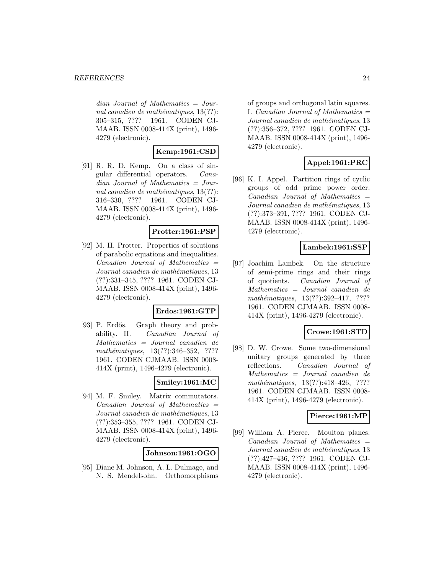dian Journal of Mathematics = Journal canadien de mathématiques,  $13(??)$ : 305–315, ???? 1961. CODEN CJ-MAAB. ISSN 0008-414X (print), 1496- 4279 (electronic).

# **Kemp:1961:CSD**

[91] R. R. D. Kemp. On a class of singular differential operators. Canadian Journal of Mathematics = Journal canadien de mathématiques,  $13(??)$ : 316–330, ???? 1961. CODEN CJ-MAAB. ISSN 0008-414X (print), 1496- 4279 (electronic).

# **Protter:1961:PSP**

[92] M. H. Protter. Properties of solutions of parabolic equations and inequalities.  $Canadian$  Journal of Mathematics  $=$ Journal canadien de mathématiques, 13 (??):331–345, ???? 1961. CODEN CJ-MAAB. ISSN 0008-414X (print), 1496- 4279 (electronic).

#### **Erdos:1961:GTP**

[93] P. Erdős. Graph theory and probability. II. Canadian Journal of Mathematics = Journal canadien de mathématiques, 13(??):346-352, ???? 1961. CODEN CJMAAB. ISSN 0008- 414X (print), 1496-4279 (electronic).

# **Smiley:1961:MC**

[94] M. F. Smiley. Matrix commutators.  $Canadian$  Journal of Mathematics  $=$ Journal canadien de mathématiques, 13 (??):353–355, ???? 1961. CODEN CJ-MAAB. ISSN 0008-414X (print), 1496- 4279 (electronic).

#### **Johnson:1961:OGO**

[95] Diane M. Johnson, A. L. Dulmage, and N. S. Mendelsohn. Orthomorphisms of groups and orthogonal latin squares. I. Canadian Journal of Mathematics  $=$ Journal canadien de mathématiques, 13 (??):356–372, ???? 1961. CODEN CJ-MAAB. ISSN 0008-414X (print), 1496- 4279 (electronic).

# **Appel:1961:PRC**

[96] K. I. Appel. Partition rings of cyclic groups of odd prime power order.  $Canadian$  Journal of Mathematics  $=$ Journal canadien de mathématiques, 13 (??):373–391, ???? 1961. CODEN CJ-MAAB. ISSN 0008-414X (print), 1496- 4279 (electronic).

# **Lambek:1961:SSP**

[97] Joachim Lambek. On the structure of semi-prime rings and their rings of quotients. Canadian Journal of Mathematics = Journal canadien de mathématiques, 13(??):392-417, ???? 1961. CODEN CJMAAB. ISSN 0008- 414X (print), 1496-4279 (electronic).

### **Crowe:1961:STD**

[98] D. W. Crowe. Some two-dimensional unitary groups generated by three reflections. Canadian Journal of Mathematics = Journal canadien de mathématiques, 13(??):418-426, ???? 1961. CODEN CJMAAB. ISSN 0008- 414X (print), 1496-4279 (electronic).

#### **Pierce:1961:MP**

[99] William A. Pierce. Moulton planes.  $Canadian$  Journal of Mathematics  $=$ Journal canadien de mathématiques, 13 (??):427–436, ???? 1961. CODEN CJ-MAAB. ISSN 0008-414X (print), 1496- 4279 (electronic).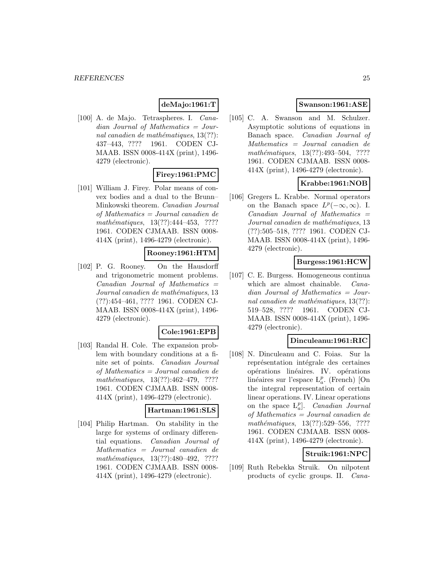# **deMajo:1961:T**

[100] A. de Majo. Tetraspheres. I. Canadian Journal of Mathematics = Journal canadien de mathématiques,  $13(??)$ : 437–443, ???? 1961. CODEN CJ-MAAB. ISSN 0008-414X (print), 1496- 4279 (electronic).

# **Firey:1961:PMC**

[101] William J. Firey. Polar means of convex bodies and a dual to the Brunn– Minkowski theorem. Canadian Journal of Mathematics = Journal canadien de mathématiques, 13(??):444-453, ???? 1961. CODEN CJMAAB. ISSN 0008- 414X (print), 1496-4279 (electronic).

### **Rooney:1961:HTM**

[102] P. G. Rooney. On the Hausdorff and trigonometric moment problems.  $Canadian$  Journal of Mathematics  $=$ Journal canadien de mathématiques, 13 (??):454–461, ???? 1961. CODEN CJ-MAAB. ISSN 0008-414X (print), 1496- 4279 (electronic).

#### **Cole:1961:EPB**

[103] Randal H. Cole. The expansion problem with boundary conditions at a finite set of points. Canadian Journal of Mathematics = Journal canadien de mathématiques,  $13(??):462-479$ , ???? 1961. CODEN CJMAAB. ISSN 0008- 414X (print), 1496-4279 (electronic).

#### **Hartman:1961:SLS**

[104] Philip Hartman. On stability in the large for systems of ordinary differential equations. Canadian Journal of Mathematics = Journal canadien de mathématiques, 13(??):480-492, ???? 1961. CODEN CJMAAB. ISSN 0008- 414X (print), 1496-4279 (electronic).

# **Swanson:1961:ASE**

[105] C. A. Swanson and M. Schulzer. Asymptotic solutions of equations in Banach space. Canadian Journal of Mathematics = Journal canadien de mathématiques, 13(??):493-504, ???? 1961. CODEN CJMAAB. ISSN 0008- 414X (print), 1496-4279 (electronic).

# **Krabbe:1961:NOB**

[106] Gregers L. Krabbe. Normal operators on the Banach space  $L^p(-\infty,\infty)$ . I.  $Canadian$  Journal of Mathematics  $=$  $Journal can a dieen de mathématiques, 13$ (??):505–518, ???? 1961. CODEN CJ-MAAB. ISSN 0008-414X (print), 1496- 4279 (electronic).

# **Burgess:1961:HCW**

[107] C. E. Burgess. Homogeneous continua which are almost chainable. *Cana*dian Journal of Mathematics = Journal canadien de mathématiques,  $13(??)$ : 519–528, ???? 1961. CODEN CJ-MAAB. ISSN 0008-414X (print), 1496- 4279 (electronic).

#### **Dinculeanu:1961:RIC**

[108] N. Dinculeanu and C. Foias. Sur la représentation intégrale des certaines opérations linéaires. IV. opérations linéaires sur l'espace  $L_a^p$ . (French) [On the integral representation of certain linear operations. IV. Linear operations on the space  $L_a^p$ . *Canadian Journal* of Mathematics = Journal canadien de mathématiques, 13(??):529–556, ???? 1961. CODEN CJMAAB. ISSN 0008- 414X (print), 1496-4279 (electronic).

# **Struik:1961:NPC**

[109] Ruth Rebekka Struik. On nilpotent products of cyclic groups. II. Cana-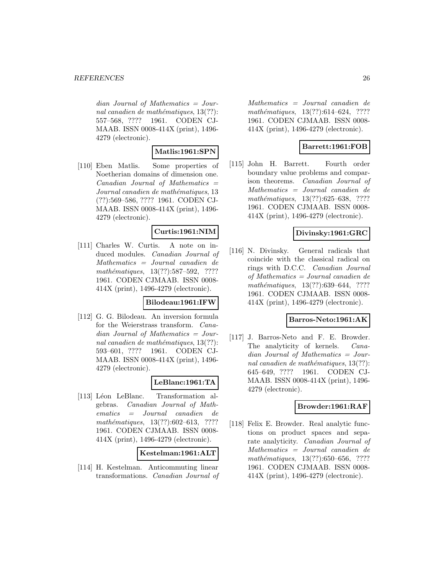$dian$  Journal of Mathematics = Journal canadien de mathématiques,  $13(??)$ : 557–568, ???? 1961. CODEN CJ-MAAB. ISSN 0008-414X (print), 1496- 4279 (electronic).

# **Matlis:1961:SPN**

[110] Eben Matlis. Some properties of Noetherian domains of dimension one.  $Canadian$  Journal of Mathematics  $=$ Journal canadien de mathématiques, 13 (??):569–586, ???? 1961. CODEN CJ-MAAB. ISSN 0008-414X (print), 1496- 4279 (electronic).

#### **Curtis:1961:NIM**

[111] Charles W. Curtis. A note on induced modules. Canadian Journal of Mathematics = Journal canadien de mathématiques, 13(??):587–592, ???? 1961. CODEN CJMAAB. ISSN 0008- 414X (print), 1496-4279 (electronic).

#### **Bilodeau:1961:IFW**

[112] G. G. Bilodeau. An inversion formula for the Weierstrass transform. Canadian Journal of Mathematics = Journal canadien de mathématiques,  $13(??)$ : 593–601, ???? 1961. CODEN CJ-MAAB. ISSN 0008-414X (print), 1496- 4279 (electronic).

# **LeBlanc:1961:TA**

[113] Léon LeBlanc. Transformation algebras. Canadian Journal of Mathematics = Journal canadien de mathématiques, 13(??):602–613, ???? 1961. CODEN CJMAAB. ISSN 0008- 414X (print), 1496-4279 (electronic).

#### **Kestelman:1961:ALT**

[114] H. Kestelman. Anticommuting linear transformations. Canadian Journal of

Mathematics = Journal canadien de mathématiques, 13(??):614–624, ???? 1961. CODEN CJMAAB. ISSN 0008- 414X (print), 1496-4279 (electronic).

### **Barrett:1961:FOB**

[115] John H. Barrett. Fourth order boundary value problems and comparison theorems. Canadian Journal of Mathematics = Journal canadien de mathématiques, 13(??):625–638, ???? 1961. CODEN CJMAAB. ISSN 0008- 414X (print), 1496-4279 (electronic).

#### **Divinsky:1961:GRC**

[116] N. Divinsky. General radicals that coincide with the classical radical on rings with D.C.C. Canadian Journal of Mathematics = Journal canadien de mathématiques, 13(??):639–644, ???? 1961. CODEN CJMAAB. ISSN 0008- 414X (print), 1496-4279 (electronic).

#### **Barros-Neto:1961:AK**

[117] J. Barros-Neto and F. E. Browder. The analyticity of kernels. Canadian Journal of Mathematics = Journal canadien de mathématiques,  $13(??)$ : 645–649, ???? 1961. CODEN CJ-MAAB. ISSN 0008-414X (print), 1496- 4279 (electronic).

# **Browder:1961:RAF**

[118] Felix E. Browder. Real analytic functions on product spaces and separate analyticity. Canadian Journal of Mathematics = Journal canadien de mathématiques,  $13(??):650-656$ , ???? 1961. CODEN CJMAAB. ISSN 0008- 414X (print), 1496-4279 (electronic).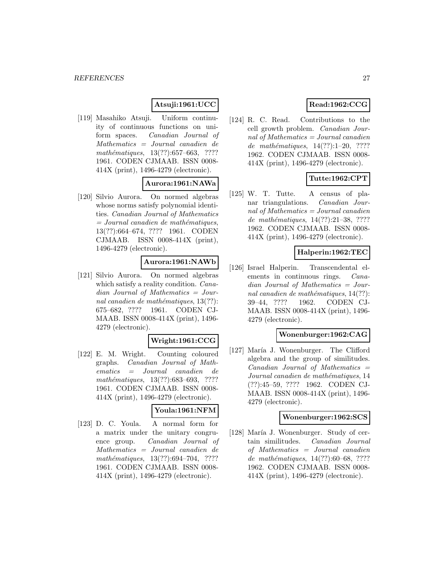# **Atsuji:1961:UCC**

[119] Masahiko Atsuji. Uniform continuity of continuous functions on uniform spaces. Canadian Journal of Mathematics = Journal canadien de mathématiques,  $13(??):657–663$ , ???? 1961. CODEN CJMAAB. ISSN 0008- 414X (print), 1496-4279 (electronic).

### **Aurora:1961:NAWa**

[120] Silvio Aurora. On normed algebras whose norms satisfy polynomial identities. Canadian Journal of Mathematics  $=$  Journal canadien de mathématiques, 13(??):664–674, ???? 1961. CODEN CJMAAB. ISSN 0008-414X (print), 1496-4279 (electronic).

# **Aurora:1961:NAWb**

[121] Silvio Aurora. On normed algebras which satisfy a reality condition. *Cana*dian Journal of Mathematics = Journal canadien de mathématiques,  $13(??)$ : 675–682, ???? 1961. CODEN CJ-MAAB. ISSN 0008-414X (print), 1496- 4279 (electronic).

#### **Wright:1961:CCG**

[122] E. M. Wright. Counting coloured graphs. Canadian Journal of Mathematics = Journal canadien de mathématiques, 13(??):683–693, ???? 1961. CODEN CJMAAB. ISSN 0008- 414X (print), 1496-4279 (electronic).

#### **Youla:1961:NFM**

[123] D. C. Youla. A normal form for a matrix under the unitary congruence group. Canadian Journal of Mathematics = Journal canadien de  $mathématiques, 13(??):694–704, ????$ 1961. CODEN CJMAAB. ISSN 0008- 414X (print), 1496-4279 (electronic).

# **Read:1962:CCG**

[124] R. C. Read. Contributions to the cell growth problem. Canadian Journal of Mathematics = Journal canadien de mathématiques,  $14(??):1-20$ , ???? 1962. CODEN CJMAAB. ISSN 0008- 414X (print), 1496-4279 (electronic).

# **Tutte:1962:CPT**

[125] W. T. Tutte. A census of planar triangulations. Canadian Journal of Mathematics = Journal canadien de mathématiques,  $14(??):21-38$ , ???? 1962. CODEN CJMAAB. ISSN 0008- 414X (print), 1496-4279 (electronic).

#### **Halperin:1962:TEC**

[126] Israel Halperin. Transcendental elements in continuous rings. *Cana*dian Journal of Mathematics = Journal canadien de mathématiques,  $14(??)$ : 39–44, ???? 1962. CODEN CJ-MAAB. ISSN 0008-414X (print), 1496- 4279 (electronic).

#### **Wonenburger:1962:CAG**

[127] María J. Wonenburger. The Clifford algebra and the group of similitudes.  $Canadian$  Journal of Mathematics  $=$ Journal canadien de mathématiques, 14 (??):45–59, ???? 1962. CODEN CJ-MAAB. ISSN 0008-414X (print), 1496- 4279 (electronic).

#### **Wonenburger:1962:SCS**

[128] María J. Wonenburger. Study of certain similitudes. Canadian Journal of Mathematics = Journal canadien de mathématiques,  $14(??):60-68$ , ???? 1962. CODEN CJMAAB. ISSN 0008- 414X (print), 1496-4279 (electronic).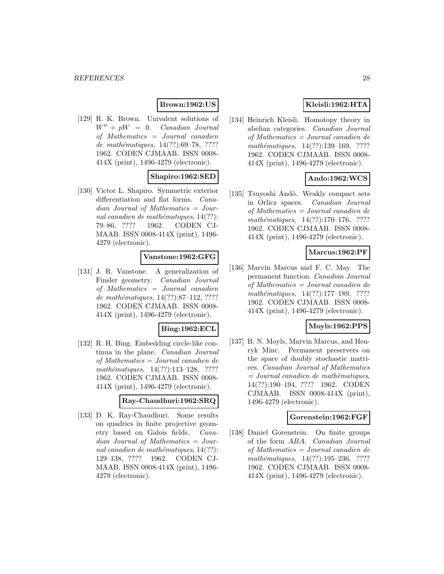# **Brown:1962:US**

[129] R. K. Brown. Univalent solutions of  $W'' + pW = 0$ . Canadian Journal of Mathematics = Journal canadien de mathématiques,  $14(??):69-78, ????$ 1962. CODEN CJMAAB. ISSN 0008- 414X (print), 1496-4279 (electronic).

# **Shapiro:1962:SED**

[130] Victor L. Shapiro. Symmetric exterior differentiation and flat forms. Canadian Journal of Mathematics = Journal canadien de mathématiques,  $14(??)$ : 79–86, ???? 1962. CODEN CJ-MAAB. ISSN 0008-414X (print), 1496- 4279 (electronic).

#### **Vanstone:1962:GFG**

[131] J. R. Vanstone. A generalization of Finsler geometry. Canadian Journal of Mathematics = Journal canadien de mathématiques,  $14(??):87-112, ????$ 1962. CODEN CJMAAB. ISSN 0008- 414X (print), 1496-4279 (electronic).

#### **Bing:1962:ECL**

[132] R. H. Bing. Embedding circle-like continua in the plane. Canadian Journal of Mathematics = Journal canadien de mathématiques, 14(??):113-128, ???? 1962. CODEN CJMAAB. ISSN 0008- 414X (print), 1496-4279 (electronic).

#### **Ray-Chaudhuri:1962:SRQ**

[133] D. K. Ray-Chaudhuri. Some results on quadrics in finite projective geometry based on Galois fields. Canadian Journal of Mathematics = Journal canadien de mathématiques,  $14(??)$ : 129–138, ???? 1962. CODEN CJ-MAAB. ISSN 0008-414X (print), 1496- 4279 (electronic).

# **Kleisli:1962:HTA**

[134] Heinrich Kleisli. Homotopy theory in abelian categories. Canadian Journal of Mathematics = Journal canadien de mathématiques,  $14(??):139-169$ , ???? 1962. CODEN CJMAAB. ISSN 0008- 414X (print), 1496-4279 (electronic).

# **Ando:1962:WCS**

[135] Tsuyoshi Andô. Weakly compact sets in Orlicz spaces. Canadian Journal of Mathematics = Journal canadien de mathématiques,  $14(??):170-176$ , ???? 1962. CODEN CJMAAB. ISSN 0008- 414X (print), 1496-4279 (electronic).

#### **Marcus:1962:PF**

[136] Marvin Marcus and F. C. May. The permanent function. Canadian Journal of Mathematics = Journal canadien de mathématiques,  $14(??):177-189$ , ???? 1962. CODEN CJMAAB. ISSN 0008- 414X (print), 1496-4279 (electronic).

# **Moyls:1962:PPS**

[137] B. N. Moyls, Marvin Marcus, and Henryk Minc. Permanent preservers on the space of doubly stochastic matrices. Canadian Journal of Mathematics  $=$  Journal canadien de mathématiques, 14(??):190–194, ???? 1962. CODEN CJMAAB. ISSN 0008-414X (print), 1496-4279 (electronic).

#### **Gorenstein:1962:FGF**

[138] Daniel Gorenstein. On finite groups of the form ABA. Canadian Journal of Mathematics = Journal canadien de mathématiques,  $14(??):195-236$ , ???? 1962. CODEN CJMAAB. ISSN 0008- 414X (print), 1496-4279 (electronic).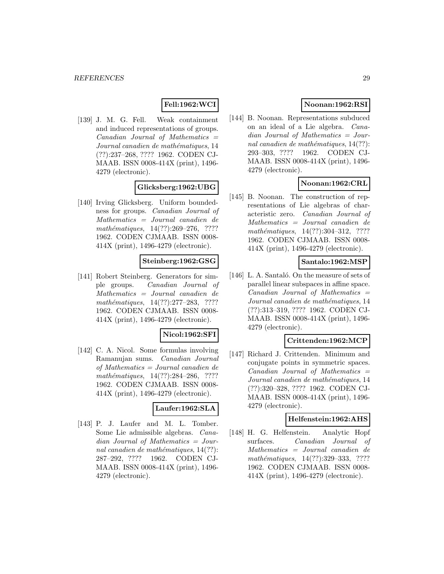# **Fell:1962:WCI**

[139] J. M. G. Fell. Weak containment and induced representations of groups.  $Canadian$  Journal of Mathematics  $=$ Journal canadien de mathématiques, 14 (??):237–268, ???? 1962. CODEN CJ-MAAB. ISSN 0008-414X (print), 1496- 4279 (electronic).

# **Glicksberg:1962:UBG**

[140] Irving Glicksberg. Uniform boundedness for groups. Canadian Journal of Mathematics = Journal canadien de mathématiques, 14(??):269–276, ???? 1962. CODEN CJMAAB. ISSN 0008- 414X (print), 1496-4279 (electronic).

#### **Steinberg:1962:GSG**

[141] Robert Steinberg. Generators for simple groups. Canadian Journal of Mathematics = Journal canadien de  $mathématiques, 14(??):277-283, ????$ 1962. CODEN CJMAAB. ISSN 0008- 414X (print), 1496-4279 (electronic).

#### **Nicol:1962:SFI**

[142] C. A. Nicol. Some formulas involving Ramanujan sums. Canadian Journal of Mathematics = Journal canadien de mathématiques,  $14(??):284-286$ , ???? 1962. CODEN CJMAAB. ISSN 0008- 414X (print), 1496-4279 (electronic).

#### **Laufer:1962:SLA**

[143] P. J. Laufer and M. L. Tomber. Some Lie admissible algebras. Canadian Journal of Mathematics = Journal canadien de mathématiques,  $14(??)$ : 287–292, ???? 1962. CODEN CJ-MAAB. ISSN 0008-414X (print), 1496- 4279 (electronic).

# **Noonan:1962:RSI**

[144] B. Noonan. Representations subduced on an ideal of a Lie algebra. Canadian Journal of Mathematics = Journal canadien de mathématiques,  $14(??)$ : 293–303, ???? 1962. CODEN CJ-MAAB. ISSN 0008-414X (print), 1496- 4279 (electronic).

# **Noonan:1962:CRL**

[145] B. Noonan. The construction of representations of Lie algebras of characteristic zero. Canadian Journal of Mathematics = Journal canadien de mathématiques,  $14(??):304-312$ , ???? 1962. CODEN CJMAAB. ISSN 0008- 414X (print), 1496-4279 (electronic).

# **Santalo:1962:MSP**

[146] L. A. Santaló. On the measure of sets of parallel linear subspaces in affine space.  $Canadian$  Journal of Mathematics  $=$ Journal canadien de mathématiques, 14 (??):313–319, ???? 1962. CODEN CJ-MAAB. ISSN 0008-414X (print), 1496- 4279 (electronic).

#### **Crittenden:1962:MCP**

[147] Richard J. Crittenden. Minimum and conjugate points in symmetric spaces.  $Canadian$  Journal of Mathematics  $=$ Journal canadien de mathématiques, 14 (??):320–328, ???? 1962. CODEN CJ-MAAB. ISSN 0008-414X (print), 1496- 4279 (electronic).

# **Helfenstein:1962:AHS**

[148] H. G. Helfenstein. Analytic Hopf surfaces. Canadian Journal of Mathematics = Journal canadien de mathématiques, 14(??):329-333, ???? 1962. CODEN CJMAAB. ISSN 0008- 414X (print), 1496-4279 (electronic).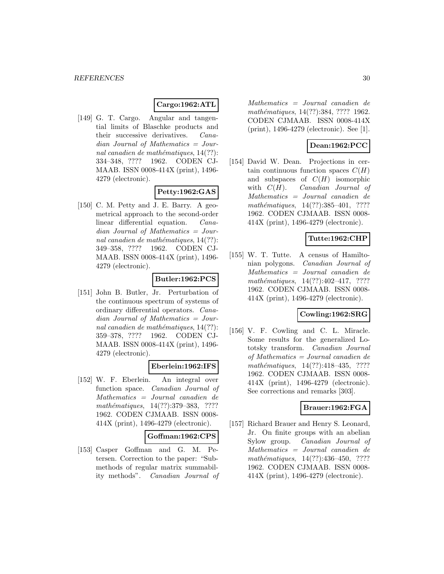#### **Cargo:1962:ATL**

[149] G. T. Cargo. Angular and tangential limits of Blaschke products and their successive derivatives. Canadian Journal of Mathematics = Journal canadien de mathématiques,  $14(??)$ : 334–348, ???? 1962. CODEN CJ-MAAB. ISSN 0008-414X (print), 1496- 4279 (electronic).

#### **Petty:1962:GAS**

[150] C. M. Petty and J. E. Barry. A geometrical approach to the second-order linear differential equation. Canadian Journal of Mathematics = Journal canadien de mathématiques,  $14(??)$ : 349–358, ???? 1962. CODEN CJ-MAAB. ISSN 0008-414X (print), 1496- 4279 (electronic).

# **Butler:1962:PCS**

[151] John B. Butler, Jr. Perturbation of the continuous spectrum of systems of ordinary differential operators. Canadian Journal of Mathematics = Journal canadien de mathématiques,  $14(??)$ : 359–378, ???? 1962. CODEN CJ-MAAB. ISSN 0008-414X (print), 1496- 4279 (electronic).

# **Eberlein:1962:IFS**

[152] W. F. Eberlein. An integral over function space. Canadian Journal of Mathematics = Journal canadien de mathématiques, 14(??):379-383, ???? 1962. CODEN CJMAAB. ISSN 0008- 414X (print), 1496-4279 (electronic).

#### **Goffman:1962:CPS**

[153] Casper Goffman and G. M. Petersen. Correction to the paper: "Submethods of regular matrix summability methods". Canadian Journal of

Mathematics = Journal canadien de mathématiques, 14(??):384, ???? 1962. CODEN CJMAAB. ISSN 0008-414X (print), 1496-4279 (electronic). See [1].

# **Dean:1962:PCC**

[154] David W. Dean. Projections in certain continuous function spaces  $C(H)$ and subspaces of  $C(H)$  isomorphic with  $C(H)$ . Canadian Journal of Mathematics = Journal canadien de mathématiques,  $14(??):385-401$ , ???? 1962. CODEN CJMAAB. ISSN 0008- 414X (print), 1496-4279 (electronic).

# **Tutte:1962:CHP**

[155] W. T. Tutte. A census of Hamiltonian polygons. Canadian Journal of Mathematics = Journal canadien de mathématiques,  $14(??):402-417$ , ???? 1962. CODEN CJMAAB. ISSN 0008- 414X (print), 1496-4279 (electronic).

### **Cowling:1962:SRG**

[156] V. F. Cowling and C. L. Miracle. Some results for the generalized Lototsky transform. Canadian Journal of Mathematics = Journal canadien de mathématiques,  $14(??):418-435$ , ???? 1962. CODEN CJMAAB. ISSN 0008- 414X (print), 1496-4279 (electronic). See corrections and remarks [303].

#### **Brauer:1962:FGA**

[157] Richard Brauer and Henry S. Leonard, Jr. On finite groups with an abelian Sylow group. Canadian Journal of Mathematics = Journal canadien de mathématiques,  $14(??):436-450$ , ???? 1962. CODEN CJMAAB. ISSN 0008- 414X (print), 1496-4279 (electronic).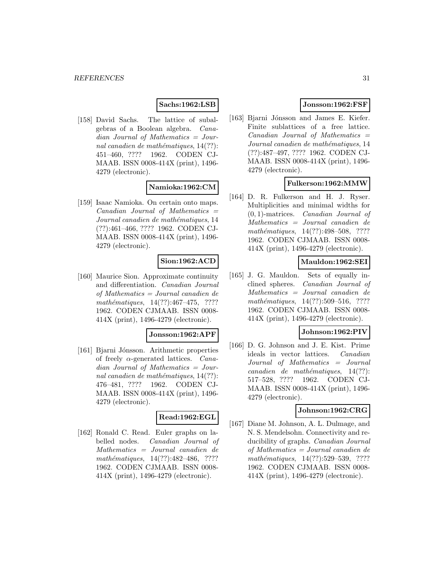#### **Sachs:1962:LSB**

[158] David Sachs. The lattice of subalgebras of a Boolean algebra. Canadian Journal of Mathematics = Journal canadien de mathématiques,  $14(??)$ : 451–460, ???? 1962. CODEN CJ-MAAB. ISSN 0008-414X (print), 1496- 4279 (electronic).

#### **Namioka:1962:CM**

[159] Isaac Namioka. On certain onto maps.  $Canadian$  Journal of Mathematics  $=$ Journal canadien de mathématiques, 14 (??):461–466, ???? 1962. CODEN CJ-MAAB. ISSN 0008-414X (print), 1496- 4279 (electronic).

# **Sion:1962:ACD**

[160] Maurice Sion. Approximate continuity and differentiation. Canadian Journal of Mathematics = Journal canadien de  $mathématiques, 14(??): 467-475, ????$ 1962. CODEN CJMAAB. ISSN 0008- 414X (print), 1496-4279 (electronic).

#### **Jonsson:1962:APF**

[161] Bjarni Jónsson. Arithmetic properties of freely  $\alpha$ -generated lattices. *Cana*dian Journal of Mathematics = Journal canadien de mathématiques,  $14(??)$ : 476–481, ???? 1962. CODEN CJ-MAAB. ISSN 0008-414X (print), 1496- 4279 (electronic).

#### **Read:1962:EGL**

[162] Ronald C. Read. Euler graphs on labelled nodes. Canadian Journal of Mathematics = Journal canadien de mathématiques, 14(??):482-486, ???? 1962. CODEN CJMAAB. ISSN 0008- 414X (print), 1496-4279 (electronic).

# **Jonsson:1962:FSF**

[163] Bjarni Jónsson and James E. Kiefer. Finite sublattices of a free lattice.  $Canadian$  Journal of Mathematics  $=$ Journal canadien de mathématiques, 14 (??):487–497, ???? 1962. CODEN CJ-MAAB. ISSN 0008-414X (print), 1496- 4279 (electronic).

#### **Fulkerson:1962:MMW**

[164] D. R. Fulkerson and H. J. Ryser. Multiplicities and minimal widths for (0, 1)-matrices. Canadian Journal of Mathematics = Journal canadien de mathématiques,  $14(??):498-508$ , ???? 1962. CODEN CJMAAB. ISSN 0008- 414X (print), 1496-4279 (electronic).

# **Mauldon:1962:SEI**

[165] J. G. Mauldon. Sets of equally inclined spheres. Canadian Journal of Mathematics = Journal canadien de mathématiques,  $14(??):509-516$ , ???? 1962. CODEN CJMAAB. ISSN 0008- 414X (print), 1496-4279 (electronic).

# **Johnson:1962:PIV**

[166] D. G. Johnson and J. E. Kist. Prime ideals in vector lattices. Canadian Journal of Mathematics = Journal  $cana dien de mathématiques, 14(??):$ 517–528, ???? 1962. CODEN CJ-MAAB. ISSN 0008-414X (print), 1496- 4279 (electronic).

#### **Johnson:1962:CRG**

[167] Diane M. Johnson, A. L. Dulmage, and N. S. Mendelsohn. Connectivity and reducibility of graphs. Canadian Journal of Mathematics = Journal canadien de mathématiques, 14(??):529–539, ???? 1962. CODEN CJMAAB. ISSN 0008- 414X (print), 1496-4279 (electronic).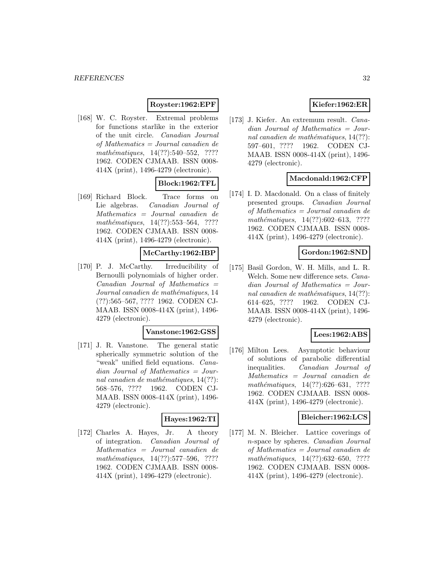#### **Royster:1962:EPF**

[168] W. C. Royster. Extremal problems for functions starlike in the exterior of the unit circle. Canadian Journal of Mathematics = Journal canadien de  $mathématiques, 14(??):540–552, ????$ 1962. CODEN CJMAAB. ISSN 0008- 414X (print), 1496-4279 (electronic).

# **Block:1962:TFL**

[169] Richard Block. Trace forms on Lie algebras. Canadian Journal of Mathematics = Journal canadien de  $mathématiques, 14(??): 553–564, ????$ 1962. CODEN CJMAAB. ISSN 0008- 414X (print), 1496-4279 (electronic).

# **McCarthy:1962:IBP**

[170] P. J. McCarthy. Irreducibility of Bernoulli polynomials of higher order.  $Canadian$  Journal of Mathematics  $=$ Journal canadien de mathématiques, 14 (??):565–567, ???? 1962. CODEN CJ-MAAB. ISSN 0008-414X (print), 1496- 4279 (electronic).

#### **Vanstone:1962:GSS**

[171] J. R. Vanstone. The general static spherically symmetric solution of the "weak" unified field equations. Canadian Journal of Mathematics = Journal canadien de mathématiques,  $14(??)$ : 568–576, ???? 1962. CODEN CJ-MAAB. ISSN 0008-414X (print), 1496- 4279 (electronic).

# **Hayes:1962:TI**

[172] Charles A. Hayes, Jr. A theory of integration. Canadian Journal of Mathematics = Journal canadien de  $mathématiques, 14(??):577–596, ????$ 1962. CODEN CJMAAB. ISSN 0008- 414X (print), 1496-4279 (electronic).

# **Kiefer:1962:ER**

[173] J. Kiefer. An extremum result. Canadian Journal of Mathematics = Journal canadien de mathématiques,  $14(??)$ : 597–601, ???? 1962. CODEN CJ-MAAB. ISSN 0008-414X (print), 1496- 4279 (electronic).

# **Macdonald:1962:CFP**

[174] I. D. Macdonald. On a class of finitely presented groups. Canadian Journal of Mathematics = Journal canadien de mathématiques,  $14(??):602-613$ , ???? 1962. CODEN CJMAAB. ISSN 0008- 414X (print), 1496-4279 (electronic).

#### **Gordon:1962:SND**

[175] Basil Gordon, W. H. Mills, and L. R. Welch. Some new difference sets. Canadian Journal of Mathematics = Journal canadien de mathématiques,  $14(??)$ : 614–625, ???? 1962. CODEN CJ-MAAB. ISSN 0008-414X (print), 1496- 4279 (electronic).

#### **Lees:1962:ABS**

[176] Milton Lees. Asymptotic behaviour of solutions of parabolic differential inequalities. Canadian Journal of Mathematics = Journal canadien de mathématiques,  $14(??):626-631$ , ???? 1962. CODEN CJMAAB. ISSN 0008- 414X (print), 1496-4279 (electronic).

#### **Bleicher:1962:LCS**

[177] M. N. Bleicher. Lattice coverings of n-space by spheres. Canadian Journal of Mathematics = Journal canadien de mathématiques,  $14(??):632-650$ , ???? 1962. CODEN CJMAAB. ISSN 0008- 414X (print), 1496-4279 (electronic).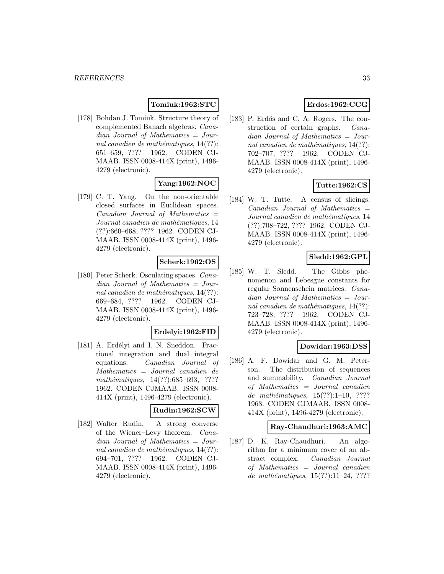# **Tomiuk:1962:STC**

[178] Bohdan J. Tomiuk. Structure theory of complemented Banach algebras. Canadian Journal of Mathematics = Journal canadien de mathématiques,  $14(??)$ : 651–659, ???? 1962. CODEN CJ-MAAB. ISSN 0008-414X (print), 1496- 4279 (electronic).

# **Yang:1962:NOC**

[179] C. T. Yang. On the non-orientable closed surfaces in Euclidean spaces.  $Canadian$  Journal of Mathematics  $=$ Journal canadien de mathématiques, 14 (??):660–668, ???? 1962. CODEN CJ-MAAB. ISSN 0008-414X (print), 1496- 4279 (electronic).

# **Scherk:1962:OS**

[180] Peter Scherk. Osculating spaces. Canadian Journal of Mathematics = Journal canadien de mathématiques,  $14(??)$ : 669–684, ???? 1962. CODEN CJ-MAAB. ISSN 0008-414X (print), 1496- 4279 (electronic).

### **Erdelyi:1962:FID**

[181] A. Erdélyi and I. N. Sneddon. Fractional integration and dual integral equations. Canadian Journal of Mathematics = Journal canadien de mathématiques, 14(??):685–693, ???? 1962. CODEN CJMAAB. ISSN 0008- 414X (print), 1496-4279 (electronic).

#### **Rudin:1962:SCW**

[182] Walter Rudin. A strong converse of the Wiener–Levy theorem. Canadian Journal of Mathematics = Journal canadien de mathématiques,  $14(??)$ : 694–701, ???? 1962. CODEN CJ-MAAB. ISSN 0008-414X (print), 1496- 4279 (electronic).

# **Erdos:1962:CCG**

[183] P. Erdős and C. A. Rogers. The construction of certain graphs. Canadian Journal of Mathematics = Journal canadien de mathématiques,  $14(??)$ : 702–707, ???? 1962. CODEN CJ-MAAB. ISSN 0008-414X (print), 1496- 4279 (electronic).

# **Tutte:1962:CS**

[184] W. T. Tutte. A census of slicings.  $Canadian$  Journal of Mathematics  $=$ Journal canadien de mathématiques, 14 (??):708–722, ???? 1962. CODEN CJ-MAAB. ISSN 0008-414X (print), 1496- 4279 (electronic).

# **Sledd:1962:GPL**

[185] W. T. Sledd. The Gibbs phenomenon and Lebesgue constants for regular Sonnenschein matrices. Canadian Journal of Mathematics = Journal canadien de mathématiques,  $14(??)$ : 723–728, ???? 1962. CODEN CJ-MAAB. ISSN 0008-414X (print), 1496- 4279 (electronic).

#### **Dowidar:1963:DSS**

[186] A. F. Dowidar and G. M. Peterson. The distribution of sequences and summability. Canadian Journal of Mathematics = Journal canadien de mathématiques,  $15(??):1-10$ , ???? 1963. CODEN CJMAAB. ISSN 0008- 414X (print), 1496-4279 (electronic).

# **Ray-Chaudhuri:1963:AMC**

[187] D. K. Ray-Chaudhuri. An algorithm for a minimum cover of an abstract complex. Canadian Journal of Mathematics = Journal canadien de mathématiques,  $15(??):11-24$ , ????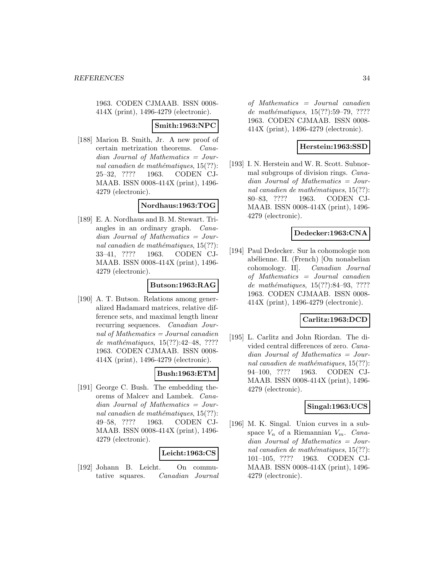1963. CODEN CJMAAB. ISSN 0008- 414X (print), 1496-4279 (electronic).

#### **Smith:1963:NPC**

[188] Marion B. Smith, Jr. A new proof of certain metrization theorems. Canadian Journal of Mathematics = Journal canadien de mathématiques,  $15(??)$ : 25–32, ???? 1963. CODEN CJ-MAAB. ISSN 0008-414X (print), 1496- 4279 (electronic).

# **Nordhaus:1963:TOG**

[189] E. A. Nordhaus and B. M. Stewart. Triangles in an ordinary graph. Canadian Journal of Mathematics = Journal canadien de mathématiques,  $15(??)$ : 33–41, ???? 1963. CODEN CJ-MAAB. ISSN 0008-414X (print), 1496- 4279 (electronic).

#### **Butson:1963:RAG**

[190] A. T. Butson. Relations among generalized Hadamard matrices, relative difference sets, and maximal length linear recurring sequences. Canadian Journal of Mathematics = Journal canadien de mathématiques,  $15(??):42-48$ , ???? 1963. CODEN CJMAAB. ISSN 0008- 414X (print), 1496-4279 (electronic).

#### **Bush:1963:ETM**

[191] George C. Bush. The embedding theorems of Malcev and Lambek. Canadian Journal of Mathematics = Journal canadien de mathématiques,  $15(??)$ : 49–58, ???? 1963. CODEN CJ-MAAB. ISSN 0008-414X (print), 1496- 4279 (electronic).

#### **Leicht:1963:CS**

[192] Johann B. Leicht. On commutative squares. Canadian Journal

of Mathematics = Journal canadien de mathématiques, 15(??):59–79, ???? 1963. CODEN CJMAAB. ISSN 0008- 414X (print), 1496-4279 (electronic).

#### **Herstein:1963:SSD**

[193] I. N. Herstein and W. R. Scott. Subnormal subgroups of division rings. Canadian Journal of Mathematics = Journal canadien de mathématiques,  $15(??)$ : 80–83, ???? 1963. CODEN CJ-MAAB. ISSN 0008-414X (print), 1496- 4279 (electronic).

#### **Dedecker:1963:CNA**

[194] Paul Dedecker. Sur la cohomologie non abélienne. II. (French) [On nonabelian cohomology. II]. Canadian Journal of Mathematics = Journal canadien de mathématiques,  $15(??):84-93, ????$ 1963. CODEN CJMAAB. ISSN 0008- 414X (print), 1496-4279 (electronic).

#### **Carlitz:1963:DCD**

[195] L. Carlitz and John Riordan. The divided central differences of zero. Canadian Journal of Mathematics = Journal canadien de mathématiques,  $15(??)$ : 94–100, ???? 1963. CODEN CJ-MAAB. ISSN 0008-414X (print), 1496- 4279 (electronic).

# **Singal:1963:UCS**

[196] M. K. Singal. Union curves in a subspace  $V_n$  of a Riemannian  $V_m$ . Canadian Journal of Mathematics = Journal canadien de mathématiques,  $15(??)$ : 101–105, ???? 1963. CODEN CJ-MAAB. ISSN 0008-414X (print), 1496- 4279 (electronic).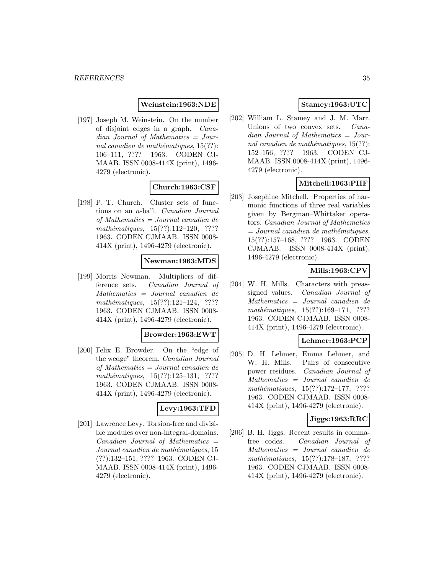#### **Weinstein:1963:NDE**

[197] Joseph M. Weinstein. On the number of disjoint edges in a graph. Canadian Journal of Mathematics = Journal canadien de mathématiques,  $15(??)$ : 106–111, ???? 1963. CODEN CJ-MAAB. ISSN 0008-414X (print), 1496- 4279 (electronic).

# **Church:1963:CSF**

[198] P. T. Church. Cluster sets of functions on an n-ball. Canadian Journal of Mathematics = Journal canadien de  $mathématiques, 15(??):112–120, ????$ 1963. CODEN CJMAAB. ISSN 0008- 414X (print), 1496-4279 (electronic).

#### **Newman:1963:MDS**

[199] Morris Newman. Multipliers of difference sets. Canadian Journal of Mathematics = Journal canadien de  $mathématiques, 15(??):121–124, ????$ 1963. CODEN CJMAAB. ISSN 0008- 414X (print), 1496-4279 (electronic).

#### **Browder:1963:EWT**

[200] Felix E. Browder. On the "edge of the wedge" theorem. Canadian Journal of Mathematics = Journal canadien de mathématiques,  $15(??):125-131$ , ???? 1963. CODEN CJMAAB. ISSN 0008- 414X (print), 1496-4279 (electronic).

#### **Levy:1963:TFD**

[201] Lawrence Levy. Torsion-free and divisible modules over non-integral-domains.  $Canadian$  Journal of Mathematics  $=$ Journal canadien de mathématiques, 15 (??):132–151, ???? 1963. CODEN CJ-MAAB. ISSN 0008-414X (print), 1496- 4279 (electronic).

# **Stamey:1963:UTC**

[202] William L. Stamey and J. M. Marr. Unions of two convex sets. *Cana*dian Journal of Mathematics = Journal canadien de mathématiques,  $15(??)$ : 152–156, ???? 1963. CODEN CJ-MAAB. ISSN 0008-414X (print), 1496- 4279 (electronic).

# **Mitchell:1963:PHF**

[203] Josephine Mitchell. Properties of harmonic functions of three real variables given by Bergman–Whittaker operators. Canadian Journal of Mathematics  $= Journal\; candidates,$ 15(??):157–168, ???? 1963. CODEN CJMAAB. ISSN 0008-414X (print), 1496-4279 (electronic).

# **Mills:1963:CPV**

[204] W. H. Mills. Characters with preassigned values. Canadian Journal of Mathematics = Journal canadien de mathématiques, 15(??):169-171, ???? 1963. CODEN CJMAAB. ISSN 0008- 414X (print), 1496-4279 (electronic).

#### **Lehmer:1963:PCP**

[205] D. H. Lehmer, Emma Lehmer, and W. H. Mills. Pairs of consecutive power residues. Canadian Journal of Mathematics = Journal canadien de mathématiques,  $15(??):172-177$ , ???? 1963. CODEN CJMAAB. ISSN 0008- 414X (print), 1496-4279 (electronic).

### **Jiggs:1963:RRC**

[206] B. H. Jiggs. Recent results in commafree codes. Canadian Journal of Mathematics = Journal canadien de  $mathématiques, 15(??):178–187, ????$ 1963. CODEN CJMAAB. ISSN 0008- 414X (print), 1496-4279 (electronic).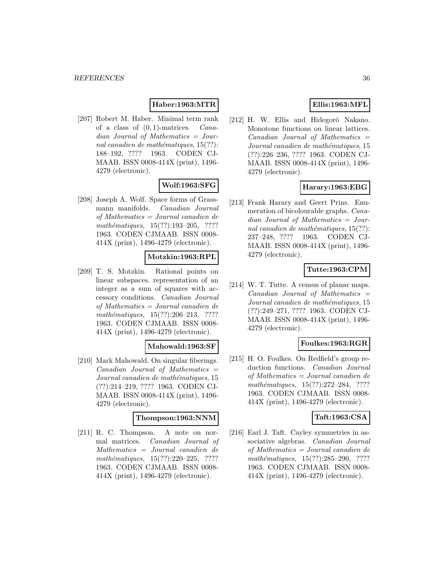# **Haber:1963:MTR**

[207] Robert M. Haber. Minimal term rank of a class of  $(0, 1)$ -matrices. *Cana*dian Journal of Mathematics = Journal canadien de mathématiques,  $15(??)$ : 188–192, ???? 1963. CODEN CJ-MAAB. ISSN 0008-414X (print), 1496- 4279 (electronic).

# **Wolf:1963:SFG**

[208] Joseph A. Wolf. Space forms of Grassmann manifolds. Canadian Journal of Mathematics = Journal canadien de mathématiques, 15(??):193-205, ???? 1963. CODEN CJMAAB. ISSN 0008- 414X (print), 1496-4279 (electronic).

#### **Motzkin:1963:RPL**

[209] T. S. Motzkin. Rational points on linear subspaces. representation of an integer as a sum of squares with accessory conditions. Canadian Journal of Mathematics = Journal canadien de  $mathématiques, 15(??):206-213, ????$ 1963. CODEN CJMAAB. ISSN 0008- 414X (print), 1496-4279 (electronic).

#### **Mahowald:1963:SF**

[210] Mark Mahowald. On singular fiberings.  $Canadian$  Journal of Mathematics  $=$ Journal canadien de mathématiques, 15 (??):214–219, ???? 1963. CODEN CJ-MAAB. ISSN 0008-414X (print), 1496- 4279 (electronic).

### **Thompson:1963:NNM**

[211] R. C. Thompson. A note on normal matrices. Canadian Journal of Mathematics = Journal canadien de  $mathématiques, 15(??):220-225, ????$ 1963. CODEN CJMAAB. ISSN 0008- 414X (print), 1496-4279 (electronic).

# **Ellis:1963:MFL**

[212] H. W. Ellis and Hidegorô Nakano. Monotone functions on linear lattices.  $Canadian$  Journal of Mathematics  $=$ Journal canadien de mathématiques, 15 (??):226–236, ???? 1963. CODEN CJ-MAAB. ISSN 0008-414X (print), 1496- 4279 (electronic).

# **Harary:1963:EBG**

[213] Frank Harary and Geert Prins. Enumeration of bicolourable graphs. Canadian Journal of Mathematics = Journal canadien de mathématiques,  $15(??)$ : 237–248, ???? 1963. CODEN CJ-MAAB. ISSN 0008-414X (print), 1496- 4279 (electronic).

#### **Tutte:1963:CPM**

[214] W. T. Tutte. A census of planar maps.  $Canadian$  Journal of Mathematics  $=$ Journal canadien de mathématiques, 15 (??):249–271, ???? 1963. CODEN CJ-MAAB. ISSN 0008-414X (print), 1496- 4279 (electronic).

#### **Foulkes:1963:RGR**

[215] H. O. Foulkes. On Redfield's group reduction functions. Canadian Journal of Mathematics = Journal canadien de mathématiques,  $15(??):272-284$ , ???? 1963. CODEN CJMAAB. ISSN 0008- 414X (print), 1496-4279 (electronic).

#### **Taft:1963:CSA**

[216] Earl J. Taft. Cayley symmetries in associative algebras. Canadian Journal of Mathematics = Journal canadien de  $mathématiques, 15(??):285-290, ????$ 1963. CODEN CJMAAB. ISSN 0008- 414X (print), 1496-4279 (electronic).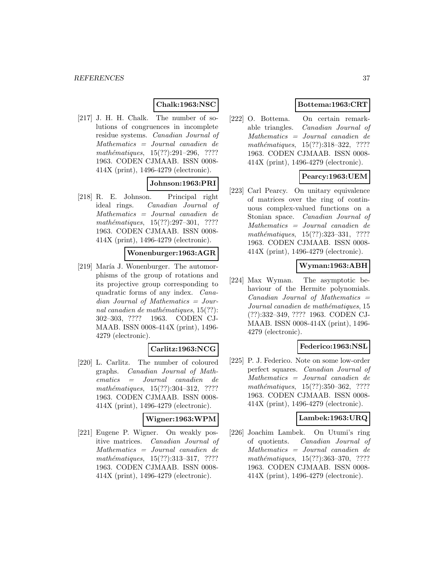## **Chalk:1963:NSC**

[217] J. H. H. Chalk. The number of solutions of congruences in incomplete residue systems. Canadian Journal of Mathematics = Journal canadien de  $mathématiques, 15(??):291–296, ????$ 1963. CODEN CJMAAB. ISSN 0008- 414X (print), 1496-4279 (electronic).

#### **Johnson:1963:PRI**

[218] R. E. Johnson. Principal right ideal rings. Canadian Journal of Mathematics = Journal canadien de  $mathématiques, 15(??):297-301, ????$ 1963. CODEN CJMAAB. ISSN 0008- 414X (print), 1496-4279 (electronic).

#### **Wonenburger:1963:AGR**

[219] María J. Wonenburger. The automorphisms of the group of rotations and its projective group corresponding to quadratic forms of any index. Canadian Journal of Mathematics = Journal canadien de mathématiques,  $15(??)$ : 302–303, ???? 1963. CODEN CJ-MAAB. ISSN 0008-414X (print), 1496- 4279 (electronic).

# **Carlitz:1963:NCG**

[220] L. Carlitz. The number of coloured graphs. Canadian Journal of Mathematics = Journal canadien de mathématiques,  $15(??):304-312$ , ???? 1963. CODEN CJMAAB. ISSN 0008- 414X (print), 1496-4279 (electronic).

### **Wigner:1963:WPM**

[221] Eugene P. Wigner. On weakly positive matrices. Canadian Journal of Mathematics = Journal canadien de  $mathématiques, 15(??):313-317, ????$ 1963. CODEN CJMAAB. ISSN 0008- 414X (print), 1496-4279 (electronic).

## **Bottema:1963:CRT**

[222] O. Bottema. On certain remarkable triangles. Canadian Journal of Mathematics = Journal canadien de mathématiques,  $15(??):318-322$ , ???? 1963. CODEN CJMAAB. ISSN 0008- 414X (print), 1496-4279 (electronic).

# **Pearcy:1963:UEM**

[223] Carl Pearcy. On unitary equivalence of matrices over the ring of continuous complex-valued functions on a Stonian space. Canadian Journal of Mathematics = Journal canadien de mathématiques, 15(??):323-331, ???? 1963. CODEN CJMAAB. ISSN 0008- 414X (print), 1496-4279 (electronic).

#### **Wyman:1963:ABH**

[224] Max Wyman. The asymptotic behaviour of the Hermite polynomials.  $Canadian$  Journal of Mathematics  $=$ Journal canadien de mathématiques, 15 (??):332–349, ???? 1963. CODEN CJ-MAAB. ISSN 0008-414X (print), 1496- 4279 (electronic).

#### **Federico:1963:NSL**

[225] P. J. Federico. Note on some low-order perfect squares. Canadian Journal of Mathematics = Journal canadien de  $mathématiques, 15(??):350–362, ????$ 1963. CODEN CJMAAB. ISSN 0008- 414X (print), 1496-4279 (electronic).

#### **Lambek:1963:URQ**

[226] Joachim Lambek. On Utumi's ring of quotients. Canadian Journal of Mathematics = Journal canadien de  $mathématiques, 15(??):363-370, ????$ 1963. CODEN CJMAAB. ISSN 0008- 414X (print), 1496-4279 (electronic).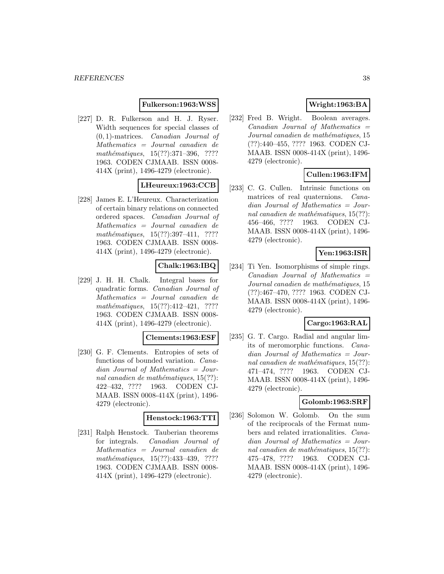### **Fulkerson:1963:WSS**

[227] D. R. Fulkerson and H. J. Ryser. Width sequences for special classes of (0, 1)-matrices. Canadian Journal of Mathematics = Journal canadien de mathématiques, 15(??):371-396, ???? 1963. CODEN CJMAAB. ISSN 0008- 414X (print), 1496-4279 (electronic).

## **LHeureux:1963:CCB**

[228] James E. L'Heureux. Characterization of certain binary relations on connected ordered spaces. Canadian Journal of Mathematics = Journal canadien de  $mathématiques, 15(??): 397-411, ????$ 1963. CODEN CJMAAB. ISSN 0008- 414X (print), 1496-4279 (electronic).

# **Chalk:1963:IBQ**

[229] J. H. H. Chalk. Integral bases for quadratic forms. Canadian Journal of Mathematics = Journal canadien de  $mathématiques, 15(??):412-421, ????$ 1963. CODEN CJMAAB. ISSN 0008- 414X (print), 1496-4279 (electronic).

#### **Clements:1963:ESF**

[230] G. F. Clements. Entropies of sets of functions of bounded variation. Canadian Journal of Mathematics = Journal canadien de mathématiques,  $15(??)$ : 422–432, ???? 1963. CODEN CJ-MAAB. ISSN 0008-414X (print), 1496- 4279 (electronic).

#### **Henstock:1963:TTI**

[231] Ralph Henstock. Tauberian theorems for integrals. Canadian Journal of Mathematics = Journal canadien de mathématiques, 15(??):433-439, ???? 1963. CODEN CJMAAB. ISSN 0008- 414X (print), 1496-4279 (electronic).

# **Wright:1963:BA**

[232] Fred B. Wright. Boolean averages.  $Canadian$  Journal of Mathematics  $=$ Journal canadien de mathématiques, 15 (??):440–455, ???? 1963. CODEN CJ-MAAB. ISSN 0008-414X (print), 1496- 4279 (electronic).

# **Cullen:1963:IFM**

[233] C. G. Cullen. Intrinsic functions on matrices of real quaternions. Canadian Journal of Mathematics = Journal canadien de mathématiques,  $15(??)$ : 456–466, ???? 1963. CODEN CJ-MAAB. ISSN 0008-414X (print), 1496- 4279 (electronic).

## **Yen:1963:ISR**

[234] Ti Yen. Isomorphisms of simple rings.  $Canadian$  Journal of Mathematics  $=$ Journal canadien de mathématiques, 15 (??):467–470, ???? 1963. CODEN CJ-MAAB. ISSN 0008-414X (print), 1496- 4279 (electronic).

## **Cargo:1963:RAL**

[235] G. T. Cargo. Radial and angular limits of meromorphic functions. Canadian Journal of Mathematics = Journal canadien de mathématiques,  $15(??)$ : 471–474, ???? 1963. CODEN CJ-MAAB. ISSN 0008-414X (print), 1496- 4279 (electronic).

# **Golomb:1963:SRF**

[236] Solomon W. Golomb. On the sum of the reciprocals of the Fermat numbers and related irrationalities. Canadian Journal of Mathematics = Journal canadien de mathématiques,  $15(??)$ : 475–478, ???? 1963. CODEN CJ-MAAB. ISSN 0008-414X (print), 1496- 4279 (electronic).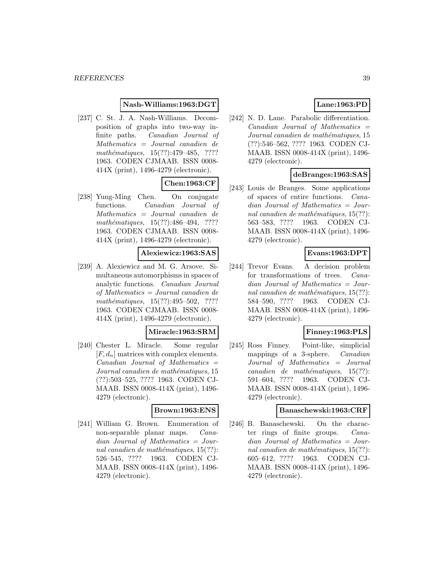#### **Nash-Williams:1963:DGT**

[237] C. St. J. A. Nash-Williams. Decomposition of graphs into two-way infinite paths. Canadian Journal of Mathematics = Journal canadien de mathématiques,  $15(??):479-485$ , ???? 1963. CODEN CJMAAB. ISSN 0008- 414X (print), 1496-4279 (electronic).

# **Chen:1963:CF**

[238] Yung-Ming Chen. On conjugate functions. Canadian Journal of Mathematics = Journal canadien de mathématiques, 15(??):486-494, ???? 1963. CODEN CJMAAB. ISSN 0008- 414X (print), 1496-4279 (electronic).

# **Alexiewicz:1963:SAS**

[239] A. Alexiewicz and M. G. Arsove. Simultaneous automorphisms in spaces of analytic functions. Canadian Journal of Mathematics = Journal canadien de mathématiques, 15(??):495–502, ???? 1963. CODEN CJMAAB. ISSN 0008- 414X (print), 1496-4279 (electronic).

#### **Miracle:1963:SRM**

[240] Chester L. Miracle. Some regular  $[F, d_n]$  matrices with complex elements.  $Canadian$  Journal of Mathematics  $=$ Journal canadien de mathématiques, 15 (??):503–525, ???? 1963. CODEN CJ-MAAB. ISSN 0008-414X (print), 1496- 4279 (electronic).

#### **Brown:1963:ENS**

[241] William G. Brown. Enumeration of non-separable planar maps. Canadian Journal of Mathematics = Journal canadien de mathématiques,  $15(??)$ : 526–545, ???? 1963. CODEN CJ-MAAB. ISSN 0008-414X (print), 1496- 4279 (electronic).

# **Lane:1963:PD**

[242] N. D. Lane. Parabolic differentiation.  $Canadian$  Journal of Mathematics  $=$ Journal canadien de mathématiques, 15 (??):546–562, ???? 1963. CODEN CJ-MAAB. ISSN 0008-414X (print), 1496- 4279 (electronic).

## **deBranges:1963:SAS**

[243] Louis de Branges. Some applications of spaces of entire functions. Canadian Journal of Mathematics = Journal canadien de mathématiques,  $15(??)$ : 563–583, ???? 1963. CODEN CJ-MAAB. ISSN 0008-414X (print), 1496- 4279 (electronic).

# **Evans:1963:DPT**

[244] Trevor Evans. A decision problem for transformations of trees. Canadian Journal of Mathematics = Journal canadien de mathématiques,  $15(??)$ : 584–590, ???? 1963. CODEN CJ-MAAB. ISSN 0008-414X (print), 1496- 4279 (electronic).

## **Finney:1963:PLS**

[245] Ross Finney. Point-like, simplicial mappings of a 3-sphere. Canadian Journal of Mathematics = Journal  $cana dien de mathématiques, 15(??):$ 591–604, ???? 1963. CODEN CJ-MAAB. ISSN 0008-414X (print), 1496- 4279 (electronic).

#### **Banaschewski:1963:CRF**

[246] B. Banaschewski. On the character rings of finite groups. Canadian Journal of Mathematics = Journal canadien de mathématiques,  $15(??)$ : 605–612, ???? 1963. CODEN CJ-MAAB. ISSN 0008-414X (print), 1496- 4279 (electronic).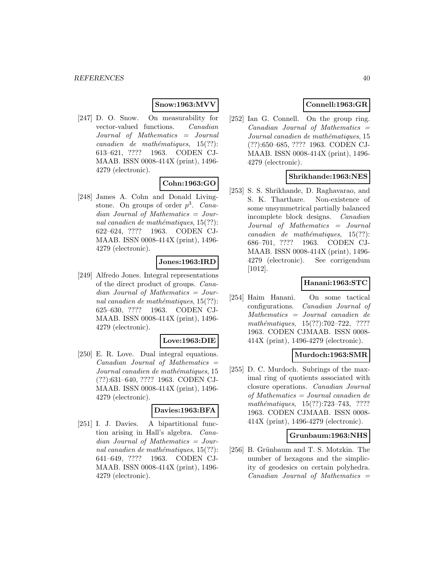# **Snow:1963:MVV**

[247] D. O. Snow. On measurability for vector-valued functions. Canadian Journal of Mathematics = Journal  $cana dien de mathématiques, 15(??):$ 613–621, ???? 1963. CODEN CJ-MAAB. ISSN 0008-414X (print), 1496- 4279 (electronic).

## **Cohn:1963:GO**

[248] James A. Cohn and Donald Livingstone. On groups of order  $p^3$ . Canadian Journal of Mathematics = Journal canadien de mathématiques,  $15(??)$ : 622–624, ???? 1963. CODEN CJ-MAAB. ISSN 0008-414X (print), 1496- 4279 (electronic).

#### **Jones:1963:IRD**

[249] Alfredo Jones. Integral representations of the direct product of groups. Canadian Journal of Mathematics = Journal canadien de mathématiques,  $15(??)$ : 625–630, ???? 1963. CODEN CJ-MAAB. ISSN 0008-414X (print), 1496- 4279 (electronic).

#### **Love:1963:DIE**

[250] E. R. Love. Dual integral equations.  $Canadian$  Journal of Mathematics  $=$ Journal canadien de mathématiques, 15 (??):631–640, ???? 1963. CODEN CJ-MAAB. ISSN 0008-414X (print), 1496- 4279 (electronic).

#### **Davies:1963:BFA**

[251] I. J. Davies. A bipartitional function arising in Hall's algebra. Canadian Journal of Mathematics = Journal canadien de mathématiques,  $15(??)$ : 641–649, ???? 1963. CODEN CJ-MAAB. ISSN 0008-414X (print), 1496- 4279 (electronic).

# **Connell:1963:GR**

[252] Ian G. Connell. On the group ring.  $Canadian$  Journal of Mathematics  $=$ Journal canadien de mathématiques, 15 (??):650–685, ???? 1963. CODEN CJ-MAAB. ISSN 0008-414X (print), 1496- 4279 (electronic).

#### **Shrikhande:1963:NES**

[253] S. S. Shrikhande, D. Raghavarao, and S. K. Tharthare. Non-existence of some unsymmetrical partially balanced incomplete block designs. Canadian Journal of Mathematics = Journal  $cana dien de mathématiques, 15(??):$ 686–701, ???? 1963. CODEN CJ-MAAB. ISSN 0008-414X (print), 1496- 4279 (electronic). See corrigendum [1012].

#### **Hanani:1963:STC**

[254] Haim Hanani. On some tactical configurations. Canadian Journal of Mathematics = Journal canadien de mathématiques,  $15(??):702-722$ , ???? 1963. CODEN CJMAAB. ISSN 0008- 414X (print), 1496-4279 (electronic).

#### **Murdoch:1963:SMR**

[255] D. C. Murdoch. Subrings of the maximal ring of quotients associated with closure operations. Canadian Journal of Mathematics = Journal canadien de mathématiques,  $15(??):723-743$ , ???? 1963. CODEN CJMAAB. ISSN 0008- 414X (print), 1496-4279 (electronic).

#### **Grunbaum:1963:NHS**

[256] B. Grünbaum and T. S. Motzkin. The number of hexagons and the simplicity of geodesics on certain polyhedra.  $Canadian$  Journal of Mathematics  $=$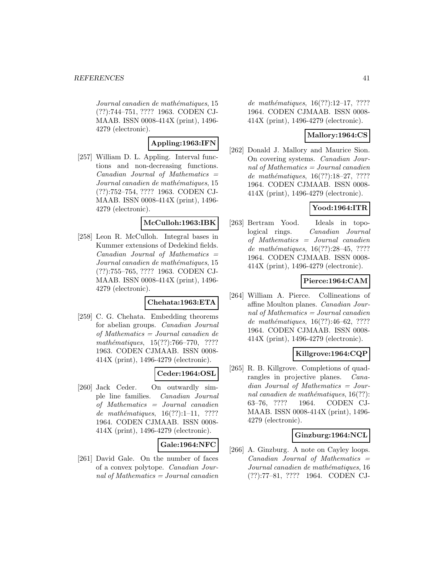Journal canadien de mathématiques, 15 (??):744–751, ???? 1963. CODEN CJ-MAAB. ISSN 0008-414X (print), 1496- 4279 (electronic).

## **Appling:1963:IFN**

[257] William D. L. Appling. Interval functions and non-decreasing functions.  $Canadian$  Journal of Mathematics  $=$ Journal canadien de mathématiques, 15 (??):752–754, ???? 1963. CODEN CJ-MAAB. ISSN 0008-414X (print), 1496- 4279 (electronic).

### **McCulloh:1963:IBK**

[258] Leon R. McCulloh. Integral bases in Kummer extensions of Dedekind fields.  $Canadian$  Journal of Mathematics  $=$ Journal canadien de mathématiques, 15 (??):755–765, ???? 1963. CODEN CJ-MAAB. ISSN 0008-414X (print), 1496- 4279 (electronic).

## **Chehata:1963:ETA**

[259] C. G. Chehata. Embedding theorems for abelian groups. Canadian Journal of Mathematics = Journal canadien de mathématiques,  $15(??):766-770$ , ???? 1963. CODEN CJMAAB. ISSN 0008- 414X (print), 1496-4279 (electronic).

## **Ceder:1964:OSL**

[260] Jack Ceder. On outwardly simple line families. Canadian Journal of Mathematics = Journal canadien de mathématiques,  $16(??):1-11$ , ???? 1964. CODEN CJMAAB. ISSN 0008- 414X (print), 1496-4279 (electronic).

## **Gale:1964:NFC**

[261] David Gale. On the number of faces of a convex polytope. Canadian Journal of Mathematics = Journal canadien

de mathématiques,  $16(??):12-17, ????$ 1964. CODEN CJMAAB. ISSN 0008- 414X (print), 1496-4279 (electronic).

## **Mallory:1964:CS**

[262] Donald J. Mallory and Maurice Sion. On covering systems. Canadian Journal of Mathematics  $=$  Journal canadien de mathématiques,  $16(??):18-27, ????$ 1964. CODEN CJMAAB. ISSN 0008- 414X (print), 1496-4279 (electronic).

# **Yood:1964:ITR**

[263] Bertram Yood. Ideals in topological rings. Canadian Journal of Mathematics = Journal canadien de mathématiques,  $16(??):28-45, ????$ 1964. CODEN CJMAAB. ISSN 0008- 414X (print), 1496-4279 (electronic).

# **Pierce:1964:CAM**

[264] William A. Pierce. Collineations of affine Moulton planes. Canadian Journal of Mathematics  $=$  Journal canadien de mathématiques, 16(??):46–62, ???? 1964. CODEN CJMAAB. ISSN 0008- 414X (print), 1496-4279 (electronic).

# **Killgrove:1964:CQP**

[265] R. B. Killgrove. Completions of quadrangles in projective planes. Canadian Journal of Mathematics = Journal canadien de mathématiques,  $16(??)$ : 63–76, ???? 1964. CODEN CJ-MAAB. ISSN 0008-414X (print), 1496- 4279 (electronic).

## **Ginzburg:1964:NCL**

[266] A. Ginzburg. A note on Cayley loops.  $Canadian$  Journal of Mathematics  $=$ Journal canadien de mathématiques, 16 (??):77–81, ???? 1964. CODEN CJ-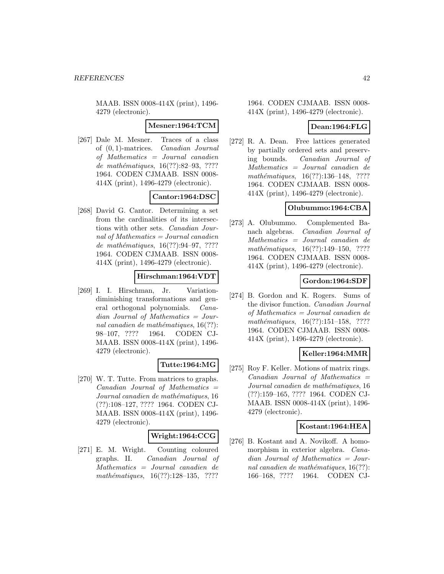MAAB. ISSN 0008-414X (print), 1496- 4279 (electronic).

#### **Mesner:1964:TCM**

[267] Dale M. Mesner. Traces of a class of (0, 1)-matrices. Canadian Journal of Mathematics = Journal canadien de mathématiques,  $16(??):82-93, ????$ 1964. CODEN CJMAAB. ISSN 0008- 414X (print), 1496-4279 (electronic).

# **Cantor:1964:DSC**

[268] David G. Cantor. Determining a set from the cardinalities of its intersections with other sets. Canadian Journal of Mathematics  $=$  Journal canadien de mathématiques,  $16(??):94-97, ????$ 1964. CODEN CJMAAB. ISSN 0008- 414X (print), 1496-4279 (electronic).

# **Hirschman:1964:VDT**

[269] I. I. Hirschman, Jr. Variationdiminishing transformations and general orthogonal polynomials. Canadian Journal of Mathematics = Journal canadien de mathématiques,  $16(??)$ : 98–107, ???? 1964. CODEN CJ-MAAB. ISSN 0008-414X (print), 1496- 4279 (electronic).

#### **Tutte:1964:MG**

[270] W. T. Tutte. From matrices to graphs. Canadian Journal of Mathematics = Journal canadien de mathématiques, 16 (??):108–127, ???? 1964. CODEN CJ-MAAB. ISSN 0008-414X (print), 1496- 4279 (electronic).

## **Wright:1964:CCG**

[271] E. M. Wright. Counting coloured graphs. II. Canadian Journal of Mathematics = Journal canadien de mathématiques,  $16(??):128-135$ , ????

1964. CODEN CJMAAB. ISSN 0008- 414X (print), 1496-4279 (electronic).

## **Dean:1964:FLG**

[272] R. A. Dean. Free lattices generated by partially ordered sets and preserving bounds. Canadian Journal of Mathematics = Journal canadien de mathématiques,  $16(??):136-148$ , ???? 1964. CODEN CJMAAB. ISSN 0008- 414X (print), 1496-4279 (electronic).

### **Olubummo:1964:CBA**

[273] A. Olubummo. Complemented Banach algebras. Canadian Journal of Mathematics = Journal canadien de mathématiques,  $16(??):149-150$ , ???? 1964. CODEN CJMAAB. ISSN 0008- 414X (print), 1496-4279 (electronic).

## **Gordon:1964:SDF**

[274] B. Gordon and K. Rogers. Sums of the divisor function. Canadian Journal of Mathematics = Journal canadien de mathématiques,  $16(??):151-158$ , ???? 1964. CODEN CJMAAB. ISSN 0008- 414X (print), 1496-4279 (electronic).

## **Keller:1964:MMR**

[275] Roy F. Keller. Motions of matrix rings.  $Canadian$  Journal of Mathematics  $=$ Journal canadien de mathématiques, 16 (??):159–165, ???? 1964. CODEN CJ-MAAB. ISSN 0008-414X (print), 1496- 4279 (electronic).

## **Kostant:1964:HEA**

[276] B. Kostant and A. Novikoff. A homomorphism in exterior algebra. Canadian Journal of Mathematics = Journal canadien de mathématiques,  $16(??)$ : 166–168, ???? 1964. CODEN CJ-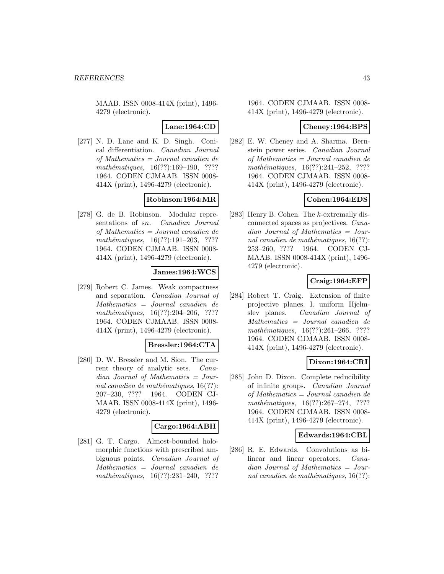MAAB. ISSN 0008-414X (print), 1496- 4279 (electronic).

## **Lane:1964:CD**

[277] N. D. Lane and K. D. Singh. Conical differentiation. Canadian Journal of Mathematics = Journal canadien de mathématiques,  $16(??):169-190, ????$ 1964. CODEN CJMAAB. ISSN 0008- 414X (print), 1496-4279 (electronic).

## **Robinson:1964:MR**

[278] G. de B. Robinson. Modular representations of sn. Canadian Journal of Mathematics = Journal canadien de  $mathématiques, 16(??):191–203, ????$ 1964. CODEN CJMAAB. ISSN 0008- 414X (print), 1496-4279 (electronic).

## **James:1964:WCS**

[279] Robert C. James. Weak compactness and separation. Canadian Journal of Mathematics = Journal canadien de mathématiques,  $16(??):204-206$ , ???? 1964. CODEN CJMAAB. ISSN 0008- 414X (print), 1496-4279 (electronic).

#### **Bressler:1964:CTA**

[280] D. W. Bressler and M. Sion. The current theory of analytic sets. Canadian Journal of Mathematics = Journal canadien de mathématiques,  $16(??)$ : 207–230, ???? 1964. CODEN CJ-MAAB. ISSN 0008-414X (print), 1496- 4279 (electronic).

## **Cargo:1964:ABH**

[281] G. T. Cargo. Almost-bounded holomorphic functions with prescribed ambiguous points. Canadian Journal of Mathematics = Journal canadien de mathématiques,  $16(??):231-240$ , ????

#### 1964. CODEN CJMAAB. ISSN 0008- 414X (print), 1496-4279 (electronic).

### **Cheney:1964:BPS**

[282] E. W. Cheney and A. Sharma. Bernstein power series. Canadian Journal of Mathematics = Journal canadien de mathématiques,  $16(??):241-252$ , ???? 1964. CODEN CJMAAB. ISSN 0008- 414X (print), 1496-4279 (electronic).

# **Cohen:1964:EDS**

[283] Henry B. Cohen. The k-extremally disconnected spaces as projectives. Canadian Journal of Mathematics = Journal canadien de mathématiques,  $16(??)$ : 253–260, ???? 1964. CODEN CJ-MAAB. ISSN 0008-414X (print), 1496- 4279 (electronic).

#### **Craig:1964:EFP**

[284] Robert T. Craig. Extension of finite projective planes. I. uniform Hjelmslev planes. Canadian Journal of Mathematics = Journal canadien de mathématiques,  $16(??):261-266$ , ???? 1964. CODEN CJMAAB. ISSN 0008- 414X (print), 1496-4279 (electronic).

## **Dixon:1964:CRI**

[285] John D. Dixon. Complete reducibility of infinite groups. Canadian Journal of Mathematics = Journal canadien de mathématiques,  $16(??):267-274$ , ???? 1964. CODEN CJMAAB. ISSN 0008- 414X (print), 1496-4279 (electronic).

#### **Edwards:1964:CBL**

[286] R. E. Edwards. Convolutions as bilinear and linear operators. Canadian Journal of Mathematics = Journal canadien de mathématiques,  $16(??)$ :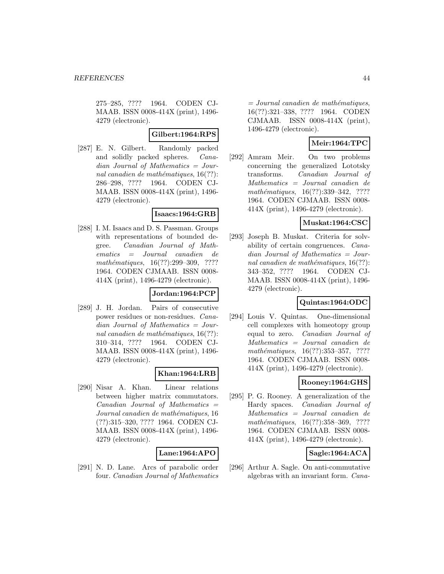275–285, ???? 1964. CODEN CJ-MAAB. ISSN 0008-414X (print), 1496- 4279 (electronic).

### **Gilbert:1964:RPS**

[287] E. N. Gilbert. Randomly packed and solidly packed spheres. Canadian Journal of Mathematics = Journal canadien de mathématiques,  $16(??)$ : 286–298, ???? 1964. CODEN CJ-MAAB. ISSN 0008-414X (print), 1496- 4279 (electronic).

## **Isaacs:1964:GRB**

[288] I. M. Isaacs and D. S. Passman. Groups with representations of bounded degree. Canadian Journal of Mathematics = Journal canadien de  $mathématiques, 16(??):299-309, ????$ 1964. CODEN CJMAAB. ISSN 0008- 414X (print), 1496-4279 (electronic).

#### **Jordan:1964:PCP**

[289] J. H. Jordan. Pairs of consecutive power residues or non-residues. Canadian Journal of Mathematics = Journal canadien de mathématiques,  $16(??)$ : 310–314, ???? 1964. CODEN CJ-MAAB. ISSN 0008-414X (print), 1496- 4279 (electronic).

#### **Khan:1964:LRB**

[290] Nisar A. Khan. Linear relations between higher matrix commutators.  $Canadian$  Journal of Mathematics  $=$ Journal canadien de mathématiques, 16 (??):315–320, ???? 1964. CODEN CJ-MAAB. ISSN 0008-414X (print), 1496- 4279 (electronic).

#### **Lane:1964:APO**

[291] N. D. Lane. Arcs of parabolic order four. Canadian Journal of Mathematics

 $=$  Journal canadien de mathématiques, 16(??):321–338, ???? 1964. CODEN CJMAAB. ISSN 0008-414X (print), 1496-4279 (electronic).

# **Meir:1964:TPC**

[292] Amram Meir. On two problems concerning the generalized Lototsky transforms. Canadian Journal of Mathematics = Journal canadien de mathématiques,  $16(??):339-342$ , ???? 1964. CODEN CJMAAB. ISSN 0008- 414X (print), 1496-4279 (electronic).

### **Muskat:1964:CSC**

[293] Joseph B. Muskat. Criteria for solvability of certain congruences. Canadian Journal of Mathematics = Journal canadien de mathématiques,  $16(??)$ : 343–352, ???? 1964. CODEN CJ-MAAB. ISSN 0008-414X (print), 1496- 4279 (electronic).

# **Quintas:1964:ODC**

[294] Louis V. Quintas. One-dimensional cell complexes with homeotopy group equal to zero. Canadian Journal of Mathematics = Journal canadien de mathématiques,  $16(??):353-357, ????$ 1964. CODEN CJMAAB. ISSN 0008- 414X (print), 1496-4279 (electronic).

## **Rooney:1964:GHS**

[295] P. G. Rooney. A generalization of the Hardy spaces. Canadian Journal of Mathematics = Journal canadien de mathématiques,  $16(??):358-369, ????$ 1964. CODEN CJMAAB. ISSN 0008- 414X (print), 1496-4279 (electronic).

## **Sagle:1964:ACA**

[296] Arthur A. Sagle. On anti-commutative algebras with an invariant form. Cana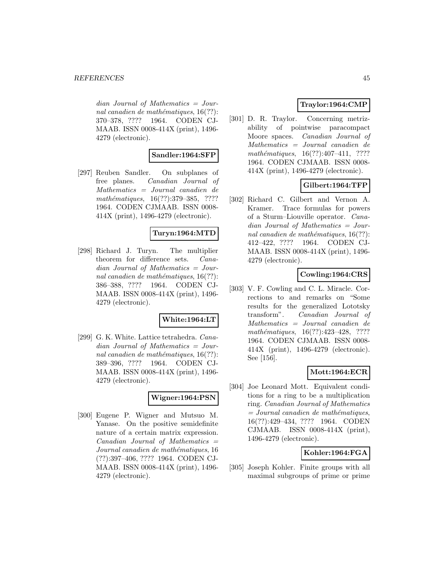$dian$  Journal of Mathematics = Journal canadien de mathématiques,  $16(??)$ : 370–378, ???? 1964. CODEN CJ-MAAB. ISSN 0008-414X (print), 1496- 4279 (electronic).

# **Sandler:1964:SFP**

[297] Reuben Sandler. On subplanes of free planes. Canadian Journal of Mathematics = Journal canadien de mathématiques,  $16(??):379-385$ , ???? 1964. CODEN CJMAAB. ISSN 0008- 414X (print), 1496-4279 (electronic).

#### **Turyn:1964:MTD**

[298] Richard J. Turyn. The multiplier theorem for difference sets. Canadian Journal of Mathematics = Journal canadien de mathématiques,  $16(??)$ : 386–388, ???? 1964. CODEN CJ-MAAB. ISSN 0008-414X (print), 1496- 4279 (electronic).

#### **White:1964:LT**

[299] G. K. White. Lattice tetrahedra. Canadian Journal of Mathematics = Journal canadien de mathématiques,  $16(??)$ : 389–396, ???? 1964. CODEN CJ-MAAB. ISSN 0008-414X (print), 1496- 4279 (electronic).

#### **Wigner:1964:PSN**

[300] Eugene P. Wigner and Mutsuo M. Yanase. On the positive semidefinite nature of a certain matrix expression.  $Canadian$  Journal of Mathematics  $=$ Journal canadien de mathématiques, 16 (??):397–406, ???? 1964. CODEN CJ-MAAB. ISSN 0008-414X (print), 1496- 4279 (electronic).

# **Traylor:1964:CMP**

[301] D. R. Traylor. Concerning metrizability of pointwise paracompact Moore spaces. Canadian Journal of Mathematics = Journal canadien de mathématiques,  $16(??):407-411$ , ???? 1964. CODEN CJMAAB. ISSN 0008- 414X (print), 1496-4279 (electronic).

# **Gilbert:1964:TFP**

[302] Richard C. Gilbert and Vernon A. Kramer. Trace formulas for powers of a Sturm–Liouville operator. Canadian Journal of Mathematics = Journal canadien de mathématiques,  $16(??)$ : 412–422, ???? 1964. CODEN CJ-MAAB. ISSN 0008-414X (print), 1496- 4279 (electronic).

# **Cowling:1964:CRS**

[303] V. F. Cowling and C. L. Miracle. Corrections to and remarks on "Some results for the generalized Lototsky transform". Canadian Journal of Mathematics = Journal canadien de mathématiques,  $16(??):423-428$ , ???? 1964. CODEN CJMAAB. ISSN 0008- 414X (print), 1496-4279 (electronic). See [156].

## **Mott:1964:ECR**

[304] Joe Leonard Mott. Equivalent conditions for a ring to be a multiplication ring. Canadian Journal of Mathematics  $= Journal\; can a dien\; de\; mathématiques,$ 16(??):429–434, ???? 1964. CODEN CJMAAB. ISSN 0008-414X (print), 1496-4279 (electronic).

## **Kohler:1964:FGA**

[305] Joseph Kohler. Finite groups with all maximal subgroups of prime or prime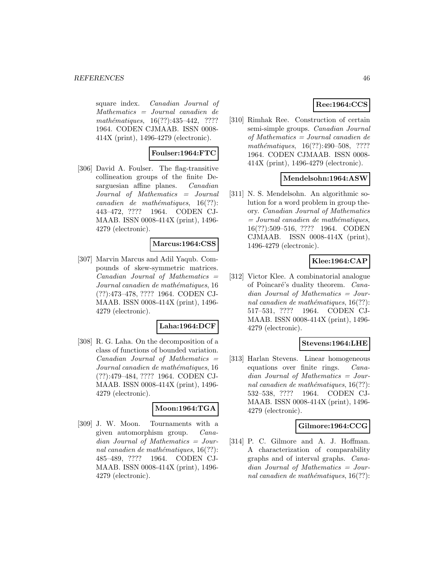square index. Canadian Journal of Mathematics = Journal canadien de  $mathématiques, 16(??): 435–442, ????$ 1964. CODEN CJMAAB. ISSN 0008- 414X (print), 1496-4279 (electronic).

#### **Foulser:1964:FTC**

[306] David A. Foulser. The flag-transitive collineation groups of the finite Desarguesian affine planes. Canadian Journal of Mathematics = Journal  $cana dien de mathématiques, 16(??):$ 443–472, ???? 1964. CODEN CJ-MAAB. ISSN 0008-414X (print), 1496- 4279 (electronic).

#### **Marcus:1964:CSS**

[307] Marvin Marcus and Adil Yaqub. Compounds of skew-symmetric matrices. Canadian Journal of Mathematics = Journal canadien de mathématiques, 16 (??):473–478, ???? 1964. CODEN CJ-MAAB. ISSN 0008-414X (print), 1496- 4279 (electronic).

#### **Laha:1964:DCF**

[308] R. G. Laha. On the decomposition of a class of functions of bounded variation.  $Canadian$  Journal of Mathematics  $=$ Journal canadien de mathématiques, 16 (??):479–484, ???? 1964. CODEN CJ-MAAB. ISSN 0008-414X (print), 1496- 4279 (electronic).

#### **Moon:1964:TGA**

[309] J. W. Moon. Tournaments with a given automorphism group. Canadian Journal of Mathematics = Journal canadien de mathématiques,  $16(??)$ : 485–489, ???? 1964. CODEN CJ-MAAB. ISSN 0008-414X (print), 1496- 4279 (electronic).

## **Ree:1964:CCS**

[310] Rimhak Ree. Construction of certain semi-simple groups. Canadian Journal of Mathematics = Journal canadien de mathématiques,  $16(??):490-508$ , ???? 1964. CODEN CJMAAB. ISSN 0008- 414X (print), 1496-4279 (electronic).

#### **Mendelsohn:1964:ASW**

[311] N. S. Mendelsohn. An algorithmic solution for a word problem in group theory. Canadian Journal of Mathematics  $=$  Journal canadien de mathématiques, 16(??):509–516, ???? 1964. CODEN CJMAAB. ISSN 0008-414X (print), 1496-4279 (electronic).

# **Klee:1964:CAP**

[312] Victor Klee. A combinatorial analogue of Poincaré's duality theorem. Canadian Journal of Mathematics = Journal canadien de mathématiques,  $16(??)$ : 517–531, ???? 1964. CODEN CJ-MAAB. ISSN 0008-414X (print), 1496- 4279 (electronic).

#### **Stevens:1964:LHE**

[313] Harlan Stevens. Linear homogeneous equations over finite rings. Canadian Journal of Mathematics = Journal canadien de mathématiques,  $16(??)$ : 532–538, ???? 1964. CODEN CJ-MAAB. ISSN 0008-414X (print), 1496- 4279 (electronic).

#### **Gilmore:1964:CCG**

[314] P. C. Gilmore and A. J. Hoffman. A characterization of comparability graphs and of interval graphs. Canadian Journal of Mathematics = Journal canadien de mathématiques,  $16(??)$ :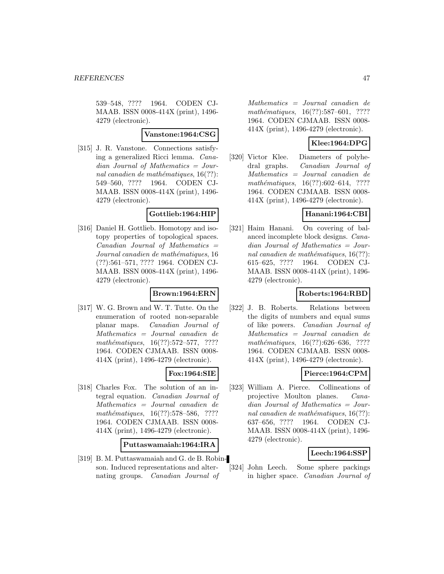539–548, ???? 1964. CODEN CJ-MAAB. ISSN 0008-414X (print), 1496- 4279 (electronic).

#### **Vanstone:1964:CSG**

[315] J. R. Vanstone. Connections satisfying a generalized Ricci lemma. Canadian Journal of Mathematics = Journal canadien de mathématiques,  $16(??)$ : 549–560, ???? 1964. CODEN CJ-MAAB. ISSN 0008-414X (print), 1496- 4279 (electronic).

#### **Gottlieb:1964:HIP**

[316] Daniel H. Gottlieb. Homotopy and isotopy properties of topological spaces.  $Canadian Journal of Mathematics =$ Journal canadien de mathématiques, 16 (??):561–571, ???? 1964. CODEN CJ-MAAB. ISSN 0008-414X (print), 1496- 4279 (electronic).

## **Brown:1964:ERN**

[317] W. G. Brown and W. T. Tutte. On the enumeration of rooted non-separable planar maps. Canadian Journal of Mathematics = Journal canadien de  $mathématiques, 16(??):572–577, ????$ 1964. CODEN CJMAAB. ISSN 0008- 414X (print), 1496-4279 (electronic).

## **Fox:1964:SIE**

[318] Charles Fox. The solution of an integral equation. Canadian Journal of Mathematics = Journal canadien de mathématiques, 16(??):578-586, ???? 1964. CODEN CJMAAB. ISSN 0008- 414X (print), 1496-4279 (electronic).

#### **Puttaswamaiah:1964:IRA**

[319] B. M. Puttaswamaiah and G. de B. Robinson. Induced representations and alternating groups. Canadian Journal of

Mathematics = Journal canadien de  $mathématiques, 16(??):587–601, ????$ 1964. CODEN CJMAAB. ISSN 0008- 414X (print), 1496-4279 (electronic).

# **Klee:1964:DPG**

[320] Victor Klee. Diameters of polyhedral graphs. Canadian Journal of Mathematics = Journal canadien de mathématiques,  $16(??):602-614$ , ???? 1964. CODEN CJMAAB. ISSN 0008- 414X (print), 1496-4279 (electronic).

#### **Hanani:1964:CBI**

[321] Haim Hanani. On covering of balanced incomplete block designs. Canadian Journal of Mathematics = Journal canadien de mathématiques,  $16(??)$ : 615–625, ???? 1964. CODEN CJ-MAAB. ISSN 0008-414X (print), 1496- 4279 (electronic).

# **Roberts:1964:RBD**

[322] J. B. Roberts. Relations between the digits of numbers and equal sums of like powers. Canadian Journal of Mathematics = Journal canadien de mathématiques, 16(??):626–636, ???? 1964. CODEN CJMAAB. ISSN 0008- 414X (print), 1496-4279 (electronic).

## **Pierce:1964:CPM**

[323] William A. Pierce. Collineations of projective Moulton planes. Canadian Journal of Mathematics = Journal canadien de mathématiques,  $16(??)$ : 637–656, ???? 1964. CODEN CJ-MAAB. ISSN 0008-414X (print), 1496- 4279 (electronic).

#### **Leech:1964:SSP**

[324] John Leech. Some sphere packings in higher space. Canadian Journal of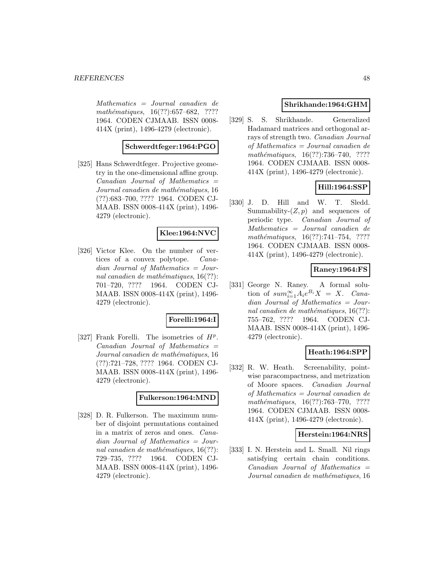Mathematics = Journal canadien de  $mathématiques, 16(??):657–682, ????$ 1964. CODEN CJMAAB. ISSN 0008- 414X (print), 1496-4279 (electronic).

# **Schwerdtfeger:1964:PGO**

[325] Hans Schwerdtfeger. Projective geometry in the one-dimensional affine group.  $Canadian$  Journal of Mathematics  $=$ Journal canadien de mathématiques, 16 (??):683–700, ???? 1964. CODEN CJ-MAAB. ISSN 0008-414X (print), 1496- 4279 (electronic).

#### **Klee:1964:NVC**

[326] Victor Klee. On the number of vertices of a convex polytope. Canadian Journal of Mathematics = Journal canadien de mathématiques,  $16(??)$ : 701–720, ???? 1964. CODEN CJ-MAAB. ISSN 0008-414X (print), 1496- 4279 (electronic).

## **Forelli:1964:I**

[327] Frank Forelli. The isometries of  $H^p$ .  $Canadian$  Journal of Mathematics  $=$ Journal canadien de mathématiques, 16 (??):721–728, ???? 1964. CODEN CJ-MAAB. ISSN 0008-414X (print), 1496- 4279 (electronic).

#### **Fulkerson:1964:MND**

[328] D. R. Fulkerson. The maximum number of disjoint permutations contained in a matrix of zeros and ones. Canadian Journal of Mathematics = Journal canadien de mathématiques,  $16(??)$ : 729–735, ???? 1964. CODEN CJ-MAAB. ISSN 0008-414X (print), 1496- 4279 (electronic).

### **Shrikhande:1964:GHM**

[329] S. S. Shrikhande. Generalized Hadamard matrices and orthogonal arrays of strength two. Canadian Journal of Mathematics = Journal canadien de mathématiques,  $16(??):736–740$ , ???? 1964. CODEN CJMAAB. ISSN 0008- 414X (print), 1496-4279 (electronic).

# **Hill:1964:SSP**

[330] J. D. Hill and W. T. Sledd. Summability- $(Z, p)$  and sequences of periodic type. Canadian Journal of Mathematics = Journal canadien de mathématiques,  $16(??):741-754$ , ???? 1964. CODEN CJMAAB. ISSN 0008- 414X (print), 1496-4279 (electronic).

## **Raney:1964:FS**

[331] George N. Raney. A formal solution of  $sum_{i=1}^{\infty} A_i e^{B_i} X = X$ . Canadian Journal of Mathematics = Journal canadien de mathématiques,  $16(??)$ : 755–762, ???? 1964. CODEN CJ-MAAB. ISSN 0008-414X (print), 1496- 4279 (electronic).

#### **Heath:1964:SPP**

[332] R. W. Heath. Screenability, pointwise paracompactness, and metrization of Moore spaces. Canadian Journal of Mathematics = Journal canadien de  $mathématiques, 16(??): 763–770, ????$ 1964. CODEN CJMAAB. ISSN 0008- 414X (print), 1496-4279 (electronic).

#### **Herstein:1964:NRS**

[333] I. N. Herstein and L. Small. Nil rings satisfying certain chain conditions.  $Canadian$  Journal of Mathematics  $=$ Journal canadien de mathématiques, 16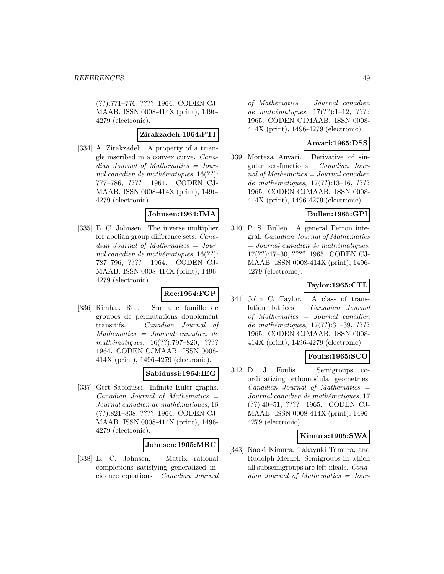(??):771–776, ???? 1964. CODEN CJ-MAAB. ISSN 0008-414X (print), 1496- 4279 (electronic).

#### **Zirakzadeh:1964:PTI**

[334] A. Zirakzadeh. A property of a triangle inscribed in a convex curve. Canadian Journal of Mathematics = Journal canadien de mathématiques,  $16(??)$ : 777–786, ???? 1964. CODEN CJ-MAAB. ISSN 0008-414X (print), 1496- 4279 (electronic).

#### **Johnsen:1964:IMA**

[335] E. C. Johnsen. The inverse multiplier for abelian group difference sets. Canadian Journal of Mathematics = Journal canadien de mathématiques,  $16(??)$ : 787–796, ???? 1964. CODEN CJ-MAAB. ISSN 0008-414X (print), 1496- 4279 (electronic).

#### **Ree:1964:FGP**

[336] Rimhak Ree. Sur une famille de groupes de permutations doublement transitifs. Canadian Journal of Mathematics = Journal canadien de  $mathématiques, 16(??):797–820, ????$ 1964. CODEN CJMAAB. ISSN 0008- 414X (print), 1496-4279 (electronic).

## **Sabidussi:1964:IEG**

[337] Gert Sabidussi. Infinite Euler graphs.  $Canadian$  Journal of Mathematics  $=$ Journal canadien de mathématiques, 16 (??):821–838, ???? 1964. CODEN CJ-MAAB. ISSN 0008-414X (print), 1496- 4279 (electronic).

#### **Johnsen:1965:MRC**

[338] E. C. Johnsen. Matrix rational completions satisfying generalized incidence equations. Canadian Journal

of Mathematics = Journal canadien de mathématiques,  $17(??):1-12$ , ???? 1965. CODEN CJMAAB. ISSN 0008- 414X (print), 1496-4279 (electronic).

## **Anvari:1965:DSS**

[339] Morteza Anvari. Derivative of singular set-functions. Canadian Journal of Mathematics  $=$  Journal canadien de mathématiques,  $17(??):13-16, ????$ 1965. CODEN CJMAAB. ISSN 0008- 414X (print), 1496-4279 (electronic).

## **Bullen:1965:GPI**

[340] P. S. Bullen. A general Perron integral. Canadian Journal of Mathematics  $= Journal\; candidate\; the\; mathématiques,$ 17(??):17–30, ???? 1965. CODEN CJ-MAAB. ISSN 0008-414X (print), 1496- 4279 (electronic).

## **Taylor:1965:CTL**

[341] John C. Taylor. A class of translation lattices. Canadian Journal of Mathematics = Journal canadien de mathématiques,  $17(??):31-39, ????$ 1965. CODEN CJMAAB. ISSN 0008- 414X (print), 1496-4279 (electronic).

## **Foulis:1965:SCO**

[342] D. J. Foulis. Semigroups coordinatizing orthomodular geometries.  $Canadian$  Journal of Mathematics  $=$ Journal canadien de mathématiques, 17 (??):40–51, ???? 1965. CODEN CJ-MAAB. ISSN 0008-414X (print), 1496- 4279 (electronic).

#### **Kimura:1965:SWA**

[343] Naoki Kimura, Takayuki Tamura, and Rudolph Merkel. Semigroups in which all subsemigroups are left ideals. Canadian Journal of Mathematics = Jour-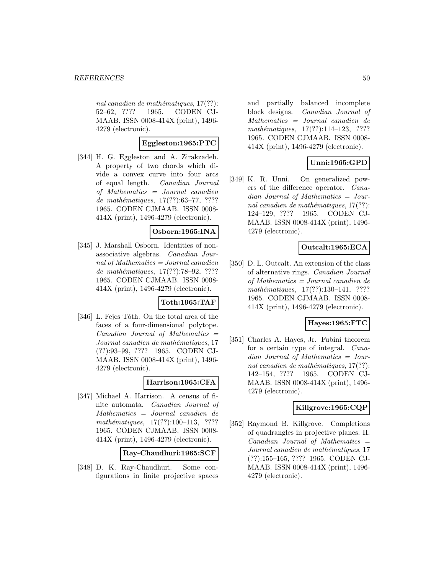nal canadien de mathématiques,  $17(??)$ : 52–62, ???? 1965. CODEN CJ-MAAB. ISSN 0008-414X (print), 1496- 4279 (electronic).

## **Eggleston:1965:PTC**

[344] H. G. Eggleston and A. Zirakzadeh. A property of two chords which divide a convex curve into four arcs of equal length. Canadian Journal of Mathematics = Journal canadien de mathématiques,  $17(??):63-77, ????$ 1965. CODEN CJMAAB. ISSN 0008- 414X (print), 1496-4279 (electronic).

#### **Osborn:1965:INA**

[345] J. Marshall Osborn. Identities of nonassociative algebras. Canadian Journal of Mathematics = Journal canadien de mathématiques,  $17(??):78-92, ????$ 1965. CODEN CJMAAB. ISSN 0008- 414X (print), 1496-4279 (electronic).

### **Toth:1965:TAF**

[346] L. Fejes Tóth. On the total area of the faces of a four-dimensional polytope.  $Canadian$  Journal of Mathematics  $=$ Journal canadien de mathématiques, 17 (??):93–99, ???? 1965. CODEN CJ-MAAB. ISSN 0008-414X (print), 1496- 4279 (electronic).

## **Harrison:1965:CFA**

[347] Michael A. Harrison. A census of finite automata. Canadian Journal of Mathematics = Journal canadien de mathématiques,  $17(??):100-113$ , ???? 1965. CODEN CJMAAB. ISSN 0008- 414X (print), 1496-4279 (electronic).

| Ray-Chaudhuri:1965:SCF |
|------------------------|
|------------------------|

[348] D. K. Ray-Chaudhuri. Some configurations in finite projective spaces

and partially balanced incomplete block designs. Canadian Journal of Mathematics = Journal canadien de  $mathématiques, 17(??):114–123, ????$ 1965. CODEN CJMAAB. ISSN 0008- 414X (print), 1496-4279 (electronic).

# **Unni:1965:GPD**

[349] K. R. Unni. On generalized powers of the difference operator. Canadian Journal of Mathematics = Journal canadien de mathématiques,  $17(??)$ : 124–129, ???? 1965. CODEN CJ-MAAB. ISSN 0008-414X (print), 1496- 4279 (electronic).

# **Outcalt:1965:ECA**

[350] D. L. Outcalt. An extension of the class of alternative rings. Canadian Journal of Mathematics = Journal canadien de mathématiques,  $17(??):130-141$ , ???? 1965. CODEN CJMAAB. ISSN 0008- 414X (print), 1496-4279 (electronic).

# **Hayes:1965:FTC**

[351] Charles A. Hayes, Jr. Fubini theorem for a certain type of integral. Canadian Journal of Mathematics = Journal canadien de mathématiques,  $17(??)$ : 142–154, ???? 1965. CODEN CJ-MAAB. ISSN 0008-414X (print), 1496- 4279 (electronic).

## **Killgrove:1965:CQP**

[352] Raymond B. Killgrove. Completions of quadrangles in projective planes. II.  $Canadian$  Journal of Mathematics  $=$ Journal canadien de mathématiques, 17 (??):155–165, ???? 1965. CODEN CJ-MAAB. ISSN 0008-414X (print), 1496- 4279 (electronic).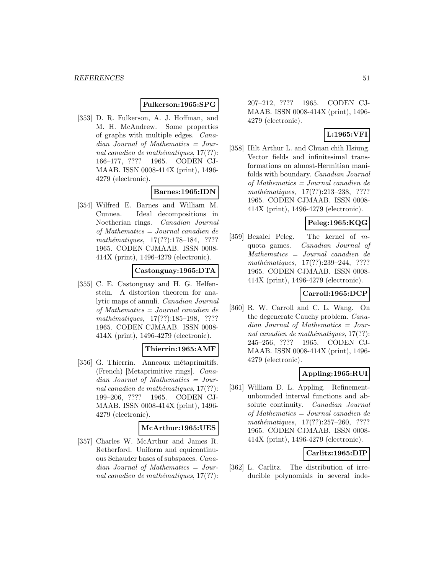#### **Fulkerson:1965:SPG**

[353] D. R. Fulkerson, A. J. Hoffman, and M. H. McAndrew. Some properties of graphs with multiple edges. Canadian Journal of Mathematics = Journal canadien de mathématiques,  $17(??)$ : 166–177, ???? 1965. CODEN CJ-MAAB. ISSN 0008-414X (print), 1496- 4279 (electronic).

# **Barnes:1965:IDN**

[354] Wilfred E. Barnes and William M. Cunnea. Ideal decompositions in Noetherian rings. Canadian Journal of Mathematics = Journal canadien de mathématiques, 17(??):178-184, ???? 1965. CODEN CJMAAB. ISSN 0008- 414X (print), 1496-4279 (electronic).

#### **Castonguay:1965:DTA**

[355] C. E. Castonguay and H. G. Helfenstein. A distortion theorem for analytic maps of annuli. Canadian Journal of Mathematics = Journal canadien de mathématiques, 17(??):185-198, ???? 1965. CODEN CJMAAB. ISSN 0008- 414X (print), 1496-4279 (electronic).

## **Thierrin:1965:AMF**

[356] G. Thierrin. Anneaux métaprimitifs. (French) [Metaprimitive rings]. Cana $dian$  Journal of Mathematics = Journal canadien de mathématiques,  $17(??)$ : 199–206, ???? 1965. CODEN CJ-MAAB. ISSN 0008-414X (print), 1496- 4279 (electronic).

#### **McArthur:1965:UES**

[357] Charles W. McArthur and James R. Retherford. Uniform and equicontinuous Schauder bases of subspaces. Canadian Journal of Mathematics = Journal canadien de mathématiques,  $17(??)$ : 207–212, ???? 1965. CODEN CJ-MAAB. ISSN 0008-414X (print), 1496- 4279 (electronic).

## **L:1965:VFI**

[358] Hilt Arthur L. and Chuan chih Hsiung. Vector fields and infinitesimal transformations on almost-Hermitian manifolds with boundary. Canadian Journal of Mathematics = Journal canadien de mathématiques,  $17(??):213-238$ , ???? 1965. CODEN CJMAAB. ISSN 0008- 414X (print), 1496-4279 (electronic).

# **Peleg:1965:KQG**

[359] Bezalel Peleg. The kernel of mquota games. Canadian Journal of Mathematics = Journal canadien de  $mathématiques, 17(??):239-244, ????$ 1965. CODEN CJMAAB. ISSN 0008- 414X (print), 1496-4279 (electronic).

## **Carroll:1965:DCP**

[360] R. W. Carroll and C. L. Wang. On the degenerate Cauchy problem. Canadian Journal of Mathematics = Journal canadien de mathématiques,  $17(??)$ : 245–256, ???? 1965. CODEN CJ-MAAB. ISSN 0008-414X (print), 1496- 4279 (electronic).

## **Appling:1965:RUI**

[361] William D. L. Appling. Refinementunbounded interval functions and absolute continuity. Canadian Journal of Mathematics = Journal canadien de mathématiques,  $17(??):257-260$ , ???? 1965. CODEN CJMAAB. ISSN 0008- 414X (print), 1496-4279 (electronic).

#### **Carlitz:1965:DIP**

[362] L. Carlitz. The distribution of irreducible polynomials in several inde-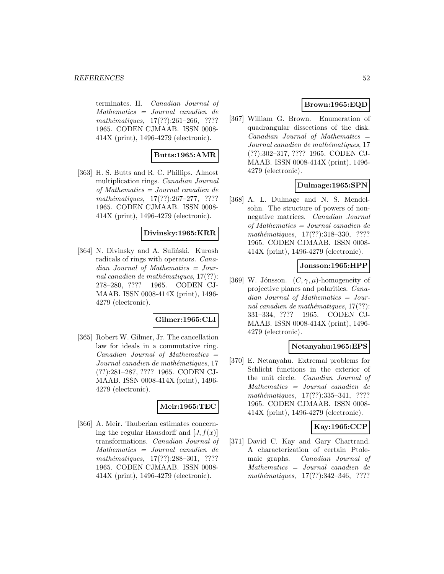terminates. II. Canadian Journal of Mathematics = Journal canadien de mathématiques,  $17(??):261-266$ , ???? 1965. CODEN CJMAAB. ISSN 0008- 414X (print), 1496-4279 (electronic).

## **Butts:1965:AMR**

[363] H. S. Butts and R. C. Phillips. Almost multiplication rings. Canadian Journal of Mathematics = Journal canadien de  $mathématiques, 17(??): 267-277, ????$ 1965. CODEN CJMAAB. ISSN 0008- 414X (print), 1496-4279 (electronic).

#### **Divinsky:1965:KRR**

[364] N. Divinsky and A. Suliński. Kurosh radicals of rings with operators. Canadian Journal of Mathematics = Journal canadien de mathématiques,  $17(??)$ : 278–280, ???? 1965. CODEN CJ-MAAB. ISSN 0008-414X (print), 1496- 4279 (electronic).

## **Gilmer:1965:CLI**

[365] Robert W. Gilmer, Jr. The cancellation law for ideals in a commutative ring.  $Canadian$  Journal of Mathematics  $=$ Journal canadien de mathématiques, 17 (??):281–287, ???? 1965. CODEN CJ-MAAB. ISSN 0008-414X (print), 1496- 4279 (electronic).

## **Meir:1965:TEC**

[366] A. Meir. Tauberian estimates concerning the regular Hausdorff and  $[J, f(x)]$ transformations. Canadian Journal of Mathematics = Journal canadien de  $mathématiques, 17(??):288-301, ????$ 1965. CODEN CJMAAB. ISSN 0008- 414X (print), 1496-4279 (electronic).

## **Brown:1965:EQD**

[367] William G. Brown. Enumeration of quadrangular dissections of the disk.  $Canadian$  Journal of Mathematics  $=$ Journal canadien de mathématiques, 17 (??):302–317, ???? 1965. CODEN CJ-MAAB. ISSN 0008-414X (print), 1496- 4279 (electronic).

#### **Dulmage:1965:SPN**

[368] A. L. Dulmage and N. S. Mendelsohn. The structure of powers of nonnegative matrices. Canadian Journal of Mathematics = Journal canadien de mathématiques, 17(??):318-330, ???? 1965. CODEN CJMAAB. ISSN 0008- 414X (print), 1496-4279 (electronic).

#### **Jonsson:1965:HPP**

[369] W. Jónsson.  $(C, \gamma, \mu)$ -homogeneity of projective planes and polarities. Canadian Journal of Mathematics = Journal canadien de mathématiques,  $17(??)$ : 331–334, ???? 1965. CODEN CJ-MAAB. ISSN 0008-414X (print), 1496- 4279 (electronic).

#### **Netanyahu:1965:EPS**

[370] E. Netanyahu. Extremal problems for Schlicht functions in the exterior of the unit circle. Canadian Journal of Mathematics = Journal canadien de mathématiques,  $17(??):335-341$ , ???? 1965. CODEN CJMAAB. ISSN 0008- 414X (print), 1496-4279 (electronic).

## **Kay:1965:CCP**

[371] David C. Kay and Gary Chartrand. A characterization of certain Ptolemaic graphs. Canadian Journal of Mathematics = Journal canadien de mathématiques,  $17(??):342-346$ , ????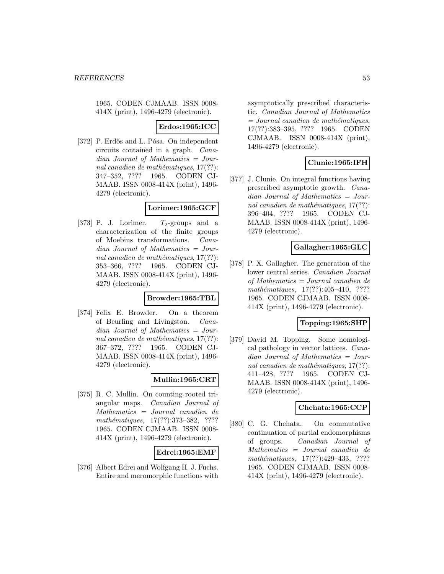1965. CODEN CJMAAB. ISSN 0008- 414X (print), 1496-4279 (electronic).

### **Erdos:1965:ICC**

[372] P. Erdős and L. Pósa. On independent circuits contained in a graph. Canadian Journal of Mathematics = Journal canadien de mathématiques,  $17(??)$ : 347–352, ???? 1965. CODEN CJ-MAAB. ISSN 0008-414X (print), 1496- 4279 (electronic).

#### **Lorimer:1965:GCF**

[373] P. J. Lorimer.  $T_2$ -groups and a characterization of the finite groups of Moebius transformations. Canadian Journal of Mathematics = Journal canadien de mathématiques,  $17(??)$ : 353–366, ???? 1965. CODEN CJ-MAAB. ISSN 0008-414X (print), 1496- 4279 (electronic).

#### **Browder:1965:TBL**

[374] Felix E. Browder. On a theorem of Beurling and Livingston. Canadian Journal of Mathematics = Journal canadien de mathématiques,  $17(??)$ : 367–372, ???? 1965. CODEN CJ-MAAB. ISSN 0008-414X (print), 1496- 4279 (electronic).

# **Mullin:1965:CRT**

[375] R. C. Mullin. On counting rooted triangular maps. Canadian Journal of Mathematics = Journal canadien de mathématiques, 17(??):373-382, ???? 1965. CODEN CJMAAB. ISSN 0008- 414X (print), 1496-4279 (electronic).

## **Edrei:1965:EMF**

[376] Albert Edrei and Wolfgang H. J. Fuchs. Entire and meromorphic functions with

asymptotically prescribed characteristic. Canadian Journal of Mathematics  $=$  Journal canadien de mathématiques, 17(??):383–395, ???? 1965. CODEN CJMAAB. ISSN 0008-414X (print), 1496-4279 (electronic).

# **Clunie:1965:IFH**

[377] J. Clunie. On integral functions having prescribed asymptotic growth. Canadian Journal of Mathematics = Journal canadien de mathématiques,  $17(??)$ : 396–404, ???? 1965. CODEN CJ-MAAB. ISSN 0008-414X (print), 1496- 4279 (electronic).

## **Gallagher:1965:GLC**

[378] P. X. Gallagher. The generation of the lower central series. Canadian Journal of Mathematics = Journal canadien de mathématiques,  $17(??):405-410$ , ???? 1965. CODEN CJMAAB. ISSN 0008- 414X (print), 1496-4279 (electronic).

#### **Topping:1965:SHP**

[379] David M. Topping. Some homological pathology in vector lattices. Canadian Journal of Mathematics = Journal canadien de mathématiques,  $17(??)$ : 411–428, ???? 1965. CODEN CJ-MAAB. ISSN 0008-414X (print), 1496- 4279 (electronic).

#### **Chehata:1965:CCP**

[380] C. G. Chehata. On commutative continuation of partial endomorphisms of groups. Canadian Journal of Mathematics = Journal canadien de mathématiques, 17(??):429-433, ???? 1965. CODEN CJMAAB. ISSN 0008- 414X (print), 1496-4279 (electronic).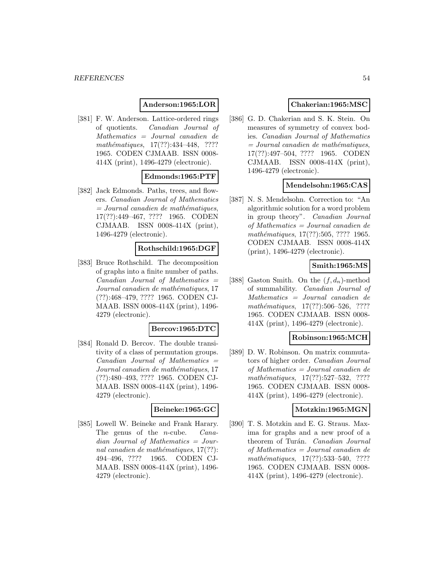## **Anderson:1965:LOR**

[381] F. W. Anderson. Lattice-ordered rings of quotients. Canadian Journal of Mathematics = Journal canadien de mathématiques,  $17(??):434-448$ , ???? 1965. CODEN CJMAAB. ISSN 0008- 414X (print), 1496-4279 (electronic).

## **Edmonds:1965:PTF**

[382] Jack Edmonds. Paths, trees, and flowers. Canadian Journal of Mathematics  $= Journal\; can a dien\; de\; mathématiques,$ 17(??):449–467, ???? 1965. CODEN CJMAAB. ISSN 0008-414X (print), 1496-4279 (electronic).

#### **Rothschild:1965:DGF**

[383] Bruce Rothschild. The decomposition of graphs into a finite number of paths.  $Canadian$  Journal of Mathematics  $=$ Journal canadien de mathématiques, 17 (??):468–479, ???? 1965. CODEN CJ-MAAB. ISSN 0008-414X (print), 1496- 4279 (electronic).

#### **Bercov:1965:DTC**

[384] Ronald D. Bercov. The double transitivity of a class of permutation groups.  $Canadian$  Journal of Mathematics  $=$ Journal canadien de mathématiques, 17 (??):480–493, ???? 1965. CODEN CJ-MAAB. ISSN 0008-414X (print), 1496- 4279 (electronic).

#### **Beineke:1965:GC**

[385] Lowell W. Beineke and Frank Harary. The genus of the n-cube. Canadian Journal of Mathematics = Journal canadien de mathématiques,  $17(??)$ : 494–496, ???? 1965. CODEN CJ-MAAB. ISSN 0008-414X (print), 1496- 4279 (electronic).

### **Chakerian:1965:MSC**

[386] G. D. Chakerian and S. K. Stein. On measures of symmetry of convex bodies. Canadian Journal of Mathematics  $=$  Journal canadien de mathématiques, 17(??):497–504, ???? 1965. CODEN CJMAAB. ISSN 0008-414X (print), 1496-4279 (electronic).

#### **Mendelsohn:1965:CAS**

[387] N. S. Mendelsohn. Correction to: "An algorithmic solution for a word problem in group theory". Canadian Journal of Mathematics = Journal canadien de mathématiques, 17(??):505, ???? 1965. CODEN CJMAAB. ISSN 0008-414X (print), 1496-4279 (electronic).

## **Smith:1965:MS**

[388] Gaston Smith. On the  $(f, d_n)$ -method of summability. Canadian Journal of Mathematics = Journal canadien de mathématiques,  $17(??):506-526$ , ???? 1965. CODEN CJMAAB. ISSN 0008- 414X (print), 1496-4279 (electronic).

#### **Robinson:1965:MCH**

[389] D. W. Robinson. On matrix commutators of higher order. Canadian Journal of Mathematics = Journal canadien de  $mathématiques, 17(??):527–532, ????$ 1965. CODEN CJMAAB. ISSN 0008- 414X (print), 1496-4279 (electronic).

#### **Motzkin:1965:MGN**

[390] T. S. Motzkin and E. G. Straus. Maxima for graphs and a new proof of a theorem of Turán. Canadian Journal of Mathematics = Journal canadien de  $mathématiques, 17(??): 533–540, ????$ 1965. CODEN CJMAAB. ISSN 0008- 414X (print), 1496-4279 (electronic).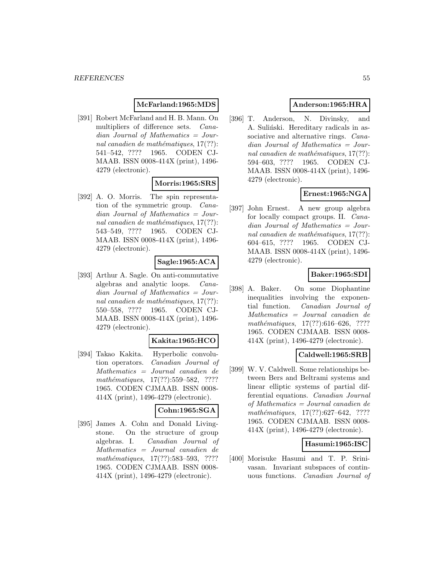# **McFarland:1965:MDS**

[391] Robert McFarland and H. B. Mann. On multipliers of difference sets. Canadian Journal of Mathematics = Journal canadien de mathématiques,  $17(??)$ : 541–542, ???? 1965. CODEN CJ-MAAB. ISSN 0008-414X (print), 1496- 4279 (electronic).

# **Morris:1965:SRS**

[392] A. O. Morris. The spin representation of the symmetric group. Canadian Journal of Mathematics = Journal canadien de mathématiques,  $17(??)$ : 543–549, ???? 1965. CODEN CJ-MAAB. ISSN 0008-414X (print), 1496- 4279 (electronic).

# **Sagle:1965:ACA**

[393] Arthur A. Sagle. On anti-commutative algebras and analytic loops. Canadian Journal of Mathematics = Journal canadien de mathématiques,  $17(??)$ : 550–558, ???? 1965. CODEN CJ-MAAB. ISSN 0008-414X (print), 1496- 4279 (electronic).

#### **Kakita:1965:HCO**

[394] Takao Kakita. Hyperbolic convolution operators. Canadian Journal of Mathematics = Journal canadien de mathématiques, 17(??):559–582, ???? 1965. CODEN CJMAAB. ISSN 0008- 414X (print), 1496-4279 (electronic).

#### **Cohn:1965:SGA**

[395] James A. Cohn and Donald Livingstone. On the structure of group algebras. I. Canadian Journal of Mathematics = Journal canadien de mathématiques, 17(??):583-593, ???? 1965. CODEN CJMAAB. ISSN 0008- 414X (print), 1496-4279 (electronic).

# **Anderson:1965:HRA**

[396] T. Anderson, N. Divinsky, and A. Suliński. Hereditary radicals in associative and alternative rings. *Cana*dian Journal of Mathematics = Journal canadien de mathématiques,  $17(??)$ : 594–603, ???? 1965. CODEN CJ-MAAB. ISSN 0008-414X (print), 1496- 4279 (electronic).

# **Ernest:1965:NGA**

[397] John Ernest. A new group algebra for locally compact groups. II. Canadian Journal of Mathematics = Journal canadien de mathématiques,  $17(??)$ : 604–615, ???? 1965. CODEN CJ-MAAB. ISSN 0008-414X (print), 1496- 4279 (electronic).

## **Baker:1965:SDI**

[398] A. Baker. On some Diophantine inequalities involving the exponential function. Canadian Journal of Mathematics = Journal canadien de mathématiques,  $17(??):616-626$ , ???? 1965. CODEN CJMAAB. ISSN 0008- 414X (print), 1496-4279 (electronic).

## **Caldwell:1965:SRB**

[399] W. V. Caldwell. Some relationships between Bers and Beltrami systems and linear elliptic systems of partial differential equations. Canadian Journal of Mathematics = Journal canadien de  $mathématiques, 17(??):627–642, ????$ 1965. CODEN CJMAAB. ISSN 0008- 414X (print), 1496-4279 (electronic).

#### **Hasumi:1965:ISC**

[400] Morisuke Hasumi and T. P. Srinivasan. Invariant subspaces of continuous functions. Canadian Journal of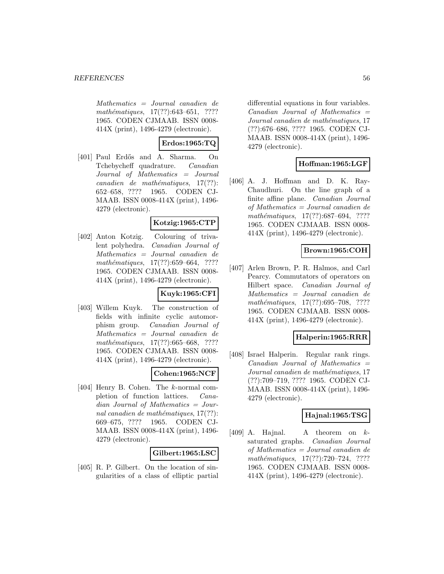Mathematics = Journal canadien de mathématiques,  $17(??):643–651$ , ???? 1965. CODEN CJMAAB. ISSN 0008- 414X (print), 1496-4279 (electronic).

**Erdos:1965:TQ**

[401] Paul Erdős and A. Sharma. On Tchebycheff quadrature. Canadian Journal of Mathematics = Journal  $cana dien de mathématiques, 17(??):$ 652–658, ???? 1965. CODEN CJ-MAAB. ISSN 0008-414X (print), 1496- 4279 (electronic).

## **Kotzig:1965:CTP**

[402] Anton Kotzig. Colouring of trivalent polyhedra. Canadian Journal of Mathematics = Journal canadien de  $mathématiques, 17(??):659–664, ????$ 1965. CODEN CJMAAB. ISSN 0008- 414X (print), 1496-4279 (electronic).

## **Kuyk:1965:CFI**

[403] Willem Kuyk. The construction of fields with infinite cyclic automorphism group. Canadian Journal of Mathematics = Journal canadien de mathématiques,  $17(??):665–668$ , ???? 1965. CODEN CJMAAB. ISSN 0008- 414X (print), 1496-4279 (electronic).

## **Cohen:1965:NCF**

[404] Henry B. Cohen. The k-normal completion of function lattices. Canadian Journal of Mathematics = Journal canadien de mathématiques,  $17(??)$ : 669–675, ???? 1965. CODEN CJ-MAAB. ISSN 0008-414X (print), 1496- 4279 (electronic).

## **Gilbert:1965:LSC**

[405] R. P. Gilbert. On the location of singularities of a class of elliptic partial differential equations in four variables.  $Canadian$  Journal of Mathematics  $=$ Journal canadien de mathématiques, 17 (??):676–686, ???? 1965. CODEN CJ-MAAB. ISSN 0008-414X (print), 1496- 4279 (electronic).

# **Hoffman:1965:LGF**

[406] A. J. Hoffman and D. K. Ray-Chaudhuri. On the line graph of a finite affine plane. Canadian Journal of Mathematics = Journal canadien de mathématiques,  $17(??):687-694$ , ???? 1965. CODEN CJMAAB. ISSN 0008- 414X (print), 1496-4279 (electronic).

# **Brown:1965:COH**

[407] Arlen Brown, P. R. Halmos, and Carl Pearcy. Commutators of operators on Hilbert space. Canadian Journal of Mathematics = Journal canadien de  $mathématiques, 17(??):695–708, ????$ 1965. CODEN CJMAAB. ISSN 0008- 414X (print), 1496-4279 (electronic).

## **Halperin:1965:RRR**

[408] Israel Halperin. Regular rank rings.  $Canadian$  Journal of Mathematics  $=$ Journal canadien de mathématiques, 17 (??):709–719, ???? 1965. CODEN CJ-MAAB. ISSN 0008-414X (print), 1496- 4279 (electronic).

## **Hajnal:1965:TSG**

 $[409]$  A. Hajnal. A theorem on  $k$ saturated graphs. Canadian Journal of Mathematics = Journal canadien de  $mathématiques, 17(??):720–724, ????$ 1965. CODEN CJMAAB. ISSN 0008- 414X (print), 1496-4279 (electronic).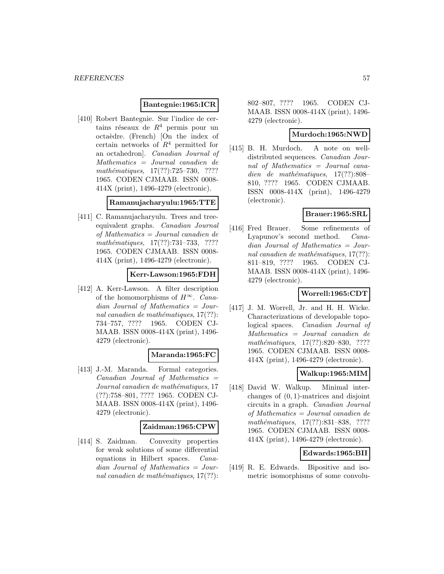#### **Bantegnie:1965:ICR**

[410] Robert Bantegnie. Sur l'indice de certains réseaux de  $R^4$  permis pour un octaèdre. (French) [On the index of certain networks of  $R^4$  permitted for an octahedron]. Canadian Journal of Mathematics = Journal canadien de  $mathématiques, 17(??):725–730, ????$ 1965. CODEN CJMAAB. ISSN 0008- 414X (print), 1496-4279 (electronic).

#### **Ramanujacharyulu:1965:TTE**

[411] C. Ramanujacharyulu. Trees and treeequivalent graphs. Canadian Journal of Mathematics = Journal canadien de mathématiques, 17(??):731–733, ???? 1965. CODEN CJMAAB. ISSN 0008- 414X (print), 1496-4279 (electronic).

## **Kerr-Lawson:1965:FDH**

[412] A. Kerr-Lawson. A filter description of the homomorphisms of  $H^{\infty}$ . Cana $dian$  Journal of Mathematics = Journal canadien de mathématiques,  $17(??)$ : 734–757, ???? 1965. CODEN CJ-MAAB. ISSN 0008-414X (print), 1496- 4279 (electronic).

#### **Maranda:1965:FC**

[413] J.-M. Maranda. Formal categories.  $Canadian$  Journal of Mathematics  $=$ Journal canadien de mathématiques, 17 (??):758–801, ???? 1965. CODEN CJ-MAAB. ISSN 0008-414X (print), 1496- 4279 (electronic).

#### **Zaidman:1965:CPW**

[414] S. Zaidman. Convexity properties for weak solutions of some differential equations in Hilbert spaces. Canadian Journal of Mathematics = Journal canadien de mathématiques,  $17(??)$ : 802–807, ???? 1965. CODEN CJ-MAAB. ISSN 0008-414X (print), 1496- 4279 (electronic).

#### **Murdoch:1965:NWD**

[415] B. H. Murdoch. A note on welldistributed sequences. Canadian Journal of Mathematics = Journal canadien de mathématiques,  $17(??):808-$ 810, ???? 1965. CODEN CJMAAB. ISSN 0008-414X (print), 1496-4279 (electronic).

#### **Brauer:1965:SRL**

[416] Fred Brauer. Some refinements of Lyapunov's second method. Canadian Journal of Mathematics = Journal canadien de mathématiques,  $17(??)$ : 811–819, ???? 1965. CODEN CJ-MAAB. ISSN 0008-414X (print), 1496- 4279 (electronic).

## **Worrell:1965:CDT**

[417] J. M. Worrell, Jr. and H. H. Wicke. Characterizations of developable topological spaces. Canadian Journal of Mathematics = Journal canadien de mathématiques, 17(??):820–830, ???? 1965. CODEN CJMAAB. ISSN 0008- 414X (print), 1496-4279 (electronic).

#### **Walkup:1965:MIM**

[418] David W. Walkup. Minimal interchanges of (0, 1)-matrices and disjoint circuits in a graph. Canadian Journal of Mathematics = Journal canadien de mathématiques, 17(??):831–838, ???? 1965. CODEN CJMAAB. ISSN 0008- 414X (print), 1496-4279 (electronic).

#### **Edwards:1965:BII**

[419] R. E. Edwards. Bipositive and isometric isomorphisms of some convolu-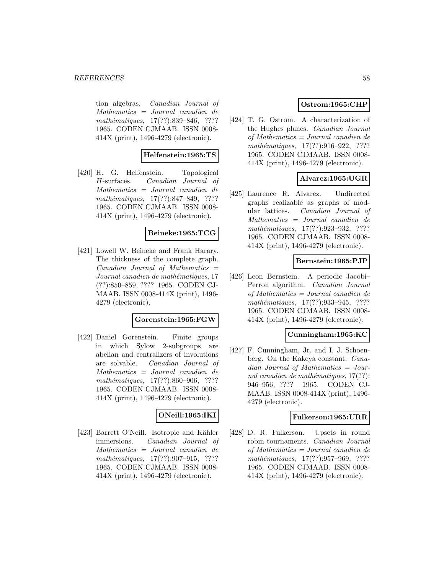tion algebras. Canadian Journal of Mathematics = Journal canadien de mathématiques, 17(??):839–846, ???? 1965. CODEN CJMAAB. ISSN 0008- 414X (print), 1496-4279 (electronic).

## **Helfenstein:1965:TS**

[420] H. G. Helfenstein. Topological H-surfaces. Canadian Journal of Mathematics = Journal canadien de mathématiques,  $17(??):847–849$ , ???? 1965. CODEN CJMAAB. ISSN 0008- 414X (print), 1496-4279 (electronic).

#### **Beineke:1965:TCG**

[421] Lowell W. Beineke and Frank Harary. The thickness of the complete graph.  $Canadian$  Journal of Mathematics  $=$ Journal canadien de mathématiques, 17 (??):850–859, ???? 1965. CODEN CJ-MAAB. ISSN 0008-414X (print), 1496- 4279 (electronic).

#### **Gorenstein:1965:FGW**

[422] Daniel Gorenstein. Finite groups in which Sylow 2-subgroups are abelian and centralizers of involutions are solvable. Canadian Journal of Mathematics = Journal canadien de mathématiques,  $17(??)$ :860–906, ???? 1965. CODEN CJMAAB. ISSN 0008- 414X (print), 1496-4279 (electronic).

# **ONeill:1965:IKI**

[423] Barrett O'Neill. Isotropic and Kähler immersions. Canadian Journal of Mathematics = Journal canadien de  $mathématiques, 17(??): 907-915, ????$ 1965. CODEN CJMAAB. ISSN 0008- 414X (print), 1496-4279 (electronic).

# **Ostrom:1965:CHP**

[424] T. G. Ostrom. A characterization of the Hughes planes. Canadian Journal of Mathematics = Journal canadien de mathématiques,  $17(??):916-922$ , ???? 1965. CODEN CJMAAB. ISSN 0008- 414X (print), 1496-4279 (electronic).

## **Alvarez:1965:UGR**

[425] Laurence R. Alvarez. Undirected graphs realizable as graphs of modular lattices. Canadian Journal of Mathematics = Journal canadien de mathématiques, 17(??):923-932, ???? 1965. CODEN CJMAAB. ISSN 0008- 414X (print), 1496-4279 (electronic).

#### **Bernstein:1965:PJP**

[426] Leon Bernstein. A periodic Jacobi– Perron algorithm. Canadian Journal of Mathematics = Journal canadien de mathématiques, 17(??):933-945, ???? 1965. CODEN CJMAAB. ISSN 0008- 414X (print), 1496-4279 (electronic).

#### **Cunningham:1965:KC**

[427] F. Cunningham, Jr. and I. J. Schoenberg. On the Kakeya constant. Canadian Journal of Mathematics = Journal canadien de mathématiques,  $17(??)$ : 946–956, ???? 1965. CODEN CJ-MAAB. ISSN 0008-414X (print), 1496- 4279 (electronic).

#### **Fulkerson:1965:URR**

[428] D. R. Fulkerson. Upsets in round robin tournaments. Canadian Journal of Mathematics = Journal canadien de mathématiques, 17(??):957-969, ???? 1965. CODEN CJMAAB. ISSN 0008- 414X (print), 1496-4279 (electronic).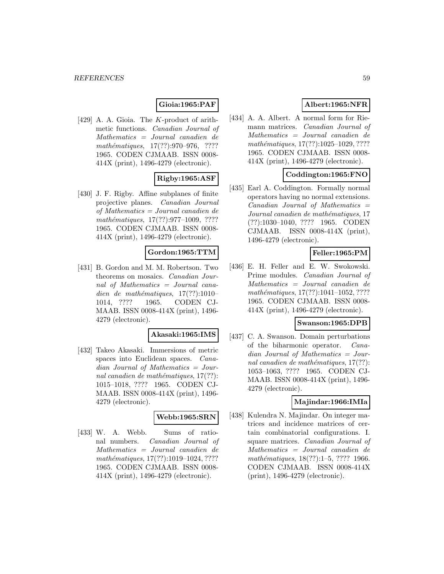## **Gioia:1965:PAF**

[429] A. A. Gioia. The K-product of arithmetic functions. Canadian Journal of Mathematics = Journal canadien de mathématiques,  $17(??):970-976$ , ???? 1965. CODEN CJMAAB. ISSN 0008- 414X (print), 1496-4279 (electronic).

## **Rigby:1965:ASF**

[430] J. F. Rigby. Affine subplanes of finite projective planes. Canadian Journal of Mathematics = Journal canadien de mathématiques,  $17(??):977-1009$ , ???? 1965. CODEN CJMAAB. ISSN 0008- 414X (print), 1496-4279 (electronic).

## **Gordon:1965:TTM**

[431] B. Gordon and M. M. Robertson. Two theorems on mosaics. Canadian Journal of Mathematics = Journal canadien de mathématiques,  $17(??):1010-$ 1014, ???? 1965. CODEN CJ-MAAB. ISSN 0008-414X (print), 1496- 4279 (electronic).

#### **Akasaki:1965:IMS**

[432] Takeo Akasaki. Immersions of metric spaces into Euclidean spaces. Canadian Journal of Mathematics = Journal canadien de mathématiques,  $17(??)$ : 1015–1018, ???? 1965. CODEN CJ-MAAB. ISSN 0008-414X (print), 1496- 4279 (electronic).

## **Webb:1965:SRN**

[433] W. A. Webb. Sums of rational numbers. Canadian Journal of Mathematics = Journal canadien de mathématiques, 17(??):1019-1024, ???? 1965. CODEN CJMAAB. ISSN 0008- 414X (print), 1496-4279 (electronic).

# **Albert:1965:NFR**

[434] A. A. Albert. A normal form for Riemann matrices. Canadian Journal of Mathematics = Journal canadien de mathématiques, 17(??):1025-1029, ???? 1965. CODEN CJMAAB. ISSN 0008- 414X (print), 1496-4279 (electronic).

## **Coddington:1965:FNO**

[435] Earl A. Coddington. Formally normal operators having no normal extensions.  $Canadian$  Journal of Mathematics  $=$ Journal canadien de mathématiques, 17 (??):1030–1040, ???? 1965. CODEN CJMAAB. ISSN 0008-414X (print), 1496-4279 (electronic).

# **Feller:1965:PM**

[436] E. H. Feller and E. W. Swokowski. Prime modules. Canadian Journal of Mathematics = Journal canadien de mathématiques,  $17(??):1041-1052, ????$ 1965. CODEN CJMAAB. ISSN 0008- 414X (print), 1496-4279 (electronic).

#### **Swanson:1965:DPB**

[437] C. A. Swanson. Domain perturbations of the biharmonic operator. Canadian Journal of Mathematics = Journal canadien de mathématiques,  $17(??)$ : 1053–1063, ???? 1965. CODEN CJ-MAAB. ISSN 0008-414X (print), 1496- 4279 (electronic).

# **Majindar:1966:IMIa**

[438] Kulendra N. Majindar. On integer matrices and incidence matrices of certain combinatorial configurations. I. square matrices. Canadian Journal of Mathematics = Journal canadien de mathématiques, 18(??):1–5, ???? 1966. CODEN CJMAAB. ISSN 0008-414X (print), 1496-4279 (electronic).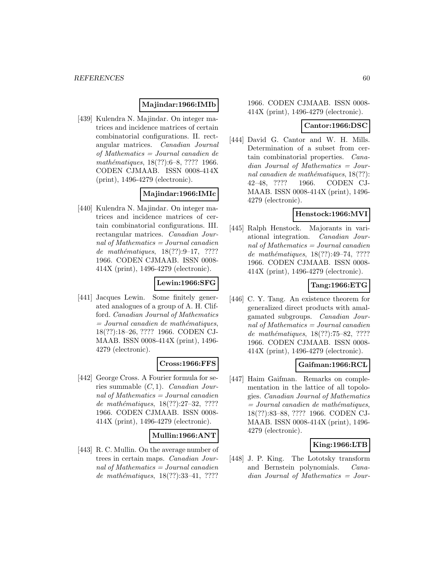### **Majindar:1966:IMIb**

[439] Kulendra N. Majindar. On integer matrices and incidence matrices of certain combinatorial configurations. II. rectangular matrices. Canadian Journal of Mathematics = Journal canadien de mathématiques, 18(??):6–8, ???? 1966. CODEN CJMAAB. ISSN 0008-414X (print), 1496-4279 (electronic).

# **Majindar:1966:IMIc**

[440] Kulendra N. Majindar. On integer matrices and incidence matrices of certain combinatorial configurations. III. rectangular matrices. Canadian Journal of Mathematics = Journal canadien de mathématiques,  $18(??):9-17, ????$ 1966. CODEN CJMAAB. ISSN 0008- 414X (print), 1496-4279 (electronic).

# **Lewin:1966:SFG**

[441] Jacques Lewin. Some finitely generated analogues of a group of A. H. Clifford. Canadian Journal of Mathematics  $=$  Journal canadien de mathématiques, 18(??):18–26, ???? 1966. CODEN CJ-MAAB. ISSN 0008-414X (print), 1496- 4279 (electronic).

#### **Cross:1966:FFS**

[442] George Cross. A Fourier formula for series summable  $(C, 1)$ . *Canadian Jour*nal of Mathematics = Journal canadien de mathématiques,  $18(??):27-32$ , ???? 1966. CODEN CJMAAB. ISSN 0008- 414X (print), 1496-4279 (electronic).

#### **Mullin:1966:ANT**

[443] R. C. Mullin. On the average number of trees in certain maps. Canadian Journal of Mathematics  $=$  Journal canadien de mathématiques, 18(??):33-41, ????

#### 1966. CODEN CJMAAB. ISSN 0008- 414X (print), 1496-4279 (electronic).

### **Cantor:1966:DSC**

[444] David G. Cantor and W. H. Mills. Determination of a subset from certain combinatorial properties. Canadian Journal of Mathematics = Journal canadien de mathématiques,  $18(??)$ : 42–48, ???? 1966. CODEN CJ-MAAB. ISSN 0008-414X (print), 1496- 4279 (electronic).

## **Henstock:1966:MVI**

[445] Ralph Henstock. Majorants in variational integration. Canadian Journal of Mathematics = Journal canadien de mathématiques,  $18(??):49–74, ????$ 1966. CODEN CJMAAB. ISSN 0008- 414X (print), 1496-4279 (electronic).

# **Tang:1966:ETG**

[446] C. Y. Tang. An existence theorem for generalized direct products with amalgamated subgroups. Canadian Journal of Mathematics = Journal canadien de mathématiques, 18(??):75–82, ???? 1966. CODEN CJMAAB. ISSN 0008- 414X (print), 1496-4279 (electronic).

## **Gaifman:1966:RCL**

[447] Haim Gaifman. Remarks on complementation in the lattice of all topologies. Canadian Journal of Mathematics  $= Journal\; can a dien\; de\; mathématiques,$ 18(??):83–88, ???? 1966. CODEN CJ-MAAB. ISSN 0008-414X (print), 1496- 4279 (electronic).

## **King:1966:LTB**

[448] J. P. King. The Lototsky transform and Bernstein polynomials. Canadian Journal of Mathematics = Jour-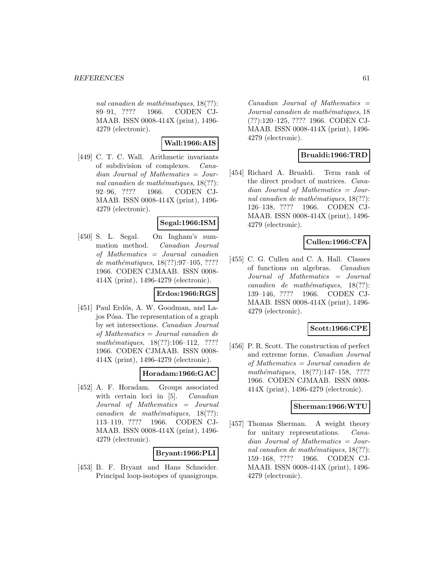nal canadien de mathématiques,  $18(??)$ : 89–91, ???? 1966. CODEN CJ-MAAB. ISSN 0008-414X (print), 1496- 4279 (electronic).

# **Wall:1966:AIS**

[449] C. T. C. Wall. Arithmetic invariants of subdivision of complexes. Canadian Journal of Mathematics = Journal canadien de mathématiques,  $18(??)$ : 92–96, ???? 1966. CODEN CJ-MAAB. ISSN 0008-414X (print), 1496- 4279 (electronic).

## **Segal:1966:ISM**

[450] S. L. Segal. On Ingham's summation method. Canadian Journal of Mathematics = Journal canadien de mathématiques, 18(??):97-105, ???? 1966. CODEN CJMAAB. ISSN 0008- 414X (print), 1496-4279 (electronic).

## **Erdos:1966:RGS**

[451] Paul Erdős, A. W. Goodman, and Lajos Pósa. The representation of a graph by set intersections. Canadian Journal of Mathematics = Journal canadien de mathématiques, 18(??):106–112, ???? 1966. CODEN CJMAAB. ISSN 0008- 414X (print), 1496-4279 (electronic).

#### **Horadam:1966:GAC**

[452] A. F. Horadam. Groups associated with certain loci in [5]. *Canadian* Journal of Mathematics = Journal  $cana dien de mathématiques, 18(??):$ 113–119, ???? 1966. CODEN CJ-MAAB. ISSN 0008-414X (print), 1496- 4279 (electronic).

# **Bryant:1966:PLI**

[453] B. F. Bryant and Hans Schneider. Principal loop-isotopes of quasigroups.

 $Canadian$  Journal of Mathematics  $=$ Journal canadien de mathématiques, 18 (??):120–125, ???? 1966. CODEN CJ-MAAB. ISSN 0008-414X (print), 1496- 4279 (electronic).

# **Brualdi:1966:TRD**

[454] Richard A. Brualdi. Term rank of the direct product of matrices. Canadian Journal of Mathematics = Journal canadien de mathématiques,  $18(??)$ : 126–138, ???? 1966. CODEN CJ-MAAB. ISSN 0008-414X (print), 1496- 4279 (electronic).

# **Cullen:1966:CFA**

[455] C. G. Cullen and C. A. Hall. Classes of functions on algebras. Canadian Journal of Mathematics = Journal canadien de mathématiques,  $18(??)$ : 139–146, ???? 1966. CODEN CJ-MAAB. ISSN 0008-414X (print), 1496- 4279 (electronic).

## **Scott:1966:CPE**

[456] P. R. Scott. The construction of perfect and extreme forms. Canadian Journal of Mathematics = Journal canadien de mathématiques,  $18(??):147-158$ , ???? 1966. CODEN CJMAAB. ISSN 0008- 414X (print), 1496-4279 (electronic).

## **Sherman:1966:WTU**

[457] Thomas Sherman. A weight theory for unitary representations. Canadian Journal of Mathematics = Journal canadien de mathématiques,  $18(??)$ : 159–168, ???? 1966. CODEN CJ-MAAB. ISSN 0008-414X (print), 1496- 4279 (electronic).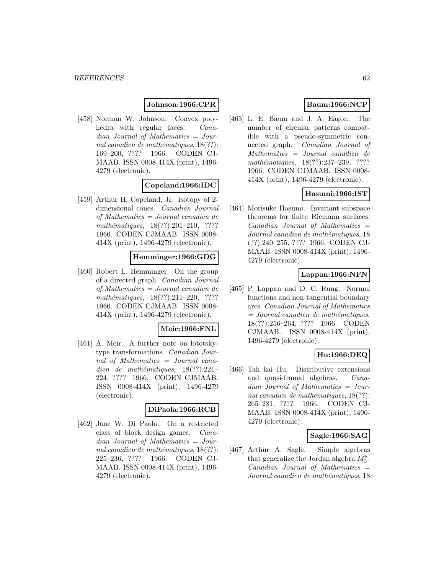### **Johnson:1966:CPR**

[458] Norman W. Johnson. Convex polyhedra with regular faces. *Cana*dian Journal of Mathematics = Journal canadien de mathématiques,  $18(??)$ : 169–200, ???? 1966. CODEN CJ-MAAB. ISSN 0008-414X (print), 1496- 4279 (electronic).

## **Copeland:1966:IDC**

[459] Arthur H. Copeland, Jr. Isotopy of 2 dimensional cones. Canadian Journal of Mathematics = Journal canadien de  $mathématiques, 18(??):201-210, ????$ 1966. CODEN CJMAAB. ISSN 0008- 414X (print), 1496-4279 (electronic).

#### **Hemminger:1966:GDG**

[460] Robert L. Hemminger. On the group of a directed graph. Canadian Journal of Mathematics = Journal canadien de mathématiques, 18(??):211-220, ???? 1966. CODEN CJMAAB. ISSN 0008- 414X (print), 1496-4279 (electronic).

#### **Meir:1966:FNL**

[461] A. Meir. A further note on lototskytype transformations. Canadian Journal of Mathematics = Journal canadien de mathématiques,  $18(??):221-$ 224, ???? 1966. CODEN CJMAAB. ISSN 0008-414X (print), 1496-4279 (electronic).

#### **DiPaola:1966:RCB**

[462] Jane W. Di Paola. On a restricted class of block design games. Canadian Journal of Mathematics = Journal canadien de mathématiques,  $18(??)$ : 225–236, ???? 1966. CODEN CJ-MAAB. ISSN 0008-414X (print), 1496- 4279 (electronic).

## **Baum:1966:NCP**

[463] L. E. Baum and J. A. Eagon. The number of circular patterns compatible with a pseudo-symmetric connected graph. Canadian Journal of Mathematics = Journal canadien de mathématiques, 18(??):237–239, ???? 1966. CODEN CJMAAB. ISSN 0008- 414X (print), 1496-4279 (electronic).

# **Hasumi:1966:IST**

[464] Morisuke Hasumi. Invariant subspace theorems for finite Riemann surfaces.  $Canadian$  Journal of Mathematics  $=$ Journal canadien de mathématiques, 18 (??):240–255, ???? 1966. CODEN CJ-MAAB. ISSN 0008-414X (print), 1496- 4279 (electronic).

# **Lappan:1966:NFN**

[465] P. Lappan and D. C. Rung. Normal functions and non-tangential boundary arcs. Canadian Journal of Mathematics  $= Journal\; can a dien\; de\; mathématiques,$ 18(??):256–264, ???? 1966. CODEN CJMAAB. ISSN 0008-414X (print), 1496-4279 (electronic).

# **Hu:1966:DEQ**

[466] Tah kai Hu. Distributive extensions and quasi-framal algebras. Canadian Journal of Mathematics = Journal canadien de mathématiques,  $18(??)$ : 265–281, ???? 1966. CODEN CJ-MAAB. ISSN 0008-414X (print), 1496- 4279 (electronic).

#### **Sagle:1966:SAG**

[467] Arthur A. Sagle. Simple algebras that generalize the Jordan algebra  $M_3^8$ .  $Canadian$  Journal of Mathematics  $=$ Journal canadien de mathématiques, 18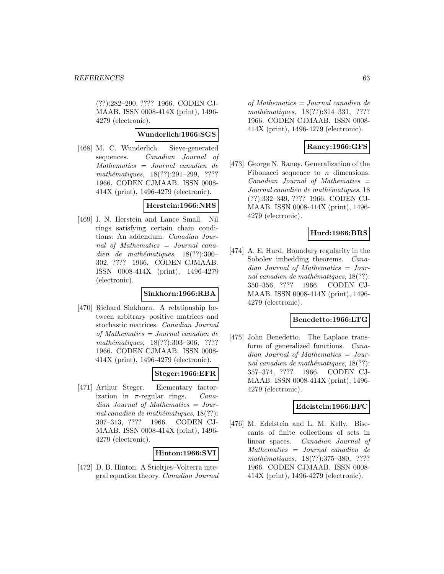(??):282–290, ???? 1966. CODEN CJ-MAAB. ISSN 0008-414X (print), 1496- 4279 (electronic).

#### **Wunderlich:1966:SGS**

[468] M. C. Wunderlich. Sieve-generated sequences. Canadian Journal of Mathematics = Journal canadien de  $mathématiques, 18(??):291–299, ????$ 1966. CODEN CJMAAB. ISSN 0008- 414X (print), 1496-4279 (electronic).

#### **Herstein:1966:NRS**

[469] I. N. Herstein and Lance Small. Nil rings satisfying certain chain conditions: An addendum. Canadian Journal of Mathematics = Journal canadien de mathématiques,  $18(??):300-$ 302, ???? 1966. CODEN CJMAAB. ISSN 0008-414X (print), 1496-4279 (electronic).

#### **Sinkhorn:1966:RBA**

[470] Richard Sinkhorn. A relationship between arbitrary positive matrices and stochastic matrices. Canadian Journal of Mathematics = Journal canadien de mathématiques, 18(??):303-306, ???? 1966. CODEN CJMAAB. ISSN 0008- 414X (print), 1496-4279 (electronic).

#### **Steger:1966:EFR**

[471] Arthur Steger. Elementary factorization in  $\pi$ -regular rings. *Cana*dian Journal of Mathematics = Journal canadien de mathématiques,  $18(??)$ : 307–313, ???? 1966. CODEN CJ-MAAB. ISSN 0008-414X (print), 1496- 4279 (electronic).

#### **Hinton:1966:SVI**

[472] D. B. Hinton. A Stieltjes–Volterra integral equation theory. Canadian Journal

of Mathematics = Journal canadien de mathématiques, 18(??):314-331, ???? 1966. CODEN CJMAAB. ISSN 0008- 414X (print), 1496-4279 (electronic).

# **Raney:1966:GFS**

[473] George N. Raney. Generalization of the Fibonacci sequence to  $n$  dimensions.  $Canadian$  Journal of Mathematics  $=$ Journal canadien de mathématiques, 18 (??):332–349, ???? 1966. CODEN CJ-MAAB. ISSN 0008-414X (print), 1496- 4279 (electronic).

## **Hurd:1966:BRS**

[474] A. E. Hurd. Boundary regularity in the Sobolev imbedding theorems. *Cana*dian Journal of Mathematics = Journal canadien de mathématiques,  $18(??)$ : 350–356, ???? 1966. CODEN CJ-MAAB. ISSN 0008-414X (print), 1496- 4279 (electronic).

#### **Benedetto:1966:LTG**

[475] John Benedetto. The Laplace transform of generalized functions. Canadian Journal of Mathematics = Journal canadien de mathématiques,  $18(??)$ : 357–374, ???? 1966. CODEN CJ-MAAB. ISSN 0008-414X (print), 1496- 4279 (electronic).

# **Edelstein:1966:BFC**

[476] M. Edelstein and L. M. Kelly. Bisecants of finite collections of sets in linear spaces. Canadian Journal of Mathematics = Journal canadien de mathématiques, 18(??):375-380, ???? 1966. CODEN CJMAAB. ISSN 0008- 414X (print), 1496-4279 (electronic).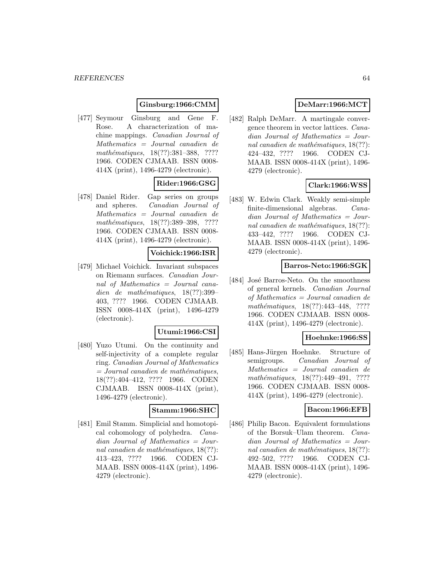### **Ginsburg:1966:CMM**

[477] Seymour Ginsburg and Gene F. Rose. A characterization of machine mappings. Canadian Journal of Mathematics = Journal canadien de mathématiques, 18(??):381–388, ???? 1966. CODEN CJMAAB. ISSN 0008- 414X (print), 1496-4279 (electronic).

# **Rider:1966:GSG**

[478] Daniel Rider. Gap series on groups and spheres. Canadian Journal of Mathematics = Journal canadien de mathématiques, 18(??):389-398, ???? 1966. CODEN CJMAAB. ISSN 0008- 414X (print), 1496-4279 (electronic).

#### **Voichick:1966:ISR**

[479] Michael Voichick. Invariant subspaces on Riemann surfaces. Canadian Journal of Mathematics = Journal canadien de mathématiques,  $18(??):399-$ 403, ???? 1966. CODEN CJMAAB. ISSN 0008-414X (print), 1496-4279 (electronic).

#### **Utumi:1966:CSI**

[480] Yuzo Utumi. On the continuity and self-injectivity of a complete regular ring. Canadian Journal of Mathematics  $=$  Journal canadien de mathématiques, 18(??):404–412, ???? 1966. CODEN CJMAAB. ISSN 0008-414X (print), 1496-4279 (electronic).

#### **Stamm:1966:SHC**

[481] Emil Stamm. Simplicial and homotopical cohomology of polyhedra. Canadian Journal of Mathematics = Journal canadien de mathématiques,  $18(??)$ : 413–423, ???? 1966. CODEN CJ-MAAB. ISSN 0008-414X (print), 1496- 4279 (electronic).

## **DeMarr:1966:MCT**

[482] Ralph DeMarr. A martingale convergence theorem in vector lattices. Canadian Journal of Mathematics = Journal canadien de mathématiques,  $18(??)$ : 424–432, ???? 1966. CODEN CJ-MAAB. ISSN 0008-414X (print), 1496- 4279 (electronic).

# **Clark:1966:WSS**

[483] W. Edwin Clark. Weakly semi-simple finite-dimensional algebras. Canadian Journal of Mathematics = Journal canadien de mathématiques,  $18(??)$ : 433–442, ???? 1966. CODEN CJ-MAAB. ISSN 0008-414X (print), 1496- 4279 (electronic).

#### **Barros-Neto:1966:SGK**

[484] José Barros-Neto. On the smoothness of general kernels. Canadian Journal of Mathematics = Journal canadien de mathématiques, 18(??):443-448, ???? 1966. CODEN CJMAAB. ISSN 0008- 414X (print), 1496-4279 (electronic).

#### **Hoehnke:1966:SS**

[485] Hans-Jürgen Hoehnke. Structure of semigroups. Canadian Journal of Mathematics = Journal canadien de  $mathématiques, 18(??):449-491, ????$ 1966. CODEN CJMAAB. ISSN 0008- 414X (print), 1496-4279 (electronic).

#### **Bacon:1966:EFB**

[486] Philip Bacon. Equivalent formulations of the Borsuk–Ulam theorem. Canadian Journal of Mathematics = Journal canadien de mathématiques,  $18(??)$ : 492–502, ???? 1966. CODEN CJ-MAAB. ISSN 0008-414X (print), 1496- 4279 (electronic).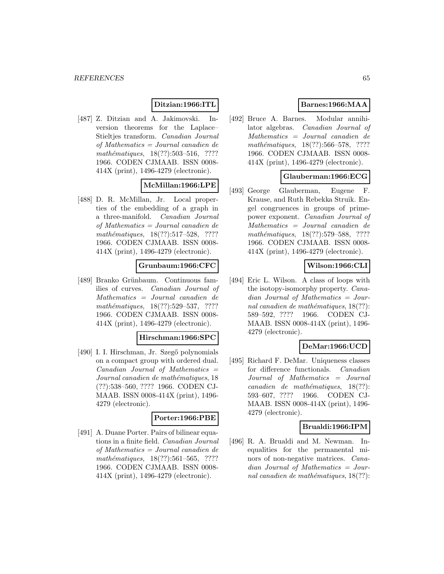### **Ditzian:1966:ITL**

[487] Z. Ditzian and A. Jakimovski. Inversion theorems for the Laplace– Stieltjes transform. Canadian Journal of Mathematics = Journal canadien de mathématiques,  $18(??):503-516$ , ???? 1966. CODEN CJMAAB. ISSN 0008- 414X (print), 1496-4279 (electronic).

# **McMillan:1966:LPE**

[488] D. R. McMillan, Jr. Local properties of the embedding of a graph in a three-manifold. Canadian Journal of Mathematics = Journal canadien de  $mathématiques, 18(??):517-528, ????$ 1966. CODEN CJMAAB. ISSN 0008- 414X (print), 1496-4279 (electronic).

## **Grunbaum:1966:CFC**

[489] Branko Grünbaum. Continuous families of curves. Canadian Journal of Mathematics = Journal canadien de mathématiques, 18(??):529–537, ???? 1966. CODEN CJMAAB. ISSN 0008- 414X (print), 1496-4279 (electronic).

#### **Hirschman:1966:SPC**

[490] I. I. Hirschman, Jr. Szegő polynomials on a compact group with ordered dual.  $Canadian$  Journal of Mathematics  $=$ Journal canadien de mathématiques, 18 (??):538–560, ???? 1966. CODEN CJ-MAAB. ISSN 0008-414X (print), 1496- 4279 (electronic).

## **Porter:1966:PBE**

[491] A. Duane Porter. Pairs of bilinear equations in a finite field. Canadian Journal of Mathematics = Journal canadien de  $mathématiques, 18(??):561–565, ????$ 1966. CODEN CJMAAB. ISSN 0008- 414X (print), 1496-4279 (electronic).

# **Barnes:1966:MAA**

[492] Bruce A. Barnes. Modular annihilator algebras. Canadian Journal of Mathematics = Journal canadien de mathématiques, 18(??):566–578, ???? 1966. CODEN CJMAAB. ISSN 0008- 414X (print), 1496-4279 (electronic).

## **Glauberman:1966:ECG**

[493] George Glauberman, Eugene F. Krause, and Ruth Rebekka Struik. Engel congruences in groups of primepower exponent. Canadian Journal of Mathematics = Journal canadien de mathématiques, 18(??):579–588, ???? 1966. CODEN CJMAAB. ISSN 0008- 414X (print), 1496-4279 (electronic).

## **Wilson:1966:CLI**

[494] Eric L. Wilson. A class of loops with the isotopy-isomorphy property. Canadian Journal of Mathematics = Journal canadien de mathématiques,  $18(??)$ : 589–592, ???? 1966. CODEN CJ-MAAB. ISSN 0008-414X (print), 1496- 4279 (electronic).

#### **DeMar:1966:UCD**

[495] Richard F. DeMar. Uniqueness classes for difference functionals. Canadian Journal of Mathematics = Journal canadien de mathématiques,  $18(??)$ : 593–607, ???? 1966. CODEN CJ-MAAB. ISSN 0008-414X (print), 1496- 4279 (electronic).

## **Brualdi:1966:IPM**

[496] R. A. Brualdi and M. Newman. Inequalities for the permanental minors of non-negative matrices. Canadian Journal of Mathematics = Journal canadien de mathématiques,  $18(??)$ :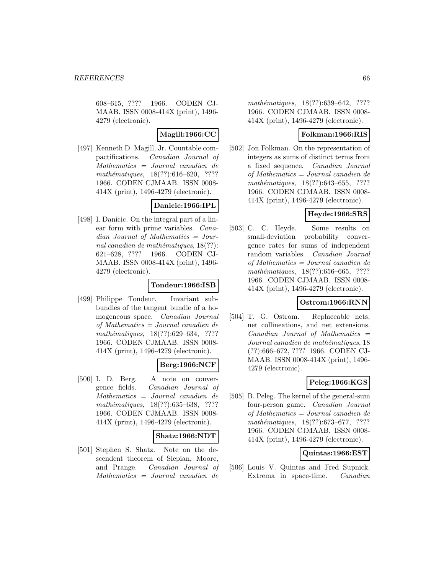608–615, ???? 1966. CODEN CJ-MAAB. ISSN 0008-414X (print), 1496- 4279 (electronic).

**Magill:1966:CC**

[497] Kenneth D. Magill, Jr. Countable compactifications. Canadian Journal of Mathematics = Journal canadien de mathématiques,  $18(??):616-620$ , ???? 1966. CODEN CJMAAB. ISSN 0008- 414X (print), 1496-4279 (electronic).

# **Danicic:1966:IPL**

[498] I. Danicic. On the integral part of a linear form with prime variables. Canadian Journal of Mathematics = Journal canadien de mathématiques,  $18(??)$ : 621–628, ???? 1966. CODEN CJ-MAAB. ISSN 0008-414X (print), 1496- 4279 (electronic).

# **Tondeur:1966:ISB**

[499] Philippe Tondeur. Invariant subbundles of the tangent bundle of a homogeneous space. Canadian Journal of Mathematics = Journal canadien de mathématiques, 18(??):629–634, ???? 1966. CODEN CJMAAB. ISSN 0008- 414X (print), 1496-4279 (electronic).

## **Berg:1966:NCF**

[500] I. D. Berg. A note on convergence fields. Canadian Journal of Mathematics = Journal canadien de mathématiques, 18(??):635–638, ???? 1966. CODEN CJMAAB. ISSN 0008- 414X (print), 1496-4279 (electronic).

## **Shatz:1966:NDT**

[501] Stephen S. Shatz. Note on the descendent theorem of Slepian, Moore, and Prange. Canadian Journal of Mathematics = Journal canadien de

mathématiques, 18(??):639–642, ???? 1966. CODEN CJMAAB. ISSN 0008- 414X (print), 1496-4279 (electronic).

### **Folkman:1966:RIS**

[502] Jon Folkman. On the representation of integers as sums of distinct terms from a fixed sequence. Canadian Journal of Mathematics = Journal canadien de  $mathématiques, 18(??):643–655, ????$ 1966. CODEN CJMAAB. ISSN 0008- 414X (print), 1496-4279 (electronic).

# **Heyde:1966:SRS**

[503] C. C. Heyde. Some results on small-deviation probability convergence rates for sums of independent random variables. Canadian Journal of Mathematics = Journal canadien de mathématiques, 18(??):656–665, ???? 1966. CODEN CJMAAB. ISSN 0008- 414X (print), 1496-4279 (electronic).

# **Ostrom:1966:RNN**

[504] T. G. Ostrom. Replaceable nets, net collineations, and net extensions.  $Canadian$  Journal of Mathematics  $=$ Journal canadien de mathématiques, 18 (??):666–672, ???? 1966. CODEN CJ-MAAB. ISSN 0008-414X (print), 1496- 4279 (electronic).

# **Peleg:1966:KGS**

[505] B. Peleg. The kernel of the general-sum four-person game. Canadian Journal of Mathematics = Journal canadien de mathématiques, 18(??):673–677, ???? 1966. CODEN CJMAAB. ISSN 0008- 414X (print), 1496-4279 (electronic).

## **Quintas:1966:EST**

[506] Louis V. Quintas and Fred Supnick. Extrema in space-time. Canadian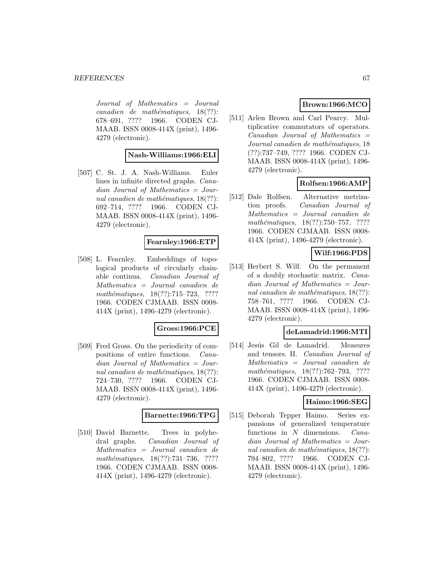Journal of Mathematics = Journal  $cana dien de mathématiques, 18(??):$ 678–691, ???? 1966. CODEN CJ-MAAB. ISSN 0008-414X (print), 1496- 4279 (electronic).

## **Nash-Williams:1966:ELI**

[507] C. St. J. A. Nash-Williams. Euler lines in infinite directed graphs. Canadian Journal of Mathematics = Journal canadien de mathématiques,  $18(??)$ : 692–714, ???? 1966. CODEN CJ-MAAB. ISSN 0008-414X (print), 1496- 4279 (electronic).

#### **Fearnley:1966:ETP**

[508] L. Fearnley. Embeddings of topological products of circularly chainable continua. Canadian Journal of Mathematics = Journal canadien de mathématiques, 18(??):715–723, ???? 1966. CODEN CJMAAB. ISSN 0008- 414X (print), 1496-4279 (electronic).

#### **Gross:1966:PCE**

[509] Fred Gross. On the periodicity of compositions of entire functions. Canadian Journal of Mathematics = Journal canadien de mathématiques,  $18(??)$ : 724–730, ???? 1966. CODEN CJ-MAAB. ISSN 0008-414X (print), 1496- 4279 (electronic).

## **Barnette:1966:TPG**

[510] David Barnette. Trees in polyhedral graphs. Canadian Journal of Mathematics = Journal canadien de mathématiques, 18(??):731-736, ???? 1966. CODEN CJMAAB. ISSN 0008- 414X (print), 1496-4279 (electronic).

# **Brown:1966:MCO**

[511] Arlen Brown and Carl Pearcy. Multiplicative commutators of operators.  $Canadian$  Journal of Mathematics  $=$ Journal canadien de mathématiques, 18 (??):737–749, ???? 1966. CODEN CJ-MAAB. ISSN 0008-414X (print), 1496- 4279 (electronic).

## **Rolfsen:1966:AMP**

[512] Dale Rolfsen. Alternative metrization proofs. Canadian Journal of Mathematics = Journal canadien de  $mathématiques, 18(??): 750–757, ????$ 1966. CODEN CJMAAB. ISSN 0008- 414X (print), 1496-4279 (electronic).

# **Wilf:1966:PDS**

[513] Herbert S. Wilf. On the permanent of a doubly stochastic matrix. Canadian Journal of Mathematics = Journal canadien de mathématiques,  $18(??)$ : 758–761, ???? 1966. CODEN CJ-MAAB. ISSN 0008-414X (print), 1496- 4279 (electronic).

#### **deLamadrid:1966:MTI**

[514] Jesús Gil de Lamadrid. Measures and tensors. II. Canadian Journal of Mathematics = Journal canadien de mathématiques, 18(??):762–793, ???? 1966. CODEN CJMAAB. ISSN 0008- 414X (print), 1496-4279 (electronic).

## **Haimo:1966:SEG**

[515] Deborah Tepper Haimo. Series expansions of generalized temperature functions in N dimensions. Canadian Journal of Mathematics = Journal canadien de mathématiques,  $18(??)$ : 794–802, ???? 1966. CODEN CJ-MAAB. ISSN 0008-414X (print), 1496- 4279 (electronic).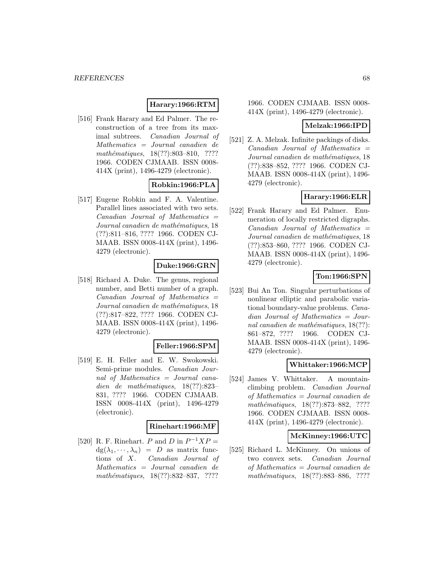#### **Harary:1966:RTM**

[516] Frank Harary and Ed Palmer. The reconstruction of a tree from its maximal subtrees. Canadian Journal of Mathematics = Journal canadien de mathématiques, 18(??):803-810, ???? 1966. CODEN CJMAAB. ISSN 0008- 414X (print), 1496-4279 (electronic).

# **Robkin:1966:PLA**

[517] Eugene Robkin and F. A. Valentine. Parallel lines associated with two sets.  $Canadian$  Journal of Mathematics  $=$ Journal canadien de mathématiques, 18 (??):811–816, ???? 1966. CODEN CJ-MAAB. ISSN 0008-414X (print), 1496- 4279 (electronic).

## **Duke:1966:GRN**

[518] Richard A. Duke. The genus, regional number, and Betti number of a graph.  $Canadian$  Journal of Mathematics  $=$ Journal canadien de mathématiques, 18 (??):817–822, ???? 1966. CODEN CJ-MAAB. ISSN 0008-414X (print), 1496- 4279 (electronic).

#### **Feller:1966:SPM**

[519] E. H. Feller and E. W. Swokowski. Semi-prime modules. Canadian Journal of Mathematics = Journal canadien de mathématiques,  $18(??):823-$ 831, ???? 1966. CODEN CJMAAB. ISSN 0008-414X (print), 1496-4279 (electronic).

#### **Rinehart:1966:MF**

[520] R. F. Rinehart. P and D in  $P^{-1}XP =$  $dg(\lambda_1, \dots, \lambda_n) = D$  as matrix func-<br>tions of X. Canadian Journal of Canadian Journal of Mathematics = Journal canadien de mathématiques, 18(??):832–837, ????

1966. CODEN CJMAAB. ISSN 0008- 414X (print), 1496-4279 (electronic).

#### **Melzak:1966:IPD**

[521] Z. A. Melzak. Infinite packings of disks.  $Canadian$  Journal of Mathematics  $=$ Journal canadien de mathématiques, 18 (??):838–852, ???? 1966. CODEN CJ-MAAB. ISSN 0008-414X (print), 1496- 4279 (electronic).

#### **Harary:1966:ELR**

[522] Frank Harary and Ed Palmer. Enumeration of locally restricted digraphs.  $Canadian$  Journal of Mathematics  $=$ Journal canadien de mathématiques, 18 (??):853–860, ???? 1966. CODEN CJ-MAAB. ISSN 0008-414X (print), 1496- 4279 (electronic).

## **Ton:1966:SPN**

[523] Bui An Ton. Singular perturbations of nonlinear elliptic and parabolic variational boundary-value problems. Canadian Journal of Mathematics = Journal canadien de mathématiques,  $18(??)$ : 861–872, ???? 1966. CODEN CJ-MAAB. ISSN 0008-414X (print), 1496- 4279 (electronic).

#### **Whittaker:1966:MCP**

[524] James V. Whittaker. A mountainclimbing problem. Canadian Journal of Mathematics = Journal canadien de mathématiques, 18(??):873–882, ???? 1966. CODEN CJMAAB. ISSN 0008- 414X (print), 1496-4279 (electronic).

#### **McKinney:1966:UTC**

[525] Richard L. McKinney. On unions of two convex sets. Canadian Journal of Mathematics = Journal canadien de mathématiques, 18(??):883–886, ????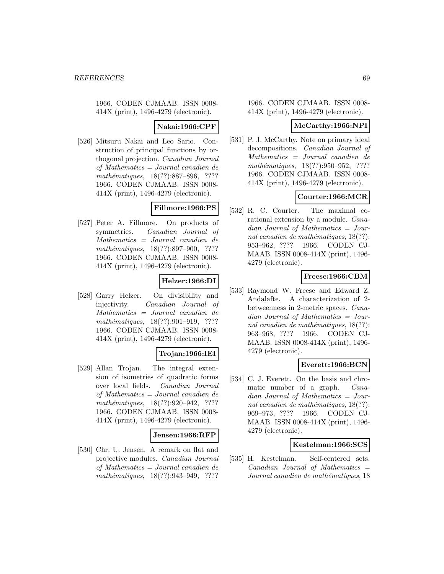1966. CODEN CJMAAB. ISSN 0008- 414X (print), 1496-4279 (electronic).

#### **Nakai:1966:CPF**

[526] Mitsuru Nakai and Leo Sario. Construction of principal functions by orthogonal projection. Canadian Journal of Mathematics = Journal canadien de mathématiques, 18(??):887–896, ???? 1966. CODEN CJMAAB. ISSN 0008- 414X (print), 1496-4279 (electronic).

# **Fillmore:1966:PS**

[527] Peter A. Fillmore. On products of symmetries. Canadian Journal of Mathematics = Journal canadien de mathématiques, 18(??):897–900, ???? 1966. CODEN CJMAAB. ISSN 0008- 414X (print), 1496-4279 (electronic).

# **Helzer:1966:DI**

[528] Garry Helzer. On divisibility and injectivity. Canadian Journal of Mathematics = Journal canadien de mathématiques, 18(??):901-919, ???? 1966. CODEN CJMAAB. ISSN 0008- 414X (print), 1496-4279 (electronic).

## **Trojan:1966:IEI**

[529] Allan Trojan. The integral extension of isometries of quadratic forms over local fields. Canadian Journal of Mathematics = Journal canadien de mathématiques, 18(??):920-942, ???? 1966. CODEN CJMAAB. ISSN 0008- 414X (print), 1496-4279 (electronic).

#### **Jensen:1966:RFP**

[530] Chr. U. Jensen. A remark on flat and projective modules. Canadian Journal of Mathematics = Journal canadien de mathématiques, 18(??):943–949, ????

1966. CODEN CJMAAB. ISSN 0008- 414X (print), 1496-4279 (electronic).

#### **McCarthy:1966:NPI**

[531] P. J. McCarthy. Note on primary ideal decompositions. Canadian Journal of Mathematics = Journal canadien de mathématiques,  $18(??):950-952$ , ???? 1966. CODEN CJMAAB. ISSN 0008- 414X (print), 1496-4279 (electronic).

#### **Courter:1966:MCR**

[532] R. C. Courter. The maximal corational extension by a module. Canadian Journal of Mathematics = Journal canadien de mathématiques,  $18(??)$ : 953–962, ???? 1966. CODEN CJ-MAAB. ISSN 0008-414X (print), 1496- 4279 (electronic).

## **Freese:1966:CBM**

[533] Raymond W. Freese and Edward Z. Andalafte. A characterization of 2 betweenness in 2-metric spaces. Canadian Journal of Mathematics = Journal canadien de mathématiques,  $18(??)$ : 963–968, ???? 1966. CODEN CJ-MAAB. ISSN 0008-414X (print), 1496- 4279 (electronic).

## **Everett:1966:BCN**

[534] C. J. Everett. On the basis and chromatic number of a graph. Canadian Journal of Mathematics = Journal canadien de mathématiques,  $18(??)$ : 969–973, ???? 1966. CODEN CJ-MAAB. ISSN 0008-414X (print), 1496- 4279 (electronic).

#### **Kestelman:1966:SCS**

[535] H. Kestelman. Self-centered sets.  $Canadian$  Journal of Mathematics  $=$ Journal canadien de mathématiques, 18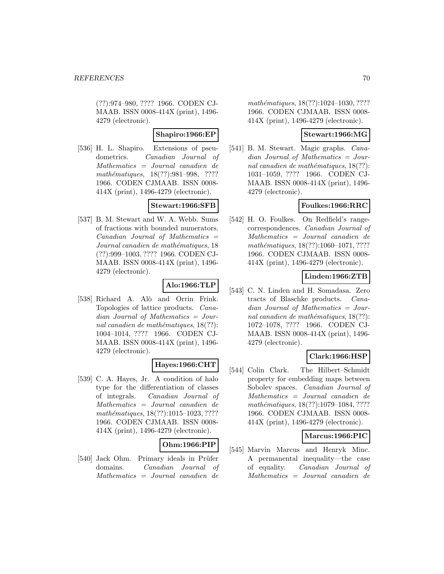(??):974–980, ???? 1966. CODEN CJ-MAAB. ISSN 0008-414X (print), 1496- 4279 (electronic).

## **Shapiro:1966:EP**

[536] H. L. Shapiro. Extensions of pseudometrics. Canadian Journal of Mathematics = Journal canadien de mathématiques, 18(??):981-998, ???? 1966. CODEN CJMAAB. ISSN 0008- 414X (print), 1496-4279 (electronic).

## **Stewart:1966:SFB**

[537] B. M. Stewart and W. A. Webb. Sums of fractions with bounded numerators.  $Canadian$  Journal of Mathematics  $=$ Journal canadien de mathématiques, 18 (??):999–1003, ???? 1966. CODEN CJ-MAAB. ISSN 0008-414X (print), 1496- 4279 (electronic).

# **Alo:1966:TLP**

[538] Richard A. Alò and Orrin Frink. Topologies of lattice products. Canadian Journal of Mathematics = Journal canadien de mathématiques,  $18(??)$ : 1004–1014, ???? 1966. CODEN CJ-MAAB. ISSN 0008-414X (print), 1496- 4279 (electronic).

# **Hayes:1966:CHT**

[539] C. A. Hayes, Jr. A condition of halo type for the differentiation of classes of integrals. Canadian Journal of Mathematics = Journal canadien de  $mathématiques, 18(??): 1015-1023, ????$ 1966. CODEN CJMAAB. ISSN 0008- 414X (print), 1496-4279 (electronic).

## **Ohm:1966:PIP**

[540] Jack Ohm. Primary ideals in Prüfer domains. Canadian Journal of Mathematics = Journal canadien de

mathématiques, 18(??):1024-1030, ???? 1966. CODEN CJMAAB. ISSN 0008- 414X (print), 1496-4279 (electronic).

#### **Stewart:1966:MG**

[541] B. M. Stewart. Magic graphs. Canadian Journal of Mathematics = Journal canadien de mathématiques,  $18(??)$ : 1031–1059, ???? 1966. CODEN CJ-MAAB. ISSN 0008-414X (print), 1496- 4279 (electronic).

# **Foulkes:1966:RRC**

[542] H. O. Foulkes. On Redfield's rangecorrespondences. Canadian Journal of Mathematics = Journal canadien de mathématiques, 18(??):1060-1071, ???? 1966. CODEN CJMAAB. ISSN 0008- 414X (print), 1496-4279 (electronic).

## **Linden:1966:ZTB**

[543] C. N. Linden and H. Somadasa. Zero tracts of Blaschke products. Canadian Journal of Mathematics = Journal canadien de mathématiques,  $18(??)$ : 1072–1078, ???? 1966. CODEN CJ-MAAB. ISSN 0008-414X (print), 1496- 4279 (electronic).

# **Clark:1966:HSP**

[544] Colin Clark. The Hilbert–Schmidt property for embedding maps between Sobolev spaces. Canadian Journal of Mathematics = Journal canadien de mathématiques, 18(??):1079–1084, ???? 1966. CODEN CJMAAB. ISSN 0008- 414X (print), 1496-4279 (electronic).

## **Marcus:1966:PIC**

[545] Marvin Marcus and Henryk Minc. A permanental inequality—the case of equality. Canadian Journal of Mathematics = Journal canadien de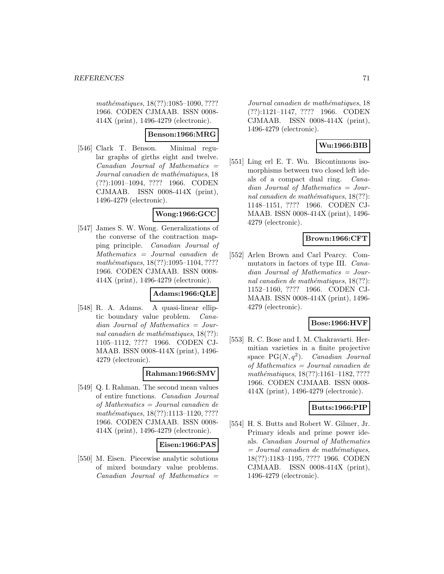mathématiques, 18(??):1085–1090, ???? 1966. CODEN CJMAAB. ISSN 0008- 414X (print), 1496-4279 (electronic).

#### **Benson:1966:MRG**

[546] Clark T. Benson. Minimal regular graphs of girths eight and twelve.  $Canadian$  Journal of Mathematics  $=$ Journal canadien de mathématiques, 18 (??):1091–1094, ???? 1966. CODEN CJMAAB. ISSN 0008-414X (print), 1496-4279 (electronic).

#### **Wong:1966:GCC**

[547] James S. W. Wong. Generalizations of the converse of the contraction mapping principle. Canadian Journal of Mathematics = Journal canadien de mathématiques, 18(??):1095-1104, ???? 1966. CODEN CJMAAB. ISSN 0008- 414X (print), 1496-4279 (electronic).

## **Adams:1966:QLE**

[548] R. A. Adams. A quasi-linear elliptic boundary value problem. Canadian Journal of Mathematics = Journal canadien de mathématiques,  $18(??)$ : 1105–1112, ???? 1966. CODEN CJ-MAAB. ISSN 0008-414X (print), 1496- 4279 (electronic).

## **Rahman:1966:SMV**

[549] Q. I. Rahman. The second mean values of entire functions. Canadian Journal of Mathematics = Journal canadien de mathématiques, 18(??):1113-1120, ???? 1966. CODEN CJMAAB. ISSN 0008- 414X (print), 1496-4279 (electronic).

## **Eisen:1966:PAS**

[550] M. Eisen. Piecewise analytic solutions of mixed boundary value problems.  $Canadian$  Journal of Mathematics  $=$ 

Journal canadien de mathématiques, 18 (??):1121–1147, ???? 1966. CODEN CJMAAB. ISSN 0008-414X (print), 1496-4279 (electronic).

# **Wu:1966:BIB**

[551] Ling erl E. T. Wu. Bicontinuous isomorphisms between two closed left ideals of a compact dual ring. Canadian Journal of Mathematics = Journal canadien de mathématiques,  $18(??)$ : 1148–1151, ???? 1966. CODEN CJ-MAAB. ISSN 0008-414X (print), 1496- 4279 (electronic).

## **Brown:1966:CFT**

[552] Arlen Brown and Carl Pearcy. Commutators in factors of type III. Canadian Journal of Mathematics = Journal canadien de mathématiques,  $18(??)$ : 1152–1160, ???? 1966. CODEN CJ-MAAB. ISSN 0008-414X (print), 1496- 4279 (electronic).

## **Bose:1966:HVF**

[553] R. C. Bose and I. M. Chakravarti. Hermitian varieties in a finite projective space  $PG(N, q^2)$ . Canadian Journal of Mathematics = Journal canadien de mathématiques, 18(??):1161-1182, ???? 1966. CODEN CJMAAB. ISSN 0008- 414X (print), 1496-4279 (electronic).

## **Butts:1966:PIP**

[554] H. S. Butts and Robert W. Gilmer, Jr. Primary ideals and prime power ideals. Canadian Journal of Mathematics  $= Journal\; candidates,$ 18(??):1183–1195, ???? 1966. CODEN CJMAAB. ISSN 0008-414X (print), 1496-4279 (electronic).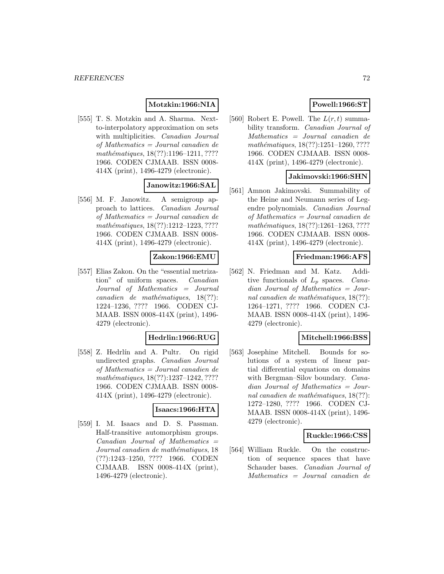### **Motzkin:1966:NIA**

[555] T. S. Motzkin and A. Sharma. Nextto-interpolatory approximation on sets with multiplicities. Canadian Journal of Mathematics = Journal canadien de mathématiques, 18(??):1196-1211, ???? 1966. CODEN CJMAAB. ISSN 0008- 414X (print), 1496-4279 (electronic).

## **Janowitz:1966:SAL**

[556] M. F. Janowitz. A semigroup approach to lattices. Canadian Journal of Mathematics = Journal canadien de mathématiques, 18(??):1212-1223, ???? 1966. CODEN CJMAAB. ISSN 0008- 414X (print), 1496-4279 (electronic).

#### **Zakon:1966:EMU**

[557] Elias Zakon. On the "essential metrization" of uniform spaces. Canadian Journal of Mathematics = Journal  $cana dien de mathématiques, 18(??):$ 1224–1236, ???? 1966. CODEN CJ-MAAB. ISSN 0008-414X (print), 1496- 4279 (electronic).

## **Hedrlin:1966:RUG**

[558] Z. Hedrlín and A. Pultr. On rigid undirected graphs. Canadian Journal of Mathematics = Journal canadien de mathématiques, 18(??):1237-1242, ???? 1966. CODEN CJMAAB. ISSN 0008- 414X (print), 1496-4279 (electronic).

#### **Isaacs:1966:HTA**

[559] I. M. Isaacs and D. S. Passman. Half-transitive automorphism groups.  $Canadian$  Journal of Mathematics  $=$ Journal canadien de mathématiques, 18 (??):1243–1250, ???? 1966. CODEN CJMAAB. ISSN 0008-414X (print), 1496-4279 (electronic).

# **Powell:1966:ST**

[560] Robert E. Powell. The  $L(r, t)$  summability transform. Canadian Journal of Mathematics = Journal canadien de mathématiques,  $18(??):1251-1260, ????$ 1966. CODEN CJMAAB. ISSN 0008- 414X (print), 1496-4279 (electronic).

#### **Jakimovski:1966:SHN**

[561] Amnon Jakimovski. Summability of the Heine and Neumann series of Legendre polynomials. Canadian Journal of Mathematics = Journal canadien de mathématiques, 18(??):1261-1263, ???? 1966. CODEN CJMAAB. ISSN 0008- 414X (print), 1496-4279 (electronic).

#### **Friedman:1966:AFS**

[562] N. Friedman and M. Katz. Additive functionals of  $L_p$  spaces. Canadian Journal of Mathematics = Journal canadien de mathématiques,  $18(??)$ : 1264–1271, ???? 1966. CODEN CJ-MAAB. ISSN 0008-414X (print), 1496- 4279 (electronic).

## **Mitchell:1966:BSS**

[563] Josephine Mitchell. Bounds for solutions of a system of linear partial differential equations on domains with Bergman–Silov boundary. *Cana*dian Journal of Mathematics = Journal canadien de mathématiques,  $18(??)$ : 1272–1280, ???? 1966. CODEN CJ-MAAB. ISSN 0008-414X (print), 1496- 4279 (electronic).

#### **Ruckle:1966:CSS**

[564] William Ruckle. On the construction of sequence spaces that have Schauder bases. Canadian Journal of Mathematics = Journal canadien de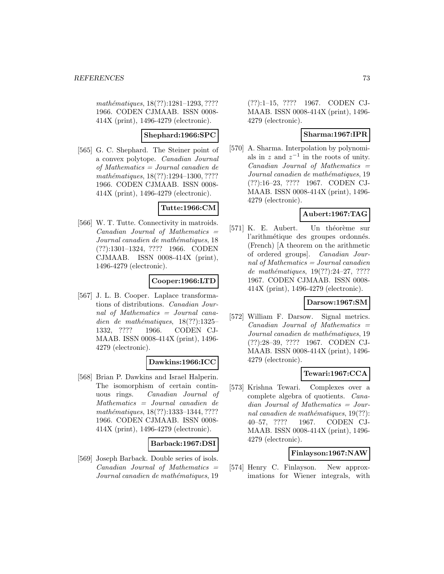mathématiques, 18(??):1281-1293, ???? 1966. CODEN CJMAAB. ISSN 0008- 414X (print), 1496-4279 (electronic).

### **Shephard:1966:SPC**

[565] G. C. Shephard. The Steiner point of a convex polytope. Canadian Journal of Mathematics = Journal canadien de mathématiques, 18(??):1294-1300, ???? 1966. CODEN CJMAAB. ISSN 0008- 414X (print), 1496-4279 (electronic).

# **Tutte:1966:CM**

[566] W. T. Tutte. Connectivity in matroids.  $Canadian$  Journal of Mathematics  $=$ Journal canadien de mathématiques, 18 (??):1301–1324, ???? 1966. CODEN CJMAAB. ISSN 0008-414X (print), 1496-4279 (electronic).

# **Cooper:1966:LTD**

[567] J. L. B. Cooper. Laplace transformations of distributions. Canadian Journal of Mathematics = Journal canadien de mathématiques,  $18(??):1325-$ 1332, ???? 1966. CODEN CJ-MAAB. ISSN 0008-414X (print), 1496- 4279 (electronic).

# **Dawkins:1966:ICC**

[568] Brian P. Dawkins and Israel Halperin. The isomorphism of certain continuous rings. Canadian Journal of Mathematics = Journal canadien de mathématiques, 18(??):1333-1344, ???? 1966. CODEN CJMAAB. ISSN 0008- 414X (print), 1496-4279 (electronic).

# **Barback:1967:DSI**

[569] Joseph Barback. Double series of isols.  $Canadian$  Journal of Mathematics  $=$ Journal canadien de mathématiques, 19

(??):1–15, ???? 1967. CODEN CJ-MAAB. ISSN 0008-414X (print), 1496- 4279 (electronic).

# **Sharma:1967:IPR**

[570] A. Sharma. Interpolation by polynomials in z and  $z^{-1}$  in the roots of unity.  $Canadian$  Journal of Mathematics  $=$ Journal canadien de mathématiques, 19 (??):16–23, ???? 1967. CODEN CJ-MAAB. ISSN 0008-414X (print), 1496- 4279 (electronic).

# **Aubert:1967:TAG**

[571] K. E. Aubert. Un théorème sur l'arithmétique des groupes ordonnés. (French) [A theorem on the arithmetic of ordered groups]. Canadian Journal of Mathematics = Journal canadien de mathématiques,  $19(??):24-27, ????$ 1967. CODEN CJMAAB. ISSN 0008- 414X (print), 1496-4279 (electronic).

# **Darsow:1967:SM**

[572] William F. Darsow. Signal metrics.  $Canadian$  Journal of Mathematics  $=$ Journal canadien de mathématiques, 19 (??):28–39, ???? 1967. CODEN CJ-MAAB. ISSN 0008-414X (print), 1496- 4279 (electronic).

# **Tewari:1967:CCA**

[573] Krishna Tewari. Complexes over a complete algebra of quotients. Canadian Journal of Mathematics = Journal canadien de mathématiques,  $19(??)$ : 40–57, ???? 1967. CODEN CJ-MAAB. ISSN 0008-414X (print), 1496- 4279 (electronic).

# **Finlayson:1967:NAW**

[574] Henry C. Finlayson. New approximations for Wiener integrals, with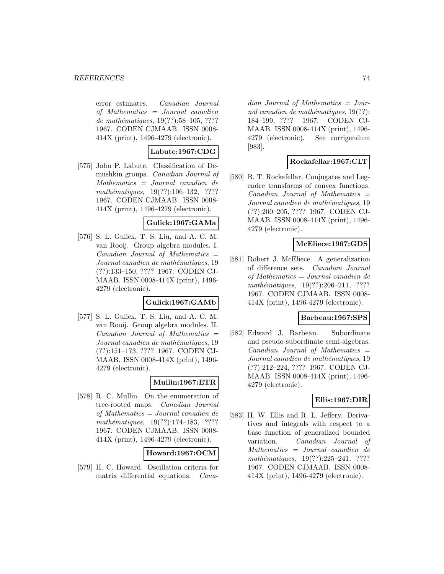error estimates. Canadian Journal of Mathematics = Journal canadien de mathématiques,  $19(??):58-105, ????$ 1967. CODEN CJMAAB. ISSN 0008- 414X (print), 1496-4279 (electronic).

# **Labute:1967:CDG**

[575] John P. Labute. Classification of Demushkin groups. Canadian Journal of Mathematics = Journal canadien de  $mathématiques, 19(??):106–132, ????$ 1967. CODEN CJMAAB. ISSN 0008- 414X (print), 1496-4279 (electronic).

### **Gulick:1967:GAMa**

[576] S. L. Gulick, T. S. Liu, and A. C. M. van Rooij. Group algebra modules. I.  $Canadian$  Journal of Mathematics  $=$ Journal canadien de mathématiques, 19 (??):133–150, ???? 1967. CODEN CJ-MAAB. ISSN 0008-414X (print), 1496- 4279 (electronic).

### **Gulick:1967:GAMb**

[577] S. L. Gulick, T. S. Liu, and A. C. M. van Rooij. Group algebra modules. II.  $Canadian$  Journal of Mathematics  $=$ Journal canadien de mathématiques, 19 (??):151–173, ???? 1967. CODEN CJ-MAAB. ISSN 0008-414X (print), 1496- 4279 (electronic).

# **Mullin:1967:ETR**

[578] R. C. Mullin. On the enumeration of tree-rooted maps. Canadian Journal of Mathematics = Journal canadien de mathématiques,  $19(??):174-183$ , ???? 1967. CODEN CJMAAB. ISSN 0008- 414X (print), 1496-4279 (electronic).

# **Howard:1967:OCM**

[579] H. C. Howard. Oscillation criteria for matrix differential equations. Cana-

dian Journal of Mathematics = Journal canadien de mathématiques,  $19(??)$ : 184–199, ???? 1967. CODEN CJ-MAAB. ISSN 0008-414X (print), 1496- 4279 (electronic). See corrigendum [983].

# **Rockafellar:1967:CLT**

[580] R. T. Rockafellar. Conjugates and Legendre transforms of convex functions. Canadian Journal of Mathematics = Journal canadien de mathématiques, 19 (??):200–205, ???? 1967. CODEN CJ-MAAB. ISSN 0008-414X (print), 1496- 4279 (electronic).

### **McEliece:1967:GDS**

[581] Robert J. McEliece. A generalization of difference sets. Canadian Journal of Mathematics = Journal canadien de mathématiques,  $19(??):206-211$ , ???? 1967. CODEN CJMAAB. ISSN 0008- 414X (print), 1496-4279 (electronic).

### **Barbeau:1967:SPS**

[582] Edward J. Barbeau. Subordinate and pseudo-subordinate semi-algebras. Canadian Journal of Mathematics = Journal canadien de mathématiques, 19 (??):212–224, ???? 1967. CODEN CJ-MAAB. ISSN 0008-414X (print), 1496- 4279 (electronic).

### **Ellis:1967:DIR**

[583] H. W. Ellis and R. L. Jeffery. Derivatives and integrals with respect to a base function of generalized bounded variation. Canadian Journal of Mathematics = Journal canadien de  $mathématiques, 19(??):225-241, ????$ 1967. CODEN CJMAAB. ISSN 0008- 414X (print), 1496-4279 (electronic).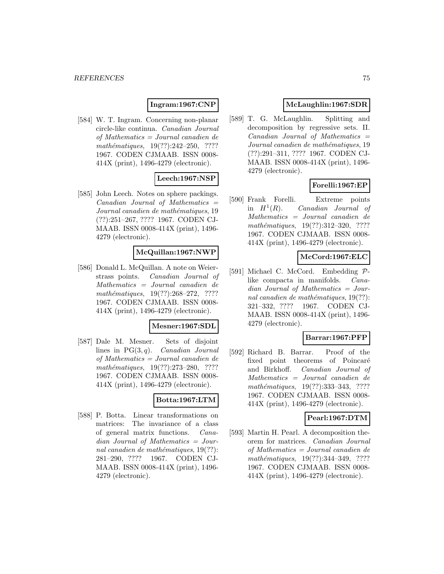# **Ingram:1967:CNP**

[584] W. T. Ingram. Concerning non-planar circle-like continua. Canadian Journal of Mathematics = Journal canadien de mathématiques,  $19(??):242-250$ , ???? 1967. CODEN CJMAAB. ISSN 0008- 414X (print), 1496-4279 (electronic).

# **Leech:1967:NSP**

[585] John Leech. Notes on sphere packings. Canadian Journal of Mathematics = Journal canadien de mathématiques, 19 (??):251–267, ???? 1967. CODEN CJ-MAAB. ISSN 0008-414X (print), 1496- 4279 (electronic).

### **McQuillan:1967:NWP**

[586] Donald L. McQuillan. A note on Weierstrass points. Canadian Journal of Mathematics = Journal canadien de  $mathématiques, 19(??):268-272, ????$ 1967. CODEN CJMAAB. ISSN 0008- 414X (print), 1496-4279 (electronic).

### **Mesner:1967:SDL**

[587] Dale M. Mesner. Sets of disjoint lines in  $PG(3, q)$ . *Canadian Journal* of Mathematics = Journal canadien de mathématiques, 19(??):273-280, ???? 1967. CODEN CJMAAB. ISSN 0008- 414X (print), 1496-4279 (electronic).

# **Botta:1967:LTM**

[588] P. Botta. Linear transformations on matrices: The invariance of a class of general matrix functions. Canadian Journal of Mathematics = Journal canadien de mathématiques,  $19(??)$ : 281–290, ???? 1967. CODEN CJ-MAAB. ISSN 0008-414X (print), 1496- 4279 (electronic).

### **McLaughlin:1967:SDR**

[589] T. G. McLaughlin. Splitting and decomposition by regressive sets. II.  $Canadian$  Journal of Mathematics  $=$ Journal canadien de mathématiques, 19 (??):291–311, ???? 1967. CODEN CJ-MAAB. ISSN 0008-414X (print), 1496- 4279 (electronic).

# **Forelli:1967:EP**

[590] Frank Forelli. Extreme points in  $H^1(R)$ . Canadian Journal of Mathematics = Journal canadien de mathématiques, 19(??):312–320, ???? 1967. CODEN CJMAAB. ISSN 0008- 414X (print), 1496-4279 (electronic).

### **McCord:1967:ELC**

[591] Michael C. McCord. Embedding  $\mathcal{P}$ -<br>like compacta in manifolds. *Cana*like compacta in manifolds. dian Journal of Mathematics = Journal canadien de mathématiques,  $19(??)$ : 321–332, ???? 1967. CODEN CJ-MAAB. ISSN 0008-414X (print), 1496- 4279 (electronic).

### **Barrar:1967:PFP**

[592] Richard B. Barrar. Proof of the fixed point theorems of Poincaré and Birkhoff. Canadian Journal of Mathematics = Journal canadien de mathématiques, 19(??):333-343, ???? 1967. CODEN CJMAAB. ISSN 0008- 414X (print), 1496-4279 (electronic).

### **Pearl:1967:DTM**

[593] Martin H. Pearl. A decomposition theorem for matrices. Canadian Journal of Mathematics = Journal canadien de mathématiques, 19(??):344-349, ???? 1967. CODEN CJMAAB. ISSN 0008- 414X (print), 1496-4279 (electronic).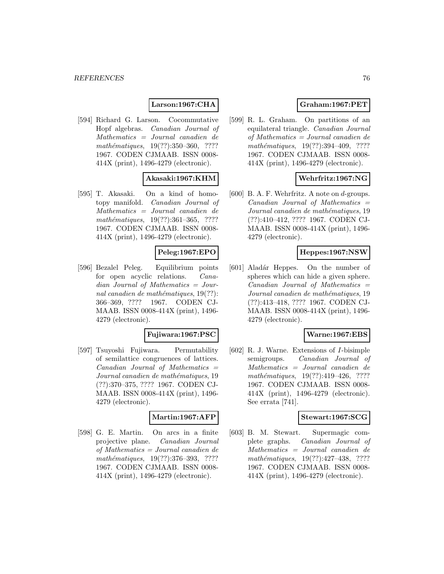# **Larson:1967:CHA**

[594] Richard G. Larson. Cocommutative Hopf algebras. Canadian Journal of Mathematics = Journal canadien de mathématiques,  $19(??):350-360, ????$ 1967. CODEN CJMAAB. ISSN 0008- 414X (print), 1496-4279 (electronic).

# **Akasaki:1967:KHM**

[595] T. Akasaki. On a kind of homotopy manifold. Canadian Journal of Mathematics = Journal canadien de mathématiques,  $19(??):361-365$ , ???? 1967. CODEN CJMAAB. ISSN 0008- 414X (print), 1496-4279 (electronic).

### **Peleg:1967:EPO**

[596] Bezalel Peleg. Equilibrium points for open acyclic relations. Canadian Journal of Mathematics = Journal canadien de mathématiques,  $19(??)$ : 366–369, ???? 1967. CODEN CJ-MAAB. ISSN 0008-414X (print), 1496- 4279 (electronic).

### **Fujiwara:1967:PSC**

[597] Tsuyoshi Fujiwara. Permutability of semilattice congruences of lattices.  $Canadian$  Journal of Mathematics  $=$ Journal canadien de mathématiques, 19 (??):370–375, ???? 1967. CODEN CJ-MAAB. ISSN 0008-414X (print), 1496- 4279 (electronic).

### **Martin:1967:AFP**

[598] G. E. Martin. On arcs in a finite projective plane. Canadian Journal of Mathematics = Journal canadien de mathématiques, 19(??):376-393, ???? 1967. CODEN CJMAAB. ISSN 0008- 414X (print), 1496-4279 (electronic).

# **Graham:1967:PET**

[599] R. L. Graham. On partitions of an equilateral triangle. Canadian Journal of Mathematics = Journal canadien de mathématiques,  $19(??):394-409$ , ???? 1967. CODEN CJMAAB. ISSN 0008- 414X (print), 1496-4279 (electronic).

### **Wehrfritz:1967:NG**

[600] B. A. F. Wehrfritz. A note on  $d$ -groups. Canadian Journal of Mathematics = Journal canadien de mathématiques, 19 (??):410–412, ???? 1967. CODEN CJ-MAAB. ISSN 0008-414X (print), 1496- 4279 (electronic).

### **Heppes:1967:NSW**

[601] Aladár Heppes. On the number of spheres which can hide a given sphere.  $Canadian$  Journal of Mathematics  $=$ Journal canadien de mathématiques, 19 (??):413–418, ???? 1967. CODEN CJ-MAAB. ISSN 0008-414X (print), 1496- 4279 (electronic).

### **Warne:1967:EBS**

[602] R. J. Warne. Extensions of I-bisimple semigroups. *Canadian Journal of* Mathematics = Journal canadien de mathématiques,  $19(??):419-426$ , ???? 1967. CODEN CJMAAB. ISSN 0008- 414X (print), 1496-4279 (electronic). See errata [741].

### **Stewart:1967:SCG**

[603] B. M. Stewart. Supermagic complete graphs. Canadian Journal of Mathematics = Journal canadien de  $mathématiques, 19(??):427–438, ????$ 1967. CODEN CJMAAB. ISSN 0008- 414X (print), 1496-4279 (electronic).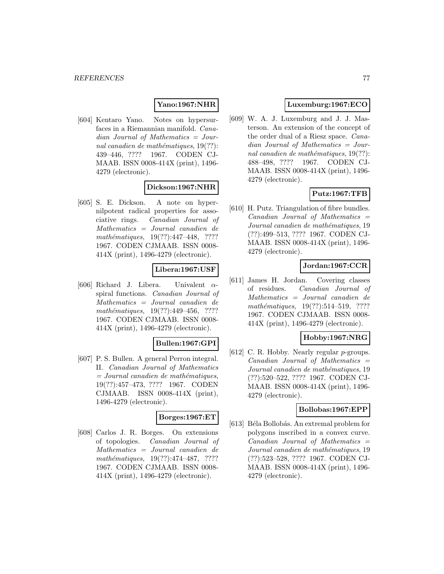### **Yano:1967:NHR**

[604] Kentaro Yano. Notes on hypersurfaces in a Riemannian manifold. Canadian Journal of Mathematics = Journal canadien de mathématiques,  $19(??)$ : 439–446, ???? 1967. CODEN CJ-MAAB. ISSN 0008-414X (print), 1496- 4279 (electronic).

# **Dickson:1967:NHR**

[605] S. E. Dickson. A note on hypernilpotent radical properties for associative rings. Canadian Journal of Mathematics = Journal canadien de  $mathématiques, 19(??): 447–448, ????$ 1967. CODEN CJMAAB. ISSN 0008- 414X (print), 1496-4279 (electronic).

### **Libera:1967:USF**

[606] Richard J. Libera. Univalent  $\alpha$ spiral functions. Canadian Journal of Mathematics = Journal canadien de mathématiques,  $19(??):449-456$ , ???? 1967. CODEN CJMAAB. ISSN 0008- 414X (print), 1496-4279 (electronic).

### **Bullen:1967:GPI**

[607] P. S. Bullen. A general Perron integral. II. Canadian Journal of Mathematics  $=$  Journal canadien de mathématiques, 19(??):457–473, ???? 1967. CODEN CJMAAB. ISSN 0008-414X (print), 1496-4279 (electronic).

### **Borges:1967:ET**

[608] Carlos J. R. Borges. On extensions of topologies. Canadian Journal of Mathematics = Journal canadien de  $mathématiques, 19(??):474-487, ????$ 1967. CODEN CJMAAB. ISSN 0008- 414X (print), 1496-4279 (electronic).

# **Luxemburg:1967:ECO**

[609] W. A. J. Luxemburg and J. J. Masterson. An extension of the concept of the order dual of a Riesz space. Canadian Journal of Mathematics = Journal canadien de mathématiques,  $19(??)$ : 488–498, ???? 1967. CODEN CJ-MAAB. ISSN 0008-414X (print), 1496- 4279 (electronic).

# **Putz:1967:TFB**

[610] H. Putz. Triangulation of fibre bundles.  $Canadian$  Journal of Mathematics  $=$ Journal canadien de mathématiques, 19 (??):499–513, ???? 1967. CODEN CJ-MAAB. ISSN 0008-414X (print), 1496- 4279 (electronic).

# **Jordan:1967:CCR**

[611] James H. Jordan. Covering classes of residues. Canadian Journal of Mathematics = Journal canadien de mathématiques, 19(??):514-519, ???? 1967. CODEN CJMAAB. ISSN 0008- 414X (print), 1496-4279 (electronic).

# **Hobby:1967:NRG**

[612] C. R. Hobby. Nearly regular *p*-groups.  $Canadian$  Journal of Mathematics  $=$ Journal canadien de mathématiques, 19 (??):520–522, ???? 1967. CODEN CJ-MAAB. ISSN 0008-414X (print), 1496- 4279 (electronic).

### **Bollobas:1967:EPP**

[613] Béla Bollobás. An extremal problem for polygons inscribed in a convex curve.  $Canadian$  Journal of Mathematics  $=$ Journal canadien de mathématiques, 19 (??):523–528, ???? 1967. CODEN CJ-MAAB. ISSN 0008-414X (print), 1496- 4279 (electronic).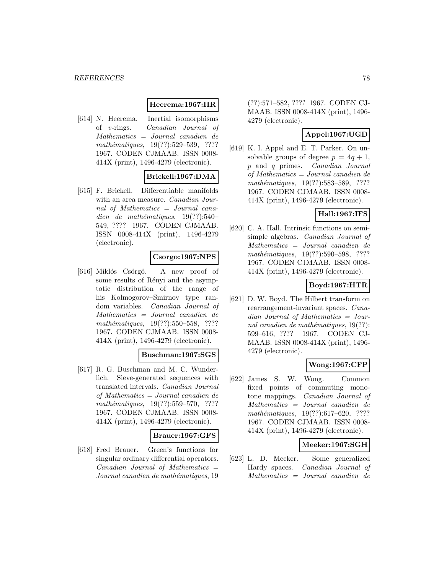### **Heerema:1967:IIR**

[614] N. Heerema. Inertial isomorphisms of v-rings. Canadian Journal of Mathematics = Journal canadien de mathématiques, 19(??):529–539, ???? 1967. CODEN CJMAAB. ISSN 0008- 414X (print), 1496-4279 (electronic).

### **Brickell:1967:DMA**

[615] F. Brickell. Differentiable manifolds with an area measure. Canadian Journal of Mathematics = Journal canadien de mathématiques,  $19(??):540-$ 549, ???? 1967. CODEN CJMAAB. ISSN 0008-414X (print), 1496-4279 (electronic).

#### **Csorgo:1967:NPS**

[616] Miklós Csörgö. A new proof of some results of Rényi and the asymptotic distribution of the range of his Kolmogorov–Smirnov type random variables. Canadian Journal of Mathematics = Journal canadien de mathématiques,  $19(??):550-558$ , ???? 1967. CODEN CJMAAB. ISSN 0008- 414X (print), 1496-4279 (electronic).

# **Buschman:1967:SGS**

[617] R. G. Buschman and M. C. Wunderlich. Sieve-generated sequences with translated intervals. Canadian Journal of Mathematics = Journal canadien de mathématiques,  $19(??):559-570$ , ???? 1967. CODEN CJMAAB. ISSN 0008- 414X (print), 1496-4279 (electronic).

### **Brauer:1967:GFS**

[618] Fred Brauer. Green's functions for singular ordinary differential operators.  $Canadian$  Journal of Mathematics  $=$ Journal canadien de mathématiques, 19

(??):571–582, ???? 1967. CODEN CJ-MAAB. ISSN 0008-414X (print), 1496- 4279 (electronic).

# **Appel:1967:UGD**

[619] K. I. Appel and E. T. Parker. On unsolvable groups of degree  $p = 4q + 1$ , p and q primes. Canadian Journal of Mathematics = Journal canadien de mathématiques, 19(??):583-589, ???? 1967. CODEN CJMAAB. ISSN 0008- 414X (print), 1496-4279 (electronic).

# **Hall:1967:IFS**

[620] C. A. Hall. Intrinsic functions on semisimple algebras. Canadian Journal of Mathematics = Journal canadien de mathématiques, 19(??):590–598, ???? 1967. CODEN CJMAAB. ISSN 0008- 414X (print), 1496-4279 (electronic).

# **Boyd:1967:HTR**

[621] D. W. Boyd. The Hilbert transform on rearrangement-invariant spaces. Canadian Journal of Mathematics = Journal canadien de mathématiques,  $19(??)$ : 599–616, ???? 1967. CODEN CJ-MAAB. ISSN 0008-414X (print), 1496- 4279 (electronic).

# **Wong:1967:CFP**

[622] James S. W. Wong. Common fixed points of commuting monotone mappings. Canadian Journal of Mathematics = Journal canadien de mathématiques,  $19(??):617–620$ , ???? 1967. CODEN CJMAAB. ISSN 0008- 414X (print), 1496-4279 (electronic).

### **Meeker:1967:SGH**

[623] L. D. Meeker. Some generalized Hardy spaces. Canadian Journal of Mathematics = Journal canadien de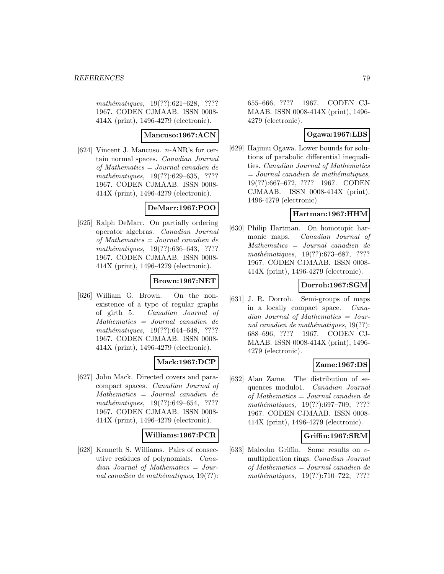$mathématiques, 19(??):621–628, ????$ 1967. CODEN CJMAAB. ISSN 0008- 414X (print), 1496-4279 (electronic).

### **Mancuso:1967:ACN**

[624] Vincent J. Mancuso. n-ANR's for certain normal spaces. Canadian Journal of Mathematics = Journal canadien de mathématiques,  $19(??):629-635$ , ???? 1967. CODEN CJMAAB. ISSN 0008- 414X (print), 1496-4279 (electronic).

# **DeMarr:1967:POO**

[625] Ralph DeMarr. On partially ordering operator algebras. Canadian Journal of Mathematics = Journal canadien de mathématiques,  $19(??):636-643$ , ???? 1967. CODEN CJMAAB. ISSN 0008- 414X (print), 1496-4279 (electronic).

# **Brown:1967:NET**

[626] William G. Brown. On the nonexistence of a type of regular graphs of girth 5. Canadian Journal of Mathematics = Journal canadien de mathématiques,  $19(??):644–648$ , ???? 1967. CODEN CJMAAB. ISSN 0008- 414X (print), 1496-4279 (electronic).

# **Mack:1967:DCP**

[627] John Mack. Directed covers and paracompact spaces. Canadian Journal of Mathematics = Journal canadien de mathématiques,  $19(??):649-654$ , ???? 1967. CODEN CJMAAB. ISSN 0008- 414X (print), 1496-4279 (electronic).

# **Williams:1967:PCR**

[628] Kenneth S. Williams. Pairs of consecutive residues of polynomials. Canadian Journal of Mathematics = Journal canadien de mathématiques,  $19(??)$ : 655–666, ???? 1967. CODEN CJ-MAAB. ISSN 0008-414X (print), 1496- 4279 (electronic).

# **Ogawa:1967:LBS**

[629] Hajimu Ogawa. Lower bounds for solutions of parabolic differential inequalities. Canadian Journal of Mathematics  $=$  Journal canadien de mathématiques, 19(??):667–672, ???? 1967. CODEN CJMAAB. ISSN 0008-414X (print), 1496-4279 (electronic).

### **Hartman:1967:HHM**

[630] Philip Hartman. On homotopic harmonic maps. Canadian Journal of Mathematics = Journal canadien de mathématiques,  $19(??):673–687$ , ???? 1967. CODEN CJMAAB. ISSN 0008- 414X (print), 1496-4279 (electronic).

# **Dorroh:1967:SGM**

[631] J. R. Dorroh. Semi-groups of maps in a locally compact space. Canadian Journal of Mathematics = Journal canadien de mathématiques,  $19(??)$ : 688–696, ???? 1967. CODEN CJ-MAAB. ISSN 0008-414X (print), 1496- 4279 (electronic).

# **Zame:1967:DS**

[632] Alan Zame. The distribution of sequences modulo1. Canadian Journal of Mathematics = Journal canadien de mathématiques,  $19(??):697-709$ , ???? 1967. CODEN CJMAAB. ISSN 0008- 414X (print), 1496-4279 (electronic).

### **Griffin:1967:SRM**

[633] Malcolm Griffin. Some results on vmultiplication rings. Canadian Journal of Mathematics = Journal canadien de mathématiques,  $19(??):710–722$ , ????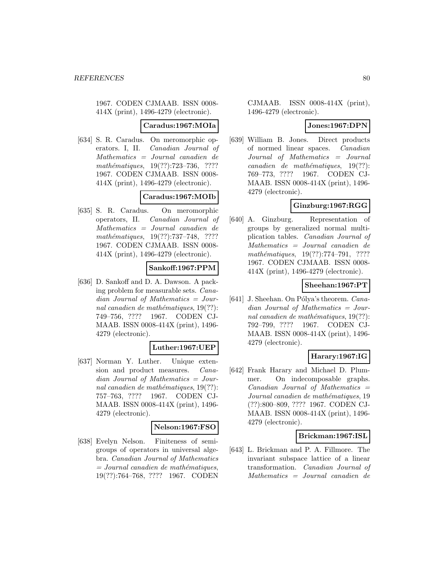1967. CODEN CJMAAB. ISSN 0008- 414X (print), 1496-4279 (electronic).

### **Caradus:1967:MOIa**

[634] S. R. Caradus. On meromorphic operators. I, II. Canadian Journal of Mathematics = Journal canadien de mathématiques,  $19(??):723-736$ , ???? 1967. CODEN CJMAAB. ISSN 0008- 414X (print), 1496-4279 (electronic).

### **Caradus:1967:MOIb**

[635] S. R. Caradus. On meromorphic operators, II. Canadian Journal of Mathematics = Journal canadien de mathématiques, 19(??):737–748, ???? 1967. CODEN CJMAAB. ISSN 0008- 414X (print), 1496-4279 (electronic).

# **Sankoff:1967:PPM**

[636] D. Sankoff and D. A. Dawson. A packing problem for measurable sets. Canadian Journal of Mathematics = Journal canadien de mathématiques,  $19(??)$ : 749–756, ???? 1967. CODEN CJ-MAAB. ISSN 0008-414X (print), 1496- 4279 (electronic).

# **Luther:1967:UEP**

[637] Norman Y. Luther. Unique extension and product measures. Canadian Journal of Mathematics = Journal canadien de mathématiques,  $19(??)$ : 757–763, ???? 1967. CODEN CJ-MAAB. ISSN 0008-414X (print), 1496- 4279 (electronic).

# **Nelson:1967:FSO**

[638] Evelyn Nelson. Finiteness of semigroups of operators in universal algebra. Canadian Journal of Mathematics  $=$  Journal canadien de mathématiques, 19(??):764–768, ???? 1967. CODEN

CJMAAB. ISSN 0008-414X (print), 1496-4279 (electronic).

### **Jones:1967:DPN**

[639] William B. Jones. Direct products of normed linear spaces. Canadian Journal of Mathematics = Journal  $cana dien de mathématiques, 19(??):$ 769–773, ???? 1967. CODEN CJ-MAAB. ISSN 0008-414X (print), 1496- 4279 (electronic).

# **Ginzburg:1967:RGG**

[640] A. Ginzburg. Representation of groups by generalized normal multiplication tables. Canadian Journal of Mathematics = Journal canadien de mathématiques,  $19(??):774-791$ , ???? 1967. CODEN CJMAAB. ISSN 0008- 414X (print), 1496-4279 (electronic).

# **Sheehan:1967:PT**

[641] J. Sheehan. On Pólya's theorem. Canadian Journal of Mathematics = Journal canadien de mathématiques,  $19(??)$ : 792–799, ???? 1967. CODEN CJ-MAAB. ISSN 0008-414X (print), 1496- 4279 (electronic).

# **Harary:1967:IG**

[642] Frank Harary and Michael D. Plummer. On indecomposable graphs.  $Canadian$  Journal of Mathematics  $=$ Journal canadien de mathématiques, 19 (??):800–809, ???? 1967. CODEN CJ-MAAB. ISSN 0008-414X (print), 1496- 4279 (electronic).

### **Brickman:1967:ISL**

[643] L. Brickman and P. A. Fillmore. The invariant subspace lattice of a linear transformation. Canadian Journal of Mathematics = Journal canadien de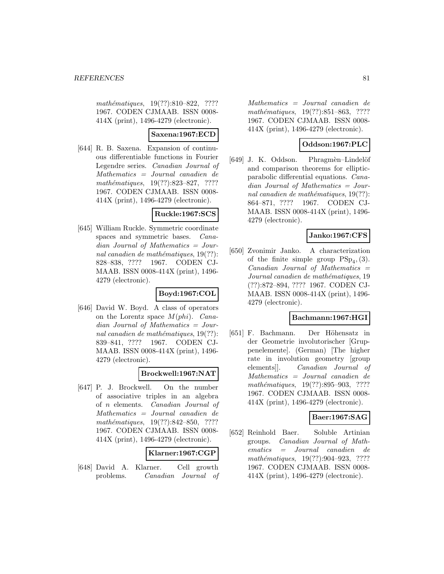mathématiques, 19(??):810–822, ???? 1967. CODEN CJMAAB. ISSN 0008- 414X (print), 1496-4279 (electronic).

# **Saxena:1967:ECD**

[644] R. B. Saxena. Expansion of continuous differentiable functions in Fourier Legendre series. Canadian Journal of Mathematics = Journal canadien de  $mathématiques, 19(??):823–827, ????$ 1967. CODEN CJMAAB. ISSN 0008- 414X (print), 1496-4279 (electronic).

# **Ruckle:1967:SCS**

[645] William Ruckle. Symmetric coordinate spaces and symmetric bases. Canadian Journal of Mathematics = Journal canadien de mathématiques,  $19(??)$ : 828–838, ???? 1967. CODEN CJ-MAAB. ISSN 0008-414X (print), 1496- 4279 (electronic).

# **Boyd:1967:COL**

[646] David W. Boyd. A class of operators on the Lorentz space  $M(\rho h i)$ . Canadian Journal of Mathematics = Journal canadien de mathématiques,  $19(??)$ : 839–841, ???? 1967. CODEN CJ-MAAB. ISSN 0008-414X (print), 1496- 4279 (electronic).

# **Brockwell:1967:NAT**

[647] P. J. Brockwell. On the number of associative triples in an algebra of n elements. Canadian Journal of Mathematics = Journal canadien de mathématiques,  $19(??):842-850$ , ???? 1967. CODEN CJMAAB. ISSN 0008- 414X (print), 1496-4279 (electronic).

# **Klarner:1967:CGP**

[648] David A. Klarner. Cell growth problems. Canadian Journal of

Mathematics = Journal canadien de mathématiques, 19(??):851–863, ???? 1967. CODEN CJMAAB. ISSN 0008- 414X (print), 1496-4279 (electronic).

# **Oddson:1967:PLC**

[649] J. K. Oddson. Phragmèn–Lindelöf and comparison theorems for ellipticparabolic differential equations. Canadian Journal of Mathematics = Journal canadien de mathématiques,  $19(??)$ : 864–871, ???? 1967. CODEN CJ-MAAB. ISSN 0008-414X (print), 1496- 4279 (electronic).

# **Janko:1967:CFS**

[650] Zvonimir Janko. A characterization of the finite simple group  $PSp_4$ , (3).  $Canadian$  Journal of Mathematics  $=$ Journal canadien de mathématiques, 19 (??):872–894, ???? 1967. CODEN CJ-MAAB. ISSN 0008-414X (print), 1496- 4279 (electronic).

# **Bachmann:1967:HGI**

[651] F. Bachmann. Der Höhensatz in der Geometrie involutorischer [Gruppenelemente]. (German) [The higher rate in involution geometry [group elements]]. Canadian Journal of Mathematics = Journal canadien de mathématiques,  $19(??):895-903$ , ???? 1967. CODEN CJMAAB. ISSN 0008- 414X (print), 1496-4279 (electronic).

# **Baer:1967:SAG**

[652] Reinhold Baer. Soluble Artinian groups. Canadian Journal of Mathematics = Journal canadien de  $mathématiques, 19(??):904–923, ????$ 1967. CODEN CJMAAB. ISSN 0008- 414X (print), 1496-4279 (electronic).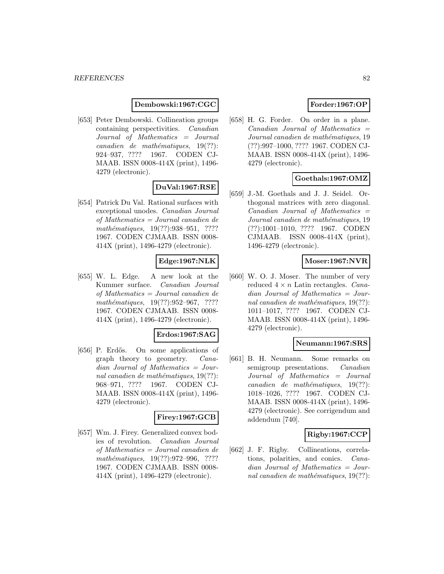### **Dembowski:1967:CGC**

[653] Peter Dembowski. Collineation groups containing perspectivities. Canadian Journal of Mathematics = Journal  $cana dien de mathématiques, 19(??):$ 924–937, ???? 1967. CODEN CJ-MAAB. ISSN 0008-414X (print), 1496- 4279 (electronic).

# **DuVal:1967:RSE**

[654] Patrick Du Val. Rational surfaces with exceptional unodes. Canadian Journal of Mathematics = Journal canadien de mathématiques, 19(??):938-951, ???? 1967. CODEN CJMAAB. ISSN 0008- 414X (print), 1496-4279 (electronic).

# **Edge:1967:NLK**

[655] W. L. Edge. A new look at the Kummer surface. Canadian Journal of Mathematics = Journal canadien de  $mathématiques, 19(??):952–967, ????$ 1967. CODEN CJMAAB. ISSN 0008- 414X (print), 1496-4279 (electronic).

#### **Erdos:1967:SAG**

[656] P. Erd˝os. On some applications of graph theory to geometry. Canadian Journal of Mathematics = Journal canadien de mathématiques,  $19(??)$ : 968–971, ???? 1967. CODEN CJ-MAAB. ISSN 0008-414X (print), 1496- 4279 (electronic).

# **Firey:1967:GCB**

[657] Wm. J. Firey. Generalized convex bodies of revolution. Canadian Journal of Mathematics = Journal canadien de mathématiques, 19(??):972-996, ???? 1967. CODEN CJMAAB. ISSN 0008- 414X (print), 1496-4279 (electronic).

# **Forder:1967:OP**

[658] H. G. Forder. On order in a plane.  $Canadian$  Journal of Mathematics  $=$ Journal canadien de mathématiques, 19 (??):997–1000, ???? 1967. CODEN CJ-MAAB. ISSN 0008-414X (print), 1496- 4279 (electronic).

# **Goethals:1967:OMZ**

[659] J.-M. Goethals and J. J. Seidel. Orthogonal matrices with zero diagonal. Canadian Journal of Mathematics = Journal canadien de mathématiques, 19 (??):1001–1010, ???? 1967. CODEN CJMAAB. ISSN 0008-414X (print), 1496-4279 (electronic).

### **Moser:1967:NVR**

[660] W. O. J. Moser. The number of very reduced  $4 \times n$  Latin rectangles. *Cana*dian Journal of Mathematics = Journal canadien de mathématiques,  $19(??)$ : 1011–1017, ???? 1967. CODEN CJ-MAAB. ISSN 0008-414X (print), 1496- 4279 (electronic).

### **Neumann:1967:SRS**

[661] B. H. Neumann. Some remarks on semigroup presentations. *Canadian* Journal of Mathematics = Journal  $cana dien de mathématiques, 19(??):$ 1018–1026, ???? 1967. CODEN CJ-MAAB. ISSN 0008-414X (print), 1496- 4279 (electronic). See corrigendum and addendum [740].

# **Rigby:1967:CCP**

[662] J. F. Rigby. Collineations, correlations, polarities, and conics. Canadian Journal of Mathematics = Journal canadien de mathématiques,  $19(??)$ :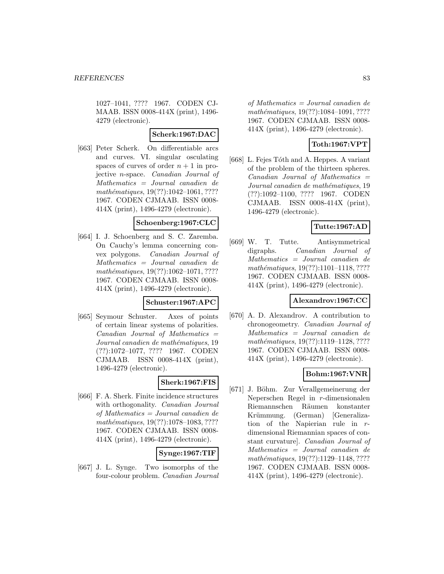1027–1041, ???? 1967. CODEN CJ-MAAB. ISSN 0008-414X (print), 1496- 4279 (electronic).

### **Scherk:1967:DAC**

[663] Peter Scherk. On differentiable arcs and curves. VI. singular osculating spaces of curves of order  $n + 1$  in projective n-space. Canadian Journal of Mathematics = Journal canadien de mathématiques, 19(??):1042-1061, ???? 1967. CODEN CJMAAB. ISSN 0008- 414X (print), 1496-4279 (electronic).

### **Schoenberg:1967:CLC**

[664] I. J. Schoenberg and S. C. Zaremba. On Cauchy's lemma concerning convex polygons. Canadian Journal of Mathematics = Journal canadien de mathématiques,  $19(??):1062-1071, ????$ 1967. CODEN CJMAAB. ISSN 0008- 414X (print), 1496-4279 (electronic).

# **Schuster:1967:APC**

[665] Seymour Schuster. Axes of points of certain linear systems of polarities.  $Canadian$  Journal of Mathematics  $=$ Journal canadien de mathématiques, 19 (??):1072–1077, ???? 1967. CODEN CJMAAB. ISSN 0008-414X (print), 1496-4279 (electronic).

# **Sherk:1967:FIS**

[666] F. A. Sherk. Finite incidence structures with orthogonality. *Canadian Journal* of Mathematics = Journal canadien de mathématiques, 19(??):1078-1083, ???? 1967. CODEN CJMAAB. ISSN 0008- 414X (print), 1496-4279 (electronic).

### **Synge:1967:TIF**

[667] J. L. Synge. Two isomorphs of the four-colour problem. Canadian Journal

of Mathematics = Journal canadien de mathématiques, 19(??):1084-1091, ???? 1967. CODEN CJMAAB. ISSN 0008- 414X (print), 1496-4279 (electronic).

# **Toth:1967:VPT**

[668] L. Fejes Tóth and A. Heppes. A variant of the problem of the thirteen spheres.  $Canadian$  Journal of Mathematics  $=$ Journal canadien de mathématiques, 19 (??):1092–1100, ???? 1967. CODEN CJMAAB. ISSN 0008-414X (print), 1496-4279 (electronic).

# **Tutte:1967:AD**

[669] W. T. Tutte. Antisymmetrical digraphs. Canadian Journal of Mathematics = Journal canadien de mathématiques,  $19(??):1101-1118, ????$ 1967. CODEN CJMAAB. ISSN 0008- 414X (print), 1496-4279 (electronic).

### **Alexandrov:1967:CC**

[670] A. D. Alexandrov. A contribution to chronogeometry. Canadian Journal of Mathematics = Journal canadien de  $mathématiques, 19(??): 1119-1128, ????$ 1967. CODEN CJMAAB. ISSN 0008- 414X (print), 1496-4279 (electronic).

# **Bohm:1967:VNR**

[671] J. Böhm. Zur Verallgemeinerung der Neperschen Regel in r-dimensionalen Riemannschen Räumen konstanter Krümmung. (German) [Generalization of the Napierian rule in rdimensional Riemannian spaces of constant curvature]. Canadian Journal of Mathematics = Journal canadien de mathématiques, 19(??):1129–1148, ???? 1967. CODEN CJMAAB. ISSN 0008- 414X (print), 1496-4279 (electronic).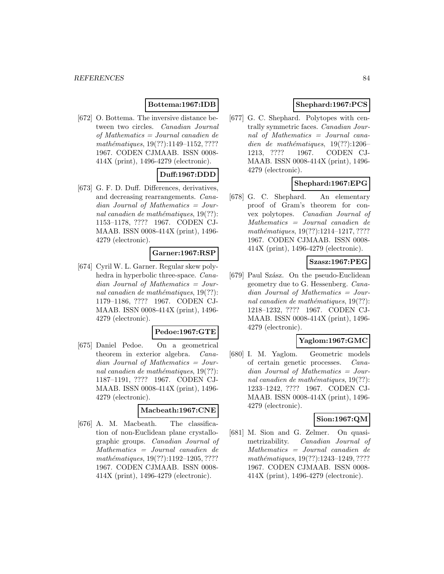# **Bottema:1967:IDB**

[672] O. Bottema. The inversive distance between two circles. Canadian Journal of Mathematics = Journal canadien de mathématiques, 19(??):1149-1152, ???? 1967. CODEN CJMAAB. ISSN 0008- 414X (print), 1496-4279 (electronic).

# **Duff:1967:DDD**

[673] G. F. D. Duff. Differences, derivatives, and decreasing rearrangements. Canadian Journal of Mathematics = Journal canadien de mathématiques,  $19(??)$ : 1153–1178, ???? 1967. CODEN CJ-MAAB. ISSN 0008-414X (print), 1496- 4279 (electronic).

### **Garner:1967:RSP**

[674] Cyril W. L. Garner. Regular skew polyhedra in hyperbolic three-space. Canadian Journal of Mathematics = Journal canadien de mathématiques,  $19(??)$ : 1179–1186, ???? 1967. CODEN CJ-MAAB. ISSN 0008-414X (print), 1496- 4279 (electronic).

### **Pedoe:1967:GTE**

[675] Daniel Pedoe. On a geometrical theorem in exterior algebra. Canadian Journal of Mathematics = Journal canadien de mathématiques,  $19(??)$ : 1187–1191, ???? 1967. CODEN CJ-MAAB. ISSN 0008-414X (print), 1496- 4279 (electronic).

### **Macbeath:1967:CNE**

[676] A. M. Macbeath. The classification of non-Euclidean plane crystallographic groups. Canadian Journal of Mathematics = Journal canadien de mathématiques, 19(??):1192-1205, ???? 1967. CODEN CJMAAB. ISSN 0008- 414X (print), 1496-4279 (electronic).

# **Shephard:1967:PCS**

[677] G. C. Shephard. Polytopes with centrally symmetric faces. Canadian Journal of Mathematics = Journal canadien de mathématiques,  $19(??):1206-$ 1213, ???? 1967. CODEN CJ-MAAB. ISSN 0008-414X (print), 1496- 4279 (electronic).

# **Shephard:1967:EPG**

[678] G. C. Shephard. An elementary proof of Gram's theorem for convex polytopes. Canadian Journal of Mathematics = Journal canadien de mathématiques,  $19(??):1214-1217, ????$ 1967. CODEN CJMAAB. ISSN 0008- 414X (print), 1496-4279 (electronic).

### **Szasz:1967:PEG**

[679] Paul Szász. On the pseudo-Euclidean geometry due to G. Hessenberg. Canadian Journal of Mathematics = Journal canadien de mathématiques,  $19(??)$ : 1218–1232, ???? 1967. CODEN CJ-MAAB. ISSN 0008-414X (print), 1496- 4279 (electronic).

# **Yaglom:1967:GMC**

[680] I. M. Yaglom. Geometric models of certain genetic processes. Canadian Journal of Mathematics = Journal canadien de mathématiques,  $19(??)$ : 1233–1242, ???? 1967. CODEN CJ-MAAB. ISSN 0008-414X (print), 1496- 4279 (electronic).

# **Sion:1967:QM**

[681] M. Sion and G. Zelmer. On quasimetrizability. Canadian Journal of Mathematics = Journal canadien de mathématiques, 19(??):1243-1249, ???? 1967. CODEN CJMAAB. ISSN 0008- 414X (print), 1496-4279 (electronic).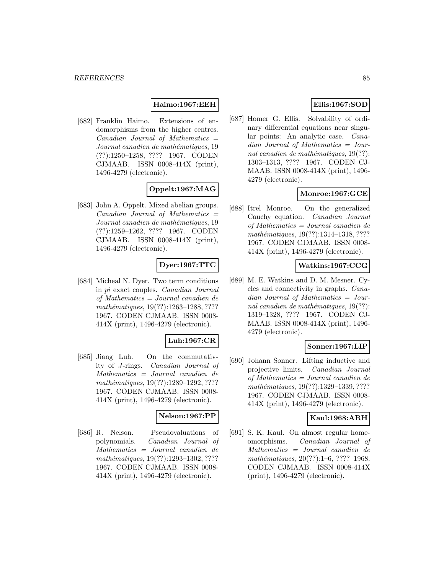# **Haimo:1967:EEH**

[682] Franklin Haimo. Extensions of endomorphisms from the higher centres. Canadian Journal of Mathematics = Journal canadien de mathématiques, 19 (??):1250–1258, ???? 1967. CODEN CJMAAB. ISSN 0008-414X (print), 1496-4279 (electronic).

# **Oppelt:1967:MAG**

[683] John A. Oppelt. Mixed abelian groups.  $Canadian$  Journal of Mathematics  $=$ Journal canadien de mathématiques, 19 (??):1259–1262, ???? 1967. CODEN CJMAAB. ISSN 0008-414X (print), 1496-4279 (electronic).

### **Dyer:1967:TTC**

[684] Micheal N. Dyer. Two term conditions in pi exact couples. Canadian Journal of Mathematics = Journal canadien de mathématiques, 19(??):1263-1288, ???? 1967. CODEN CJMAAB. ISSN 0008- 414X (print), 1496-4279 (electronic).

### **Luh:1967:CR**

[685] Jiang Luh. On the commutativity of J-rings. Canadian Journal of Mathematics = Journal canadien de mathématiques, 19(??):1289-1292, ???? 1967. CODEN CJMAAB. ISSN 0008- 414X (print), 1496-4279 (electronic).

### **Nelson:1967:PP**

[686] R. Nelson. Pseudovaluations of polynomials. Canadian Journal of Mathematics = Journal canadien de mathématiques, 19(??):1293-1302, ???? 1967. CODEN CJMAAB. ISSN 0008- 414X (print), 1496-4279 (electronic).

# **Ellis:1967:SOD**

[687] Homer G. Ellis. Solvability of ordinary differential equations near singular points: An analytic case. Canadian Journal of Mathematics = Journal canadien de mathématiques,  $19(??)$ : 1303–1313, ???? 1967. CODEN CJ-MAAB. ISSN 0008-414X (print), 1496- 4279 (electronic).

# **Monroe:1967:GCE**

[688] Itrel Monroe. On the generalized Cauchy equation. Canadian Journal of Mathematics = Journal canadien de mathématiques, 19(??):1314-1318, ???? 1967. CODEN CJMAAB. ISSN 0008- 414X (print), 1496-4279 (electronic).

# **Watkins:1967:CCG**

[689] M. E. Watkins and D. M. Mesner. Cycles and connectivity in graphs. Canadian Journal of Mathematics = Journal canadien de mathématiques,  $19(??)$ : 1319–1328, ???? 1967. CODEN CJ-MAAB. ISSN 0008-414X (print), 1496- 4279 (electronic).

### **Sonner:1967:LIP**

[690] Johann Sonner. Lifting inductive and projective limits. Canadian Journal of Mathematics = Journal canadien de mathématiques, 19(??):1329-1339, ???? 1967. CODEN CJMAAB. ISSN 0008- 414X (print), 1496-4279 (electronic).

### **Kaul:1968:ARH**

[691] S. K. Kaul. On almost regular homeomorphisms. Canadian Journal of Mathematics = Journal canadien de mathématiques,  $20(??):1-6$ , ???? 1968. CODEN CJMAAB. ISSN 0008-414X (print), 1496-4279 (electronic).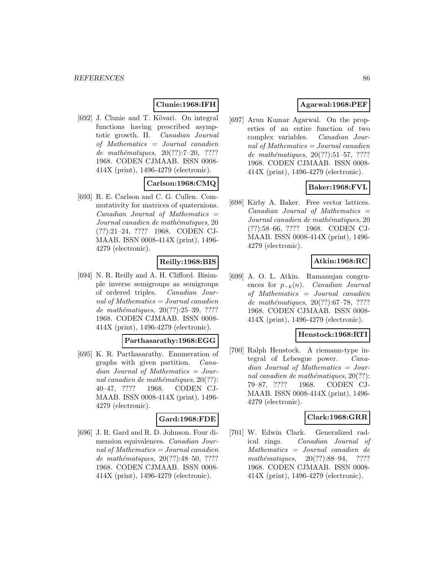# **Clunie:1968:IFH**

[692] J. Clunie and T. Kövari. On integral functions having prescribed asymptotic growth. II. Canadian Journal of Mathematics = Journal canadien de mathématiques,  $20(??):7-20$ , ???? 1968. CODEN CJMAAB. ISSN 0008- 414X (print), 1496-4279 (electronic).

# **Carlson:1968:CMQ**

[693] R. E. Carlson and C. G. Cullen. Commutativity for matrices of quaternions.  $Canadian$  Journal of Mathematics  $=$ Journal canadien de mathématiques, 20 (??):21–24, ???? 1968. CODEN CJ-MAAB. ISSN 0008-414X (print), 1496- 4279 (electronic).

# **Reilly:1968:BIS**

[694] N. R. Reilly and A. H. Clifford. Bisimple inverse semigroups as semigroups of ordered triples. Canadian Journal of Mathematics = Journal canadien de mathématiques,  $20(??):25-39, ????$ 1968. CODEN CJMAAB. ISSN 0008- 414X (print), 1496-4279 (electronic).

### **Parthasarathy:1968:EGG**

[695] K. R. Parthasarathy. Enumeration of graphs with given partition. Canadian Journal of Mathematics = Journal canadien de mathématiques,  $20(??)$ : 40–47, ???? 1968. CODEN CJ-MAAB. ISSN 0008-414X (print), 1496- 4279 (electronic).

# **Gard:1968:FDE**

[696] J. R. Gard and R. D. Johnson. Four dimension equivalences. Canadian Jour $nab$  of Mathematics = Journal canadien de mathématiques, 20(??):48–50, ???? 1968. CODEN CJMAAB. ISSN 0008- 414X (print), 1496-4279 (electronic).

# **Agarwal:1968:PEF**

[697] Arun Kumar Agarwal. On the properties of an entire function of two complex variables. Canadian Journal of Mathematics = Journal canadien de mathématiques,  $20(??):51–57, ????$ 1968. CODEN CJMAAB. ISSN 0008- 414X (print), 1496-4279 (electronic).

# **Baker:1968:FVL**

[698] Kirby A. Baker. Free vector lattices. Canadian Journal of Mathematics = Journal canadien de mathématiques, 20 (??):58–66, ???? 1968. CODEN CJ-MAAB. ISSN 0008-414X (print), 1496- 4279 (electronic).

# **Atkin:1968:RC**

[699] A. O. L. Atkin. Ramanujan congruences for  $p_{-k}(n)$ . *Canadian Journal* of Mathematics = Journal canadien de mathématiques,  $20(??):67–78, ????$ 1968. CODEN CJMAAB. ISSN 0008- 414X (print), 1496-4279 (electronic).

# **Henstock:1968:RTI**

[700] Ralph Henstock. A riemann-type integral of Lebesgue power. Canadian Journal of Mathematics = Journal canadien de mathématiques,  $20(??)$ : 79–87, ???? 1968. CODEN CJ-MAAB. ISSN 0008-414X (print), 1496- 4279 (electronic).

### **Clark:1968:GRR**

[701] W. Edwin Clark. Generalized radical rings. Canadian Journal of Mathematics = Journal canadien de mathématiques,  $20(??):88-94$ , ???? 1968. CODEN CJMAAB. ISSN 0008- 414X (print), 1496-4279 (electronic).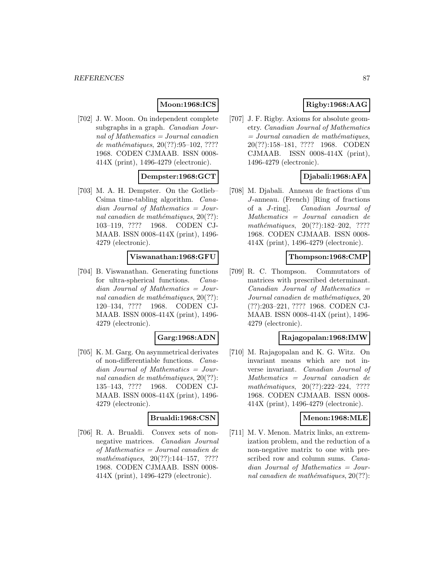# **Moon:1968:ICS**

[702] J. W. Moon. On independent complete subgraphs in a graph. *Canadian Jour*nal of Mathematics = Journal canadien de mathématiques,  $20(??):95-102, ????$ 1968. CODEN CJMAAB. ISSN 0008- 414X (print), 1496-4279 (electronic).

# **Dempster:1968:GCT**

[703] M. A. H. Dempster. On the Gotlieb– Csima time-tabling algorithm. Canadian Journal of Mathematics = Journal canadien de mathématiques,  $20(??)$ : 103–119, ???? 1968. CODEN CJ-MAAB. ISSN 0008-414X (print), 1496- 4279 (electronic).

### **Viswanathan:1968:GFU**

[704] B. Viswanathan. Generating functions for ultra-spherical functions. Canadian Journal of Mathematics = Journal canadien de mathématiques,  $20(??)$ : 120–134, ???? 1968. CODEN CJ-MAAB. ISSN 0008-414X (print), 1496- 4279 (electronic).

### **Garg:1968:ADN**

[705] K. M. Garg. On asymmetrical derivates of non-differentiable functions. Canadian Journal of Mathematics = Journal canadien de mathématiques,  $20(??)$ : 135–143, ???? 1968. CODEN CJ-MAAB. ISSN 0008-414X (print), 1496- 4279 (electronic).

### **Brualdi:1968:CSN**

[706] R. A. Brualdi. Convex sets of nonnegative matrices. Canadian Journal of Mathematics = Journal canadien de  $mathématiques, 20(??):144-157, ????$ 1968. CODEN CJMAAB. ISSN 0008- 414X (print), 1496-4279 (electronic).

# **Rigby:1968:AAG**

[707] J. F. Rigby. Axioms for absolute geometry. Canadian Journal of Mathematics  $=$  Journal canadien de mathématiques, 20(??):158–181, ???? 1968. CODEN CJMAAB. ISSN 0008-414X (print), 1496-4279 (electronic).

# **Djabali:1968:AFA**

[708] M. Djabali. Anneau de fractions d'un J-anneau. (French) [Ring of fractions of a J-ring]. Canadian Journal of Mathematics = Journal canadien de mathématiques,  $20(??):182-202$ , ???? 1968. CODEN CJMAAB. ISSN 0008- 414X (print), 1496-4279 (electronic).

#### **Thompson:1968:CMP**

[709] R. C. Thompson. Commutators of matrices with prescribed determinant.  $Canadian$  Journal of Mathematics  $=$ Journal canadien de mathématiques, 20 (??):203–221, ???? 1968. CODEN CJ-MAAB. ISSN 0008-414X (print), 1496- 4279 (electronic).

### **Rajagopalan:1968:IMW**

[710] M. Rajagopalan and K. G. Witz. On invariant means which are not inverse invariant. Canadian Journal of Mathematics = Journal canadien de  $mathématiques, 20(??):222-224, ????$ 1968. CODEN CJMAAB. ISSN 0008- 414X (print), 1496-4279 (electronic).

### **Menon:1968:MLE**

[711] M. V. Menon. Matrix links, an extremization problem, and the reduction of a non-negative matrix to one with prescribed row and column sums. Canadian Journal of Mathematics = Journal canadien de mathématiques,  $20(??)$ :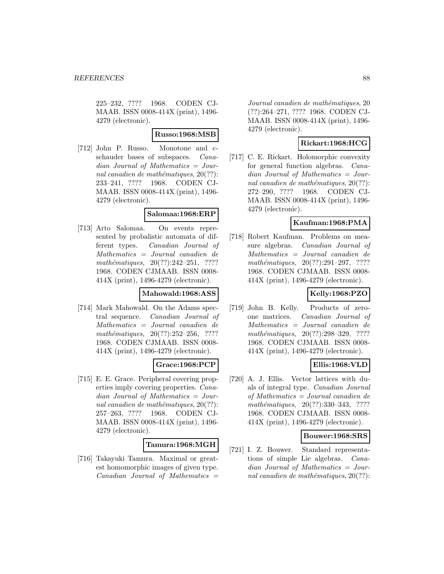225–232, ???? 1968. CODEN CJ-MAAB. ISSN 0008-414X (print), 1496- 4279 (electronic).

# **Russo:1968:MSB**

[712] John P. Russo. Monotone and eschauder bases of subspaces. Canadian Journal of Mathematics = Journal canadien de mathématiques,  $20(??)$ : 233–241, ???? 1968. CODEN CJ-MAAB. ISSN 0008-414X (print), 1496- 4279 (electronic).

### **Salomaa:1968:ERP**

[713] Arto Salomaa. On events represented by probalistic automata of different types. Canadian Journal of Mathematics = Journal canadien de  $mathématiques, 20(??):242-251, ????$ 1968. CODEN CJMAAB. ISSN 0008- 414X (print), 1496-4279 (electronic).

### **Mahowald:1968:ASS**

[714] Mark Mahowald. On the Adams spectral sequence. Canadian Journal of Mathematics = Journal canadien de mathématiques,  $20(??):252-256$ , ???? 1968. CODEN CJMAAB. ISSN 0008- 414X (print), 1496-4279 (electronic).

# **Grace:1968:PCP**

[715] E. E. Grace. Peripheral covering properties imply covering properties. Canadian Journal of Mathematics = Journal canadien de mathématiques,  $20(??)$ : 257–263, ???? 1968. CODEN CJ-MAAB. ISSN 0008-414X (print), 1496- 4279 (electronic).

### **Tamura:1968:MGH**

[716] Takayuki Tamura. Maximal or greatest homomorphic images of given type.  $Canadian$  Journal of Mathematics  $=$ 

Journal canadien de mathématiques, 20 (??):264–271, ???? 1968. CODEN CJ-MAAB. ISSN 0008-414X (print), 1496- 4279 (electronic).

# **Rickart:1968:HCG**

[717] C. E. Rickart. Holomorphic convexity for general function algebras. Canadian Journal of Mathematics = Journal canadien de mathématiques,  $20(??)$ : 272–290, ???? 1968. CODEN CJ-MAAB. ISSN 0008-414X (print), 1496- 4279 (electronic).

# **Kaufman:1968:PMA**

[718] Robert Kaufman. Problems on measure algebras. Canadian Journal of Mathematics = Journal canadien de  $mathématiques, 20(??):291-297, ????$ 1968. CODEN CJMAAB. ISSN 0008- 414X (print), 1496-4279 (electronic).

# **Kelly:1968:PZO**

[719] John B. Kelly. Products of zeroone matrices. Canadian Journal of Mathematics = Journal canadien de mathématiques, 20(??):298-329, ???? 1968. CODEN CJMAAB. ISSN 0008- 414X (print), 1496-4279 (electronic).

# **Ellis:1968:VLD**

[720] A. J. Ellis. Vector lattices with duals of integral type. Canadian Journal of Mathematics = Journal canadien de mathématiques,  $20(??):330-343$ , ???? 1968. CODEN CJMAAB. ISSN 0008- 414X (print), 1496-4279 (electronic).

# **Bouwer:1968:SRS**

[721] I. Z. Bouwer. Standard representations of simple Lie algebras. Canadian Journal of Mathematics = Journal canadien de mathématiques,  $20(??)$ :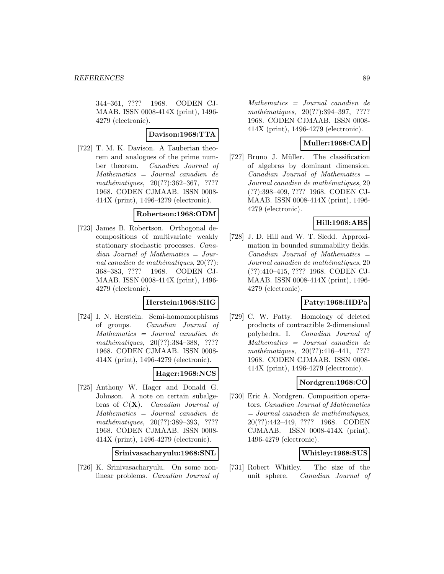344–361, ???? 1968. CODEN CJ-MAAB. ISSN 0008-414X (print), 1496- 4279 (electronic).

### **Davison:1968:TTA**

[722] T. M. K. Davison. A Tauberian theorem and analogues of the prime number theorem. Canadian Journal of Mathematics = Journal canadien de  $mathématiques, 20(??):362-367, ????$ 1968. CODEN CJMAAB. ISSN 0008- 414X (print), 1496-4279 (electronic).

### **Robertson:1968:ODM**

[723] James B. Robertson. Orthogonal decompositions of multivariate weakly stationary stochastic processes. Canadian Journal of Mathematics = Journal canadien de mathématiques,  $20(??)$ : 368–383, ???? 1968. CODEN CJ-MAAB. ISSN 0008-414X (print), 1496- 4279 (electronic).

### **Herstein:1968:SHG**

[724] I. N. Herstein. Semi-homomorphisms of groups. Canadian Journal of Mathematics = Journal canadien de mathématiques, 20(??):384–388, ???? 1968. CODEN CJMAAB. ISSN 0008- 414X (print), 1496-4279 (electronic).

# **Hager:1968:NCS**

[725] Anthony W. Hager and Donald G. Johnson. A note on certain subalgebras of C(**X**). Canadian Journal of Mathematics = Journal canadien de mathématiques, 20(??):389-393, ???? 1968. CODEN CJMAAB. ISSN 0008- 414X (print), 1496-4279 (electronic).

**Srinivasacharyulu:1968:SNL**

[726] K. Srinivasacharyulu. On some nonlinear problems. Canadian Journal of

Mathematics = Journal canadien de mathématiques, 20(??):394-397, ???? 1968. CODEN CJMAAB. ISSN 0008- 414X (print), 1496-4279 (electronic).

### **Muller:1968:CAD**

[727] Bruno J. Müller. The classification of algebras by dominant dimension.  $Canadian$  Journal of Mathematics  $=$ Journal canadien de mathématiques, 20 (??):398–409, ???? 1968. CODEN CJ-MAAB. ISSN 0008-414X (print), 1496- 4279 (electronic).

# **Hill:1968:ABS**

[728] J. D. Hill and W. T. Sledd. Approximation in bounded summability fields.  $Canadian$  Journal of Mathematics  $=$ Journal canadien de mathématiques, 20 (??):410–415, ???? 1968. CODEN CJ-MAAB. ISSN 0008-414X (print), 1496- 4279 (electronic).

# **Patty:1968:HDPa**

[729] C. W. Patty. Homology of deleted products of contractible 2-dimensional polyhedra. I. Canadian Journal of Mathematics = Journal canadien de mathématiques,  $20(??):416-441$ , ???? 1968. CODEN CJMAAB. ISSN 0008- 414X (print), 1496-4279 (electronic).

# **Nordgren:1968:CO**

[730] Eric A. Nordgren. Composition operators. Canadian Journal of Mathematics  $=$  Journal canadien de mathématiques, 20(??):442–449, ???? 1968. CODEN CJMAAB. ISSN 0008-414X (print), 1496-4279 (electronic).

### **Whitley:1968:SUS**

[731] Robert Whitley. The size of the unit sphere. Canadian Journal of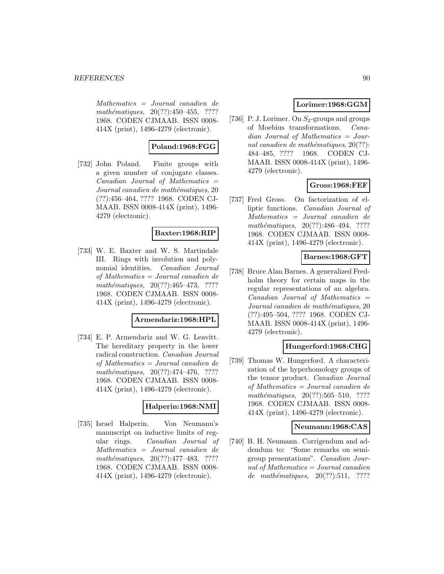Mathematics = Journal canadien de  $mathématiques, 20(??):450-455, ????$ 1968. CODEN CJMAAB. ISSN 0008- 414X (print), 1496-4279 (electronic).

# **Poland:1968:FGG**

[732] John Poland. Finite groups with a given number of conjugate classes.  $Canadian$  Journal of Mathematics  $=$ Journal canadien de mathématiques, 20 (??):456–464, ???? 1968. CODEN CJ-MAAB. ISSN 0008-414X (print), 1496- 4279 (electronic).

# **Baxter:1968:RIP**

[733] W. E. Baxter and W. S. Martindale III. Rings with involution and polynomial identities. Canadian Journal of Mathematics = Journal canadien de mathématiques,  $20(??):465-473$ , ???? 1968. CODEN CJMAAB. ISSN 0008- 414X (print), 1496-4279 (electronic).

### **Armendariz:1968:HPL**

[734] E. P. Armendariz and W. G. Leavitt. The hereditary property in the lower radical construction. Canadian Journal of Mathematics = Journal canadien de  $mathématiques, 20(??):474-476, ????$ 1968. CODEN CJMAAB. ISSN 0008- 414X (print), 1496-4279 (electronic).

# **Halperin:1968:NMI**

[735] Israel Halperin. Von Neumann's manuscript on inductive limits of regular rings. Canadian Journal of Mathematics = Journal canadien de  $mathématiques, 20(??):477-483, ????$ 1968. CODEN CJMAAB. ISSN 0008- 414X (print), 1496-4279 (electronic).

# **Lorimer:1968:GGM**

[736] P. J. Lorimer. On  $S_2$ -groups and groups of Moebius transformations. Canadian Journal of Mathematics = Journal canadien de mathématiques,  $20(??)$ : 484–485, ???? 1968. CODEN CJ-MAAB. ISSN 0008-414X (print), 1496- 4279 (electronic).

# **Gross:1968:FEF**

[737] Fred Gross. On factorization of elliptic functions. Canadian Journal of Mathematics = Journal canadien de mathématiques,  $20(??):486-494$ , ???? 1968. CODEN CJMAAB. ISSN 0008- 414X (print), 1496-4279 (electronic).

### **Barnes:1968:GFT**

[738] Bruce Alan Barnes. A generalized Fredholm theory for certain maps in the regular representations of an algebra.  $Canadian$  Journal of Mathematics  $=$ Journal canadien de mathématiques, 20 (??):495–504, ???? 1968. CODEN CJ-MAAB. ISSN 0008-414X (print), 1496- 4279 (electronic).

### **Hungerford:1968:CHG**

[739] Thomas W. Hungerford. A characterization of the hyperhomology groups of the tensor product. Canadian Journal of Mathematics = Journal canadien de mathématiques,  $20(??):505-510$ , ???? 1968. CODEN CJMAAB. ISSN 0008- 414X (print), 1496-4279 (electronic).

### **Neumann:1968:CAS**

[740] B. H. Neumann. Corrigendum and addendum to: "Some remarks on semigroup presentations". Canadian Journal of Mathematics = Journal canadien de mathématiques,  $20(??):511, ????$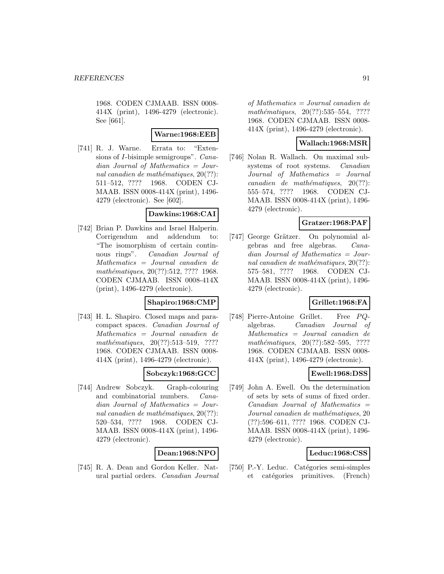1968. CODEN CJMAAB. ISSN 0008- 414X (print), 1496-4279 (electronic). See [661].

### **Warne:1968:EEB**

[741] R. J. Warne. Errata to: "Extensions of I-bisimple semigroups". Canadian Journal of Mathematics = Journal canadien de mathématiques,  $20(??)$ : 511–512, ???? 1968. CODEN CJ-MAAB. ISSN 0008-414X (print), 1496- 4279 (electronic). See [602].

### **Dawkins:1968:CAI**

[742] Brian P. Dawkins and Israel Halperin. Corrigendum and addendum to: "The isomorphism of certain continuous rings". Canadian Journal of Mathematics = Journal canadien de mathématiques, 20(??):512, ???? 1968. CODEN CJMAAB. ISSN 0008-414X (print), 1496-4279 (electronic).

# **Shapiro:1968:CMP**

[743] H. L. Shapiro. Closed maps and paracompact spaces. Canadian Journal of Mathematics = Journal canadien de  $mathématiques, 20(??):513-519, ????$ 1968. CODEN CJMAAB. ISSN 0008- 414X (print), 1496-4279 (electronic).

# **Sobczyk:1968:GCC**

[744] Andrew Sobczyk. Graph-colouring and combinatorial numbers. Canadian Journal of Mathematics = Journal canadien de mathématiques,  $20(??)$ : 520–534, ???? 1968. CODEN CJ-MAAB. ISSN 0008-414X (print), 1496- 4279 (electronic).

### **Dean:1968:NPO**

[745] R. A. Dean and Gordon Keller. Natural partial orders. Canadian Journal

of Mathematics = Journal canadien de  $mathématiques, 20(??): 535–554, ????$ 1968. CODEN CJMAAB. ISSN 0008- 414X (print), 1496-4279 (electronic).

### **Wallach:1968:MSR**

[746] Nolan R. Wallach. On maximal subsystems of root systems. Canadian Journal of Mathematics = Journal  $cana dien de mathématiques, 20(??):$ 555–574, ???? 1968. CODEN CJ-MAAB. ISSN 0008-414X (print), 1496- 4279 (electronic).

# **Gratzer:1968:PAF**

[747] George Grätzer. On polynomial algebras and free algebras. Canadian Journal of Mathematics = Journal canadien de mathématiques,  $20(??)$ : 575–581, ???? 1968. CODEN CJ-MAAB. ISSN 0008-414X (print), 1496- 4279 (electronic).

# **Grillet:1968:FA**

[748] Pierre-Antoine Grillet. Free PQalgebras. Canadian Journal of Mathematics = Journal canadien de mathématiques,  $20(??):582-595$ , ???? 1968. CODEN CJMAAB. ISSN 0008- 414X (print), 1496-4279 (electronic).

# **Ewell:1968:DSS**

[749] John A. Ewell. On the determination of sets by sets of sums of fixed order.  $Canadian$  Journal of Mathematics  $=$ Journal canadien de mathématiques, 20 (??):596–611, ???? 1968. CODEN CJ-MAAB. ISSN 0008-414X (print), 1496- 4279 (electronic).

### **Leduc:1968:CSS**

[750] P.-Y. Leduc. Catégories semi-simples et catégories primitives. (French)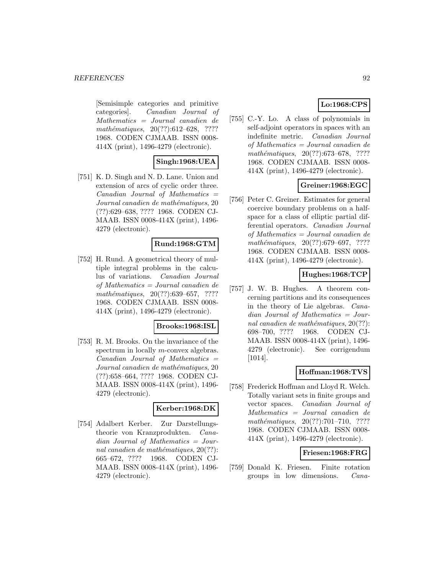[Semisimple categories and primitive categories]. Canadian Journal of Mathematics = Journal canadien de mathématiques,  $20(??):612-628$ , ???? 1968. CODEN CJMAAB. ISSN 0008- 414X (print), 1496-4279 (electronic).

# **Singh:1968:UEA**

[751] K. D. Singh and N. D. Lane. Union and extension of arcs of cyclic order three. Canadian Journal of Mathematics = Journal canadien de mathématiques, 20 (??):629–638, ???? 1968. CODEN CJ-MAAB. ISSN 0008-414X (print), 1496- 4279 (electronic).

### **Rund:1968:GTM**

[752] H. Rund. A geometrical theory of multiple integral problems in the calculus of variations. Canadian Journal of Mathematics = Journal canadien de  $mathématiques, 20(??):639–657, ????$ 1968. CODEN CJMAAB. ISSN 0008- 414X (print), 1496-4279 (electronic).

#### **Brooks:1968:ISL**

[753] R. M. Brooks. On the invariance of the spectrum in locally *m*-convex algebras. Canadian Journal of Mathematics = Journal canadien de mathématiques, 20 (??):658–664, ???? 1968. CODEN CJ-MAAB. ISSN 0008-414X (print), 1496- 4279 (electronic).

#### **Kerber:1968:DK**

[754] Adalbert Kerber. Zur Darstellungstheorie von Kranzprodukten. Canadian Journal of Mathematics = Journal canadien de mathématiques,  $20(??)$ : 665–672, ???? 1968. CODEN CJ-MAAB. ISSN 0008-414X (print), 1496- 4279 (electronic).

# **Lo:1968:CPS**

[755] C.-Y. Lo. A class of polynomials in self-adjoint operators in spaces with an indefinite metric. Canadian Journal of Mathematics = Journal canadien de mathématiques,  $20(??):673-678$ , ???? 1968. CODEN CJMAAB. ISSN 0008- 414X (print), 1496-4279 (electronic).

# **Greiner:1968:EGC**

[756] Peter C. Greiner. Estimates for general coercive boundary problems on a halfspace for a class of elliptic partial differential operators. Canadian Journal of Mathematics = Journal canadien de mathématiques,  $20(??):679-697$ , ???? 1968. CODEN CJMAAB. ISSN 0008- 414X (print), 1496-4279 (electronic).

# **Hughes:1968:TCP**

[757] J. W. B. Hughes. A theorem concerning partitions and its consequences in the theory of Lie algebras. Canadian Journal of Mathematics = Journal canadien de mathématiques,  $20(??)$ : 698–700, ???? 1968. CODEN CJ-MAAB. ISSN 0008-414X (print), 1496- 4279 (electronic). See corrigendum [1014].

### **Hoffman:1968:TVS**

[758] Frederick Hoffman and Lloyd R. Welch. Totally variant sets in finite groups and vector spaces. Canadian Journal of Mathematics = Journal canadien de mathématiques,  $20(??):701–710$ , ???? 1968. CODEN CJMAAB. ISSN 0008- 414X (print), 1496-4279 (electronic).

### **Friesen:1968:FRG**

[759] Donald K. Friesen. Finite rotation groups in low dimensions. Cana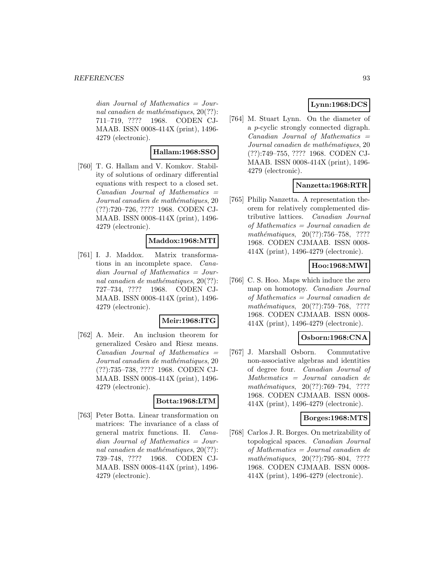dian Journal of Mathematics = Journal canadien de mathématiques,  $20(??)$ : 711–719, ???? 1968. CODEN CJ-MAAB. ISSN 0008-414X (print), 1496- 4279 (electronic).

# **Hallam:1968:SSO**

[760] T. G. Hallam and V. Komkov. Stability of solutions of ordinary differential equations with respect to a closed set.  $Canadian$  Journal of Mathematics  $=$ Journal canadien de mathématiques, 20 (??):720–726, ???? 1968. CODEN CJ-MAAB. ISSN 0008-414X (print), 1496- 4279 (electronic).

### **Maddox:1968:MTI**

[761] I. J. Maddox. Matrix transformations in an incomplete space. Canadian Journal of Mathematics = Journal canadien de mathématiques,  $20(??)$ : 727–734, ???? 1968. CODEN CJ-MAAB. ISSN 0008-414X (print), 1496- 4279 (electronic).

### **Meir:1968:ITG**

[762] A. Meir. An inclusion theorem for generalized Cesaro and Riesz means.  $Canadian$  Journal of Mathematics  $=$ Journal canadien de mathématiques, 20 (??):735–738, ???? 1968. CODEN CJ-MAAB. ISSN 0008-414X (print), 1496- 4279 (electronic).

# **Botta:1968:LTM**

[763] Peter Botta. Linear transformation on matrices: The invariance of a class of general matrix functions. II. Canadian Journal of Mathematics = Journal canadien de mathématiques,  $20(??)$ : 739–748, ???? 1968. CODEN CJ-MAAB. ISSN 0008-414X (print), 1496- 4279 (electronic).

# **Lynn:1968:DCS**

[764] M. Stuart Lynn. On the diameter of a p-cyclic strongly connected digraph.  $Canadian$  Journal of Mathematics  $=$ Journal canadien de mathématiques, 20 (??):749–755, ???? 1968. CODEN CJ-MAAB. ISSN 0008-414X (print), 1496- 4279 (electronic).

### **Nanzetta:1968:RTR**

[765] Philip Nanzetta. A representation theorem for relatively complemented distributive lattices. Canadian Journal of Mathematics = Journal canadien de mathématiques,  $20(??):756-758$ , ???? 1968. CODEN CJMAAB. ISSN 0008- 414X (print), 1496-4279 (electronic).

# **Hoo:1968:MWI**

[766] C. S. Hoo. Maps which induce the zero map on homotopy. Canadian Journal of Mathematics = Journal canadien de mathématiques, 20(??):759–768, ???? 1968. CODEN CJMAAB. ISSN 0008- 414X (print), 1496-4279 (electronic).

# **Osborn:1968:CNA**

[767] J. Marshall Osborn. Commutative non-associative algebras and identities of degree four. Canadian Journal of Mathematics = Journal canadien de  $mathématiques, 20(??): 769-794, ????$ 1968. CODEN CJMAAB. ISSN 0008- 414X (print), 1496-4279 (electronic).

### **Borges:1968:MTS**

[768] Carlos J. R. Borges. On metrizability of topological spaces. Canadian Journal of Mathematics = Journal canadien de  $mathématiques, 20(??):795–804, ????$ 1968. CODEN CJMAAB. ISSN 0008- 414X (print), 1496-4279 (electronic).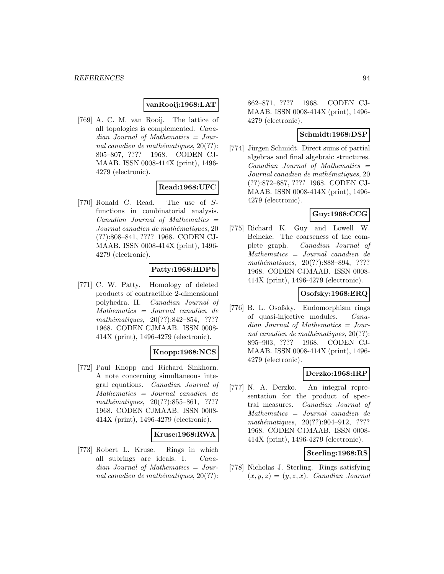# **vanRooij:1968:LAT**

[769] A. C. M. van Rooij. The lattice of all topologies is complemented. Canadian Journal of Mathematics = Journal canadien de mathématiques,  $20(??)$ : 805–807, ???? 1968. CODEN CJ-MAAB. ISSN 0008-414X (print), 1496- 4279 (electronic).

# **Read:1968:UFC**

[770] Ronald C. Read. The use of Sfunctions in combinatorial analysis.  $Canadian$  Journal of Mathematics  $=$ Journal canadien de mathématiques, 20 (??):808–841, ???? 1968. CODEN CJ-MAAB. ISSN 0008-414X (print), 1496- 4279 (electronic).

# **Patty:1968:HDPb**

[771] C. W. Patty. Homology of deleted products of contractible 2-dimensional polyhedra. II. Canadian Journal of Mathematics = Journal canadien de mathématiques,  $20(??):842-854$ , ???? 1968. CODEN CJMAAB. ISSN 0008- 414X (print), 1496-4279 (electronic).

### **Knopp:1968:NCS**

[772] Paul Knopp and Richard Sinkhorn. A note concerning simultaneous integral equations. Canadian Journal of Mathematics = Journal canadien de  $mathématiques, 20(??):855–861, ????$ 1968. CODEN CJMAAB. ISSN 0008- 414X (print), 1496-4279 (electronic).

### **Kruse:1968:RWA**

[773] Robert L. Kruse. Rings in which all subrings are ideals. I. Canadian Journal of Mathematics = Journal canadien de mathématiques,  $20(??)$ : 862–871, ???? 1968. CODEN CJ-MAAB. ISSN 0008-414X (print), 1496- 4279 (electronic).

# **Schmidt:1968:DSP**

[774] Jürgen Schmidt. Direct sums of partial algebras and final algebraic structures.  $Canadian$  Journal of Mathematics  $=$ Journal canadien de mathématiques, 20 (??):872–887, ???? 1968. CODEN CJ-MAAB. ISSN 0008-414X (print), 1496- 4279 (electronic).

# **Guy:1968:CCG**

[775] Richard K. Guy and Lowell W. Beineke. The coarseness of the complete graph. Canadian Journal of Mathematics = Journal canadien de  $mathématiques, 20(??):888–894, ????$ 1968. CODEN CJMAAB. ISSN 0008- 414X (print), 1496-4279 (electronic).

# **Osofsky:1968:ERQ**

[776] B. L. Osofsky. Endomorphism rings of quasi-injective modules. Canadian Journal of Mathematics = Journal canadien de mathématiques,  $20(??)$ : 895–903, ???? 1968. CODEN CJ-MAAB. ISSN 0008-414X (print), 1496- 4279 (electronic).

### **Derzko:1968:IRP**

[777] N. A. Derzko. An integral representation for the product of spectral measures. Canadian Journal of Mathematics = Journal canadien de  $mathématiques, 20(??):904-912, ????$ 1968. CODEN CJMAAB. ISSN 0008- 414X (print), 1496-4279 (electronic).

#### **Sterling:1968:RS**

[778] Nicholas J. Sterling. Rings satisfying  $(x, y, z)=(y, z, x)$ . Canadian Journal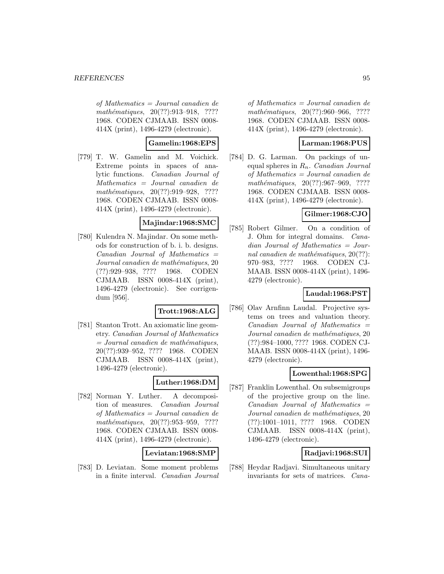of Mathematics = Journal canadien de mathématiques, 20(??):913-918, ???? 1968. CODEN CJMAAB. ISSN 0008- 414X (print), 1496-4279 (electronic).

### **Gamelin:1968:EPS**

[779] T. W. Gamelin and M. Voichick. Extreme points in spaces of analytic functions. Canadian Journal of Mathematics = Journal canadien de mathématiques, 20(??):919-928, ???? 1968. CODEN CJMAAB. ISSN 0008- 414X (print), 1496-4279 (electronic).

### **Majindar:1968:SMC**

[780] Kulendra N. Majindar. On some methods for construction of b. i. b. designs.  $Canadian$  Journal of Mathematics  $=$ Journal canadien de mathématiques, 20 (??):929–938, ???? 1968. CODEN CJMAAB. ISSN 0008-414X (print), 1496-4279 (electronic). See corrigendum [956].

### **Trott:1968:ALG**

[781] Stanton Trott. An axiomatic line geometry. Canadian Journal of Mathematics  $=$  Journal canadien de mathématiques, 20(??):939–952, ???? 1968. CODEN CJMAAB. ISSN 0008-414X (print), 1496-4279 (electronic).

# **Luther:1968:DM**

[782] Norman Y. Luther. A decomposition of measures. Canadian Journal of Mathematics = Journal canadien de  $mathématiques, 20(??):953–959, ????$ 1968. CODEN CJMAAB. ISSN 0008- 414X (print), 1496-4279 (electronic).

### **Leviatan:1968:SMP**

[783] D. Leviatan. Some moment problems in a finite interval. Canadian Journal

of Mathematics = Journal canadien de mathématiques,  $20(??):960-966, ????$ 1968. CODEN CJMAAB. ISSN 0008- 414X (print), 1496-4279 (electronic).

### **Larman:1968:PUS**

[784] D. G. Larman. On packings of unequal spheres in  $R_n$ . Canadian Journal of Mathematics = Journal canadien de  $mathématiques, 20(??):967–969, ????$ 1968. CODEN CJMAAB. ISSN 0008- 414X (print), 1496-4279 (electronic).

### **Gilmer:1968:CJO**

[785] Robert Gilmer. On a condition of J. Ohm for integral domains. Canadian Journal of Mathematics = Journal canadien de mathématiques,  $20(??)$ : 970–983, ???? 1968. CODEN CJ-MAAB. ISSN 0008-414X (print), 1496- 4279 (electronic).

# **Laudal:1968:PST**

[786] Olav Arnfinn Laudal. Projective systems on trees and valuation theory.  $Canadian$  Journal of Mathematics  $=$ Journal canadien de mathématiques, 20 (??):984–1000, ???? 1968. CODEN CJ-MAAB. ISSN 0008-414X (print), 1496- 4279 (electronic).

### **Lowenthal:1968:SPG**

[787] Franklin Lowenthal. On subsemigroups of the projective group on the line.  $Canadian$  Journal of Mathematics  $=$ Journal canadien de mathématiques, 20 (??):1001–1011, ???? 1968. CODEN CJMAAB. ISSN 0008-414X (print), 1496-4279 (electronic).

### **Radjavi:1968:SUI**

[788] Heydar Radjavi. Simultaneous unitary invariants for sets of matrices. Cana-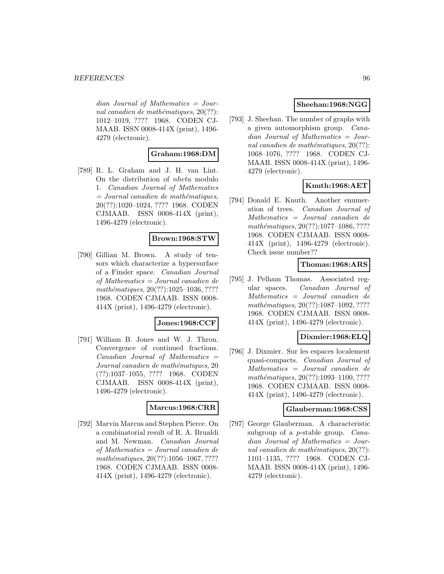$dian$  Journal of Mathematics = Journal canadien de mathématiques,  $20(??)$ : 1012–1019, ???? 1968. CODEN CJ-MAAB. ISSN 0008-414X (print), 1496- 4279 (electronic).

# **Graham:1968:DM**

[789] R. L. Graham and J. H. van Lint. On the distribution of nheta modulo 1. Canadian Journal of Mathematics  $=$  Journal canadien de mathématiques, 20(??):1020–1024, ???? 1968. CODEN CJMAAB. ISSN 0008-414X (print), 1496-4279 (electronic).

# **Brown:1968:STW**

[790] Gillian M. Brown. A study of tensors which characterize a hypersurface of a Finsler space. Canadian Journal of Mathematics = Journal canadien de  $mathématiques, 20(??):1025-1036, ????$ 1968. CODEN CJMAAB. ISSN 0008- 414X (print), 1496-4279 (electronic).

### **Jones:1968:CCF**

[791] William B. Jones and W. J. Thron. Convergence of continued fractions.  $Canadian$  Journal of Mathematics  $=$ Journal canadien de mathématiques, 20 (??):1037–1055, ???? 1968. CODEN CJMAAB. ISSN 0008-414X (print), 1496-4279 (electronic).

### **Marcus:1968:CRR**

[792] Marvin Marcus and Stephen Pierce. On a combinatorial result of R. A. Brualdi and M. Newman. Canadian Journal of Mathematics = Journal canadien de  $mathématiques, 20(??):1056–1067, ????$ 1968. CODEN CJMAAB. ISSN 0008- 414X (print), 1496-4279 (electronic).

# **Sheehan:1968:NGG**

[793] J. Sheehan. The number of graphs with a given automorphism group. Canadian Journal of Mathematics = Journal canadien de mathématiques,  $20(??)$ : 1068–1076, ???? 1968. CODEN CJ-MAAB. ISSN 0008-414X (print), 1496- 4279 (electronic).

# **Knuth:1968:AET**

[794] Donald E. Knuth. Another enumeration of trees. Canadian Journal of Mathematics = Journal canadien de  $mathématiques, 20(??):1077–1086, ????$ 1968. CODEN CJMAAB. ISSN 0008- 414X (print), 1496-4279 (electronic). Check issue number??

# **Thomas:1968:ARS**

[795] J. Pelham Thomas. Associated regular spaces. Canadian Journal of Mathematics = Journal canadien de  $mathématiques, 20(??): 1087-1092, ????$ 1968. CODEN CJMAAB. ISSN 0008- 414X (print), 1496-4279 (electronic).

# **Dixmier:1968:ELQ**

[796] J. Dixmier. Sur les espaces localement quasi-compacts. Canadian Journal of Mathematics = Journal canadien de mathématiques, 20(??):1093-1100, ???? 1968. CODEN CJMAAB. ISSN 0008- 414X (print), 1496-4279 (electronic).

### **Glauberman:1968:CSS**

[797] George Glauberman. A characteristic subgroup of a p-stable group. Canadian Journal of Mathematics = Journal canadien de mathématiques,  $20(??)$ : 1101–1135, ???? 1968. CODEN CJ-MAAB. ISSN 0008-414X (print), 1496- 4279 (electronic).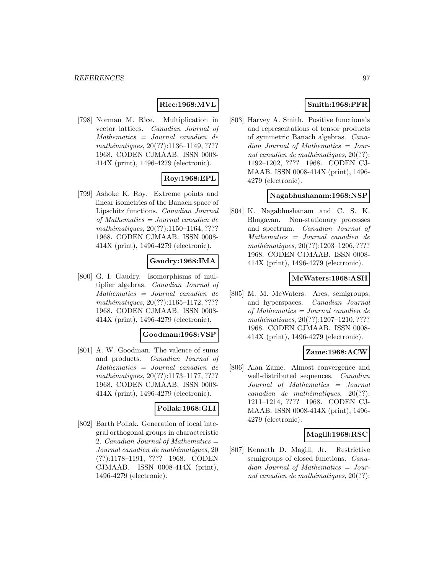# **Rice:1968:MVL**

[798] Norman M. Rice. Multiplication in vector lattices. Canadian Journal of Mathematics = Journal canadien de mathématiques, 20(??):1136–1149, ???? 1968. CODEN CJMAAB. ISSN 0008- 414X (print), 1496-4279 (electronic).

# **Roy:1968:EPL**

[799] Ashoke K. Roy. Extreme points and linear isometries of the Banach space of Lipschitz functions. Canadian Journal of Mathematics = Journal canadien de mathématiques, 20(??):1150–1164, ???? 1968. CODEN CJMAAB. ISSN 0008- 414X (print), 1496-4279 (electronic).

### **Gaudry:1968:IMA**

[800] G. I. Gaudry. Isomorphisms of multiplier algebras. Canadian Journal of Mathematics = Journal canadien de mathématiques, 20(??):1165–1172, ???? 1968. CODEN CJMAAB. ISSN 0008- 414X (print), 1496-4279 (electronic).

### **Goodman:1968:VSP**

[801] A. W. Goodman. The valence of sums and products. Canadian Journal of Mathematics = Journal canadien de  $mathématiques, 20(??): 1173-1177, ????$ 1968. CODEN CJMAAB. ISSN 0008- 414X (print), 1496-4279 (electronic).

### **Pollak:1968:GLI**

[802] Barth Pollak. Generation of local integral orthogonal groups in characteristic 2. Canadian Journal of Mathematics  $=$ Journal canadien de mathématiques, 20 (??):1178–1191, ???? 1968. CODEN CJMAAB. ISSN 0008-414X (print), 1496-4279 (electronic).

# **Smith:1968:PFR**

[803] Harvey A. Smith. Positive functionals and representations of tensor products of symmetric Banach algebras. Canadian Journal of Mathematics = Journal canadien de mathématiques,  $20(??)$ : 1192–1202, ???? 1968. CODEN CJ-MAAB. ISSN 0008-414X (print), 1496- 4279 (electronic).

# **Nagabhushanam:1968:NSP**

[804] K. Nagabhushanam and C. S. K. Bhagavan. Non-stationary processes and spectrum. Canadian Journal of Mathematics = Journal canadien de mathématiques, 20(??):1203-1206, ???? 1968. CODEN CJMAAB. ISSN 0008- 414X (print), 1496-4279 (electronic).

### **McWaters:1968:ASH**

[805] M. M. McWaters. Arcs, semigroups, and hyperspaces. Canadian Journal of Mathematics = Journal canadien de mathématiques, 20(??):1207-1210, ???? 1968. CODEN CJMAAB. ISSN 0008- 414X (print), 1496-4279 (electronic).

### **Zame:1968:ACW**

[806] Alan Zame. Almost convergence and well-distributed sequences. *Canadian* Journal of Mathematics = Journal  $cana dien de mathématiques, 20(??):$ 1211–1214, ???? 1968. CODEN CJ-MAAB. ISSN 0008-414X (print), 1496- 4279 (electronic).

### **Magill:1968:RSC**

[807] Kenneth D. Magill, Jr. Restrictive semigroups of closed functions. *Cana*dian Journal of Mathematics = Journal canadien de mathématiques,  $20(??)$ :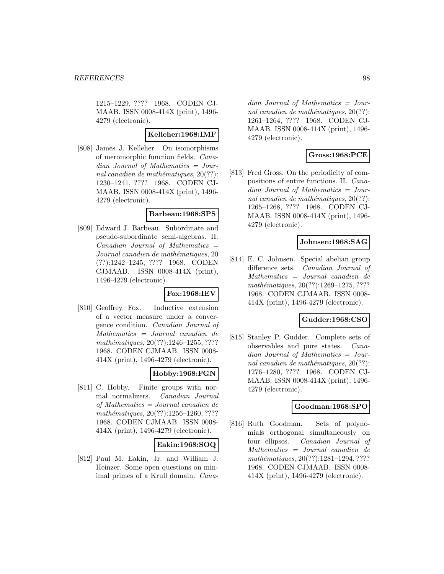1215–1229, ???? 1968. CODEN CJ-MAAB. ISSN 0008-414X (print), 1496- 4279 (electronic).

### **Kelleher:1968:IMF**

[808] James J. Kelleher. On isomorphisms of meromorphic function fields. Canadian Journal of Mathematics = Journal canadien de mathématiques,  $20(??)$ : 1230–1241, ???? 1968. CODEN CJ-MAAB. ISSN 0008-414X (print), 1496- 4279 (electronic).

#### **Barbeau:1968:SPS**

[809] Edward J. Barbeau. Subordinate and pseudo-subordinate semi-algebras. II.  $Canadian$  Journal of Mathematics  $=$ Journal canadien de mathématiques, 20 (??):1242–1245, ???? 1968. CODEN CJMAAB. ISSN 0008-414X (print), 1496-4279 (electronic).

### **Fox:1968:IEV**

[810] Geoffrey Fox. Inductive extension of a vector measure under a convergence condition. Canadian Journal of Mathematics = Journal canadien de mathématiques, 20(??):1246-1255, ???? 1968. CODEN CJMAAB. ISSN 0008- 414X (print), 1496-4279 (electronic).

### **Hobby:1968:FGN**

[811] C. Hobby. Finite groups with normal normalizers. Canadian Journal of Mathematics = Journal canadien de  $mathématiques, 20(??):1256–1260, ????$ 1968. CODEN CJMAAB. ISSN 0008- 414X (print), 1496-4279 (electronic).

### **Eakin:1968:SOQ**

[812] Paul M. Eakin, Jr. and William J. Heinzer. Some open questions on minimal primes of a Krull domain. Cana-

dian Journal of Mathematics = Journal canadien de mathématiques,  $20(??)$ : 1261–1264, ???? 1968. CODEN CJ-MAAB. ISSN 0008-414X (print), 1496- 4279 (electronic).

# **Gross:1968:PCE**

[813] Fred Gross. On the periodicity of compositions of entire functions. II. Canadian Journal of Mathematics = Journal canadien de mathématiques,  $20(??)$ : 1265–1268, ???? 1968. CODEN CJ-MAAB. ISSN 0008-414X (print), 1496- 4279 (electronic).

### **Johnsen:1968:SAG**

[814] E. C. Johnsen. Special abelian group difference sets. Canadian Journal of Mathematics = Journal canadien de  $mathématiques, 20(??): 1269-1275, ????$ 1968. CODEN CJMAAB. ISSN 0008- 414X (print), 1496-4279 (electronic).

### **Gudder:1968:CSO**

[815] Stanley P. Gudder. Complete sets of observables and pure states. Canadian Journal of Mathematics = Journal canadien de mathématiques,  $20(??)$ : 1276–1280, ???? 1968. CODEN CJ-MAAB. ISSN 0008-414X (print), 1496- 4279 (electronic).

# **Goodman:1968:SPO**

[816] Ruth Goodman. Sets of polynomials orthogonal simultaneously on four ellipses. Canadian Journal of Mathematics = Journal canadien de mathématiques, 20(??):1281-1294, ???? 1968. CODEN CJMAAB. ISSN 0008- 414X (print), 1496-4279 (electronic).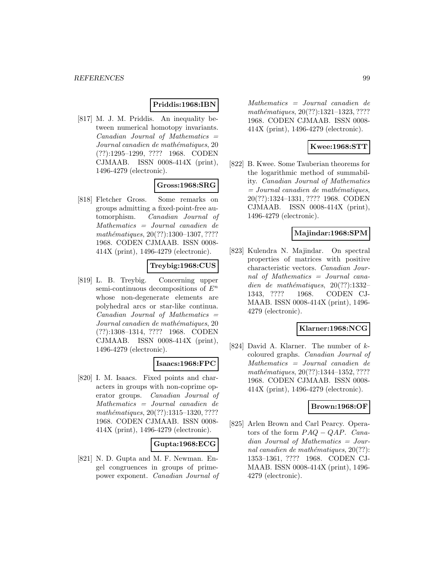### **Priddis:1968:IBN**

[817] M. J. M. Priddis. An inequality between numerical homotopy invariants.  $Canadian$  Journal of Mathematics  $=$ Journal canadien de mathématiques, 20 (??):1295–1299, ???? 1968. CODEN CJMAAB. ISSN 0008-414X (print), 1496-4279 (electronic).

# **Gross:1968:SRG**

[818] Fletcher Gross. Some remarks on groups admitting a fixed-point-free automorphism. Canadian Journal of Mathematics = Journal canadien de mathématiques, 20(??):1300-1307, ???? 1968. CODEN CJMAAB. ISSN 0008- 414X (print), 1496-4279 (electronic).

### **Treybig:1968:CUS**

[819] L. B. Treybig. Concerning upper semi-continuous decompositions of  $E<sup>n</sup>$ whose non-degenerate elements are polyhedral arcs or star-like continua.  $Canadian$  Journal of Mathematics  $=$ Journal canadien de mathématiques, 20 (??):1308–1314, ???? 1968. CODEN CJMAAB. ISSN 0008-414X (print), 1496-4279 (electronic).

### **Isaacs:1968:FPC**

[820] I. M. Isaacs. Fixed points and characters in groups with non-coprime operator groups. Canadian Journal of Mathematics = Journal canadien de mathématiques,  $20(??):1315-1320, ????$ 1968. CODEN CJMAAB. ISSN 0008- 414X (print), 1496-4279 (electronic).

### **Gupta:1968:ECG**

[821] N. D. Gupta and M. F. Newman. Engel congruences in groups of primepower exponent. Canadian Journal of

Mathematics = Journal canadien de mathématiques, 20(??):1321-1323, ???? 1968. CODEN CJMAAB. ISSN 0008- 414X (print), 1496-4279 (electronic).

### **Kwee:1968:STT**

[822] B. Kwee. Some Tauberian theorems for the logarithmic method of summability. Canadian Journal of Mathematics  $= Journal\; candidate\; the\; mathématiques,$ 20(??):1324–1331, ???? 1968. CODEN CJMAAB. ISSN 0008-414X (print), 1496-4279 (electronic).

### **Majindar:1968:SPM**

[823] Kulendra N. Majindar. On spectral properties of matrices with positive characteristic vectors. Canadian Journal of Mathematics = Journal canadien de mathématiques,  $20(??):1332-$ 1343, ???? 1968. CODEN CJ-MAAB. ISSN 0008-414X (print), 1496- 4279 (electronic).

### **Klarner:1968:NCG**

[824] David A. Klarner. The number of kcoloured graphs. Canadian Journal of Mathematics = Journal canadien de mathématiques, 20(??):1344-1352, ???? 1968. CODEN CJMAAB. ISSN 0008- 414X (print), 1496-4279 (electronic).

# **Brown:1968:OF**

[825] Arlen Brown and Carl Pearcy. Operators of the form  $PAQ - QAP$ . Canadian Journal of Mathematics = Journal canadien de mathématiques,  $20(??)$ : 1353–1361, ???? 1968. CODEN CJ-MAAB. ISSN 0008-414X (print), 1496- 4279 (electronic).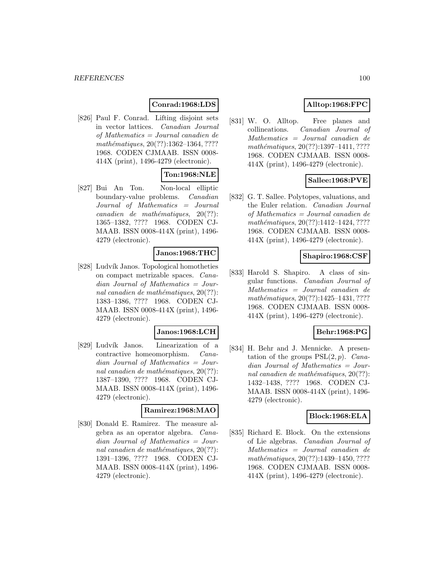# **Conrad:1968:LDS**

[826] Paul F. Conrad. Lifting disjoint sets in vector lattices. Canadian Journal of Mathematics = Journal canadien de mathématiques, 20(??):1362-1364, ???? 1968. CODEN CJMAAB. ISSN 0008- 414X (print), 1496-4279 (electronic).

# **Ton:1968:NLE**

[827] Bui An Ton. Non-local elliptic boundary-value problems. Canadian Journal of Mathematics = Journal  $cana dien de mathématiques, 20(??):$ 1365–1382, ???? 1968. CODEN CJ-MAAB. ISSN 0008-414X (print), 1496- 4279 (electronic).

# **Janos:1968:THC**

[828] Ludvík Janos. Topological homotheties on compact metrizable spaces. Canadian Journal of Mathematics = Journal canadien de mathématiques,  $20(??)$ : 1383–1386, ???? 1968. CODEN CJ-MAAB. ISSN 0008-414X (print), 1496- 4279 (electronic).

### **Janos:1968:LCH**

[829] Ludvík Janos. Linearization of a contractive homeomorphism. Canadian Journal of Mathematics = Journal canadien de mathématiques,  $20(??)$ : 1387–1390, ???? 1968. CODEN CJ-MAAB. ISSN 0008-414X (print), 1496- 4279 (electronic).

#### **Ramirez:1968:MAO**

[830] Donald E. Ramirez. The measure algebra as an operator algebra. Canadian Journal of Mathematics = Journal canadien de mathématiques,  $20(??)$ : 1391–1396, ???? 1968. CODEN CJ-MAAB. ISSN 0008-414X (print), 1496- 4279 (electronic).

# **Alltop:1968:FPC**

[831] W. O. Alltop. Free planes and collineations. Canadian Journal of Mathematics = Journal canadien de mathématiques, 20(??):1397-1411, ???? 1968. CODEN CJMAAB. ISSN 0008- 414X (print), 1496-4279 (electronic).

# **Sallee:1968:PVE**

[832] G. T. Sallee. Polytopes, valuations, and the Euler relation. Canadian Journal of Mathematics = Journal canadien de mathématiques, 20(??):1412-1424, ???? 1968. CODEN CJMAAB. ISSN 0008- 414X (print), 1496-4279 (electronic).

### **Shapiro:1968:CSF**

[833] Harold S. Shapiro. A class of singular functions. Canadian Journal of Mathematics = Journal canadien de mathématiques, 20(??):1425–1431, ???? 1968. CODEN CJMAAB. ISSN 0008- 414X (print), 1496-4279 (electronic).

### **Behr:1968:PG**

[834] H. Behr and J. Mennicke. A presentation of the groups  $PSL(2, p)$ . *Cana*dian Journal of Mathematics = Journal canadien de mathématiques,  $20(??)$ : 1432–1438, ???? 1968. CODEN CJ-MAAB. ISSN 0008-414X (print), 1496- 4279 (electronic).

### **Block:1968:ELA**

[835] Richard E. Block. On the extensions of Lie algebras. Canadian Journal of Mathematics = Journal canadien de mathématiques, 20(??):1439-1450, ???? 1968. CODEN CJMAAB. ISSN 0008- 414X (print), 1496-4279 (electronic).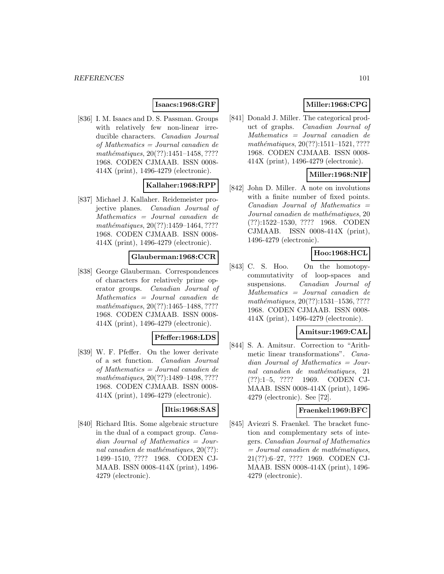# **Isaacs:1968:GRF**

[836] I. M. Isaacs and D. S. Passman. Groups with relatively few non-linear irreducible characters. Canadian Journal of Mathematics = Journal canadien de mathématiques, 20(??):1451-1458, ???? 1968. CODEN CJMAAB. ISSN 0008- 414X (print), 1496-4279 (electronic).

# **Kallaher:1968:RPP**

[837] Michael J. Kallaher. Reidemeister projective planes. Canadian Journal of Mathematics = Journal canadien de mathématiques,  $20(??):1459-1464, ????$ 1968. CODEN CJMAAB. ISSN 0008- 414X (print), 1496-4279 (electronic).

### **Glauberman:1968:CCR**

[838] George Glauberman. Correspondences of characters for relatively prime operator groups. Canadian Journal of Mathematics = Journal canadien de mathématiques, 20(??):1465–1488, ???? 1968. CODEN CJMAAB. ISSN 0008- 414X (print), 1496-4279 (electronic).

# **Pfeffer:1968:LDS**

[839] W. F. Pfeffer. On the lower derivate of a set function. Canadian Journal of Mathematics = Journal canadien de mathématiques, 20(??):1489-1498, ???? 1968. CODEN CJMAAB. ISSN 0008- 414X (print), 1496-4279 (electronic).

### **Iltis:1968:SAS**

[840] Richard Iltis. Some algebraic structure in the dual of a compact group. Canadian Journal of Mathematics = Journal canadien de mathématiques,  $20(??)$ : 1499–1510, ???? 1968. CODEN CJ-MAAB. ISSN 0008-414X (print), 1496- 4279 (electronic).

# **Miller:1968:CPG**

[841] Donald J. Miller. The categorical product of graphs. Canadian Journal of Mathematics = Journal canadien de  $mathématiques, 20(??):1511–1521, ????$ 1968. CODEN CJMAAB. ISSN 0008- 414X (print), 1496-4279 (electronic).

# **Miller:1968:NIF**

[842] John D. Miller. A note on involutions with a finite number of fixed points.  $Canadian$  Journal of Mathematics  $=$ Journal canadien de mathématiques, 20 (??):1522–1530, ???? 1968. CODEN CJMAAB. ISSN 0008-414X (print), 1496-4279 (electronic).

# **Hoo:1968:HCL**

[843] C. S. Hoo. On the homotopycommutativity of loop-spaces and suspensions. Canadian Journal of Mathematics = Journal canadien de mathématiques,  $20(??):1531-1536, ????$ 1968. CODEN CJMAAB. ISSN 0008- 414X (print), 1496-4279 (electronic).

### **Amitsur:1969:CAL**

[844] S. A. Amitsur. Correction to "Arithmetic linear transformations". Cana $dian$  Journal of Mathematics = Journal canadien de mathématiques, 21 (??):1–5, ???? 1969. CODEN CJ-MAAB. ISSN 0008-414X (print), 1496- 4279 (electronic). See [72].

### **Fraenkel:1969:BFC**

[845] Aviezri S. Fraenkel. The bracket function and complementary sets of integers. Canadian Journal of Mathematics  $= Journal\; candidates,$ 21(??):6–27, ???? 1969. CODEN CJ-MAAB. ISSN 0008-414X (print), 1496- 4279 (electronic).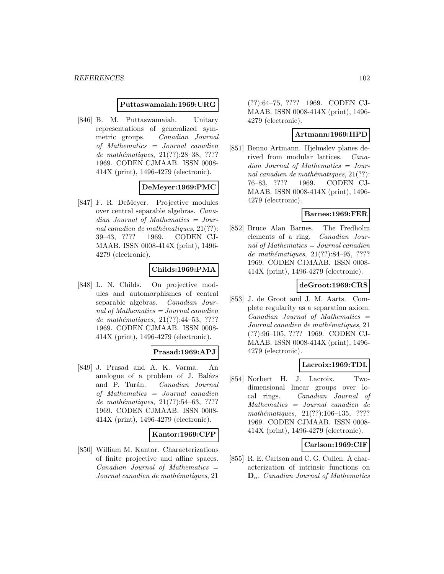#### **Puttaswamaiah:1969:URG**

[846] B. M. Puttaswamaiah. Unitary representations of generalized symmetric groups. Canadian Journal of Mathematics = Journal canadien de mathématiques,  $21(??):28-38$ , ???? 1969. CODEN CJMAAB. ISSN 0008- 414X (print), 1496-4279 (electronic).

### **DeMeyer:1969:PMC**

[847] F. R. DeMeyer. Projective modules over central separable algebras. Canadian Journal of Mathematics = Journal canadien de mathématiques,  $21(??)$ : 39–43, ???? 1969. CODEN CJ-MAAB. ISSN 0008-414X (print), 1496- 4279 (electronic).

# **Childs:1969:PMA**

[848] L. N. Childs. On projective modules and automorphismes of central separable algebras. Canadian Journal of Mathematics = Journal canadien de mathématiques,  $21(??):44-53, ????$ 1969. CODEN CJMAAB. ISSN 0008- 414X (print), 1496-4279 (electronic).

### **Prasad:1969:APJ**

[849] J. Prasad and A. K. Varma. An analogue of a problem of J. Balázs and P. Turán. Canadian Journal of Mathematics = Journal canadien de mathématiques,  $21(??):54–63, ????$ 1969. CODEN CJMAAB. ISSN 0008- 414X (print), 1496-4279 (electronic).

### **Kantor:1969:CFP**

[850] William M. Kantor. Characterizations of finite projective and affine spaces.  $Canadian$  Journal of Mathematics  $=$ Journal canadien de mathématiques, 21

(??):64–75, ???? 1969. CODEN CJ-MAAB. ISSN 0008-414X (print), 1496- 4279 (electronic).

# **Artmann:1969:HPD**

[851] Benno Artmann. Hjelmslev planes derived from modular lattices. Canadian Journal of Mathematics = Journal canadien de mathématiques,  $21(??)$ : 76–83, ???? 1969. CODEN CJ-MAAB. ISSN 0008-414X (print), 1496- 4279 (electronic).

### **Barnes:1969:FER**

[852] Bruce Alan Barnes. The Fredholm elements of a ring. Canadian Journal of Mathematics = Journal canadien de mathématiques,  $21(??):84-95, ????$ 1969. CODEN CJMAAB. ISSN 0008- 414X (print), 1496-4279 (electronic).

# **deGroot:1969:CRS**

[853] J. de Groot and J. M. Aarts. Complete regularity as a separation axiom.  $Canadian$  Journal of Mathematics  $=$ Journal canadien de mathématiques, 21 (??):96–105, ???? 1969. CODEN CJ-MAAB. ISSN 0008-414X (print), 1496- 4279 (electronic).

### **Lacroix:1969:TDL**

[854] Norbert H. J. Lacroix. Twodimensional linear groups over local rings. Canadian Journal of Mathematics = Journal canadien de mathématiques,  $21(??):106-135$ , ???? 1969. CODEN CJMAAB. ISSN 0008- 414X (print), 1496-4279 (electronic).

### **Carlson:1969:CIF**

[855] R. E. Carlson and C. G. Cullen. A characterization of intrinsic functions on **D**n. Canadian Journal of Mathematics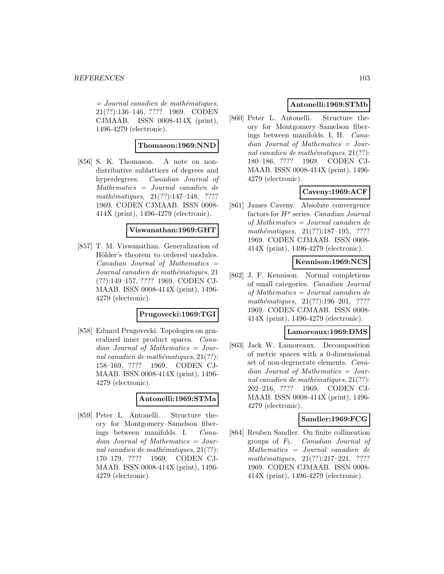$=$  Journal canadien de mathématiques, 21(??):136–146, ???? 1969. CODEN CJMAAB. ISSN 0008-414X (print), 1496-4279 (electronic).

# **Thomason:1969:NND**

[856] S. K. Thomason. A note on nondistributive sublattices of degrees and hyperdegrees. Canadian Journal of Mathematics = Journal canadien de mathématiques,  $21(??):147-148$ , ???? 1969. CODEN CJMAAB. ISSN 0008- 414X (print), 1496-4279 (electronic).

### **Viswanathan:1969:GHT**

[857] T. M. Viswanathan. Generalization of Hölder's theorem to ordered modules.  $Canadian$  Journal of Mathematics  $=$ Journal canadien de mathématiques, 21 (??):149–157, ???? 1969. CODEN CJ-MAAB. ISSN 0008-414X (print), 1496- 4279 (electronic).

### **Prugovecki:1969:TGI**

[858] Eduard Prugovecki. Topologies on generalized inner product spaces. Canadian Journal of Mathematics = Journal canadien de mathématiques,  $21(??)$ : 158–169, ???? 1969. CODEN CJ-MAAB. ISSN 0008-414X (print), 1496- 4279 (electronic).

# **Antonelli:1969:STMa**

[859] Peter L. Antonelli. Structure theory for Montgomery–Samelson fiberings between manifolds. I. Canadian Journal of Mathematics = Journal canadien de mathématiques,  $21(??)$ : 170–179, ???? 1969. CODEN CJ-MAAB. ISSN 0008-414X (print), 1496- 4279 (electronic).

# **Antonelli:1969:STMb**

[860] Peter L. Antonelli. Structure theory for Montgomery–Samelson fiberings between manifolds. I, II. Canadian Journal of Mathematics = Journal canadien de mathématiques,  $21(??)$ : 180–186, ???? 1969. CODEN CJ-MAAB. ISSN 0008-414X (print), 1496- 4279 (electronic).

# **Caveny:1969:ACF**

[861] James Caveny. Absolute convergence factors for  $H<sup>p</sup>$  series. *Canadian Journal* of Mathematics = Journal canadien de mathématiques,  $21(??):187-195$ , ???? 1969. CODEN CJMAAB. ISSN 0008- 414X (print), 1496-4279 (electronic).

# **Kennison:1969:NCS**

[862] J. F. Kennison. Normal completions of small categories. Canadian Journal of Mathematics = Journal canadien de mathématiques, 21(??):196–201, ???? 1969. CODEN CJMAAB. ISSN 0008- 414X (print), 1496-4279 (electronic).

### **Lamoreaux:1969:DMS**

[863] Jack W. Lamoreaux. Decomposition of metric spaces with a 0-dimensional set of non-degenerate elements. Canadian Journal of Mathematics = Journal canadien de mathématiques,  $21(??)$ : 202–216, ???? 1969. CODEN CJ-MAAB. ISSN 0008-414X (print), 1496- 4279 (electronic).

# **Sandler:1969:FCG**

[864] Reuben Sandler. On finite collineation groups of F5. Canadian Journal of Mathematics = Journal canadien de  $mathématiques, 21(??):217-221, ????$ 1969. CODEN CJMAAB. ISSN 0008- 414X (print), 1496-4279 (electronic).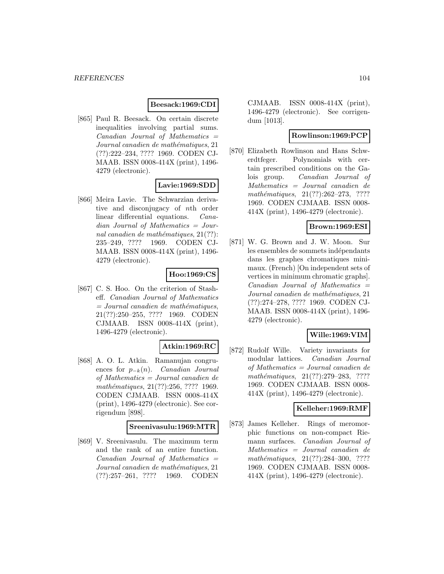### **Beesack:1969:CDI**

[865] Paul R. Beesack. On certain discrete inequalities involving partial sums.  $Canadian$  Journal of Mathematics  $=$ Journal canadien de mathématiques, 21 (??):222–234, ???? 1969. CODEN CJ-MAAB. ISSN 0008-414X (print), 1496- 4279 (electronic).

### **Lavie:1969:SDD**

[866] Meira Lavie. The Schwarzian derivative and disconjugacy of nth order linear differential equations. Canadian Journal of Mathematics = Journal canadien de mathématiques,  $21(??)$ : 235–249, ???? 1969. CODEN CJ-MAAB. ISSN 0008-414X (print), 1496- 4279 (electronic).

### **Hoo:1969:CS**

[867] C. S. Hoo. On the criterion of Stasheff. Canadian Journal of Mathematics  $= Journal\; candidates,$ 21(??):250–255, ???? 1969. CODEN CJMAAB. ISSN 0008-414X (print), 1496-4279 (electronic).

# **Atkin:1969:RC**

[868] A. O. L. Atkin. Ramanujan congruences for  $p_{-k}(n)$ . Canadian Journal of Mathematics = Journal canadien de mathématiques, 21(??):256, ???? 1969. CODEN CJMAAB. ISSN 0008-414X (print), 1496-4279 (electronic). See corrigendum [898].

### **Sreenivasulu:1969:MTR**

[869] V. Sreenivasulu. The maximum term and the rank of an entire function.  $Canadian$  Journal of Mathematics  $=$ Journal canadien de mathématiques, 21 (??):257–261, ???? 1969. CODEN

CJMAAB. ISSN 0008-414X (print), 1496-4279 (electronic). See corrigendum [1013].

### **Rowlinson:1969:PCP**

[870] Elizabeth Rowlinson and Hans Schwerdtfeger. Polynomials with certain prescribed conditions on the Galois group. Canadian Journal of Mathematics = Journal canadien de mathématiques,  $21(??):262-273$ , ???? 1969. CODEN CJMAAB. ISSN 0008- 414X (print), 1496-4279 (electronic).

# **Brown:1969:ESI**

[871] W. G. Brown and J. W. Moon. Sur les ensembles de sommets indépendants dans les graphes chromatiques minimaux. (French) [On independent sets of vertices in minimum chromatic graphs].  $Canadian$  Journal of Mathematics  $=$ Journal canadien de mathématiques, 21 (??):274–278, ???? 1969. CODEN CJ-MAAB. ISSN 0008-414X (print), 1496- 4279 (electronic).

# **Wille:1969:VIM**

[872] Rudolf Wille. Variety invariants for modular lattices. Canadian Journal of Mathematics = Journal canadien de mathématiques,  $21(??):279-283$ , ???? 1969. CODEN CJMAAB. ISSN 0008- 414X (print), 1496-4279 (electronic).

### **Kelleher:1969:RMF**

[873] James Kelleher. Rings of meromorphic functions on non-compact Riemann surfaces. Canadian Journal of Mathematics = Journal canadien de  $mathématiques, 21(??):284-300, ????$ 1969. CODEN CJMAAB. ISSN 0008- 414X (print), 1496-4279 (electronic).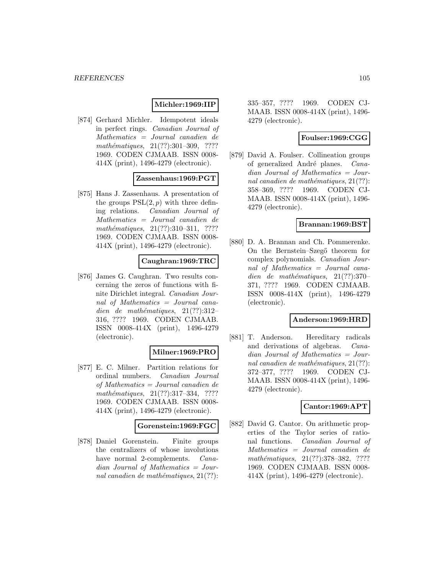# **Michler:1969:IIP**

[874] Gerhard Michler. Idempotent ideals in perfect rings. Canadian Journal of Mathematics = Journal canadien de  $mathématiques, 21(??):301-309, ????$ 1969. CODEN CJMAAB. ISSN 0008- 414X (print), 1496-4279 (electronic).

### **Zassenhaus:1969:PGT**

[875] Hans J. Zassenhaus. A presentation of the groups  $PSL(2, p)$  with three defining relations. Canadian Journal of Mathematics = Journal canadien de mathématiques, 21(??):310-311, ???? 1969. CODEN CJMAAB. ISSN 0008- 414X (print), 1496-4279 (electronic).

### **Caughran:1969:TRC**

[876] James G. Caughran. Two results concerning the zeros of functions with finite Dirichlet integral. Canadian Journal of Mathematics = Journal canadien de mathématiques,  $21(??):312-$ 316, ???? 1969. CODEN CJMAAB. ISSN 0008-414X (print), 1496-4279 (electronic).

# **Milner:1969:PRO**

[877] E. C. Milner. Partition relations for ordinal numbers. Canadian Journal of Mathematics = Journal canadien de  $mathématiques, 21(??):317-334, ????$ 1969. CODEN CJMAAB. ISSN 0008- 414X (print), 1496-4279 (electronic).

### **Gorenstein:1969:FGC**

[878] Daniel Gorenstein. Finite groups the centralizers of whose involutions have normal 2-complements. *Cana*dian Journal of Mathematics = Journal canadien de mathématiques,  $21(??)$ :

335–357, ???? 1969. CODEN CJ-MAAB. ISSN 0008-414X (print), 1496- 4279 (electronic).

# **Foulser:1969:CGG**

[879] David A. Foulser. Collineation groups of generalized André planes. Canadian Journal of Mathematics = Journal canadien de mathématiques,  $21(??)$ : 358–369, ???? 1969. CODEN CJ-MAAB. ISSN 0008-414X (print), 1496- 4279 (electronic).

### **Brannan:1969:BST**

[880] D. A. Brannan and Ch. Pommerenke. On the Bernstein–Szegő theorem for complex polynomials. Canadian Journal of Mathematics = Journal canadien de mathématiques,  $21(??):370-$ 371, ???? 1969. CODEN CJMAAB. ISSN 0008-414X (print), 1496-4279 (electronic).

### **Anderson:1969:HRD**

[881] T. Anderson. Hereditary radicals and derivations of algebras. Canadian Journal of Mathematics = Journal canadien de mathématiques,  $21(??)$ : 372–377, ???? 1969. CODEN CJ-MAAB. ISSN 0008-414X (print), 1496- 4279 (electronic).

# **Cantor:1969:APT**

[882] David G. Cantor. On arithmetic properties of the Taylor series of rational functions. Canadian Journal of Mathematics = Journal canadien de mathématiques, 21(??):378-382, ???? 1969. CODEN CJMAAB. ISSN 0008- 414X (print), 1496-4279 (electronic).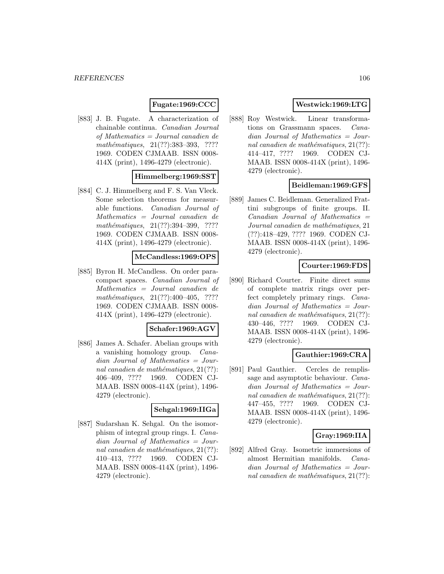# **Fugate:1969:CCC**

[883] J. B. Fugate. A characterization of chainable continua. Canadian Journal of Mathematics = Journal canadien de mathématiques, 21(??):383-393, ???? 1969. CODEN CJMAAB. ISSN 0008- 414X (print), 1496-4279 (electronic).

# **Himmelberg:1969:SST**

[884] C. J. Himmelberg and F. S. Van Vleck. Some selection theorems for measurable functions. Canadian Journal of Mathematics = Journal canadien de mathématiques, 21(??):394-399, ???? 1969. CODEN CJMAAB. ISSN 0008- 414X (print), 1496-4279 (electronic).

### **McCandless:1969:OPS**

[885] Byron H. McCandless. On order paracompact spaces. Canadian Journal of Mathematics = Journal canadien de  $mathématiques, 21(??):400-405, ????$ 1969. CODEN CJMAAB. ISSN 0008- 414X (print), 1496-4279 (electronic).

### **Schafer:1969:AGV**

[886] James A. Schafer. Abelian groups with a vanishing homology group. Canadian Journal of Mathematics = Journal canadien de mathématiques,  $21(??)$ : 406–409, ???? 1969. CODEN CJ-MAAB. ISSN 0008-414X (print), 1496- 4279 (electronic).

#### **Sehgal:1969:IIGa**

[887] Sudarshan K. Sehgal. On the isomorphism of integral group rings. I. Canadian Journal of Mathematics = Journal canadien de mathématiques,  $21(??)$ : 410–413, ???? 1969. CODEN CJ-MAAB. ISSN 0008-414X (print), 1496- 4279 (electronic).

# **Westwick:1969:LTG**

[888] Roy Westwick. Linear transformations on Grassmann spaces. Canadian Journal of Mathematics = Journal canadien de mathématiques,  $21(??)$ : 414–417, ???? 1969. CODEN CJ-MAAB. ISSN 0008-414X (print), 1496- 4279 (electronic).

### **Beidleman:1969:GFS**

[889] James C. Beidleman. Generalized Frattini subgroups of finite groups. II.  $Canadian$  Journal of Mathematics  $=$ Journal canadien de mathématiques, 21 (??):418–429, ???? 1969. CODEN CJ-MAAB. ISSN 0008-414X (print), 1496- 4279 (electronic).

# **Courter:1969:FDS**

[890] Richard Courter. Finite direct sums of complete matrix rings over perfect completely primary rings. Canadian Journal of Mathematics = Journal canadien de mathématiques,  $21(??)$ : 430–446, ???? 1969. CODEN CJ-MAAB. ISSN 0008-414X (print), 1496- 4279 (electronic).

# **Gauthier:1969:CRA**

[891] Paul Gauthier. Cercles de remplissage and asymptotic behaviour. Canadian Journal of Mathematics = Journal canadien de mathématiques,  $21(??)$ : 447–455, ???? 1969. CODEN CJ-MAAB. ISSN 0008-414X (print), 1496- 4279 (electronic).

### **Gray:1969:IIA**

[892] Alfred Gray. Isometric immersions of almost Hermitian manifolds. Canadian Journal of Mathematics = Journal canadien de mathématiques,  $21(??)$ :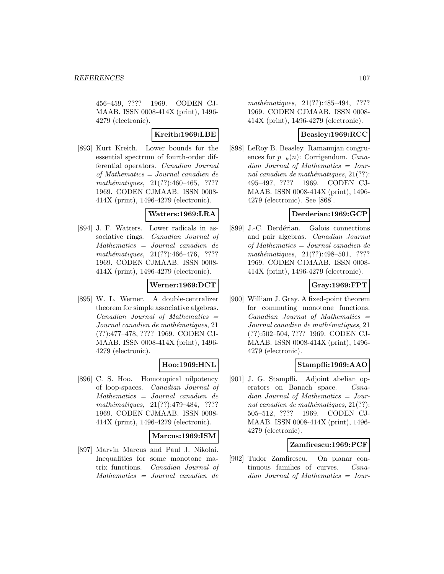456–459, ???? 1969. CODEN CJ-MAAB. ISSN 0008-414X (print), 1496- 4279 (electronic).

# **Kreith:1969:LBE**

[893] Kurt Kreith. Lower bounds for the essential spectrum of fourth-order differential operators. Canadian Journal of Mathematics = Journal canadien de  $mathématiques, 21(??):460-465, ????$ 1969. CODEN CJMAAB. ISSN 0008- 414X (print), 1496-4279 (electronic).

### **Watters:1969:LRA**

[894] J. F. Watters. Lower radicals in associative rings. Canadian Journal of Mathematics = Journal canadien de mathématiques,  $21(??):466-476$ , ???? 1969. CODEN CJMAAB. ISSN 0008- 414X (print), 1496-4279 (electronic).

### **Werner:1969:DCT**

[895] W. L. Werner. A double-centralizer theorem for simple associative algebras.  $Canadian$  Journal of Mathematics  $=$ Journal canadien de mathématiques, 21 (??):477–478, ???? 1969. CODEN CJ-MAAB. ISSN 0008-414X (print), 1496- 4279 (electronic).

# **Hoo:1969:HNL**

[896] C. S. Hoo. Homotopical nilpotency of loop-spaces. Canadian Journal of Mathematics = Journal canadien de mathématiques, 21(??):479-484, ???? 1969. CODEN CJMAAB. ISSN 0008- 414X (print), 1496-4279 (electronic).

### **Marcus:1969:ISM**

[897] Marvin Marcus and Paul J. Nikolai. Inequalities for some monotone matrix functions. Canadian Journal of Mathematics = Journal canadien de

mathématiques,  $21(??):485-494$ , ???? 1969. CODEN CJMAAB. ISSN 0008- 414X (print), 1496-4279 (electronic).

# **Beasley:1969:RCC**

[898] LeRoy B. Beasley. Ramanujan congruences for  $p_{-k}(n)$ : Corrigendum. Canadian Journal of Mathematics = Journal canadien de mathématiques,  $21(??)$ : 495–497, ???? 1969. CODEN CJ-MAAB. ISSN 0008-414X (print), 1496- 4279 (electronic). See [868].

### **Derderian:1969:GCP**

[899] J.-C. Derdérian. Galois connections and pair algebras. Canadian Journal of Mathematics = Journal canadien de mathématiques,  $21(??):498-501$ , ???? 1969. CODEN CJMAAB. ISSN 0008- 414X (print), 1496-4279 (electronic).

# **Gray:1969:FPT**

[900] William J. Gray. A fixed-point theorem for commuting monotone functions.  $Canadian$  Journal of Mathematics  $=$ Journal canadien de mathématiques, 21 (??):502–504, ???? 1969. CODEN CJ-MAAB. ISSN 0008-414X (print), 1496- 4279 (electronic).

### **Stampfli:1969:AAO**

[901] J. G. Stampfli. Adjoint abelian operators on Banach space. Canadian Journal of Mathematics = Journal canadien de mathématiques,  $21(??)$ : 505–512, ???? 1969. CODEN CJ-MAAB. ISSN 0008-414X (print), 1496- 4279 (electronic).

### **Zamfirescu:1969:PCF**

[902] Tudor Zamfirescu. On planar continuous families of curves. Canadian Journal of Mathematics = Jour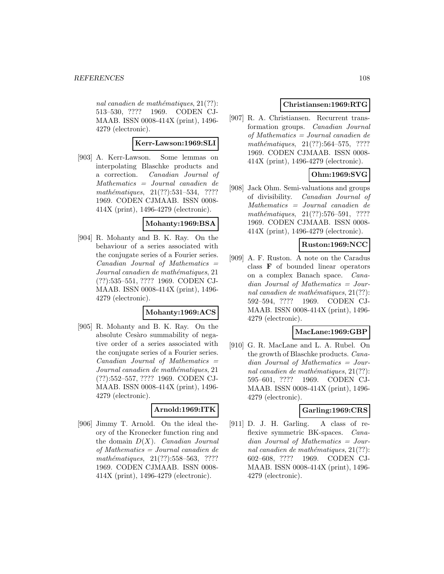nal canadien de mathématiques,  $21(??)$ : 513–530, ???? 1969. CODEN CJ-MAAB. ISSN 0008-414X (print), 1496- 4279 (electronic).

# **Kerr-Lawson:1969:SLI**

[903] A. Kerr-Lawson. Some lemmas on interpolating Blaschke products and a correction. Canadian Journal of Mathematics = Journal canadien de  $mathématiques, 21(??): 531–534, ????$ 1969. CODEN CJMAAB. ISSN 0008- 414X (print), 1496-4279 (electronic).

### **Mohanty:1969:BSA**

[904] R. Mohanty and B. K. Ray. On the behaviour of a series associated with the conjugate series of a Fourier series.  $Canadian$  Journal of Mathematics  $=$ Journal canadien de mathématiques, 21 (??):535–551, ???? 1969. CODEN CJ-MAAB. ISSN 0008-414X (print), 1496- 4279 (electronic).

### **Mohanty:1969:ACS**

[905] R. Mohanty and B. K. Ray. On the absolute Cesàro summability of negative order of a series associated with the conjugate series of a Fourier series.  $Canadian$  Journal of Mathematics  $=$ Journal canadien de mathématiques, 21 (??):552–557, ???? 1969. CODEN CJ-MAAB. ISSN 0008-414X (print), 1496- 4279 (electronic).

### **Arnold:1969:ITK**

[906] Jimmy T. Arnold. On the ideal theory of the Kronecker function ring and the domain  $D(X)$ . Canadian Journal of Mathematics = Journal canadien de  $mathématiques, 21(??):558–563, ????$ 1969. CODEN CJMAAB. ISSN 0008- 414X (print), 1496-4279 (electronic).

# **Christiansen:1969:RTG**

[907] R. A. Christiansen. Recurrent transformation groups. Canadian Journal of Mathematics = Journal canadien de mathématiques,  $21(??):564-575$ , ???? 1969. CODEN CJMAAB. ISSN 0008- 414X (print), 1496-4279 (electronic).

# **Ohm:1969:SVG**

[908] Jack Ohm. Semi-valuations and groups of divisibility. Canadian Journal of Mathematics = Journal canadien de mathématiques,  $21(??):576-591$ , ???? 1969. CODEN CJMAAB. ISSN 0008- 414X (print), 1496-4279 (electronic).

# **Ruston:1969:NCC**

[909] A. F. Ruston. A note on the Caradus class **F** of bounded linear operators on a complex Banach space. Canadian Journal of Mathematics = Journal canadien de mathématiques,  $21(??)$ : 592–594, ???? 1969. CODEN CJ-MAAB. ISSN 0008-414X (print), 1496- 4279 (electronic).

# **MacLane:1969:GBP**

[910] G. R. MacLane and L. A. Rubel. On the growth of Blaschke products. Canadian Journal of Mathematics = Journal canadien de mathématiques,  $21(??)$ : 595–601, ???? 1969. CODEN CJ-MAAB. ISSN 0008-414X (print), 1496- 4279 (electronic).

# **Garling:1969:CRS**

[911] D. J. H. Garling. A class of reflexive symmetric BK-spaces. Canadian Journal of Mathematics = Journal canadien de mathématiques,  $21(??)$ : 602–608, ???? 1969. CODEN CJ-MAAB. ISSN 0008-414X (print), 1496- 4279 (electronic).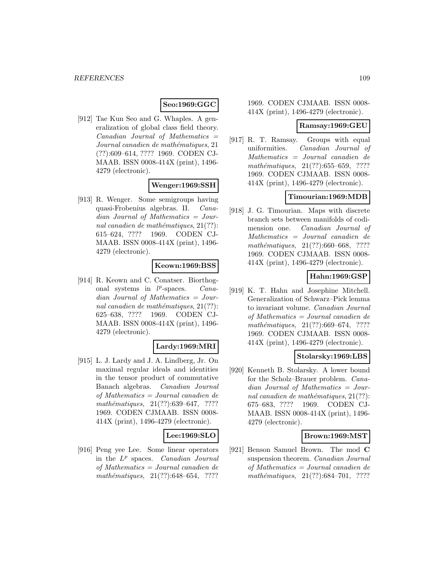# **Seo:1969:GGC**

[912] Tae Kun Seo and G. Whaples. A generalization of global class field theory.  $Canadian$  Journal of Mathematics  $=$ Journal canadien de mathématiques, 21 (??):609–614, ???? 1969. CODEN CJ-MAAB. ISSN 0008-414X (print), 1496- 4279 (electronic).

# **Wenger:1969:SSH**

[913] R. Wenger. Some semigroups having quasi-Frobenius algebras. II. Canadian Journal of Mathematics = Journal canadien de mathématiques,  $21(??)$ : 615–624, ???? 1969. CODEN CJ-MAAB. ISSN 0008-414X (print), 1496- 4279 (electronic).

### **Keown:1969:BSS**

[914] R. Keown and C. Conatser. Biorthogonal systems in  $l^p$ -spaces. *Cana*dian Journal of Mathematics = Journal canadien de mathématiques,  $21(??)$ : 625–638, ???? 1969. CODEN CJ-MAAB. ISSN 0008-414X (print), 1496- 4279 (electronic).

# **Lardy:1969:MRI**

[915] L. J. Lardy and J. A. Lindberg, Jr. On maximal regular ideals and identities in the tensor product of commutative Banach algebras. Canadian Journal of Mathematics = Journal canadien de mathématiques,  $21(??):639–647$ , ???? 1969. CODEN CJMAAB. ISSN 0008- 414X (print), 1496-4279 (electronic).

### **Lee:1969:SLO**

[916] Peng yee Lee. Some linear operators in the  $L^p$  spaces. *Canadian Journal* of Mathematics = Journal canadien de mathématiques,  $21(??):648-654$ , ????

### 1969. CODEN CJMAAB. ISSN 0008- 414X (print), 1496-4279 (electronic).

### **Ramsay:1969:GEU**

[917] R. T. Ramsay. Groups with equal uniformities. Canadian Journal of Mathematics = Journal canadien de mathématiques,  $21(??):655-659$ , ???? 1969. CODEN CJMAAB. ISSN 0008- 414X (print), 1496-4279 (electronic).

### **Timourian:1969:MDB**

[918] J. G. Timourian. Maps with discrete branch sets between manifolds of codimension one. Canadian Journal of Mathematics = Journal canadien de mathématiques,  $21(??):660–668$ , ???? 1969. CODEN CJMAAB. ISSN 0008- 414X (print), 1496-4279 (electronic).

### **Hahn:1969:GSP**

[919] K. T. Hahn and Josephine Mitchell. Generalization of Schwarz–Pick lemma to invariant volume. Canadian Journal of Mathematics = Journal canadien de mathématiques,  $21(??):669-674$ , ???? 1969. CODEN CJMAAB. ISSN 0008- 414X (print), 1496-4279 (electronic).

### **Stolarsky:1969:LBS**

[920] Kenneth B. Stolarsky. A lower bound for the Scholz–Brauer problem. Canadian Journal of Mathematics = Journal canadien de mathématiques,  $21(??)$ : 675–683, ???? 1969. CODEN CJ-MAAB. ISSN 0008-414X (print), 1496- 4279 (electronic).

### **Brown:1969:MST**

[921] Benson Samuel Brown. The mod **C** suspension theorem. Canadian Journal of Mathematics = Journal canadien de mathématiques,  $21(??):684-701$ , ????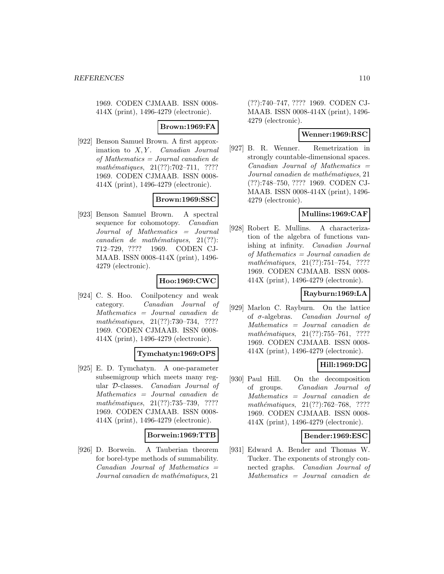1969. CODEN CJMAAB. ISSN 0008- 414X (print), 1496-4279 (electronic).

**Brown:1969:FA**

[922] Benson Samuel Brown. A first approximation to  $X, Y$ . Canadian Journal of Mathematics = Journal canadien de mathématiques,  $21(??):702-711$ , ???? 1969. CODEN CJMAAB. ISSN 0008- 414X (print), 1496-4279 (electronic).

# **Brown:1969:SSC**

[923] Benson Samuel Brown. A spectral sequence for cohomotopy. *Canadian* Journal of Mathematics = Journal  $cana dien de mathématiques, 21(??):$ 712–729, ???? 1969. CODEN CJ-MAAB. ISSN 0008-414X (print), 1496- 4279 (electronic).

# **Hoo:1969:CWC**

[924] C. S. Hoo. Conilpotency and weak category. Canadian Journal of Mathematics = Journal canadien de mathématiques,  $21(??):730-734$ , ???? 1969. CODEN CJMAAB. ISSN 0008- 414X (print), 1496-4279 (electronic).

# **Tymchatyn:1969:OPS**

[925] E. D. Tymchatyn. A one-parameter subsemigroup which meets many regular D-classes. Canadian Journal of Mathematics = Journal canadien de mathématiques,  $21(??):735-739$ , ???? 1969. CODEN CJMAAB. ISSN 0008- 414X (print), 1496-4279 (electronic).

### **Borwein:1969:TTB**

[926] D. Borwein. A Tauberian theorem for borel-type methods of summability.  $Canadian$  Journal of Mathematics  $=$ Journal canadien de mathématiques, 21

(??):740–747, ???? 1969. CODEN CJ-MAAB. ISSN 0008-414X (print), 1496- 4279 (electronic).

# **Wenner:1969:RSC**

[927] B. R. Wenner. Remetrization in strongly countable-dimensional spaces.  $Canadian$  Journal of Mathematics  $=$ Journal canadien de mathématiques, 21 (??):748–750, ???? 1969. CODEN CJ-MAAB. ISSN 0008-414X (print), 1496- 4279 (electronic).

# **Mullins:1969:CAF**

[928] Robert E. Mullins. A characterization of the algebra of functions vanishing at infinity. Canadian Journal of Mathematics = Journal canadien de  $mathématiques, 21(??): 751–754, ????$ 1969. CODEN CJMAAB. ISSN 0008- 414X (print), 1496-4279 (electronic).

# **Rayburn:1969:LA**

[929] Marlon C. Rayburn. On the lattice of σ-algebras. Canadian Journal of Mathematics = Journal canadien de mathématiques, 21(??):755–761, ???? 1969. CODEN CJMAAB. ISSN 0008- 414X (print), 1496-4279 (electronic).

# **Hill:1969:DG**

[930] Paul Hill. On the decomposition of groups. Canadian Journal of Mathematics = Journal canadien de mathématiques,  $21(??):762-768$ , ???? 1969. CODEN CJMAAB. ISSN 0008- 414X (print), 1496-4279 (electronic).

# **Bender:1969:ESC**

[931] Edward A. Bender and Thomas W. Tucker. The exponents of strongly connected graphs. Canadian Journal of Mathematics = Journal canadien de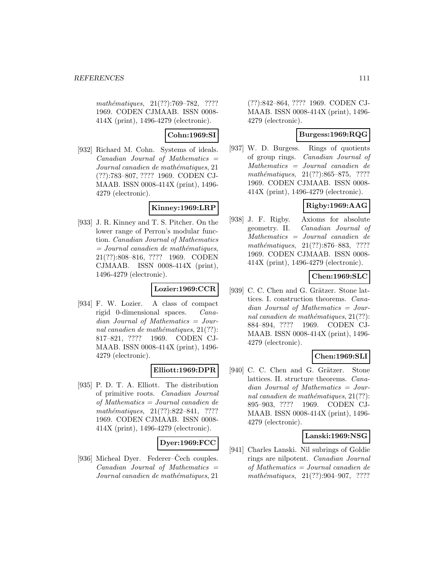mathématiques, 21(??):769–782, ???? 1969. CODEN CJMAAB. ISSN 0008- 414X (print), 1496-4279 (electronic).

# **Cohn:1969:SI**

[932] Richard M. Cohn. Systems of ideals.  $Canadian$  Journal of Mathematics  $=$ Journal canadien de mathématiques, 21 (??):783–807, ???? 1969. CODEN CJ-MAAB. ISSN 0008-414X (print), 1496- 4279 (electronic).

### **Kinney:1969:LRP**

[933] J. R. Kinney and T. S. Pitcher. On the lower range of Perron's modular function. Canadian Journal of Mathematics  $= Journal\; can a dien\; de\; mathématiques,$ 21(??):808–816, ???? 1969. CODEN CJMAAB. ISSN 0008-414X (print), 1496-4279 (electronic).

# **Lozier:1969:CCR**

[934] F. W. Lozier. A class of compact rigid 0-dimensional spaces. Canadian Journal of Mathematics = Journal canadien de mathématiques,  $21(??)$ : 817–821, ???? 1969. CODEN CJ-MAAB. ISSN 0008-414X (print), 1496- 4279 (electronic).

# **Elliott:1969:DPR**

[935] P. D. T. A. Elliott. The distribution of primitive roots. Canadian Journal of Mathematics = Journal canadien de mathématiques,  $21(??):822-841$ , ???? 1969. CODEN CJMAAB. ISSN 0008- 414X (print), 1496-4279 (electronic).

# **Dyer:1969:FCC**

[936] Micheal Dyer. Federer–Cech couples.  $Canadian$  Journal of Mathematics  $=$ Journal canadien de mathématiques, 21

(??):842–864, ???? 1969. CODEN CJ-MAAB. ISSN 0008-414X (print), 1496- 4279 (electronic).

### **Burgess:1969:RQG**

[937] W. D. Burgess. Rings of quotients of group rings. Canadian Journal of Mathematics = Journal canadien de mathématiques,  $21(??):865-875$ , ???? 1969. CODEN CJMAAB. ISSN 0008- 414X (print), 1496-4279 (electronic).

# **Rigby:1969:AAG**

[938] J. F. Rigby. Axioms for absolute geometry. II. Canadian Journal of Mathematics = Journal canadien de mathématiques, 21(??):876–883, ???? 1969. CODEN CJMAAB. ISSN 0008- 414X (print), 1496-4279 (electronic).

# **Chen:1969:SLC**

[939] C. C. Chen and G. Grätzer. Stone lattices. I. construction theorems. Canadian Journal of Mathematics = Journal canadien de mathématiques,  $21(??)$ : 884–894, ???? 1969. CODEN CJ-MAAB. ISSN 0008-414X (print), 1496- 4279 (electronic).

# **Chen:1969:SLI**

[940] C. C. Chen and G. Grätzer. Stone lattices. II. structure theorems. Canadian Journal of Mathematics = Journal canadien de mathématiques,  $21(??)$ : 895–903, ???? 1969. CODEN CJ-MAAB. ISSN 0008-414X (print), 1496- 4279 (electronic).

# **Lanski:1969:NSG**

[941] Charles Lanski. Nil subrings of Goldie rings are nilpotent. Canadian Journal of Mathematics = Journal canadien de mathématiques,  $21(??):904-907$ , ????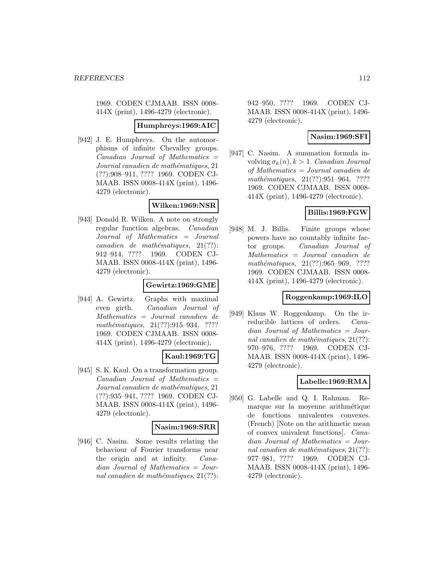1969. CODEN CJMAAB. ISSN 0008- 414X (print), 1496-4279 (electronic).

### **Humphreys:1969:AIC**

[942] J. E. Humphreys. On the automorphisms of infinite Chevalley groups.  $Canadian$  Journal of Mathematics  $=$ Journal canadien de mathématiques, 21 (??):908–911, ???? 1969. CODEN CJ-MAAB. ISSN 0008-414X (print), 1496- 4279 (electronic).

# **Wilken:1969:NSR**

[943] Donald R. Wilken. A note on strongly regular function algebras. Canadian Journal of Mathematics = Journal  $cana dien de mathématiques, 21(??):$ 912–914, ???? 1969. CODEN CJ-MAAB. ISSN 0008-414X (print), 1496- 4279 (electronic).

# **Gewirtz:1969:GME**

[944] A. Gewirtz. Graphs with maximal even girth. Canadian Journal of Mathematics = Journal canadien de mathématiques, 21(??):915–934, ???? 1969. CODEN CJMAAB. ISSN 0008- 414X (print), 1496-4279 (electronic).

# **Kaul:1969:TG**

[945] S. K. Kaul. On a transformation group. Canadian Journal of Mathematics = Journal canadien de mathématiques, 21 (??):935–941, ???? 1969. CODEN CJ-MAAB. ISSN 0008-414X (print), 1496- 4279 (electronic).

# **Nasim:1969:SRR**

[946] C. Nasim. Some results relating the behaviour of Fourier transforms near the origin and at infinity. Canadian Journal of Mathematics = Journal canadien de mathématiques,  $21(??)$ : 942–950, ???? 1969. CODEN CJ-MAAB. ISSN 0008-414X (print), 1496- 4279 (electronic).

### **Nasim:1969:SFI**

[947] C. Nasim. A summation formula involving  $\sigma_k(n)$ ,  $k > 1$ . Canadian Journal of Mathematics = Journal canadien de mathématiques, 21(??):951-964, ???? 1969. CODEN CJMAAB. ISSN 0008- 414X (print), 1496-4279 (electronic).

# **Billis:1969:FGW**

[948] M. J. Billis. Finite groups whose powers have no countably infinite factor groups. Canadian Journal of Mathematics = Journal canadien de  $mathématiques, 21(??):965–969, ????$ 1969. CODEN CJMAAB. ISSN 0008- 414X (print), 1496-4279 (electronic).

### **Roggenkamp:1969:ILO**

[949] Klaus W. Roggenkamp. On the irreducible lattices of orders. Canadian Journal of Mathematics = Journal canadien de mathématiques,  $21(??)$ : 970–976, ???? 1969. CODEN CJ-MAAB. ISSN 0008-414X (print), 1496- 4279 (electronic).

# **Labelle:1969:RMA**

[950] G. Labelle and Q. I. Rahman. Remarque sur la moyenne arithmétique de fonctions univalentes convexes. (French) [Note on the arithmetic mean of convex univalent functions]. Canadian Journal of Mathematics = Journal canadien de mathématiques,  $21(??)$ : 977–981, ???? 1969. CODEN CJ-MAAB. ISSN 0008-414X (print), 1496- 4279 (electronic).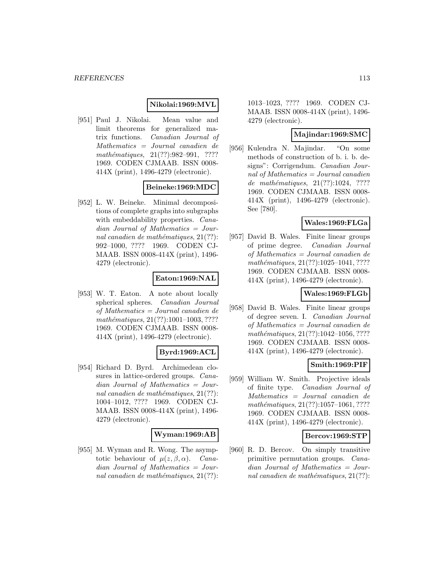### **Nikolai:1969:MVL**

[951] Paul J. Nikolai. Mean value and limit theorems for generalized matrix functions. Canadian Journal of Mathematics = Journal canadien de mathématiques,  $21(??):982-991$ , ???? 1969. CODEN CJMAAB. ISSN 0008- 414X (print), 1496-4279 (electronic).

# **Beineke:1969:MDC**

[952] L. W. Beineke. Minimal decompositions of complete graphs into subgraphs with embeddability properties. *Cana*dian Journal of Mathematics = Journal canadien de mathématiques,  $21(??)$ : 992–1000, ???? 1969. CODEN CJ-MAAB. ISSN 0008-414X (print), 1496- 4279 (electronic).

### **Eaton:1969:NAL**

[953] W. T. Eaton. A note about locally spherical spheres. Canadian Journal of Mathematics = Journal canadien de  $mathématiques, 21(??):1001–1003, ????$ 1969. CODEN CJMAAB. ISSN 0008- 414X (print), 1496-4279 (electronic).

#### **Byrd:1969:ACL**

[954] Richard D. Byrd. Archimedean closures in lattice-ordered groups. Canadian Journal of Mathematics = Journal canadien de mathématiques,  $21(??)$ : 1004–1012, ???? 1969. CODEN CJ-MAAB. ISSN 0008-414X (print), 1496- 4279 (electronic).

### **Wyman:1969:AB**

[955] M. Wyman and R. Wong. The asymptotic behaviour of  $\mu(z, \beta, \alpha)$ . Canadian Journal of Mathematics = Journal canadien de mathématiques,  $21(??)$ :

1013–1023, ???? 1969. CODEN CJ-MAAB. ISSN 0008-414X (print), 1496- 4279 (electronic).

### **Majindar:1969:SMC**

[956] Kulendra N. Majindar. "On some methods of construction of b. i. b. designs": Corrigendum. Canadian Journal of Mathematics  $=$  Journal canadien de mathématiques,  $21(??):1024, ????$ 1969. CODEN CJMAAB. ISSN 0008- 414X (print), 1496-4279 (electronic). See [780].

# **Wales:1969:FLGa**

[957] David B. Wales. Finite linear groups of prime degree. Canadian Journal of Mathematics = Journal canadien de  $mathématiques, 21(??):1025-1041, ????$ 1969. CODEN CJMAAB. ISSN 0008- 414X (print), 1496-4279 (electronic).

# **Wales:1969:FLGb**

[958] David B. Wales. Finite linear groups of degree seven. I. Canadian Journal of Mathematics = Journal canadien de  $mathématiques, 21(??):1042–1056, ????$ 1969. CODEN CJMAAB. ISSN 0008- 414X (print), 1496-4279 (electronic).

# **Smith:1969:PIF**

[959] William W. Smith. Projective ideals of finite type. Canadian Journal of Mathematics = Journal canadien de mathématiques,  $21(??):1057-1061, ????$ 1969. CODEN CJMAAB. ISSN 0008- 414X (print), 1496-4279 (electronic).

#### **Bercov:1969:STP**

[960] R. D. Bercov. On simply transitive primitive permutation groups. Canadian Journal of Mathematics = Journal canadien de mathématiques,  $21(??)$ :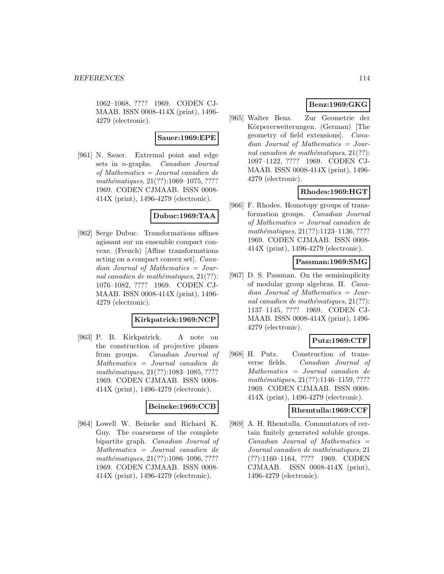1062–1068, ???? 1969. CODEN CJ-MAAB. ISSN 0008-414X (print), 1496- 4279 (electronic).

### **Sauer:1969:EPE**

[961] N. Sauer. Extremal point and edge sets in n-graphs. Canadian Journal of Mathematics = Journal canadien de  $mathématiques, 21(??): 1069-1075, ????$ 1969. CODEN CJMAAB. ISSN 0008- 414X (print), 1496-4279 (electronic).

### **Dubuc:1969:TAA**

[962] Serge Dubuc. Transformations affines agissant sur un ensemble compact convexe. (French) [Affine transformations acting on a compact convex set]. Canadian Journal of Mathematics = Journal canadien de mathématiques,  $21(??)$ : 1076–1082, ???? 1969. CODEN CJ-MAAB. ISSN 0008-414X (print), 1496- 4279 (electronic).

### **Kirkpatrick:1969:NCP**

[963] P. B. Kirkpatrick. A note on the construction of projective planes from groups. Canadian Journal of Mathematics = Journal canadien de  $mathématiques, 21(??):1083-1085, ????$ 1969. CODEN CJMAAB. ISSN 0008- 414X (print), 1496-4279 (electronic).

### **Beineke:1969:CCB**

[964] Lowell W. Beineke and Richard K. Guy. The coarseness of the complete bipartite graph. Canadian Journal of Mathematics = Journal canadien de mathématiques, 21(??):1086-1096, ???? 1969. CODEN CJMAAB. ISSN 0008- 414X (print), 1496-4279 (electronic).

# **Benz:1969:GKG**

[965] Walter Benz. Zur Geometrie der Körpererweiterungen. (German) [The geometry of field extensions]. Canadian Journal of Mathematics = Journal canadien de mathématiques,  $21(??)$ : 1097–1122, ???? 1969. CODEN CJ-MAAB. ISSN 0008-414X (print), 1496- 4279 (electronic).

# **Rhodes:1969:HGT**

[966] F. Rhodes. Homotopy groups of transformation groups. Canadian Journal of Mathematics = Journal canadien de mathématiques, 21(??):1123-1136, ???? 1969. CODEN CJMAAB. ISSN 0008- 414X (print), 1496-4279 (electronic).

### **Passman:1969:SMG**

[967] D. S. Passman. On the semisimplicity of modular group algebras. II. Canadian Journal of Mathematics = Journal canadien de mathématiques,  $21(??)$ : 1137–1145, ???? 1969. CODEN CJ-MAAB. ISSN 0008-414X (print), 1496- 4279 (electronic).

# **Putz:1969:CTF**

[968] H. Putz. Construction of transverse fields. Canadian Journal of Mathematics = Journal canadien de mathématiques, 21(??):1146-1159, ???? 1969. CODEN CJMAAB. ISSN 0008- 414X (print), 1496-4279 (electronic).

### **Rhemtulla:1969:CCF**

[969] A. H. Rhemtulla. Commutators of certain finitely generated soluble groups.  $Canadian$  Journal of Mathematics  $=$ Journal canadien de mathématiques, 21 (??):1160–1164, ???? 1969. CODEN CJMAAB. ISSN 0008-414X (print), 1496-4279 (electronic).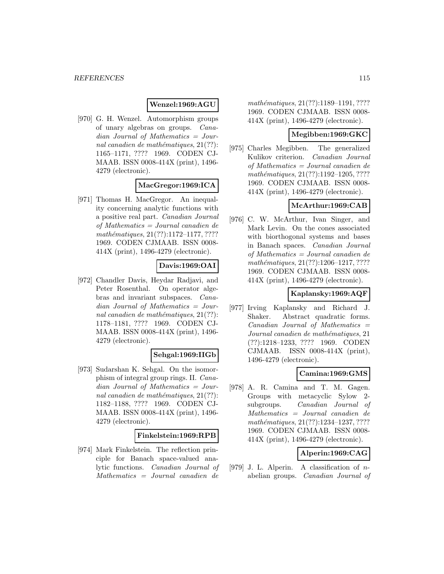### **Wenzel:1969:AGU**

[970] G. H. Wenzel. Automorphism groups of unary algebras on groups. Canadian Journal of Mathematics = Journal canadien de mathématiques,  $21(??)$ : 1165–1171, ???? 1969. CODEN CJ-MAAB. ISSN 0008-414X (print), 1496- 4279 (electronic).

# **MacGregor:1969:ICA**

[971] Thomas H. MacGregor. An inequality concerning analytic functions with a positive real part. Canadian Journal of Mathematics = Journal canadien de  $mathématiques, 21(??): 1172–1177, ????$ 1969. CODEN CJMAAB. ISSN 0008- 414X (print), 1496-4279 (electronic).

# **Davis:1969:OAI**

[972] Chandler Davis, Heydar Radjavi, and Peter Rosenthal. On operator algebras and invariant subspaces. Canadian Journal of Mathematics = Journal canadien de mathématiques,  $21(??)$ : 1178–1181, ???? 1969. CODEN CJ-MAAB. ISSN 0008-414X (print), 1496- 4279 (electronic).

# **Sehgal:1969:IIGb**

[973] Sudarshan K. Sehgal. On the isomorphism of integral group rings. II. Canadian Journal of Mathematics = Journal canadien de mathématiques,  $21(??)$ : 1182–1188, ???? 1969. CODEN CJ-MAAB. ISSN 0008-414X (print), 1496- 4279 (electronic).

### **Finkelstein:1969:RPB**

[974] Mark Finkelstein. The reflection principle for Banach space-valued analytic functions. Canadian Journal of Mathematics = Journal canadien de

mathématiques, 21(??):1189-1191, ???? 1969. CODEN CJMAAB. ISSN 0008- 414X (print), 1496-4279 (electronic).

### **Megibben:1969:GKC**

[975] Charles Megibben. The generalized Kulikov criterion. Canadian Journal of Mathematics = Journal canadien de mathématiques, 21(??):1192-1205, ???? 1969. CODEN CJMAAB. ISSN 0008- 414X (print), 1496-4279 (electronic).

# **McArthur:1969:CAB**

[976] C. W. McArthur, Ivan Singer, and Mark Levin. On the cones associated with biorthogonal systems and bases in Banach spaces. Canadian Journal of Mathematics = Journal canadien de mathématiques, 21(??):1206-1217, ???? 1969. CODEN CJMAAB. ISSN 0008- 414X (print), 1496-4279 (electronic).

# **Kaplansky:1969:AQF**

[977] Irving Kaplansky and Richard J. Shaker. Abstract quadratic forms.  $Canadian$  Journal of Mathematics  $=$ Journal canadien de mathématiques, 21 (??):1218–1233, ???? 1969. CODEN CJMAAB. ISSN 0008-414X (print), 1496-4279 (electronic).

### **Camina:1969:GMS**

[978] A. R. Camina and T. M. Gagen. Groups with metacyclic Sylow 2 subgroups. Canadian Journal of Mathematics = Journal canadien de mathématiques, 21(??):1234-1237, ???? 1969. CODEN CJMAAB. ISSN 0008- 414X (print), 1496-4279 (electronic).

# **Alperin:1969:CAG**

[979] J. L. Alperin. A classification of  $n$ abelian groups. Canadian Journal of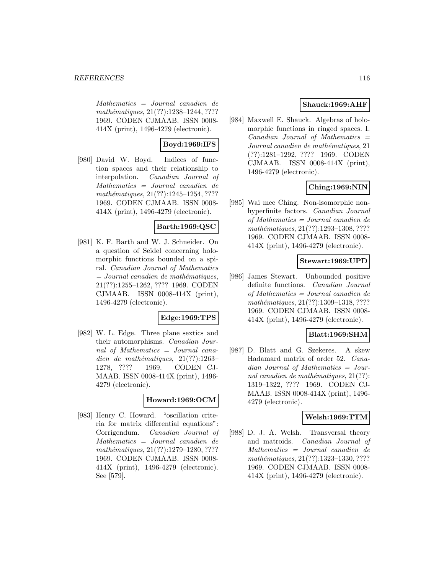Mathematics = Journal canadien de mathématiques, 21(??):1238-1244, ???? 1969. CODEN CJMAAB. ISSN 0008- 414X (print), 1496-4279 (electronic).

# **Boyd:1969:IFS**

[980] David W. Boyd. Indices of function spaces and their relationship to interpolation. Canadian Journal of Mathematics = Journal canadien de mathématiques,  $21(??):1245-1254, ????$ 1969. CODEN CJMAAB. ISSN 0008- 414X (print), 1496-4279 (electronic).

# **Barth:1969:QSC**

[981] K. F. Barth and W. J. Schneider. On a question of Seidel concerning holomorphic functions bounded on a spiral. Canadian Journal of Mathematics  $=$  Journal canadien de mathématiques, 21(??):1255–1262, ???? 1969. CODEN CJMAAB. ISSN 0008-414X (print), 1496-4279 (electronic).

# **Edge:1969:TPS**

[982] W. L. Edge. Three plane sextics and their automorphisms. Canadian Journal of Mathematics = Journal canadien de mathématiques,  $21(??):1263-$ 1278, ???? 1969. CODEN CJ-MAAB. ISSN 0008-414X (print), 1496- 4279 (electronic).

# **Howard:1969:OCM**

[983] Henry C. Howard. "oscillation criteria for matrix differential equations": Corrigendum. Canadian Journal of Mathematics = Journal canadien de mathématiques, 21(??):1279-1280, ???? 1969. CODEN CJMAAB. ISSN 0008- 414X (print), 1496-4279 (electronic). See [579].

# **Shauck:1969:AHF**

[984] Maxwell E. Shauck. Algebras of holomorphic functions in ringed spaces. I.  $Canadian$  Journal of Mathematics  $=$ Journal canadien de mathématiques, 21 (??):1281–1292, ???? 1969. CODEN CJMAAB. ISSN 0008-414X (print), 1496-4279 (electronic).

# **Ching:1969:NIN**

[985] Wai mee Ching. Non-isomorphic nonhyperfinite factors. Canadian Journal of Mathematics = Journal canadien de mathématiques, 21(??):1293-1308, ???? 1969. CODEN CJMAAB. ISSN 0008- 414X (print), 1496-4279 (electronic).

# **Stewart:1969:UPD**

[986] James Stewart. Unbounded positive definite functions. Canadian Journal of Mathematics = Journal canadien de mathématiques, 21(??):1309-1318, ???? 1969. CODEN CJMAAB. ISSN 0008- 414X (print), 1496-4279 (electronic).

# **Blatt:1969:SHM**

[987] D. Blatt and G. Szekeres. A skew Hadamard matrix of order 52. Canadian Journal of Mathematics = Journal canadien de mathématiques,  $21(??)$ : 1319–1322, ???? 1969. CODEN CJ-MAAB. ISSN 0008-414X (print), 1496- 4279 (electronic).

# **Welsh:1969:TTM**

[988] D. J. A. Welsh. Transversal theory and matroids. Canadian Journal of Mathematics = Journal canadien de mathématiques, 21(??):1323-1330, ???? 1969. CODEN CJMAAB. ISSN 0008- 414X (print), 1496-4279 (electronic).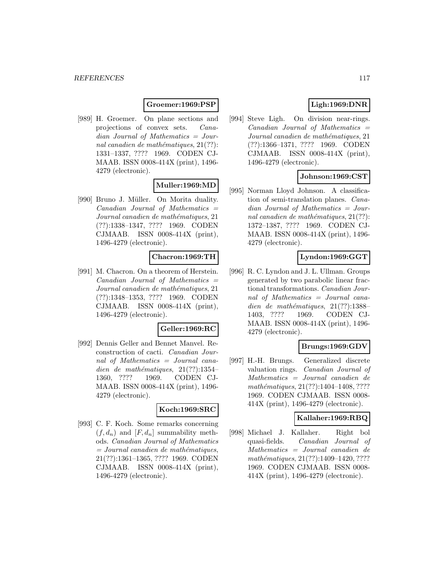### **Groemer:1969:PSP**

[989] H. Groemer. On plane sections and projections of convex sets. Canadian Journal of Mathematics = Journal canadien de mathématiques,  $21(??)$ : 1331–1337, ???? 1969. CODEN CJ-MAAB. ISSN 0008-414X (print), 1496- 4279 (electronic).

# **Muller:1969:MD**

[990] Bruno J. Müller. On Morita duality.  $Canadian$  Journal of Mathematics  $=$ Journal canadien de mathématiques, 21 (??):1338–1347, ???? 1969. CODEN CJMAAB. ISSN 0008-414X (print), 1496-4279 (electronic).

### **Chacron:1969:TH**

[991] M. Chacron. On a theorem of Herstein.  $Canadian$  Journal of Mathematics  $=$ Journal canadien de mathématiques, 21 (??):1348–1353, ???? 1969. CODEN CJMAAB. ISSN 0008-414X (print), 1496-4279 (electronic).

### **Geller:1969:RC**

[992] Dennis Geller and Bennet Manvel. Reconstruction of cacti. Canadian Journal of Mathematics = Journal canadien de mathématiques,  $21(??):1354-$ 1360, ???? 1969. CODEN CJ-MAAB. ISSN 0008-414X (print), 1496- 4279 (electronic).

#### **Koch:1969:SRC**

[993] C. F. Koch. Some remarks concerning  $(f, d_n)$  and  $[F, d_n]$  summability methods. Canadian Journal of Mathematics  $=$  Journal canadien de mathématiques, 21(??):1361–1365, ???? 1969. CODEN CJMAAB. ISSN 0008-414X (print), 1496-4279 (electronic).

# **Ligh:1969:DNR**

[994] Steve Ligh. On division near-rings.  $Canadian$  Journal of Mathematics  $=$ Journal canadien de mathématiques, 21 (??):1366–1371, ???? 1969. CODEN CJMAAB. ISSN 0008-414X (print), 1496-4279 (electronic).

# **Johnson:1969:CST**

[995] Norman Lloyd Johnson. A classification of semi-translation planes. Canadian Journal of Mathematics = Journal canadien de mathématiques,  $21(??)$ : 1372–1387, ???? 1969. CODEN CJ-MAAB. ISSN 0008-414X (print), 1496- 4279 (electronic).

### **Lyndon:1969:GGT**

[996] R. C. Lyndon and J. L. Ullman. Groups generated by two parabolic linear fractional transformations. Canadian Journal of Mathematics = Journal canadien de mathématiques,  $21(??):1388-$ 1403, ???? 1969. CODEN CJ-MAAB. ISSN 0008-414X (print), 1496- 4279 (electronic).

### **Brungs:1969:GDV**

[997] H.-H. Brungs. Generalized discrete valuation rings. Canadian Journal of Mathematics = Journal canadien de  $mathématiques, 21(??):1404–1408, ????$ 1969. CODEN CJMAAB. ISSN 0008- 414X (print), 1496-4279 (electronic).

### **Kallaher:1969:RBQ**

[998] Michael J. Kallaher. Right bol quasi-fields. Canadian Journal of Mathematics = Journal canadien de mathématiques, 21(??):1409–1420, ???? 1969. CODEN CJMAAB. ISSN 0008- 414X (print), 1496-4279 (electronic).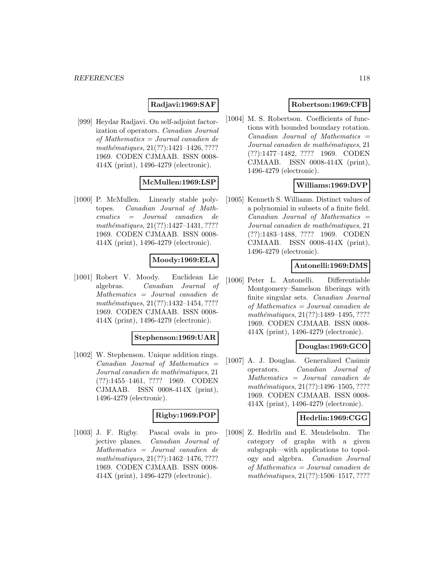# **Radjavi:1969:SAF**

[999] Heydar Radjavi. On self-adjoint factorization of operators. Canadian Journal of Mathematics = Journal canadien de mathématiques, 21(??):1421-1426, ???? 1969. CODEN CJMAAB. ISSN 0008- 414X (print), 1496-4279 (electronic).

### **McMullen:1969:LSP**

[1000] P. McMullen. Linearly stable polytopes. Canadian Journal of Mathematics = Journal canadien de mathématiques, 21(??):1427-1431, ???? 1969. CODEN CJMAAB. ISSN 0008- 414X (print), 1496-4279 (electronic).

# **Moody:1969:ELA**

[1001] Robert V. Moody. Euclidean Lie algebras. Canadian Journal of Mathematics = Journal canadien de mathématiques, 21(??):1432-1454, ???? 1969. CODEN CJMAAB. ISSN 0008- 414X (print), 1496-4279 (electronic).

### **Stephenson:1969:UAR**

[1002] W. Stephenson. Unique addition rings.  $Canadian Journal of Mathematics =$ Journal canadien de mathématiques, 21 (??):1455–1461, ???? 1969. CODEN CJMAAB. ISSN 0008-414X (print), 1496-4279 (electronic).

# **Rigby:1969:POP**

[1003] J. F. Rigby. Pascal ovals in projective planes. Canadian Journal of Mathematics = Journal canadien de mathématiques, 21(??):1462-1476, ???? 1969. CODEN CJMAAB. ISSN 0008- 414X (print), 1496-4279 (electronic).

# **Robertson:1969:CFB**

[1004] M. S. Robertson. Coefficients of functions with bounded boundary rotation.  $Canadian$  Journal of Mathematics  $=$ Journal canadien de mathématiques, 21 (??):1477–1482, ???? 1969. CODEN CJMAAB. ISSN 0008-414X (print), 1496-4279 (electronic).

### **Williams:1969:DVP**

[1005] Kenneth S. Williams. Distinct values of a polynomial in subsets of a finite field.  $Canadian$  Journal of Mathematics  $=$ Journal canadien de mathématiques, 21 (??):1483–1488, ???? 1969. CODEN CJMAAB. ISSN 0008-414X (print), 1496-4279 (electronic).

### **Antonelli:1969:DMS**

[1006] Peter L. Antonelli. Differentiable Montgomery–Samelson fiberings with finite singular sets. Canadian Journal of Mathematics = Journal canadien de mathématiques, 21(??):1489-1495, ???? 1969. CODEN CJMAAB. ISSN 0008- 414X (print), 1496-4279 (electronic).

### **Douglas:1969:GCO**

[1007] A. J. Douglas. Generalized Casimir operators. Canadian Journal of Mathematics = Journal canadien de  $mathématiques, 21(??):1496–1505, ????$ 1969. CODEN CJMAAB. ISSN 0008- 414X (print), 1496-4279 (electronic).

### **Hedrlin:1969:CGG**

[1008] Z. Hedrlín and E. Mendelsohn. The category of graphs with a given subgraph—with applications to topology and algebra. Canadian Journal of Mathematics = Journal canadien de mathématiques,  $21(??):1506-1517, ????$